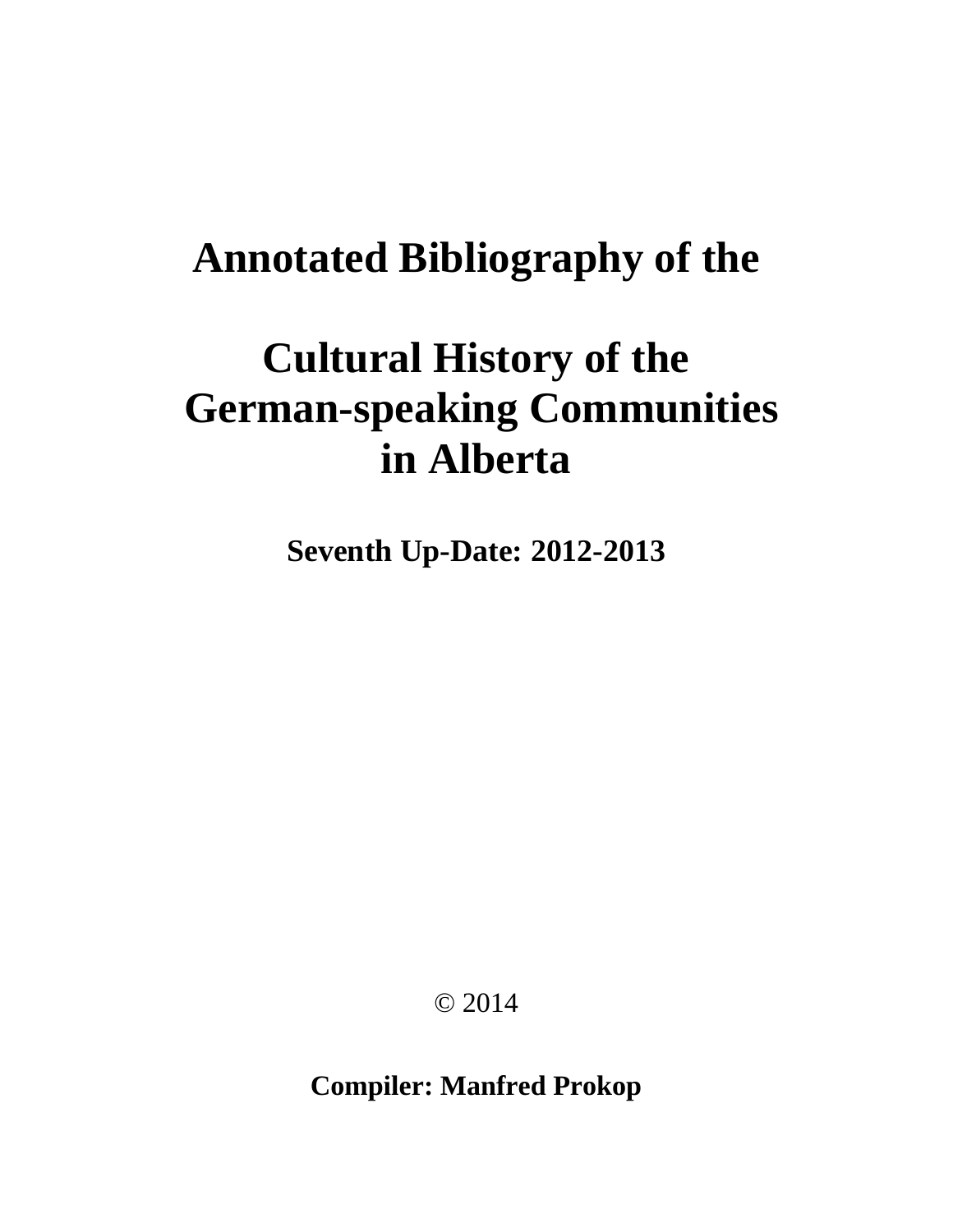# **Annotated Bibliography of the**

# **Cultural History of the German-speaking Communities in Alberta**

**Seventh Up-Date: 2012-2013**

© 2014

**Compiler: Manfred Prokop**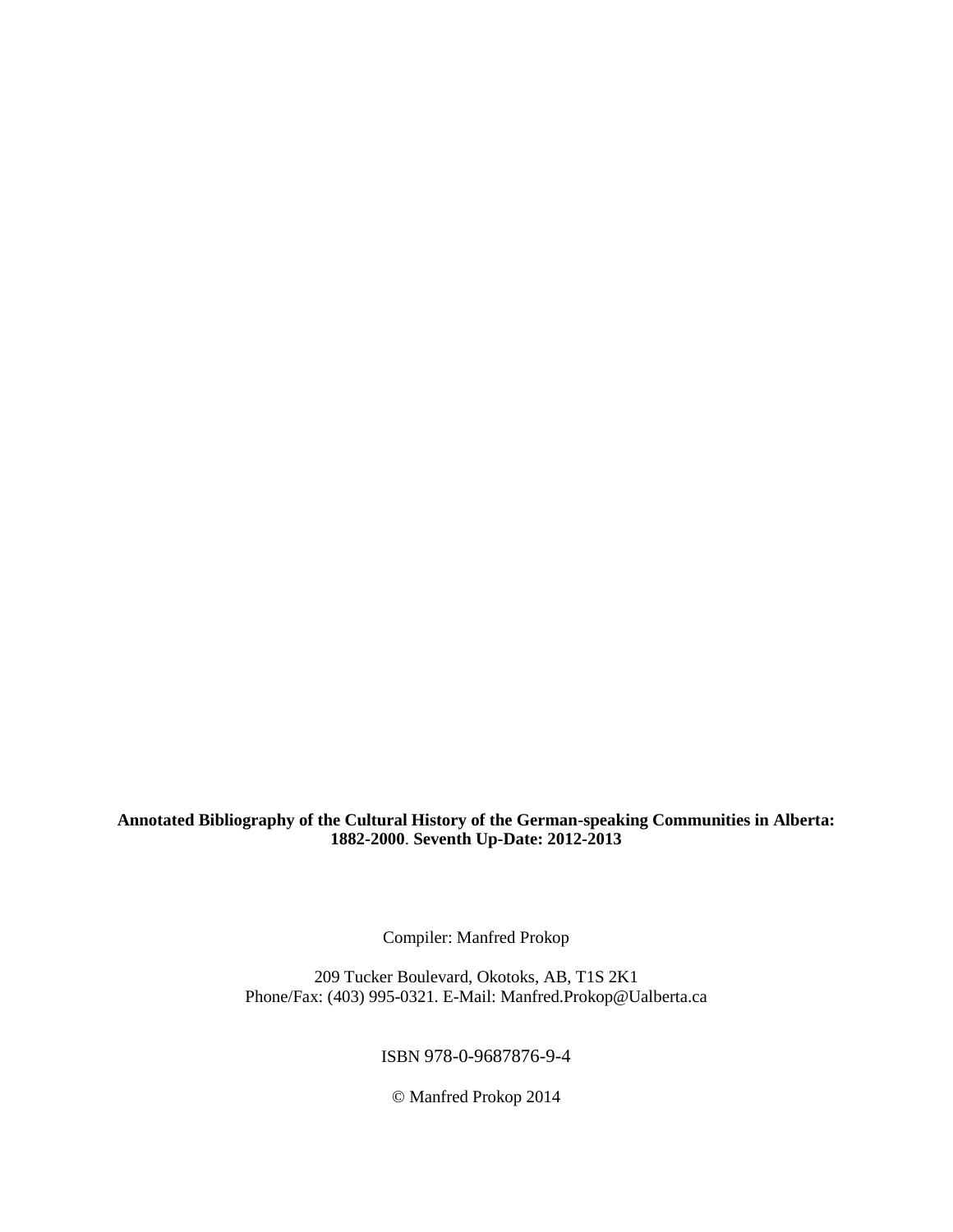**Annotated Bibliography of the Cultural History of the German-speaking Communities in Alberta: 1882-2000**. **Seventh Up-Date: 2012-2013**

Compiler: Manfred Prokop

209 Tucker Boulevard, Okotoks, AB, T1S 2K1 Phone/Fax: (403) 995-0321. E-Mail: Manfred.Prokop@Ualberta.ca

ISBN 978-0-9687876-9-4

© Manfred Prokop 2014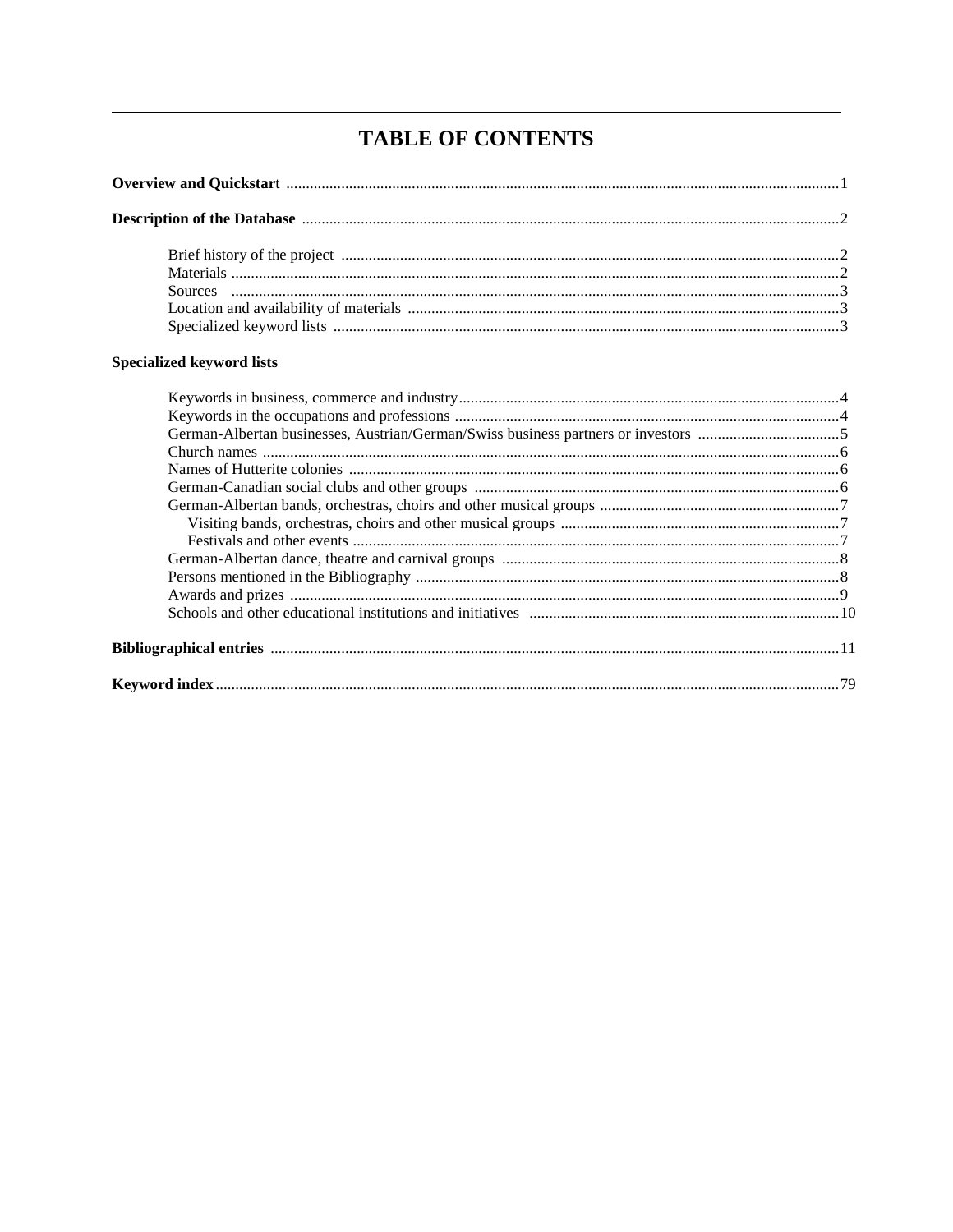# **TABLE OF CONTENTS**

# Specialized keyword lists

| German-Albertan businesses, Austrian/German/Swiss business partners or investors 5 |  |
|------------------------------------------------------------------------------------|--|
|                                                                                    |  |
|                                                                                    |  |
|                                                                                    |  |
|                                                                                    |  |
|                                                                                    |  |
|                                                                                    |  |
|                                                                                    |  |
|                                                                                    |  |
|                                                                                    |  |
|                                                                                    |  |
|                                                                                    |  |
|                                                                                    |  |
|                                                                                    |  |
|                                                                                    |  |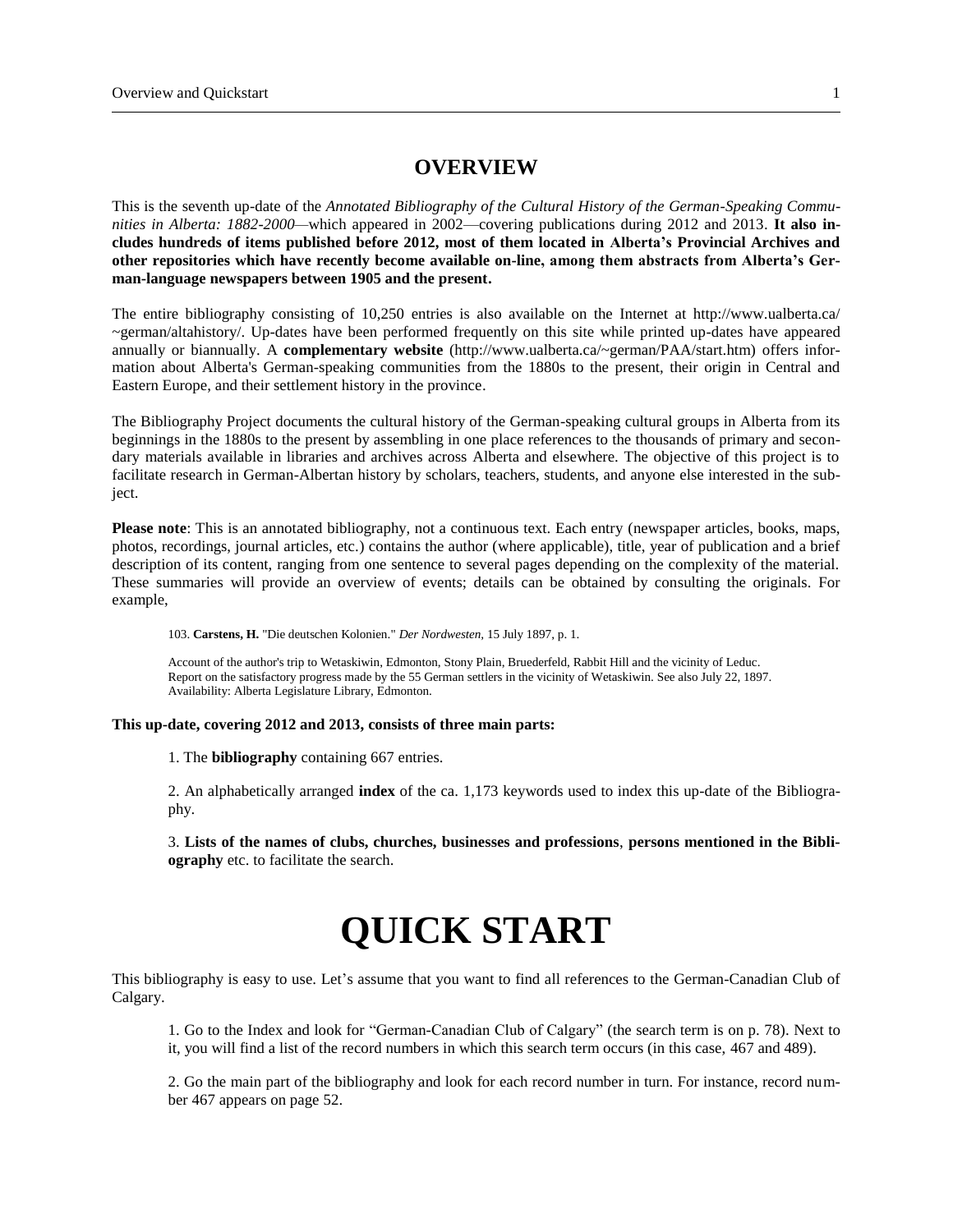# **OVERVIEW**

This is the seventh up-date of the *Annotated Bibliography of the Cultural History of the German-Speaking Communities in Alberta: 1882-2000—*which appeared in 2002—covering publications during 2012 and 2013. **It also includes hundreds of items published before 2012, most of them located in Alberta's Provincial Archives and other repositories which have recently become available on-line, among them abstracts from Alberta's German-language newspapers between 1905 and the present.**

The entire bibliography consisting of 10,250 entries is also available on the Internet at http://www.ualberta.ca/ ~german/altahistory/. Up-dates have been performed frequently on this site while printed up-dates have appeared annually or biannually. A **complementary website** (http://www.ualberta.ca/~german/PAA/start.htm) offers information about Alberta's German-speaking communities from the 1880s to the present, their origin in Central and Eastern Europe, and their settlement history in the province.

The Bibliography Project documents the cultural history of the German-speaking cultural groups in Alberta from its beginnings in the 1880s to the present by assembling in one place references to the thousands of primary and secondary materials available in libraries and archives across Alberta and elsewhere. The objective of this project is to facilitate research in German-Albertan history by scholars, teachers, students, and anyone else interested in the subject.

**Please note**: This is an annotated bibliography, not a continuous text. Each entry (newspaper articles, books, maps, photos, recordings, journal articles, etc.) contains the author (where applicable), title, year of publication and a brief description of its content, ranging from one sentence to several pages depending on the complexity of the material. These summaries will provide an overview of events; details can be obtained by consulting the originals. For example,

103. **Carstens, H.** "Die deutschen Kolonien." *Der Nordwesten,* 15 July 1897, p. 1.

Account of the author's trip to Wetaskiwin, Edmonton, Stony Plain, Bruederfeld, Rabbit Hill and the vicinity of Leduc. Report on the satisfactory progress made by the 55 German settlers in the vicinity of Wetaskiwin. See also July 22, 1897. Availability: Alberta Legislature Library, Edmonton.

**This up-date, covering 2012 and 2013, consists of three main parts:**

1. The **bibliography** containing 667 entries.

2. An alphabetically arranged **index** of the ca. 1,173 keywords used to index this up-date of the Bibliography.

3. **Lists of the names of clubs, churches, businesses and professions**, **persons mentioned in the Bibliography** etc. to facilitate the search.

# **QUICK START**

This bibliography is easy to use. Let's assume that you want to find all references to the German-Canadian Club of Calgary.

1. Go to the Index and look for "German-Canadian Club of Calgary" (the search term is on p. 78). Next to it, you will find a list of the record numbers in which this search term occurs (in this case, 467 and 489).

2. Go the main part of the bibliography and look for each record number in turn. For instance, record number 467 appears on page 52.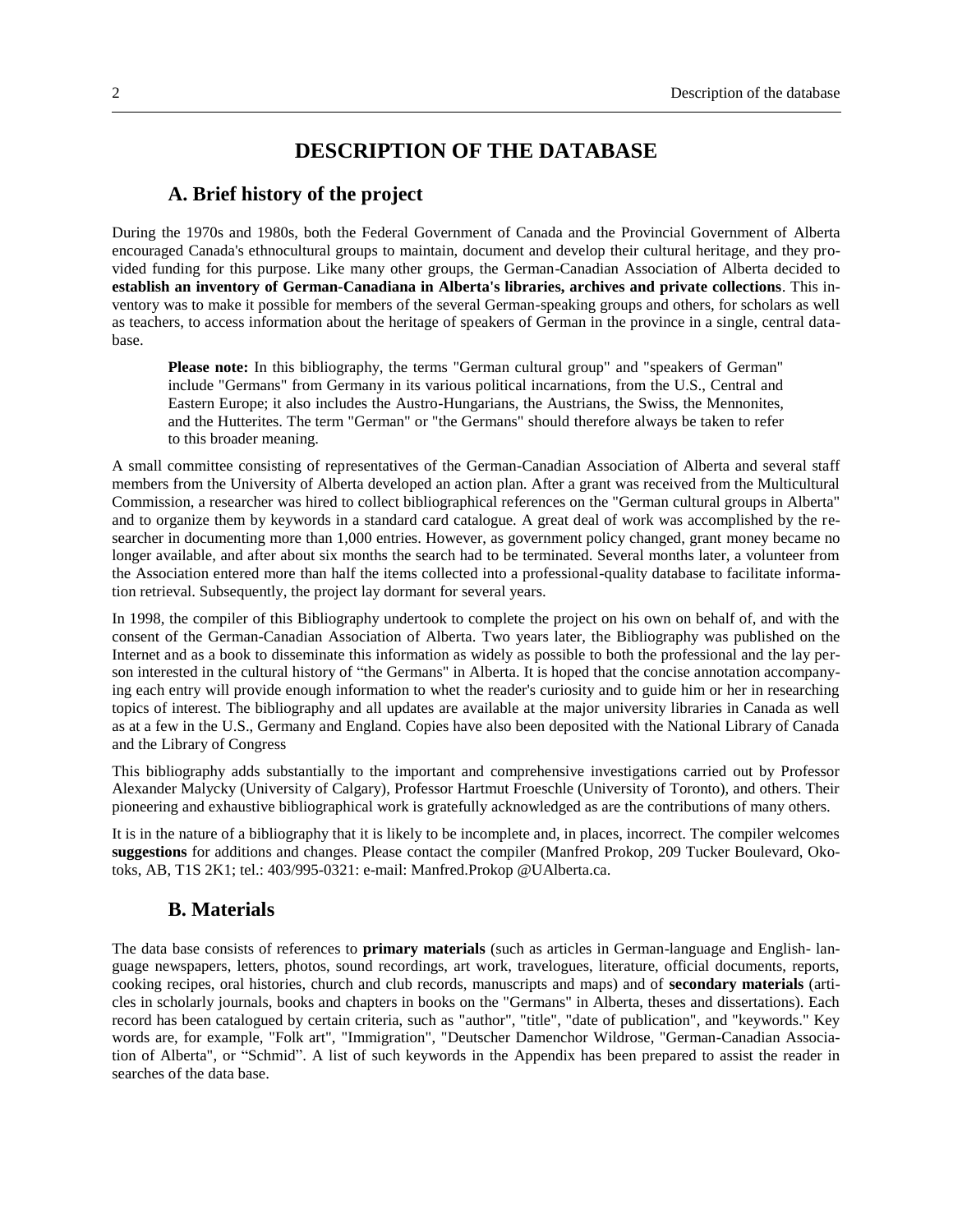# **DESCRIPTION OF THE DATABASE**

#### **A. Brief history of the project**

During the 1970s and 1980s, both the Federal Government of Canada and the Provincial Government of Alberta encouraged Canada's ethnocultural groups to maintain, document and develop their cultural heritage, and they provided funding for this purpose. Like many other groups, the German-Canadian Association of Alberta decided to **establish an inventory of German-Canadiana in Alberta's libraries, archives and private collections**. This inventory was to make it possible for members of the several German-speaking groups and others, for scholars as well as teachers, to access information about the heritage of speakers of German in the province in a single, central database.

**Please note:** In this bibliography, the terms "German cultural group" and "speakers of German" include "Germans" from Germany in its various political incarnations, from the U.S., Central and Eastern Europe; it also includes the Austro-Hungarians, the Austrians, the Swiss, the Mennonites, and the Hutterites. The term "German" or "the Germans" should therefore always be taken to refer to this broader meaning.

A small committee consisting of representatives of the German-Canadian Association of Alberta and several staff members from the University of Alberta developed an action plan. After a grant was received from the Multicultural Commission, a researcher was hired to collect bibliographical references on the "German cultural groups in Alberta" and to organize them by keywords in a standard card catalogue. A great deal of work was accomplished by the researcher in documenting more than 1,000 entries. However, as government policy changed, grant money became no longer available, and after about six months the search had to be terminated. Several months later, a volunteer from the Association entered more than half the items collected into a professional-quality database to facilitate information retrieval. Subsequently, the project lay dormant for several years.

In 1998, the compiler of this Bibliography undertook to complete the project on his own on behalf of, and with the consent of the German-Canadian Association of Alberta. Two years later, the Bibliography was published on the Internet and as a book to disseminate this information as widely as possible to both the professional and the lay person interested in the cultural history of "the Germans" in Alberta. It is hoped that the concise annotation accompanying each entry will provide enough information to whet the reader's curiosity and to guide him or her in researching topics of interest. The bibliography and all updates are available at the major university libraries in Canada as well as at a few in the U.S., Germany and England. Copies have also been deposited with the National Library of Canada and the Library of Congress

This bibliography adds substantially to the important and comprehensive investigations carried out by Professor Alexander Malycky (University of Calgary), Professor Hartmut Froeschle (University of Toronto), and others. Their pioneering and exhaustive bibliographical work is gratefully acknowledged as are the contributions of many others.

It is in the nature of a bibliography that it is likely to be incomplete and, in places, incorrect. The compiler welcomes **suggestions** for additions and changes. Please contact the compiler (Manfred Prokop, 209 Tucker Boulevard, Okotoks, AB, T1S 2K1; tel.: 403/995-0321: e-mail: Manfred.Prokop @UAlberta.ca.

#### **B. Materials**

The data base consists of references to **primary materials** (such as articles in German-language and English- language newspapers, letters, photos, sound recordings, art work, travelogues, literature, official documents, reports, cooking recipes, oral histories, church and club records, manuscripts and maps) and of **secondary materials** (articles in scholarly journals, books and chapters in books on the "Germans" in Alberta, theses and dissertations). Each record has been catalogued by certain criteria, such as "author", "title", "date of publication", and "keywords." Key words are, for example, "Folk art", "Immigration", "Deutscher Damenchor Wildrose, "German-Canadian Association of Alberta", or "Schmid". A list of such keywords in the Appendix has been prepared to assist the reader in searches of the data base.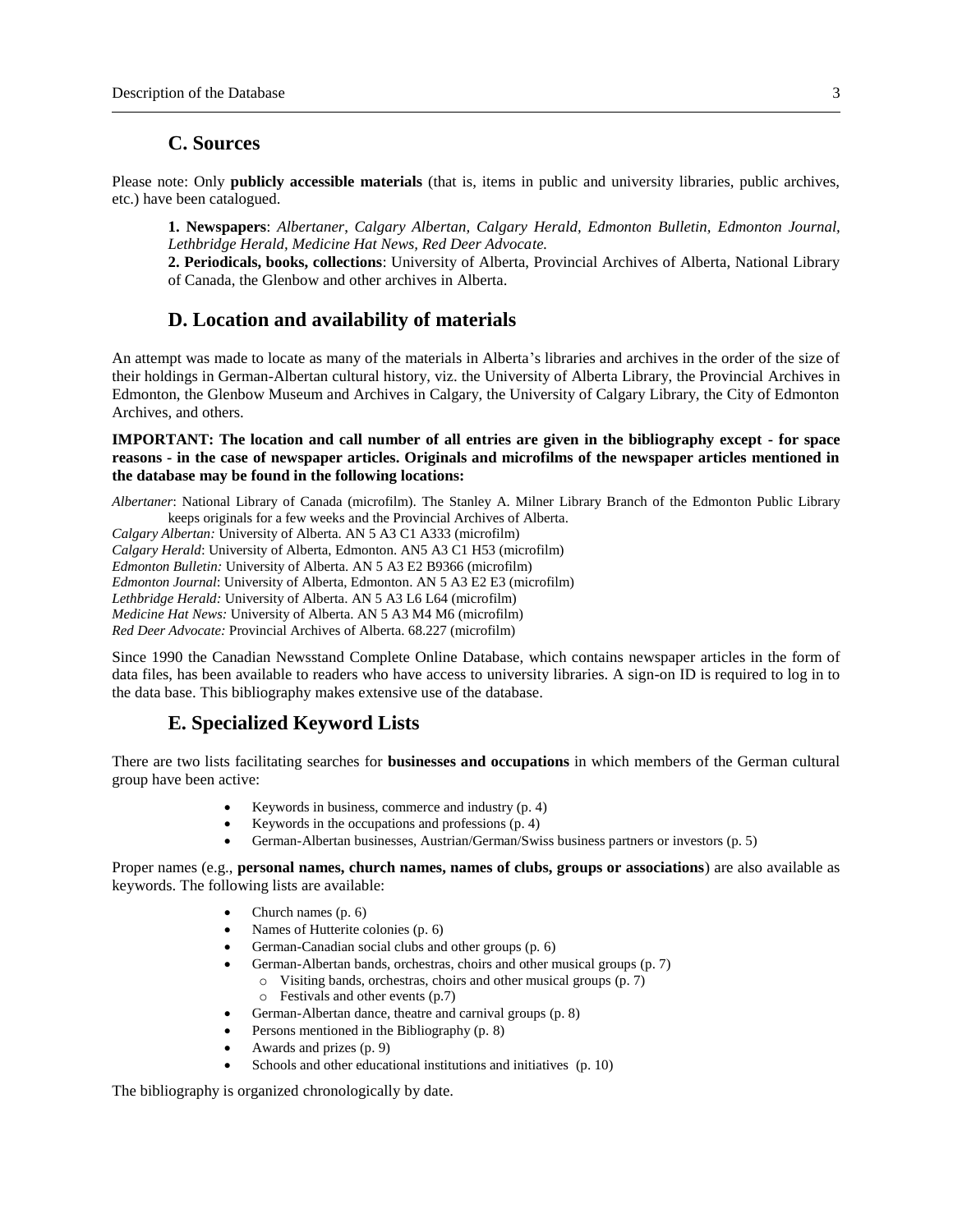# **C. Sources**

Please note: Only **publicly accessible materials** (that is, items in public and university libraries, public archives, etc.) have been catalogued.

**1. Newspapers**: *Albertaner*, *Calgary Albertan, Calgary Herald, Edmonton Bulletin, Edmonton Journal, Lethbridge Herald, Medicine Hat News, Red Deer Advocate.*

**2. Periodicals, books, collections**: University of Alberta, Provincial Archives of Alberta, National Library of Canada, the Glenbow and other archives in Alberta.

# **D. Location and availability of materials**

An attempt was made to locate as many of the materials in Alberta's libraries and archives in the order of the size of their holdings in German-Albertan cultural history, viz. the University of Alberta Library, the Provincial Archives in Edmonton, the Glenbow Museum and Archives in Calgary, the University of Calgary Library, the City of Edmonton Archives, and others.

#### **IMPORTANT: The location and call number of all entries are given in the bibliography except - for space reasons - in the case of newspaper articles. Originals and microfilms of the newspaper articles mentioned in the database may be found in the following locations:**

*Albertaner*: National Library of Canada (microfilm). The Stanley A. Milner Library Branch of the Edmonton Public Library keeps originals for a few weeks and the Provincial Archives of Alberta.

*Calgary Albertan:* University of Alberta. AN 5 A3 C1 A333 (microfilm)

*Calgary Herald*: University of Alberta, Edmonton. AN5 A3 C1 H53 (microfilm)

*Edmonton Bulletin:* University of Alberta. AN 5 A3 E2 B9366 (microfilm)

*Edmonton Journal*: University of Alberta, Edmonton. AN 5 A3 E2 E3 (microfilm)

*Lethbridge Herald:* University of Alberta. AN 5 A3 L6 L64 (microfilm)

*Medicine Hat News:* University of Alberta. AN 5 A3 M4 M6 (microfilm)

*Red Deer Advocate:* Provincial Archives of Alberta. 68.227 (microfilm)

Since 1990 the Canadian Newsstand Complete Online Database, which contains newspaper articles in the form of data files, has been available to readers who have access to university libraries. A sign-on ID is required to log in to the data base. This bibliography makes extensive use of the database.

# **E. Specialized Keyword Lists**

There are two lists facilitating searches for **businesses and occupations** in which members of the German cultural group have been active:

- Keywords in business, commerce and industry (p. 4)
- Keywords in the occupations and professions (p. 4)
- German-Albertan businesses, Austrian/German/Swiss business partners or investors (p. 5)

Proper names (e.g., **personal names, church names, names of clubs, groups or associations**) are also available as keywords. The following lists are available:

- Church names (p. 6)
- Names of Hutterite colonies (p. 6)
- German-Canadian social clubs and other groups (p. 6)
- German-Albertan bands, orchestras, choirs and other musical groups (p. 7)
	- o Visiting bands, orchestras, choirs and other musical groups (p. 7)
	- o Festivals and other events (p.7)
- German-Albertan dance, theatre and carnival groups (p. 8)
- Persons mentioned in the Bibliography (p. 8)
- Awards and prizes (p. 9)
- Schools and other educational institutions and initiatives (p. 10)

The bibliography is organized chronologically by date.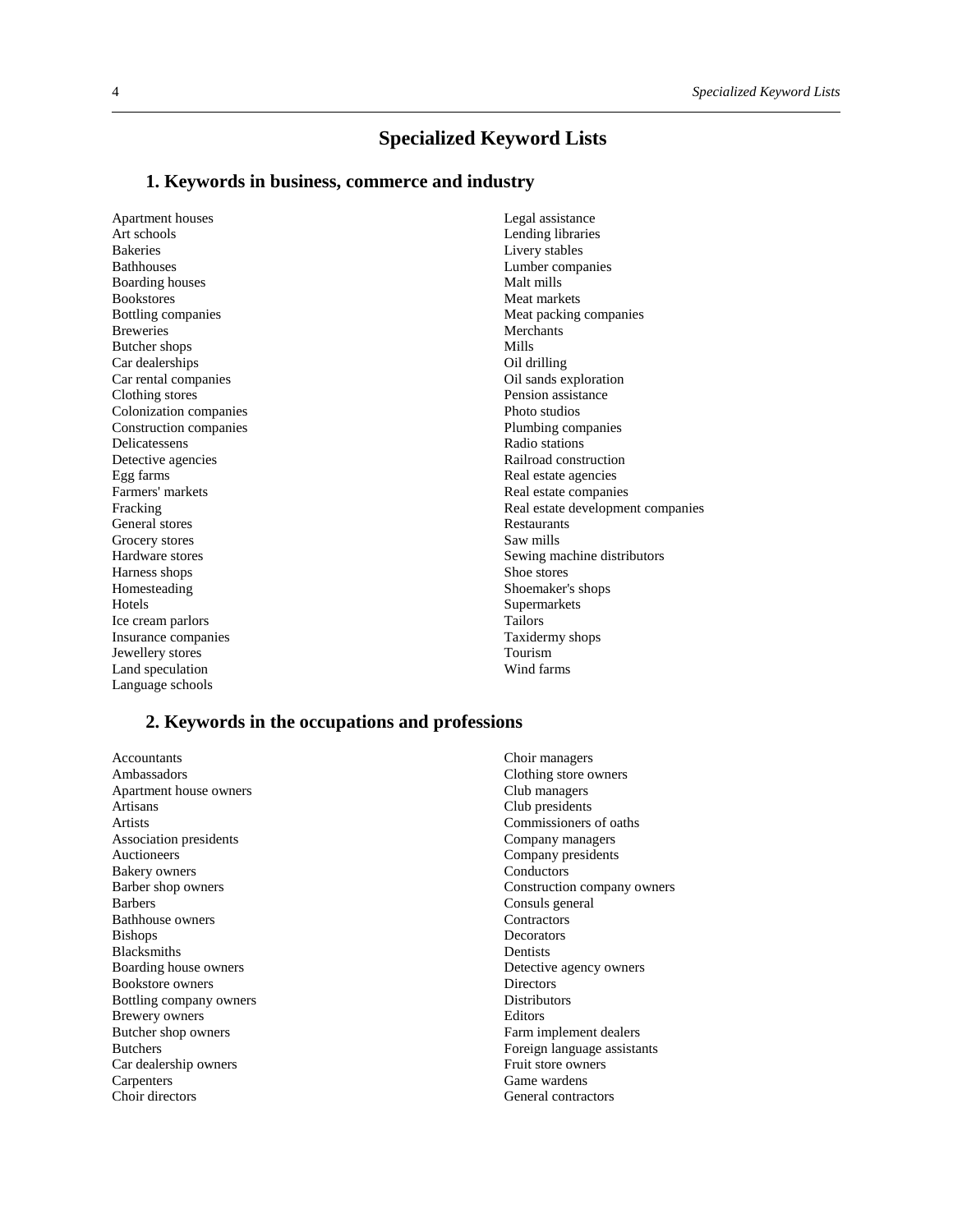# **Specialized Keyword Lists**

#### **1. Keywords in business, commerce and industry**

Apartment houses Art schools Bakeries Bathhouses Boarding houses Bookstores Bottling companies Breweries Butcher shops Car dealerships Car rental companies Clothing stores Colonization companies Construction companies Delicatessens Detective agencies Egg farms Farmers' markets Fracking General stores Grocery stores Hardware stores Harness shops Homesteading Hotels Ice cream parlors Insurance companies Jewellery stores Land speculation Language schools

Legal assistance Lending libraries Livery stables Lumber companies Malt mills Meat markets Meat packing companies Merchants Mills Oil drilling Oil sands exploration Pension assistance Photo studios Plumbing companies Radio stations Railroad construction Real estate agencies Real estate companies Real estate development companies Restaurants Saw mills Sewing machine distributors Shoe stores Shoemaker's shops Supermarkets Tailors Taxidermy shops Tourism Wind farms

#### **2. Keywords in the occupations and professions**

Accountants Ambassadors Apartment house owners Artisans Artists Association presidents Auctioneers Bakery owners Barber shop owners Barbers Bathhouse owners Bishops Blacksmiths Boarding house owners Bookstore owners Bottling company owners Brewery owners Butcher shop owners Butchers Car dealership owners **Carpenters** Choir directors

Choir managers Clothing store owners Club managers Club presidents Commissioners of oaths Company managers Company presidents Conductors Construction company owners Consuls general **Contractors Decorators** Dentists Detective agency owners **Directors** Distributors Editors Farm implement dealers Foreign language assistants Fruit store owners Game wardens General contractors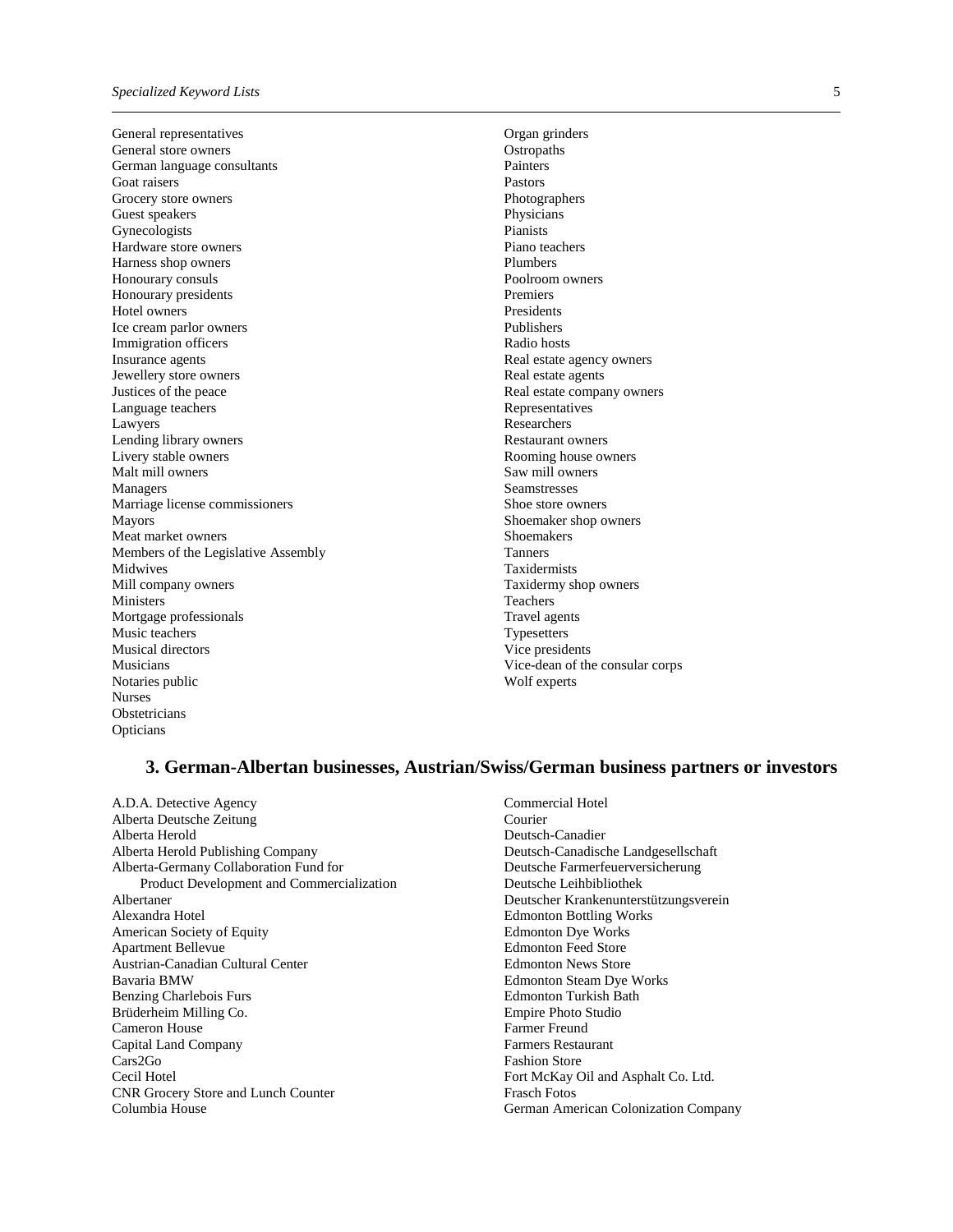General representatives General store owners German language consultants Goat raisers Grocery store owners Guest speakers Gynecologists Hardware store owners Harness shop owners Honourary consuls Honourary presidents Hotel owners Ice cream parlor owners Immigration officers Insurance agents Jewellery store owners Justices of the peace Language teachers Lawyers Lending library owners Livery stable owners Malt mill owners Managers Marriage license commissioners Mayors Meat market owners Members of the Legislative Assembly Midwives Mill company owners Ministers Mortgage professionals Music teachers Musical directors Musicians Notaries public Nurses Obstetricians Opticians

Organ grinders **Ostropaths Painters** Pastors Photographers Physicians Pianists Piano teachers Plumbers Poolroom owners Premiers Presidents Publishers Radio hosts Real estate agency owners Real estate agents Real estate company owners Representatives **Researchers** Restaurant owners Rooming house owners Saw mill owners Seamstresses Shoe store owners Shoemaker shop owners Shoemakers Tanners Taxidermists Taxidermy shop owners Teachers Travel agents **Typesetters** Vice presidents Vice-dean of the consular corps Wolf experts

#### **3. German-Albertan businesses, Austrian/Swiss/German business partners or investors**

A.D.A. Detective Agency Alberta Deutsche Zeitung Alberta Herold Alberta Herold Publishing Company Alberta-Germany Collaboration Fund for Product Development and Commercialization Albertaner Alexandra Hotel American Society of Equity Apartment Bellevue Austrian-Canadian Cultural Center Bavaria BMW Benzing Charlebois Furs Brüderheim Milling Co. Cameron House Capital Land Company Cars2Go Cecil Hotel CNR Grocery Store and Lunch Counter Columbia House

Commercial Hotel Courier Deutsch-Canadier Deutsch-Canadische Landgesellschaft Deutsche Farmerfeuerversicherung Deutsche Leihbibliothek Deutscher Krankenunterstützungsverein Edmonton Bottling Works Edmonton Dye Works Edmonton Feed Store Edmonton News Store Edmonton Steam Dye Works Edmonton Turkish Bath Empire Photo Studio Farmer Freund Farmers Restaurant Fashion Store Fort McKay Oil and Asphalt Co. Ltd. Frasch Fotos German American Colonization Company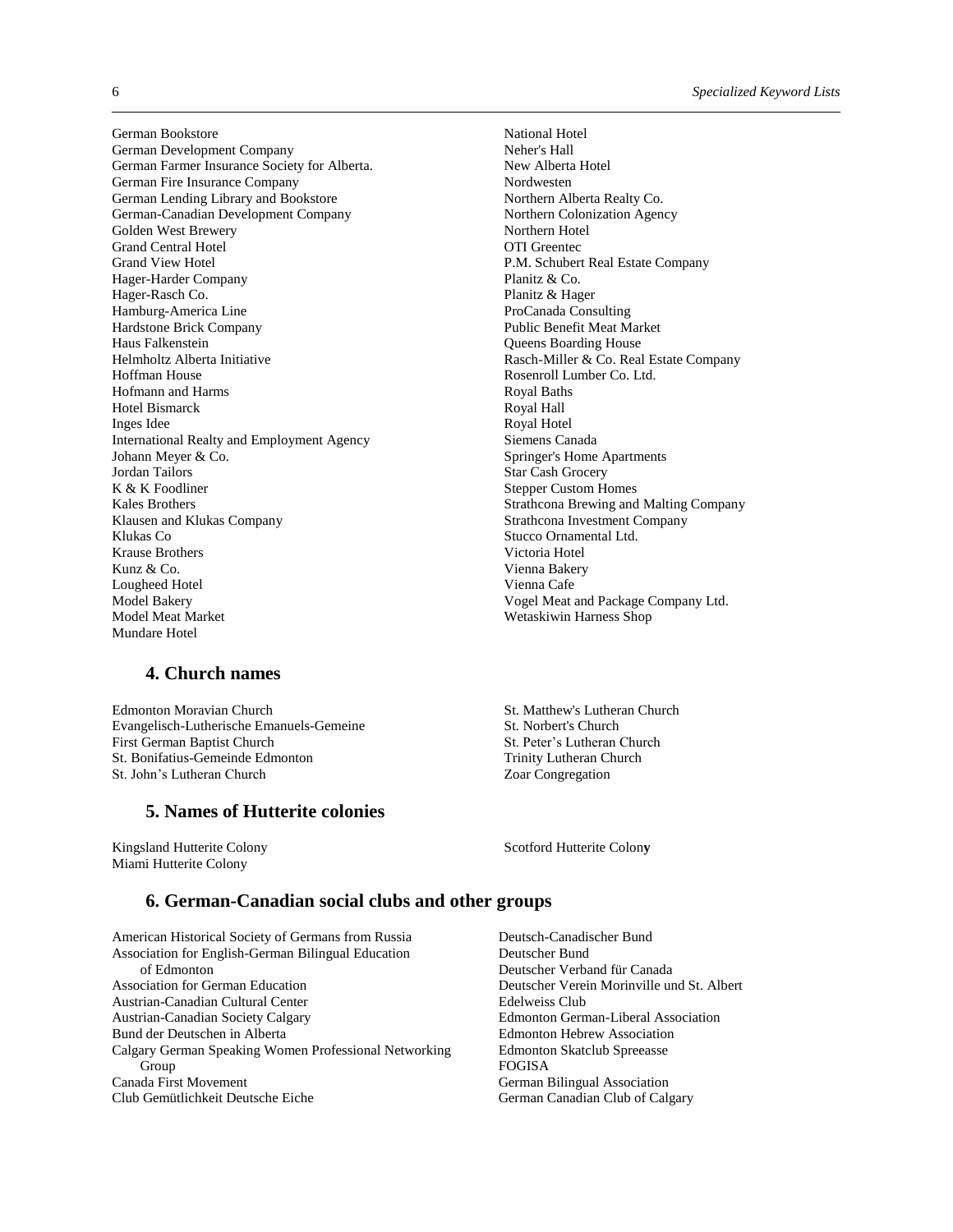German Bookstore German Development Company German Farmer Insurance Society for Alberta. German Fire Insurance Company German Lending Library and Bookstore German-Canadian Development Company Golden West Brewery Grand Central Hotel Grand View Hotel Hager-Harder Company Hager-Rasch Co. Hamburg-America Line Hardstone Brick Company Haus Falkenstein Helmholtz Alberta Initiative Hoffman House Hofmann and Harms Hotel Bismarck Inges Idee International Realty and Employment Agency Johann Meyer & Co. Jordan Tailors K & K Foodliner Kales Brothers Klausen and Klukas Company Klukas Co Krause Brothers Kunz & Co. Lougheed Hotel Model Bakery Model Meat Market Mundare Hotel

#### **4. Church names**

Edmonton Moravian Church Evangelisch-Lutherische Emanuels-Gemeine First German Baptist Church St. Bonifatius-Gemeinde Edmonton St. John's Lutheran Church

#### **5. Names of Hutterite colonies**

Kingsland Hutterite Colony Miami Hutterite Colony

National Hotel Neher's Hall New Alberta Hotel Nordwesten Northern Alberta Realty Co. Northern Colonization Agency Northern Hotel OTI Greentec P.M. Schubert Real Estate Company Planitz & Co. Planitz & Hager ProCanada Consulting Public Benefit Meat Market Queens Boarding House Rasch-Miller & Co. Real Estate Company Rosenroll Lumber Co. Ltd. Royal Baths Royal Hall Royal Hotel Siemens Canada Springer's Home Apartments Star Cash Grocery Stepper Custom Homes Strathcona Brewing and Malting Company Strathcona Investment Company Stucco Ornamental Ltd. Victoria Hotel Vienna Bakery Vienna Cafe Vogel Meat and Package Company Ltd. Wetaskiwin Harness Shop

St. Matthew's Lutheran Church St. Norbert's Church St. Peter's Lutheran Church Trinity Lutheran Church Zoar Congregation

Scotford Hutterite Colon**y**

### **6. German-Canadian social clubs and other groups**

American Historical Society of Germans from Russia Association for English-German Bilingual Education of Edmonton Association for German Education Austrian-Canadian Cultural Center Austrian-Canadian Society Calgary Bund der Deutschen in Alberta Calgary German Speaking Women Professional Networking Group Canada First Movement Club Gemütlichkeit Deutsche Eiche

Deutsch-Canadischer Bund Deutscher Bund Deutscher Verband für Canada Deutscher Verein Morinville und St. Albert Edelweiss Club Edmonton German-Liberal Association Edmonton Hebrew Association Edmonton Skatclub Spreeasse FOGISA German Bilingual Association German Canadian Club of Calgary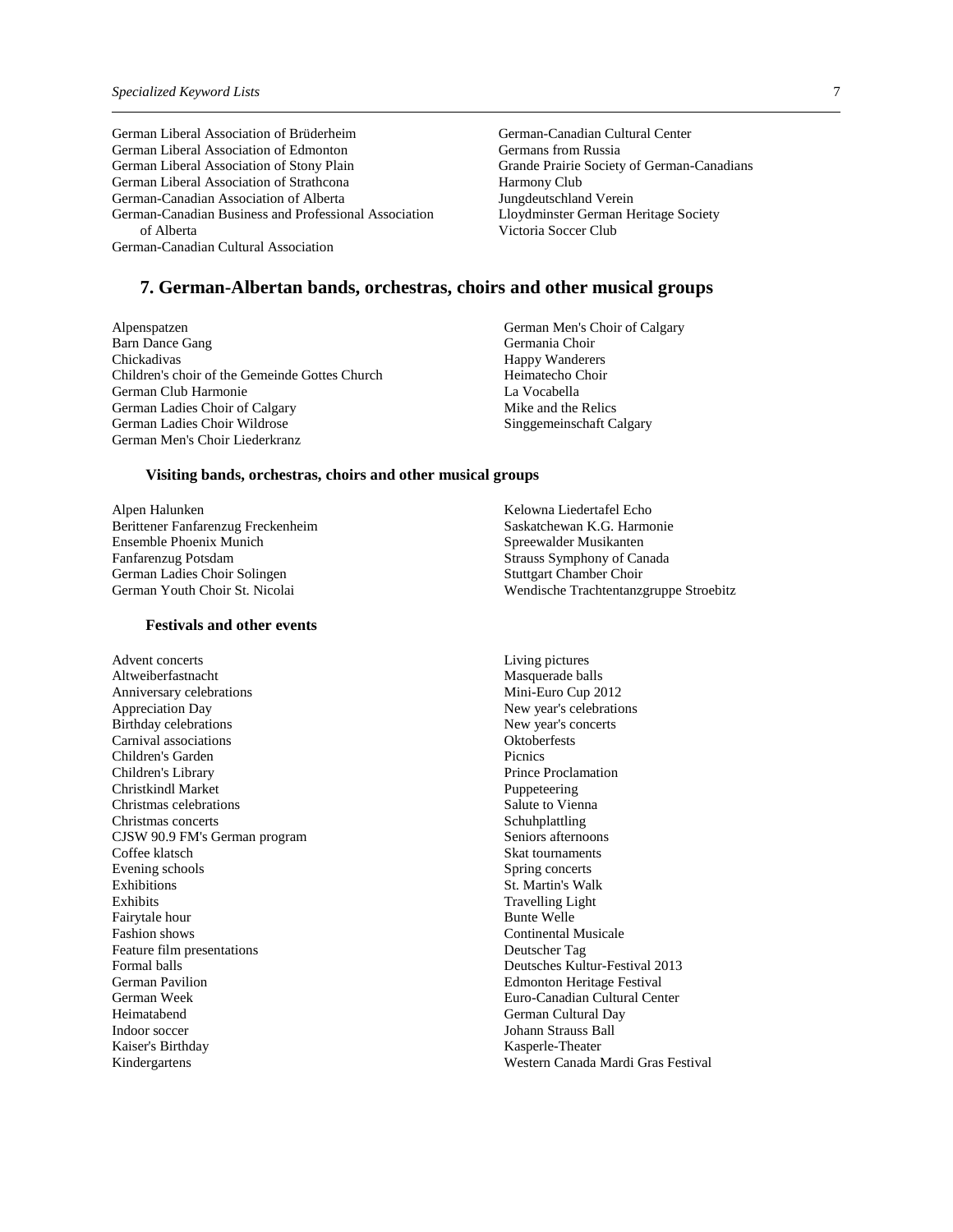German Liberal Association of Brüderheim German Liberal Association of Edmonton German Liberal Association of Stony Plain German Liberal Association of Strathcona German-Canadian Association of Alberta German-Canadian Business and Professional Association of Alberta German-Canadian Cultural Association

German-Canadian Cultural Center Germans from Russia Grande Prairie Society of German-Canadians Harmony Club Jungdeutschland Verein Lloydminster German Heritage Society Victoria Soccer Club

#### **7. German-Albertan bands, orchestras, choirs and other musical groups**

Alpenspatzen Barn Dance Gang Chickadivas Children's choir of the Gemeinde Gottes Church German Club Harmonie German Ladies Choir of Calgary German Ladies Choir Wildrose German Men's Choir Liederkranz

**Visiting bands, orchestras, choirs and other musical groups**

Alpen Halunken Berittener Fanfarenzug Freckenheim Ensemble Phoenix Munich Fanfarenzug Potsdam German Ladies Choir Solingen German Youth Choir St. Nicolai

#### **Festivals and other events**

Advent concerts Altweiberfastnacht Anniversary celebrations Appreciation Day Birthday celebrations Carnival associations Children's Garden Children's Library Christkindl Market Christmas celebrations Christmas concerts CJSW 90.9 FM's German program Coffee klatsch Evening schools Exhibitions Exhibits Fairytale hour Fashion shows Feature film presentations Formal balls German Pavilion German Week Heimatabend Indoor soccer Kaiser's Birthday Kindergartens

- German Men's Choir of Calgary Germania Choir Happy Wanderers Heimatecho Choir La Vocabella Mike and the Relics Singgemeinschaft Calgary
- Kelowna Liedertafel Echo Saskatchewan K.G. Harmonie Spreewalder Musikanten Strauss Symphony of Canada Stuttgart Chamber Choir Wendische Trachtentanzgruppe Stroebitz

Living pictures Masquerade balls Mini-Euro Cup 2012 New year's celebrations New year's concerts **Oktoberfests Picnics** Prince Proclamation Puppeteering Salute to Vienna Schuhplattling Seniors afternoons Skat tournaments Spring concerts St. Martin's Walk Travelling Light Bunte Welle Continental Musicale Deutscher Tag Deutsches Kultur-Festival 2013 Edmonton Heritage Festival Euro-Canadian Cultural Center German Cultural Day Johann Strauss Ball Kasperle-Theater Western Canada Mardi Gras Festival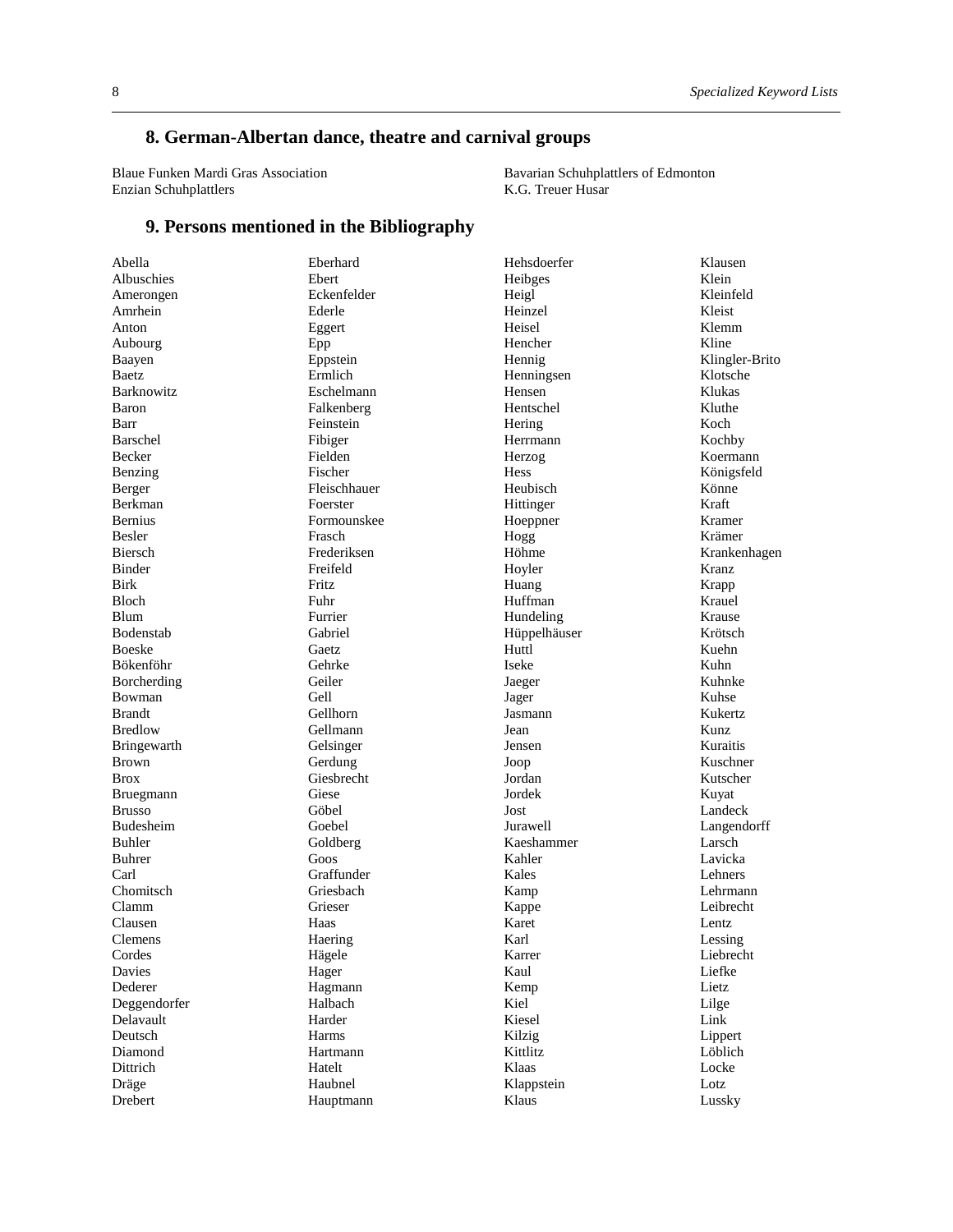# **8. German-Albertan dance, theatre and carnival groups**

Blaue Funken Mardi Gras Association Enzian Schuhplattlers

Bavarian Schuhplattlers of Edmonton K.G. Treuer Husar

#### **9. Persons mentioned in the Bibliography**

| Abella            | Eberhard     | Hehsdoerfer      |
|-------------------|--------------|------------------|
| Albuschies        | Ebert        | Heibges          |
| Amerongen         | Eckenfelder  | Heigl            |
| Amrhein           | Ederle       | Heinzel          |
| Anton             | Eggert       | Heisel           |
| Aubourg           | Epp          | Hencher          |
| Baayen            | Eppstein     | Hennig           |
| Baetz             | Ermlich      | Henningsen       |
| <b>Barknowitz</b> | Eschelmann   | Hensen           |
| Baron             | Falkenberg   | Hentschel        |
| Barr              | Feinstein    | Hering           |
| Barschel          | Fibiger      | Herrmann         |
| Becker            | Fielden      | Herzog           |
| Benzing           | Fischer      | <b>Hess</b>      |
| Berger            | Fleischhauer | Heubisch         |
| Berkman           | Foerster     | Hittinger        |
| <b>Bernius</b>    | Formounskee  | Hoeppner         |
| Besler            | Frasch       | Hogg             |
| Biersch           | Frederiksen  | Höhme            |
| <b>Binder</b>     | Freifeld     | Hoyler           |
| <b>Birk</b>       | Fritz        |                  |
| <b>Bloch</b>      | Fuhr         | Huang<br>Huffman |
| <b>Blum</b>       | Furrier      |                  |
|                   |              | Hundeling        |
| Bodenstab         | Gabriel      | Hüppelhäuser     |
| <b>Boeske</b>     | Gaetz        | Huttl            |
| Bökenföhr         | Gehrke       | Iseke            |
| Borcherding       | Geiler       | Jaeger           |
| Bowman            | Gell         | Jager            |
| <b>Brandt</b>     | Gellhorn     | Jasmann          |
| <b>Bredlow</b>    | Gellmann     | Jean             |
| Bringewarth       | Gelsinger    | Jensen           |
| <b>Brown</b>      | Gerdung      | Joop             |
| <b>Brox</b>       | Giesbrecht   | Jordan           |
| Bruegmann         | Giese        | Jordek           |
| <b>Brusso</b>     | Göbel        | Jost             |
| <b>Budesheim</b>  | Goebel       | Jurawell         |
| Buhler            | Goldberg     | Kaeshammer       |
| Buhrer            | Goos         | Kahler           |
| Carl              | Graffunder   | Kales            |
| Chomitsch         | Griesbach    | Kamp             |
| Clamm             | Grieser      | Kappe            |
| Clausen           | Haas         | Karet            |
| <b>Clemens</b>    | Haering      | Karl             |
| Cordes            | Hägele       | Karrer           |
| Davies            | Hager        | Kaul             |
| Dederer           | Hagmann      | Kemp             |
| Deggendorfer      | Halbach      | Kiel             |
| Delavault         | Harder       | Kiesel           |
| Deutsch           | Harms        | Kilzig           |
| Diamond           | Hartmann     | Kittlitz         |
| Dittrich          | Hatelt       | Klaas            |
| Dräge             | Haubnel      | Klappstein       |
| Drebert           | Hauptmann    | Klaus            |
|                   |              |                  |

Klausen Klein Kleinfeld Kleist Klemm Kline Klingler-Brito Klotsche Klukas Kluthe Koch Kochby Koermann Königsfeld Könne Kraft Kramer Krämer Krankenhagen Kranz Krapp Krauel Krause Krötsch Kuehn Kuhn Kuhnke Kuhse Kukertz Kunz Kuraitis Kuschner Kutscher Kuyat Landeck Langendorff Larsch Lavicka Lehners Lehrmann Leibrecht Lentz Lessing Liebrecht Liefke Lietz Lilge Link Lippert Löblich Locke Lotz Lussky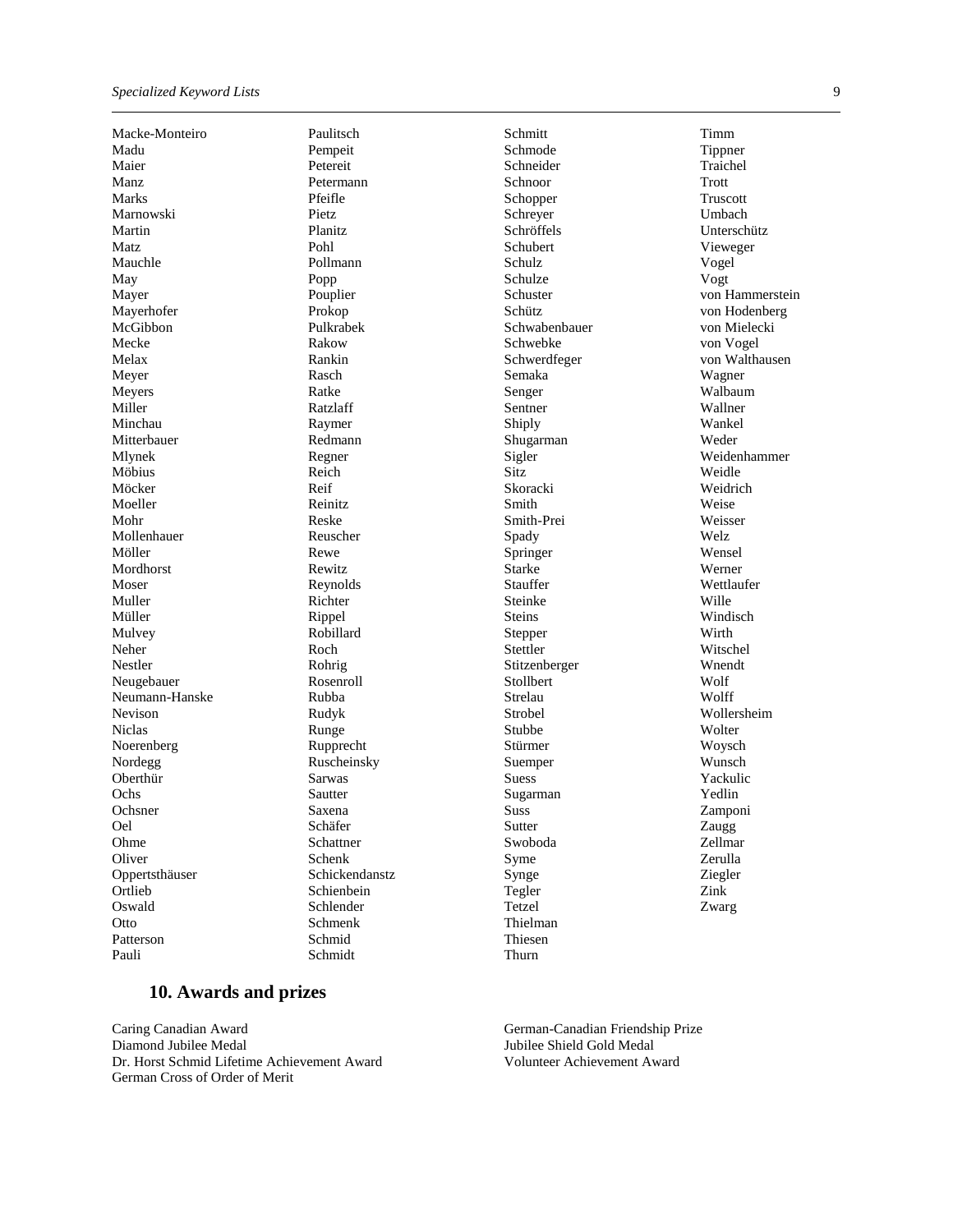Macke-Monteiro Madu Maier Manz Marks Marnowski Martin Matz Mauchle May Mayer Mayerhofer McGibbon Mecke Melax Meyer Meyers Miller Minchau Mitterbauer Mlynek Möbius Möcker Moeller Mohr Mollenhauer Möller Mordhorst Moser Muller Müller Mulvey Neher Nestler Neugebauer Neumann-Hanske Nevison Niclas Noerenberg Nordegg Oberthür **Ochs** Ochsner Oel Ohme **Oliver** Oppertsthäuser **Ortlieb** Oswald **Otto** Patterson Pauli

Paulitsch Pempeit Petereit Petermann Pfeifle Pietz Planitz Pohl Pollmann Popp Pouplier Prokop Pulkrabek Rakow Rankin Rasch Ratke Ratzlaff Raymer Redmann Regner Reich Reif Reinitz Reske Reuscher Rewe Rewitz Reynolds Richter Rippel Robillard Roch Rohrig Rosenroll Rubba Rudyk Runge Rupprecht Ruscheinsky Sarwas Sautter Saxena Schäfer Schattner Schenk Schickendanstz Schienbein Schlender Schmenk Schmid Schmidt

Schmitt Schmode Schneider Schnoor Schopper Schreyer Schröffels Schubert Schulz Schulze Schuster Schütz Schwabenbauer Schwebke Schwerdfeger Semaka Senger Sentner Shiply Shugarman Sigler Sitz Skoracki Smith Smith-Prei Spady Springer Starke Stauffer Steinke Steins Stepper Stettler Stitzenberger Stollbert Strelau Strobel Stubbe Stürmer Suemper Suess Sugarman **Suss** Sutter Swoboda Syme Synge Tegler Tetzel Thielman Thiesen

Timm Tippner Traichel Trott Truscott Umbach Unterschütz Vieweger Vogel Vogt von Hammerstein von Hodenberg von Mielecki von Vogel von Walthausen Wagner Walbaum Wallner Wankel Weder Weidenhammer Weidle Weidrich Weise Weisser Welz Wensel Werner Wettlaufer Wille Windisch Wirth Witschel Wnendt Wolf Wolff Wollersheim **Wolter** Woysch Wunsch Yackulic Yedlin Zamponi Zaugg Zellmar Zerulla Ziegler Zink Zwarg

#### **10. Awards and prizes**

Caring Canadian Award Diamond Jubilee Medal Dr. Horst Schmid Lifetime Achievement Award German Cross of Order of Merit

German-Canadian Friendship Prize Jubilee Shield Gold Medal Volunteer Achievement Award

Thurn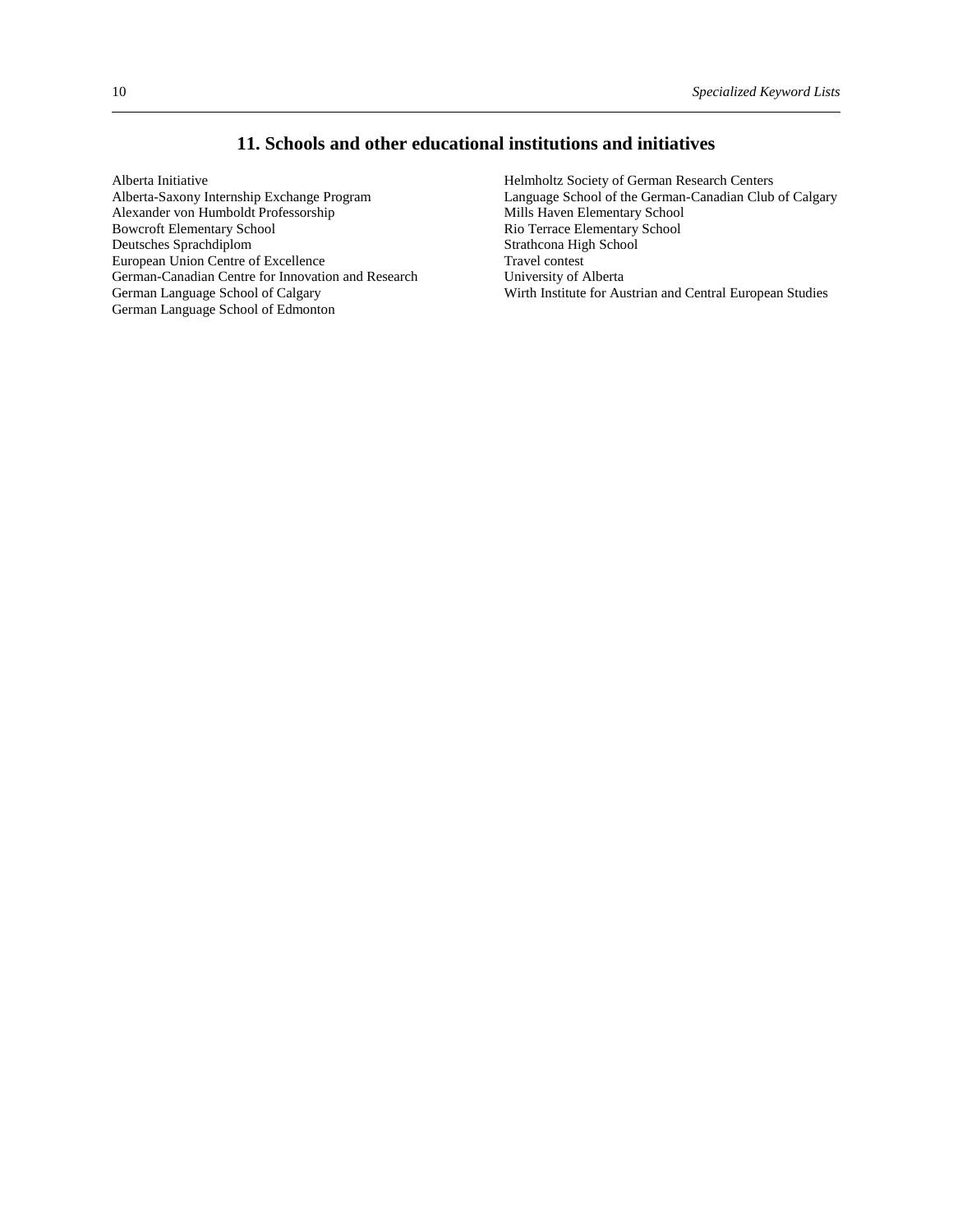# **11. Schools and other educational institutions and initiatives**

Alberta Initiative Alberta-Saxony Internship Exchange Program Alexander von Humboldt Professorship Bowcroft Elementary School Deutsches Sprachdiplom European Union Centre of Excellence German-Canadian Centre for Innovation and Research German Language School of Calgary German Language School of Edmonton

Helmholtz Society of German Research Centers Language School of the German-Canadian Club of Calgary Mills Haven Elementary School Rio Terrace Elementary School Strathcona High School Travel contest University of Alberta Wirth Institute for Austrian and Central European Studies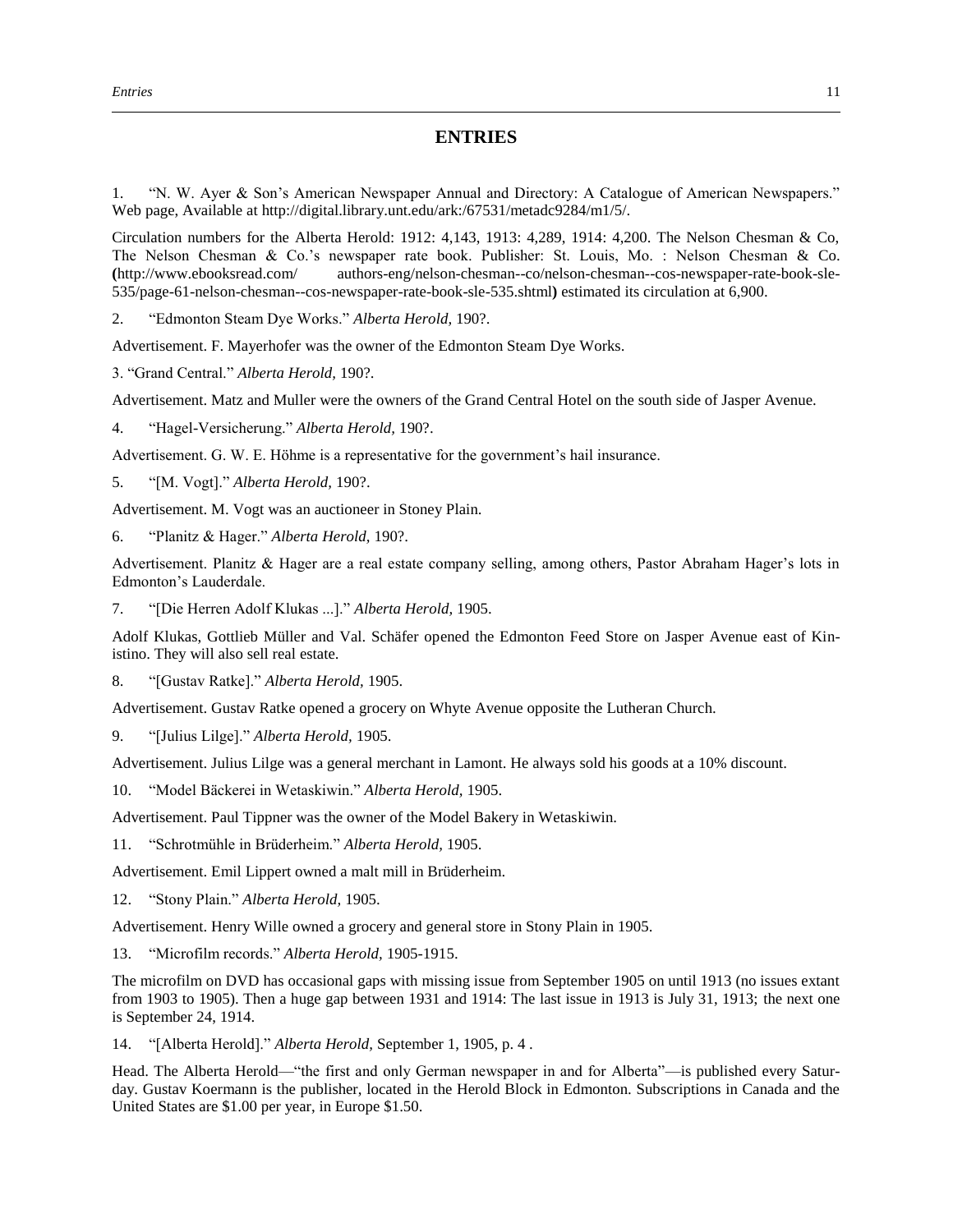### **ENTRIES**

1. "N. W. Ayer & Son's American Newspaper Annual and Directory: A Catalogue of American Newspapers." Web page, Available at http://digital.library.unt.edu/ark:/67531/metadc9284/m1/5/.

Circulation numbers for the Alberta Herold: 1912: 4,143, 1913: 4,289, 1914: 4,200. The Nelson Chesman & Co, The Nelson Chesman & Co.'s newspaper rate book. Publisher: St. Louis, Mo. : Nelson Chesman & Co. **(**http://www.ebooksread.com/ authors-eng/nelson-chesman--co/nelson-chesman--cos-newspaper-rate-book-sle-535/page-61-nelson-chesman--cos-newspaper-rate-book-sle-535.shtml**)** estimated its circulation at 6,900.

2. "Edmonton Steam Dye Works." *Alberta Herold,* 190?.

Advertisement. F. Mayerhofer was the owner of the Edmonton Steam Dye Works.

3. "Grand Central." *Alberta Herold,* 190?.

Advertisement. Matz and Muller were the owners of the Grand Central Hotel on the south side of Jasper Avenue.

4. "Hagel-Versicherung." *Alberta Herold,* 190?.

Advertisement. G. W. E. Höhme is a representative for the government's hail insurance.

5. "[M. Vogt]." *Alberta Herold,* 190?.

Advertisement. M. Vogt was an auctioneer in Stoney Plain.

6. "Planitz & Hager." *Alberta Herold,* 190?.

Advertisement. Planitz & Hager are a real estate company selling, among others, Pastor Abraham Hager's lots in Edmonton's Lauderdale.

7. "[Die Herren Adolf Klukas ...]." *Alberta Herold,* 1905.

Adolf Klukas, Gottlieb Müller and Val. Schäfer opened the Edmonton Feed Store on Jasper Avenue east of Kinistino. They will also sell real estate.

8. "[Gustav Ratke]." *Alberta Herold,* 1905.

Advertisement. Gustav Ratke opened a grocery on Whyte Avenue opposite the Lutheran Church.

9. "[Julius Lilge]." *Alberta Herold,* 1905.

Advertisement. Julius Lilge was a general merchant in Lamont. He always sold his goods at a 10% discount.

10. "Model Bäckerei in Wetaskiwin." *Alberta Herold,* 1905.

Advertisement. Paul Tippner was the owner of the Model Bakery in Wetaskiwin.

11. "Schrotmühle in Brüderheim." *Alberta Herold,* 1905.

Advertisement. Emil Lippert owned a malt mill in Brüderheim.

12. "Stony Plain." *Alberta Herold,* 1905.

Advertisement. Henry Wille owned a grocery and general store in Stony Plain in 1905.

13. "Microfilm records." *Alberta Herold,* 1905-1915.

The microfilm on DVD has occasional gaps with missing issue from September 1905 on until 1913 (no issues extant from 1903 to 1905). Then a huge gap between 1931 and 1914: The last issue in 1913 is July 31, 1913; the next one is September 24, 1914.

14. "[Alberta Herold]." *Alberta Herold,* September 1, 1905, p. 4 .

Head. The Alberta Herold—"the first and only German newspaper in and for Alberta"—is published every Saturday. Gustav Koermann is the publisher, located in the Herold Block in Edmonton. Subscriptions in Canada and the United States are \$1.00 per year, in Europe \$1.50.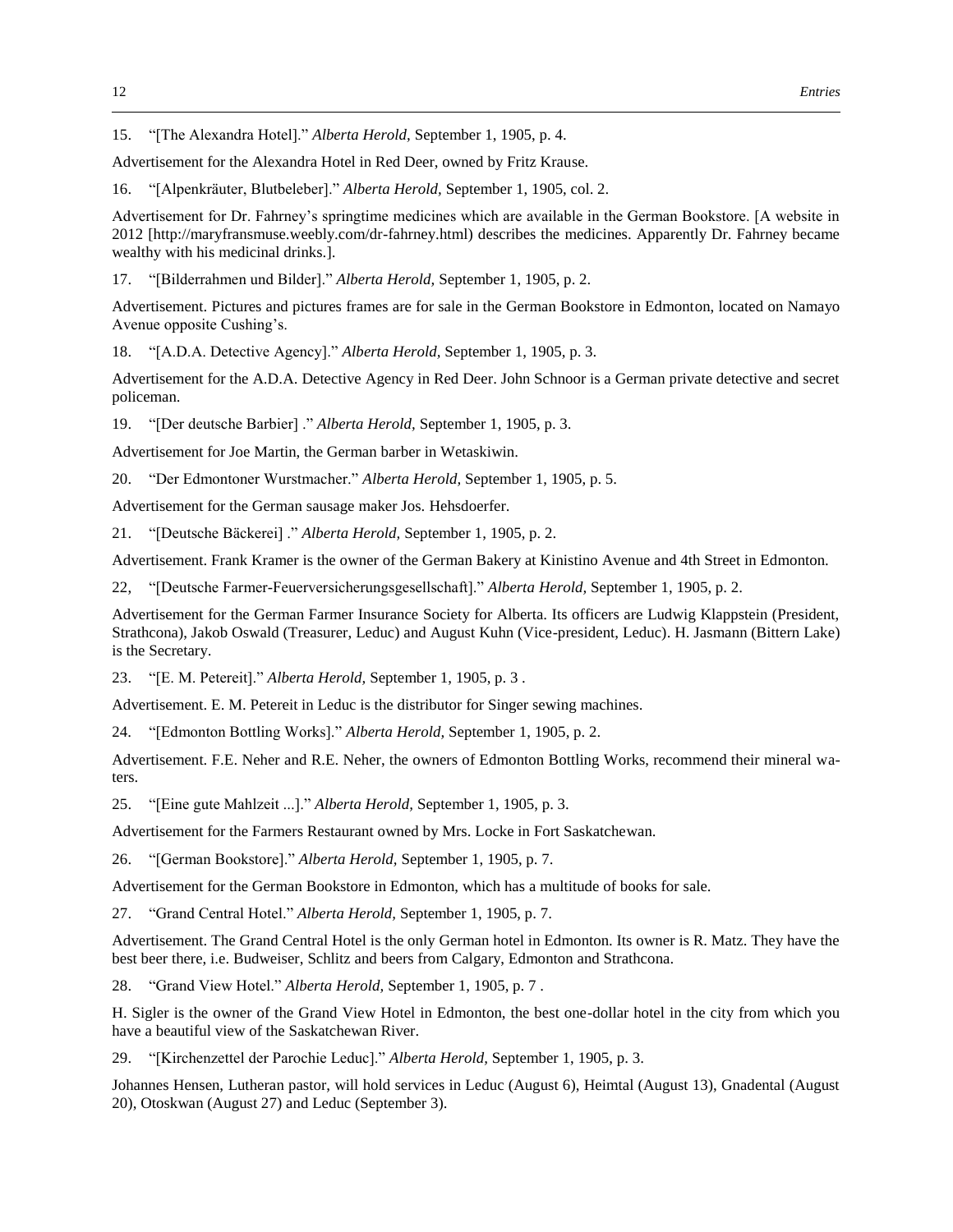15. "[The Alexandra Hotel]." *Alberta Herold,* September 1, 1905, p. 4.

Advertisement for the Alexandra Hotel in Red Deer, owned by Fritz Krause.

16. "[Alpenkräuter, Blutbeleber]." *Alberta Herold,* September 1, 1905, col. 2.

Advertisement for Dr. Fahrney's springtime medicines which are available in the German Bookstore. [A website in 2012 [http://maryfransmuse.weebly.com/dr-fahrney.html) describes the medicines. Apparently Dr. Fahrney became wealthy with his medicinal drinks.].

17. "[Bilderrahmen und Bilder]." *Alberta Herold,* September 1, 1905, p. 2.

Advertisement. Pictures and pictures frames are for sale in the German Bookstore in Edmonton, located on Namayo Avenue opposite Cushing's.

18. "[A.D.A. Detective Agency]." *Alberta Herold,* September 1, 1905, p. 3.

Advertisement for the A.D.A. Detective Agency in Red Deer. John Schnoor is a German private detective and secret policeman.

19. "[Der deutsche Barbier] ." *Alberta Herold,* September 1, 1905, p. 3.

Advertisement for Joe Martin, the German barber in Wetaskiwin.

20. "Der Edmontoner Wurstmacher." *Alberta Herold,* September 1, 1905, p. 5.

Advertisement for the German sausage maker Jos. Hehsdoerfer.

21. "[Deutsche Bäckerei] ." *Alberta Herold,* September 1, 1905, p. 2.

Advertisement. Frank Kramer is the owner of the German Bakery at Kinistino Avenue and 4th Street in Edmonton.

22, "[Deutsche Farmer-Feuerversicherungsgesellschaft]." *Alberta Herold,* September 1, 1905, p. 2.

Advertisement for the German Farmer Insurance Society for Alberta. Its officers are Ludwig Klappstein (President, Strathcona), Jakob Oswald (Treasurer, Leduc) and August Kuhn (Vice-president, Leduc). H. Jasmann (Bittern Lake) is the Secretary.

23. "[E. M. Petereit]." *Alberta Herold,* September 1, 1905, p. 3 .

Advertisement. E. M. Petereit in Leduc is the distributor for Singer sewing machines.

24. "[Edmonton Bottling Works]." *Alberta Herold,* September 1, 1905, p. 2.

Advertisement. F.E. Neher and R.E. Neher, the owners of Edmonton Bottling Works, recommend their mineral waters.

25. "[Eine gute Mahlzeit ...]." *Alberta Herold,* September 1, 1905, p. 3.

Advertisement for the Farmers Restaurant owned by Mrs. Locke in Fort Saskatchewan.

26. "[German Bookstore]." *Alberta Herold,* September 1, 1905, p. 7.

Advertisement for the German Bookstore in Edmonton, which has a multitude of books for sale.

27. "Grand Central Hotel." *Alberta Herold,* September 1, 1905, p. 7.

Advertisement. The Grand Central Hotel is the only German hotel in Edmonton. Its owner is R. Matz. They have the best beer there, i.e. Budweiser, Schlitz and beers from Calgary, Edmonton and Strathcona.

28. "Grand View Hotel." *Alberta Herold,* September 1, 1905, p. 7 .

H. Sigler is the owner of the Grand View Hotel in Edmonton, the best one-dollar hotel in the city from which you have a beautiful view of the Saskatchewan River.

29. "[Kirchenzettel der Parochie Leduc]." *Alberta Herold,* September 1, 1905, p. 3.

Johannes Hensen, Lutheran pastor, will hold services in Leduc (August 6), Heimtal (August 13), Gnadental (August 20), Otoskwan (August 27) and Leduc (September 3).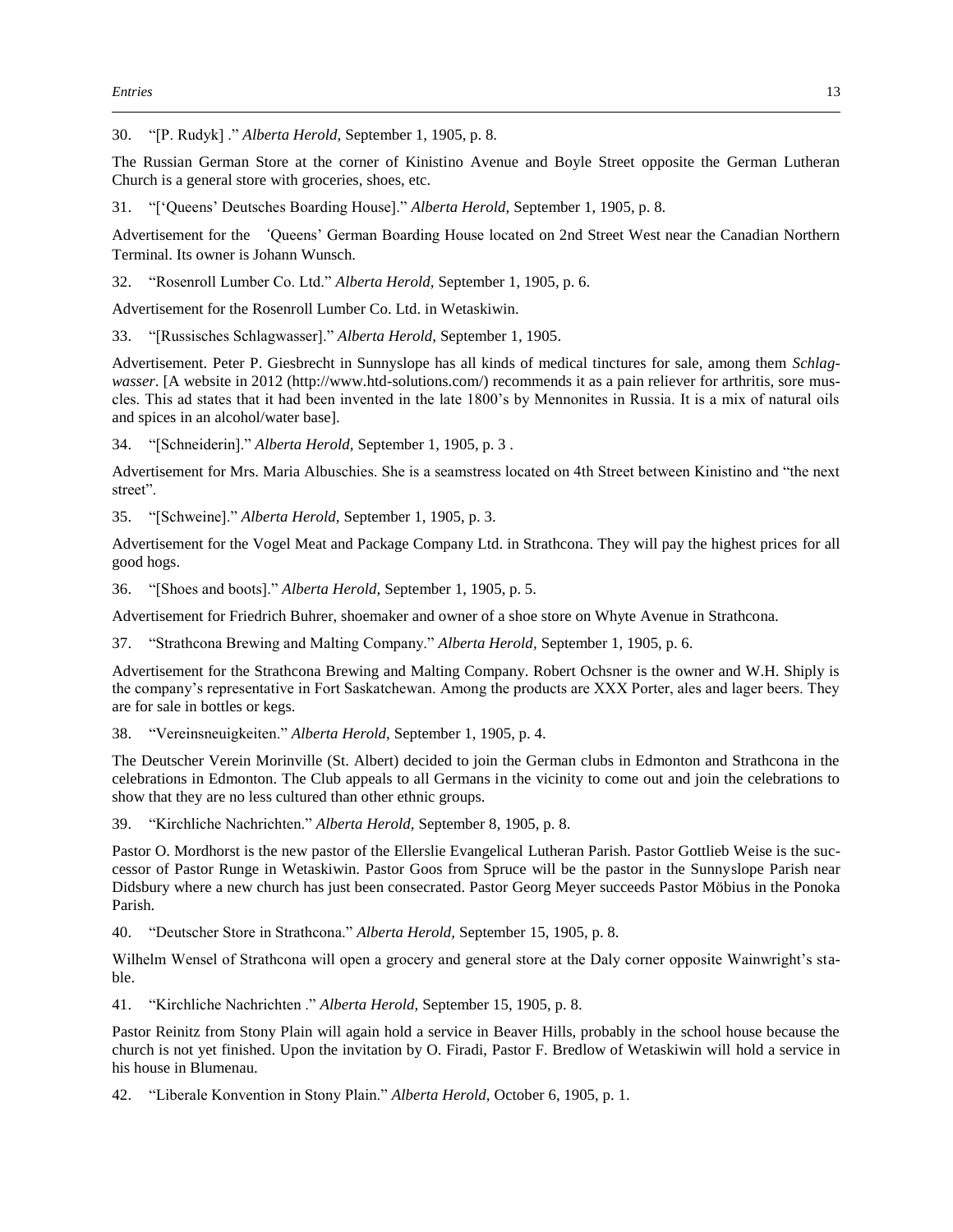30. "[P. Rudyk] ." *Alberta Herold,* September 1, 1905, p. 8.

The Russian German Store at the corner of Kinistino Avenue and Boyle Street opposite the German Lutheran Church is a general store with groceries, shoes, etc.

31. "['Queens' Deutsches Boarding House]." *Alberta Herold,* September 1, 1905, p. 8.

Advertisement for the 'Queens' German Boarding House located on 2nd Street West near the Canadian Northern Terminal. Its owner is Johann Wunsch.

32. "Rosenroll Lumber Co. Ltd." *Alberta Herold,* September 1, 1905, p. 6.

Advertisement for the Rosenroll Lumber Co. Ltd. in Wetaskiwin.

33. "[Russisches Schlagwasser]." *Alberta Herold,* September 1, 1905.

Advertisement. Peter P. Giesbrecht in Sunnyslope has all kinds of medical tinctures for sale, among them *Schlagwasser*. [A website in 2012 (http://www.htd-solutions.com/) recommends it as a pain reliever for arthritis, sore muscles. This ad states that it had been invented in the late 1800's by Mennonites in Russia. It is a mix of natural oils and spices in an alcohol/water base].

34. "[Schneiderin]." *Alberta Herold,* September 1, 1905, p. 3 .

Advertisement for Mrs. Maria Albuschies. She is a seamstress located on 4th Street between Kinistino and "the next street".

35. "[Schweine]." *Alberta Herold,* September 1, 1905, p. 3.

Advertisement for the Vogel Meat and Package Company Ltd. in Strathcona. They will pay the highest prices for all good hogs.

36. "[Shoes and boots]." *Alberta Herold,* September 1, 1905, p. 5.

Advertisement for Friedrich Buhrer, shoemaker and owner of a shoe store on Whyte Avenue in Strathcona.

37. "Strathcona Brewing and Malting Company." *Alberta Herold,* September 1, 1905, p. 6.

Advertisement for the Strathcona Brewing and Malting Company. Robert Ochsner is the owner and W.H. Shiply is the company's representative in Fort Saskatchewan. Among the products are XXX Porter, ales and lager beers. They are for sale in bottles or kegs.

38. "Vereinsneuigkeiten." *Alberta Herold,* September 1, 1905, p. 4.

The Deutscher Verein Morinville (St. Albert) decided to join the German clubs in Edmonton and Strathcona in the celebrations in Edmonton. The Club appeals to all Germans in the vicinity to come out and join the celebrations to show that they are no less cultured than other ethnic groups.

39. "Kirchliche Nachrichten." *Alberta Herold,* September 8, 1905, p. 8.

Pastor O. Mordhorst is the new pastor of the Ellerslie Evangelical Lutheran Parish. Pastor Gottlieb Weise is the successor of Pastor Runge in Wetaskiwin. Pastor Goos from Spruce will be the pastor in the Sunnyslope Parish near Didsbury where a new church has just been consecrated. Pastor Georg Meyer succeeds Pastor Möbius in the Ponoka Parish.

40. "Deutscher Store in Strathcona." *Alberta Herold,* September 15, 1905, p. 8.

Wilhelm Wensel of Strathcona will open a grocery and general store at the Daly corner opposite Wainwright's stable.

41. "Kirchliche Nachrichten ." *Alberta Herold,* September 15, 1905, p. 8.

Pastor Reinitz from Stony Plain will again hold a service in Beaver Hills, probably in the school house because the church is not yet finished. Upon the invitation by O. Firadi, Pastor F. Bredlow of Wetaskiwin will hold a service in his house in Blumenau.

42. "Liberale Konvention in Stony Plain." *Alberta Herold,* October 6, 1905, p. 1.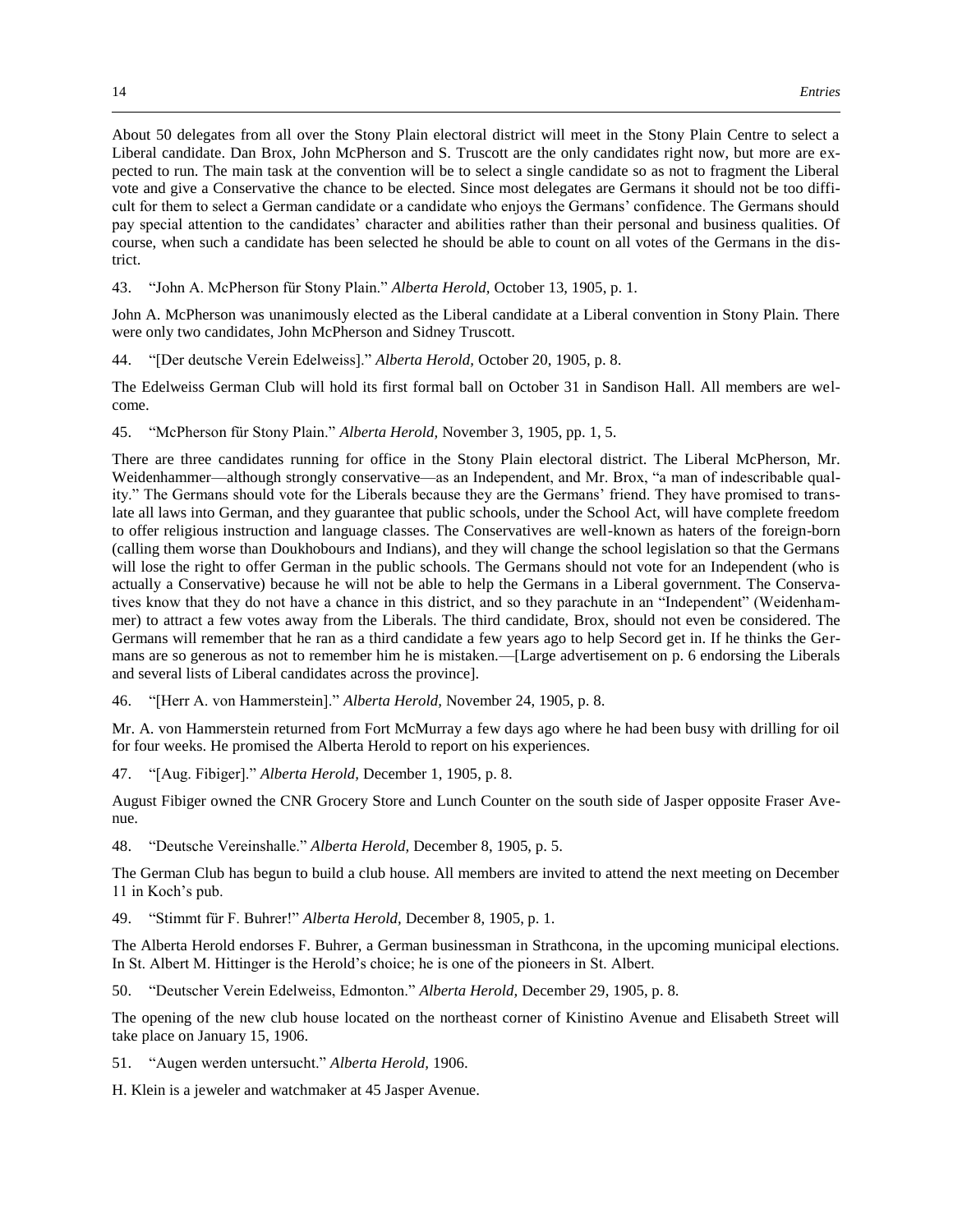About 50 delegates from all over the Stony Plain electoral district will meet in the Stony Plain Centre to select a Liberal candidate. Dan Brox, John McPherson and S. Truscott are the only candidates right now, but more are expected to run. The main task at the convention will be to select a single candidate so as not to fragment the Liberal vote and give a Conservative the chance to be elected. Since most delegates are Germans it should not be too difficult for them to select a German candidate or a candidate who enjoys the Germans' confidence. The Germans should pay special attention to the candidates' character and abilities rather than their personal and business qualities. Of course, when such a candidate has been selected he should be able to count on all votes of the Germans in the district.

43. "John A. McPherson für Stony Plain." *Alberta Herold,* October 13, 1905, p. 1.

John A. McPherson was unanimously elected as the Liberal candidate at a Liberal convention in Stony Plain. There were only two candidates, John McPherson and Sidney Truscott.

44. "[Der deutsche Verein Edelweiss]." *Alberta Herold,* October 20, 1905, p. 8.

The Edelweiss German Club will hold its first formal ball on October 31 in Sandison Hall. All members are welcome.

45. "McPherson für Stony Plain." *Alberta Herold,* November 3, 1905, pp. 1, 5.

There are three candidates running for office in the Stony Plain electoral district. The Liberal McPherson, Mr. Weidenhammer—although strongly conservative—as an Independent, and Mr. Brox, "a man of indescribable quality." The Germans should vote for the Liberals because they are the Germans' friend. They have promised to translate all laws into German, and they guarantee that public schools, under the School Act, will have complete freedom to offer religious instruction and language classes. The Conservatives are well-known as haters of the foreign-born (calling them worse than Doukhobours and Indians), and they will change the school legislation so that the Germans will lose the right to offer German in the public schools. The Germans should not vote for an Independent (who is actually a Conservative) because he will not be able to help the Germans in a Liberal government. The Conservatives know that they do not have a chance in this district, and so they parachute in an "Independent" (Weidenhammer) to attract a few votes away from the Liberals. The third candidate, Brox, should not even be considered. The Germans will remember that he ran as a third candidate a few years ago to help Secord get in. If he thinks the Germans are so generous as not to remember him he is mistaken.—[Large advertisement on p. 6 endorsing the Liberals and several lists of Liberal candidates across the province].

46. "[Herr A. von Hammerstein]." *Alberta Herold,* November 24, 1905, p. 8.

Mr. A. von Hammerstein returned from Fort McMurray a few days ago where he had been busy with drilling for oil for four weeks. He promised the Alberta Herold to report on his experiences.

47. "[Aug. Fibiger]." *Alberta Herold,* December 1, 1905, p. 8.

August Fibiger owned the CNR Grocery Store and Lunch Counter on the south side of Jasper opposite Fraser Avenue.

48. "Deutsche Vereinshalle." *Alberta Herold,* December 8, 1905, p. 5.

The German Club has begun to build a club house. All members are invited to attend the next meeting on December 11 in Koch's pub.

49. "Stimmt für F. Buhrer!" *Alberta Herold,* December 8, 1905, p. 1.

The Alberta Herold endorses F. Buhrer, a German businessman in Strathcona, in the upcoming municipal elections. In St. Albert M. Hittinger is the Herold's choice; he is one of the pioneers in St. Albert.

50. "Deutscher Verein Edelweiss, Edmonton." *Alberta Herold,* December 29, 1905, p. 8.

The opening of the new club house located on the northeast corner of Kinistino Avenue and Elisabeth Street will take place on January 15, 1906.

51. "Augen werden untersucht." *Alberta Herold,* 1906.

H. Klein is a jeweler and watchmaker at 45 Jasper Avenue.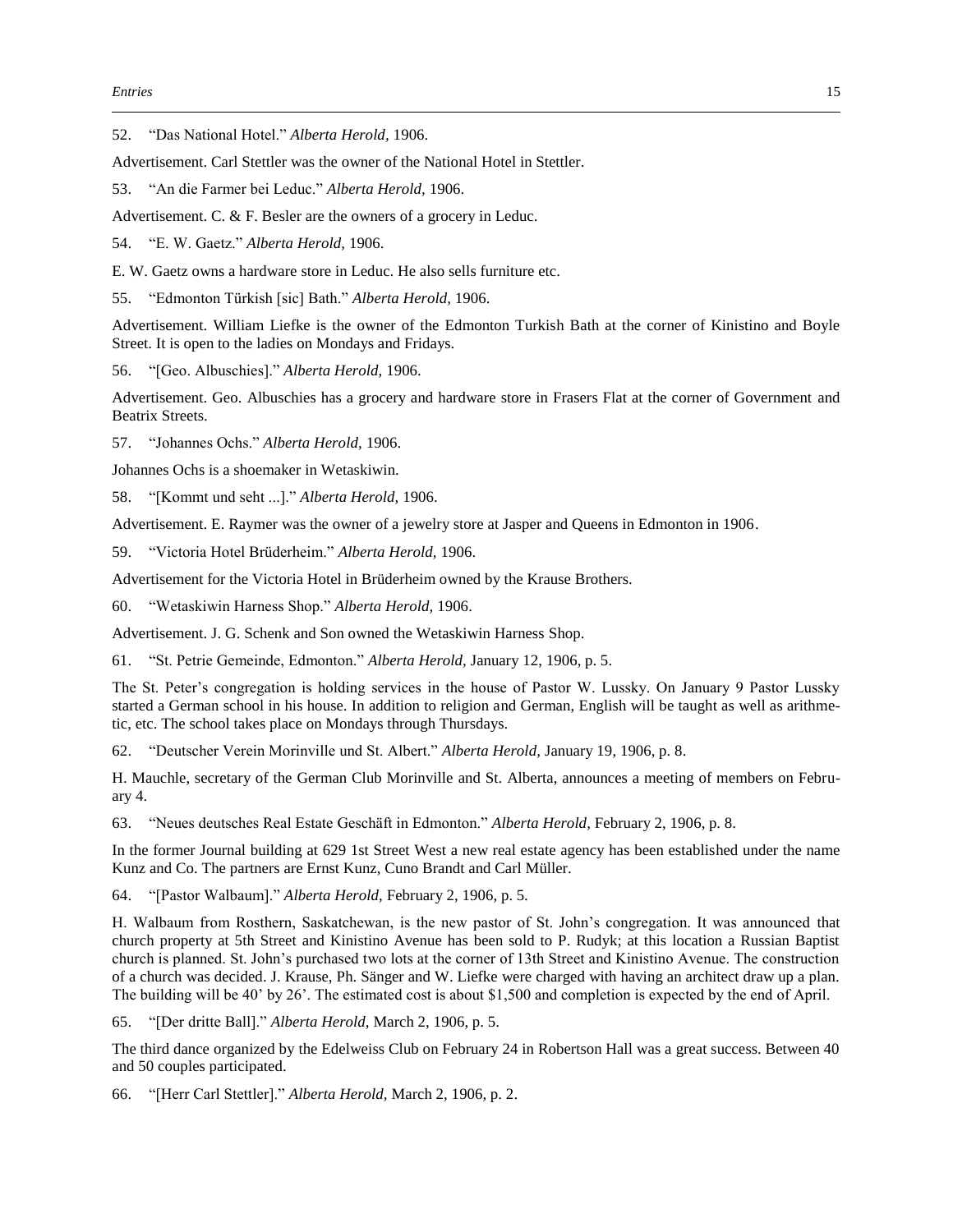52. "Das National Hotel." *Alberta Herold,* 1906.

Advertisement. Carl Stettler was the owner of the National Hotel in Stettler.

53. "An die Farmer bei Leduc." *Alberta Herold,* 1906.

Advertisement. C. & F. Besler are the owners of a grocery in Leduc.

54. "E. W. Gaetz." *Alberta Herold,* 1906.

E. W. Gaetz owns a hardware store in Leduc. He also sells furniture etc.

55. "Edmonton Türkish [sic] Bath." *Alberta Herold,* 1906.

Advertisement. William Liefke is the owner of the Edmonton Turkish Bath at the corner of Kinistino and Boyle Street. It is open to the ladies on Mondays and Fridays.

56. "[Geo. Albuschies]." *Alberta Herold,* 1906.

Advertisement. Geo. Albuschies has a grocery and hardware store in Frasers Flat at the corner of Government and Beatrix Streets.

57. "Johannes Ochs." *Alberta Herold,* 1906.

Johannes Ochs is a shoemaker in Wetaskiwin.

58. "[Kommt und seht ...]." *Alberta Herold,* 1906.

Advertisement. E. Raymer was the owner of a jewelry store at Jasper and Queens in Edmonton in 1906.

59. "Victoria Hotel Brüderheim." *Alberta Herold,* 1906.

Advertisement for the Victoria Hotel in Brüderheim owned by the Krause Brothers.

60. "Wetaskiwin Harness Shop." *Alberta Herold,* 1906.

Advertisement. J. G. Schenk and Son owned the Wetaskiwin Harness Shop.

61. "St. Petrie Gemeinde, Edmonton." *Alberta Herold,* January 12, 1906, p. 5.

The St. Peter's congregation is holding services in the house of Pastor W. Lussky. On January 9 Pastor Lussky started a German school in his house. In addition to religion and German, English will be taught as well as arithmetic, etc. The school takes place on Mondays through Thursdays.

62. "Deutscher Verein Morinville und St. Albert." *Alberta Herold,* January 19, 1906, p. 8.

H. Mauchle, secretary of the German Club Morinville and St. Alberta, announces a meeting of members on February 4.

63. "Neues deutsches Real Estate Geschäft in Edmonton." *Alberta Herold,* February 2, 1906, p. 8.

In the former Journal building at 629 1st Street West a new real estate agency has been established under the name Kunz and Co. The partners are Ernst Kunz, Cuno Brandt and Carl Müller.

64. "[Pastor Walbaum]." *Alberta Herold,* February 2, 1906, p. 5.

H. Walbaum from Rosthern, Saskatchewan, is the new pastor of St. John's congregation. It was announced that church property at 5th Street and Kinistino Avenue has been sold to P. Rudyk; at this location a Russian Baptist church is planned. St. John's purchased two lots at the corner of 13th Street and Kinistino Avenue. The construction of a church was decided. J. Krause, Ph. Sänger and W. Liefke were charged with having an architect draw up a plan. The building will be 40' by 26'. The estimated cost is about \$1,500 and completion is expected by the end of April.

65. "[Der dritte Ball]." *Alberta Herold,* March 2, 1906, p. 5.

The third dance organized by the Edelweiss Club on February 24 in Robertson Hall was a great success. Between 40 and 50 couples participated.

66. "[Herr Carl Stettler]." *Alberta Herold,* March 2, 1906, p. 2.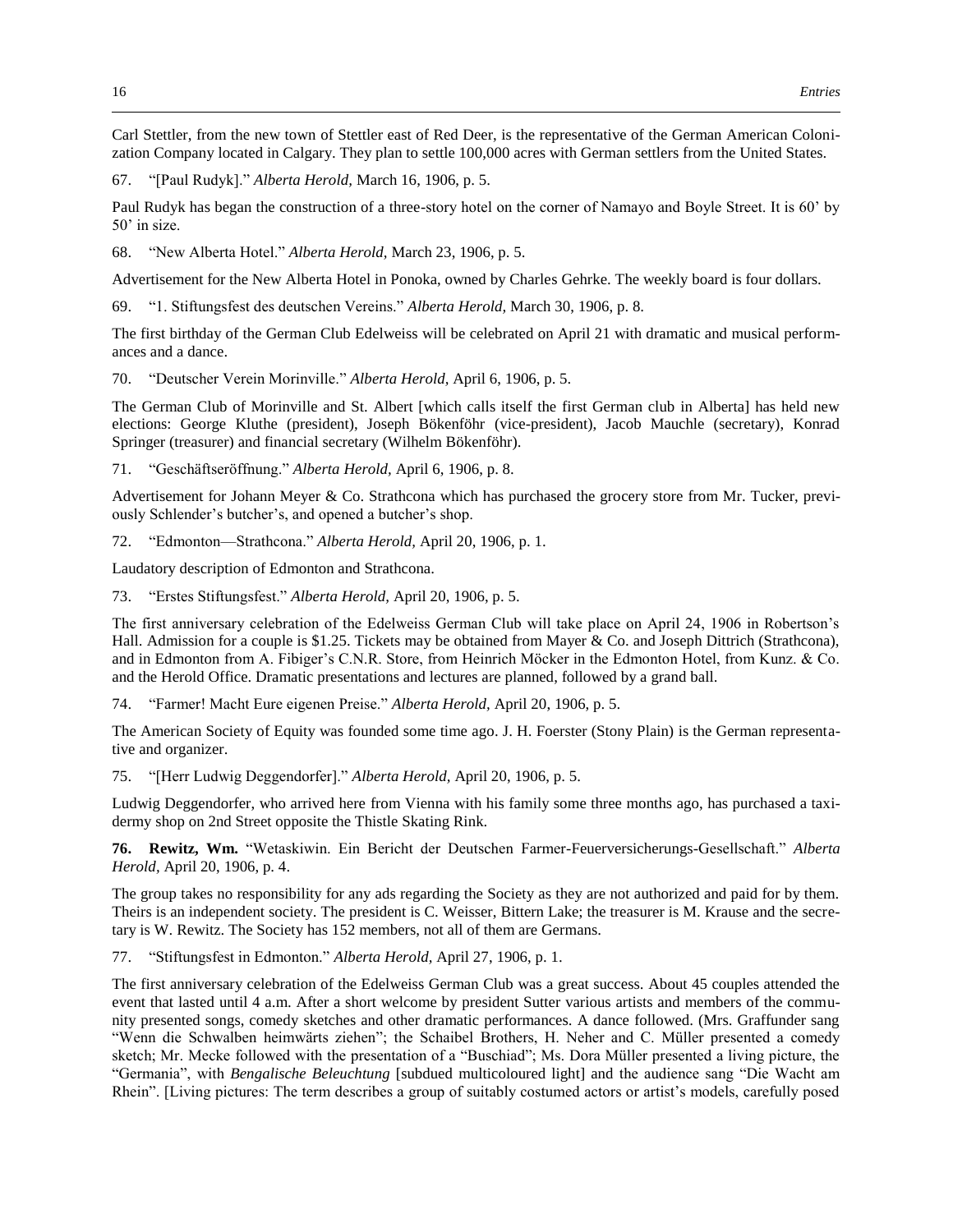Carl Stettler, from the new town of Stettler east of Red Deer, is the representative of the German American Colonization Company located in Calgary. They plan to settle 100,000 acres with German settlers from the United States.

67. "[Paul Rudyk]." *Alberta Herold,* March 16, 1906, p. 5.

Paul Rudyk has began the construction of a three-story hotel on the corner of Namayo and Boyle Street. It is 60' by 50' in size.

68. "New Alberta Hotel." *Alberta Herold,* March 23, 1906, p. 5.

Advertisement for the New Alberta Hotel in Ponoka, owned by Charles Gehrke. The weekly board is four dollars.

69. "1. Stiftungsfest des deutschen Vereins." *Alberta Herold,* March 30, 1906, p. 8.

The first birthday of the German Club Edelweiss will be celebrated on April 21 with dramatic and musical performances and a dance.

70. "Deutscher Verein Morinville." *Alberta Herold,* April 6, 1906, p. 5.

The German Club of Morinville and St. Albert [which calls itself the first German club in Alberta] has held new elections: George Kluthe (president), Joseph Bökenföhr (vice-president), Jacob Mauchle (secretary), Konrad Springer (treasurer) and financial secretary (Wilhelm Bökenföhr).

71. "Geschäftseröffnung." *Alberta Herold,* April 6, 1906, p. 8.

Advertisement for Johann Meyer & Co. Strathcona which has purchased the grocery store from Mr. Tucker, previously Schlender's butcher's, and opened a butcher's shop.

72. "Edmonton—Strathcona." *Alberta Herold,* April 20, 1906, p. 1.

Laudatory description of Edmonton and Strathcona.

73. "Erstes Stiftungsfest." *Alberta Herold,* April 20, 1906, p. 5.

The first anniversary celebration of the Edelweiss German Club will take place on April 24, 1906 in Robertson's Hall. Admission for a couple is \$1.25. Tickets may be obtained from Mayer & Co. and Joseph Dittrich (Strathcona), and in Edmonton from A. Fibiger's C.N.R. Store, from Heinrich Möcker in the Edmonton Hotel, from Kunz. & Co. and the Herold Office. Dramatic presentations and lectures are planned, followed by a grand ball.

74. "Farmer! Macht Eure eigenen Preise." *Alberta Herold,* April 20, 1906, p. 5.

The American Society of Equity was founded some time ago. J. H. Foerster (Stony Plain) is the German representative and organizer.

75. "[Herr Ludwig Deggendorfer]." *Alberta Herold,* April 20, 1906, p. 5.

Ludwig Deggendorfer, who arrived here from Vienna with his family some three months ago, has purchased a taxidermy shop on 2nd Street opposite the Thistle Skating Rink.

**76. Rewitz, Wm.** "Wetaskiwin. Ein Bericht der Deutschen Farmer-Feuerversicherungs-Gesellschaft." *Alberta Herold,* April 20, 1906, p. 4.

The group takes no responsibility for any ads regarding the Society as they are not authorized and paid for by them. Theirs is an independent society. The president is C. Weisser, Bittern Lake; the treasurer is M. Krause and the secretary is W. Rewitz. The Society has 152 members, not all of them are Germans.

77. "Stiftungsfest in Edmonton." *Alberta Herold,* April 27, 1906, p. 1.

The first anniversary celebration of the Edelweiss German Club was a great success. About 45 couples attended the event that lasted until 4 a.m. After a short welcome by president Sutter various artists and members of the community presented songs, comedy sketches and other dramatic performances. A dance followed. (Mrs. Graffunder sang "Wenn die Schwalben heimwärts ziehen"; the Schaibel Brothers, H. Neher and C. Müller presented a comedy sketch; Mr. Mecke followed with the presentation of a "Buschiad"; Ms. Dora Müller presented a living picture, the "Germania", with *Bengalische Beleuchtung* [subdued multicoloured light] and the audience sang "Die Wacht am Rhein". [Living pictures: The term describes a group of suitably costumed actors or artist's models, carefully posed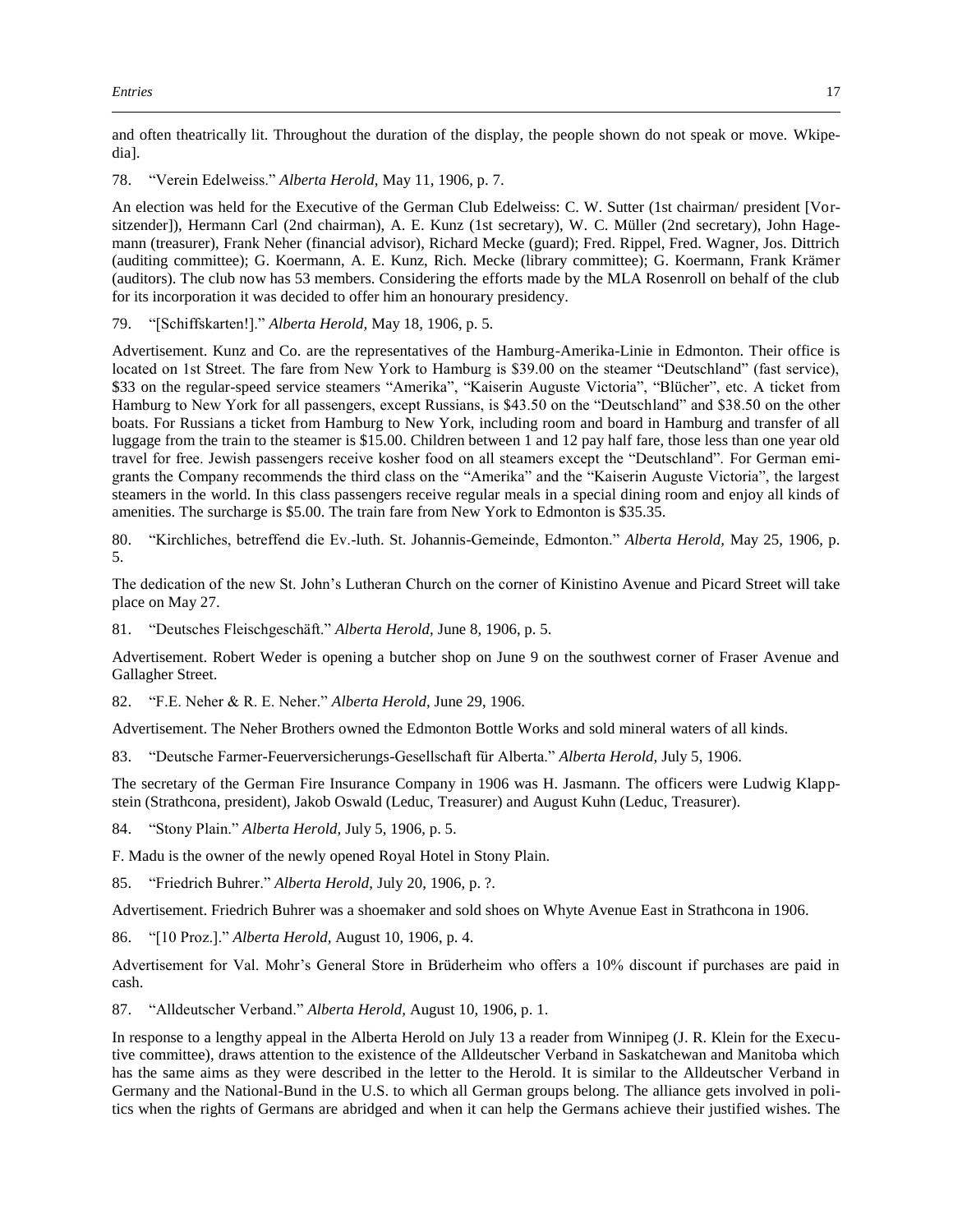and often theatrically lit. Throughout the duration of the display, the people shown do not speak or move. Wkipedia].

78. "Verein Edelweiss." *Alberta Herold,* May 11, 1906, p. 7.

An election was held for the Executive of the German Club Edelweiss: C. W. Sutter (1st chairman/ president [Vorsitzender]), Hermann Carl (2nd chairman), A. E. Kunz (1st secretary), W. C. Müller (2nd secretary), John Hagemann (treasurer), Frank Neher (financial advisor), Richard Mecke (guard); Fred. Rippel, Fred. Wagner, Jos. Dittrich (auditing committee); G. Koermann, A. E. Kunz, Rich. Mecke (library committee); G. Koermann, Frank Krämer (auditors). The club now has 53 members. Considering the efforts made by the MLA Rosenroll on behalf of the club for its incorporation it was decided to offer him an honourary presidency.

79. "[Schiffskarten!]." *Alberta Herold,* May 18, 1906, p. 5.

Advertisement. Kunz and Co. are the representatives of the Hamburg-Amerika-Linie in Edmonton. Their office is located on 1st Street. The fare from New York to Hamburg is \$39.00 on the steamer "Deutschland" (fast service), \$33 on the regular-speed service steamers "Amerika", "Kaiserin Auguste Victoria", "Blücher", etc. A ticket from Hamburg to New York for all passengers, except Russians, is \$43.50 on the "Deutschland" and \$38.50 on the other boats. For Russians a ticket from Hamburg to New York, including room and board in Hamburg and transfer of all luggage from the train to the steamer is \$15.00. Children between 1 and 12 pay half fare, those less than one year old travel for free. Jewish passengers receive kosher food on all steamers except the "Deutschland". For German emigrants the Company recommends the third class on the "Amerika" and the "Kaiserin Auguste Victoria", the largest steamers in the world. In this class passengers receive regular meals in a special dining room and enjoy all kinds of amenities. The surcharge is \$5.00. The train fare from New York to Edmonton is \$35.35.

80. "Kirchliches, betreffend die Ev.-luth. St. Johannis-Gemeinde, Edmonton." *Alberta Herold,* May 25, 1906, p. 5.

The dedication of the new St. John's Lutheran Church on the corner of Kinistino Avenue and Picard Street will take place on May 27.

81. "Deutsches Fleischgeschäft." *Alberta Herold,* June 8, 1906, p. 5.

Advertisement. Robert Weder is opening a butcher shop on June 9 on the southwest corner of Fraser Avenue and Gallagher Street.

82. "F.E. Neher & R. E. Neher." *Alberta Herold,* June 29, 1906.

Advertisement. The Neher Brothers owned the Edmonton Bottle Works and sold mineral waters of all kinds.

83. "Deutsche Farmer-Feuerversicherungs-Gesellschaft für Alberta." *Alberta Herold,* July 5, 1906.

The secretary of the German Fire Insurance Company in 1906 was H. Jasmann. The officers were Ludwig Klappstein (Strathcona, president), Jakob Oswald (Leduc, Treasurer) and August Kuhn (Leduc, Treasurer).

84. "Stony Plain." *Alberta Herold,* July 5, 1906, p. 5.

F. Madu is the owner of the newly opened Royal Hotel in Stony Plain.

85. "Friedrich Buhrer." *Alberta Herold,* July 20, 1906, p. ?.

Advertisement. Friedrich Buhrer was a shoemaker and sold shoes on Whyte Avenue East in Strathcona in 1906.

86. "[10 Proz.]." *Alberta Herold,* August 10, 1906, p. 4.

Advertisement for Val. Mohr's General Store in Brüderheim who offers a 10% discount if purchases are paid in cash.

87. "Alldeutscher Verband." *Alberta Herold,* August 10, 1906, p. 1.

In response to a lengthy appeal in the Alberta Herold on July 13 a reader from Winnipeg (J. R. Klein for the Executive committee), draws attention to the existence of the Alldeutscher Verband in Saskatchewan and Manitoba which has the same aims as they were described in the letter to the Herold. It is similar to the Alldeutscher Verband in Germany and the National-Bund in the U.S. to which all German groups belong. The alliance gets involved in politics when the rights of Germans are abridged and when it can help the Germans achieve their justified wishes. The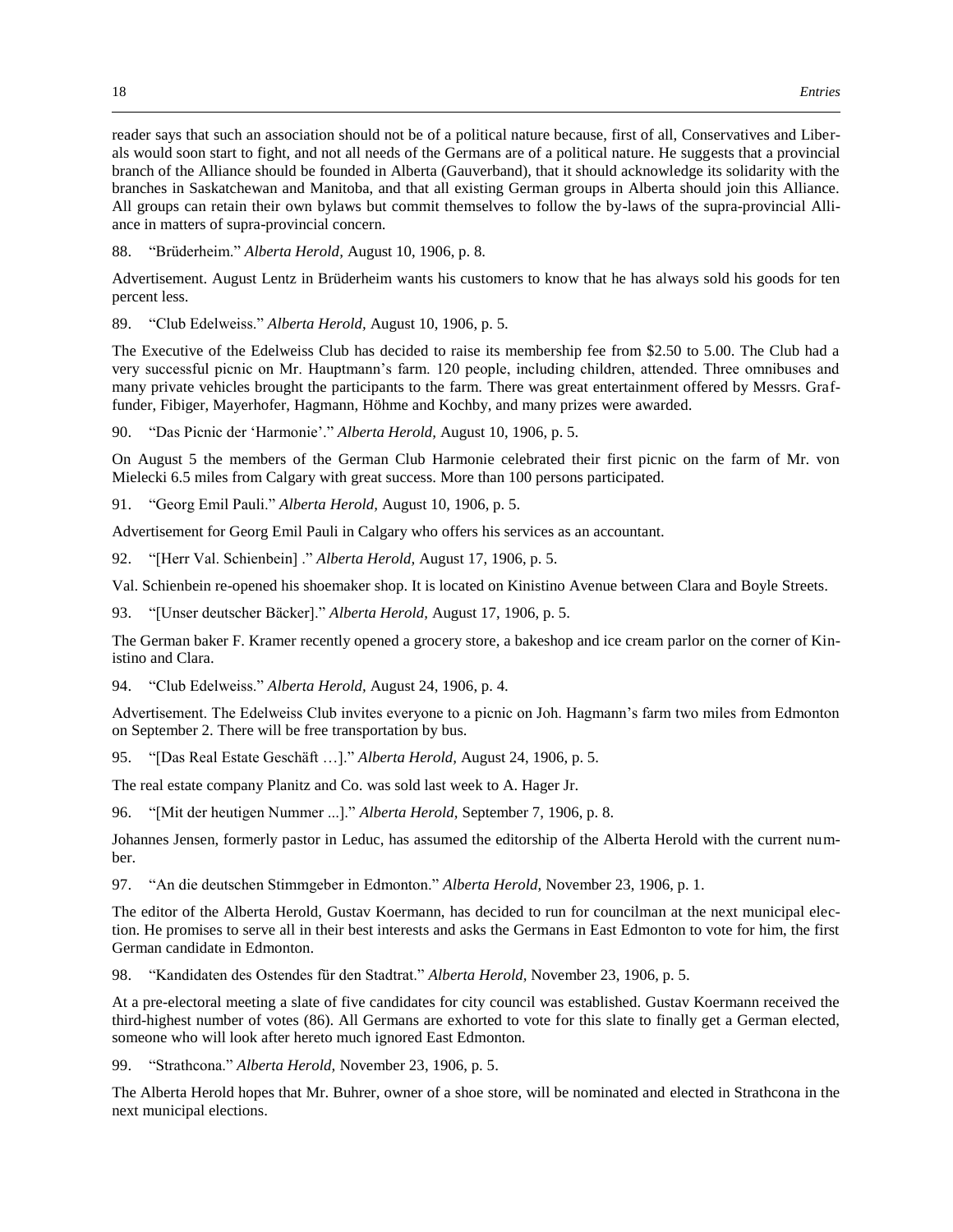reader says that such an association should not be of a political nature because, first of all, Conservatives and Liberals would soon start to fight, and not all needs of the Germans are of a political nature. He suggests that a provincial branch of the Alliance should be founded in Alberta (Gauverband), that it should acknowledge its solidarity with the branches in Saskatchewan and Manitoba, and that all existing German groups in Alberta should join this Alliance. All groups can retain their own bylaws but commit themselves to follow the by-laws of the supra-provincial Alliance in matters of supra-provincial concern.

88. "Brüderheim." *Alberta Herold,* August 10, 1906, p. 8.

Advertisement. August Lentz in Brüderheim wants his customers to know that he has always sold his goods for ten percent less.

89. "Club Edelweiss." *Alberta Herold,* August 10, 1906, p. 5.

The Executive of the Edelweiss Club has decided to raise its membership fee from \$2.50 to 5.00. The Club had a very successful picnic on Mr. Hauptmann's farm. 120 people, including children, attended. Three omnibuses and many private vehicles brought the participants to the farm. There was great entertainment offered by Messrs. Graffunder, Fibiger, Mayerhofer, Hagmann, Höhme and Kochby, and many prizes were awarded.

90. "Das Picnic der 'Harmonie'." *Alberta Herold,* August 10, 1906, p. 5.

On August 5 the members of the German Club Harmonie celebrated their first picnic on the farm of Mr. von Mielecki 6.5 miles from Calgary with great success. More than 100 persons participated.

91. "Georg Emil Pauli." *Alberta Herold,* August 10, 1906, p. 5.

Advertisement for Georg Emil Pauli in Calgary who offers his services as an accountant.

92. "[Herr Val. Schienbein] ." *Alberta Herold,* August 17, 1906, p. 5.

Val. Schienbein re-opened his shoemaker shop. It is located on Kinistino Avenue between Clara and Boyle Streets.

93. "[Unser deutscher Bäcker]." *Alberta Herold,* August 17, 1906, p. 5.

The German baker F. Kramer recently opened a grocery store, a bakeshop and ice cream parlor on the corner of Kinistino and Clara.

94. "Club Edelweiss." *Alberta Herold,* August 24, 1906, p. 4.

Advertisement. The Edelweiss Club invites everyone to a picnic on Joh. Hagmann's farm two miles from Edmonton on September 2. There will be free transportation by bus.

95. "[Das Real Estate Geschäft …]." *Alberta Herold,* August 24, 1906, p. 5.

The real estate company Planitz and Co. was sold last week to A. Hager Jr.

96. "[Mit der heutigen Nummer ...]." *Alberta Herold,* September 7, 1906, p. 8.

Johannes Jensen, formerly pastor in Leduc, has assumed the editorship of the Alberta Herold with the current number.

97. "An die deutschen Stimmgeber in Edmonton." *Alberta Herold,* November 23, 1906, p. 1.

The editor of the Alberta Herold, Gustav Koermann, has decided to run for councilman at the next municipal election. He promises to serve all in their best interests and asks the Germans in East Edmonton to vote for him, the first German candidate in Edmonton.

98. "Kandidaten des Ostendes für den Stadtrat." *Alberta Herold,* November 23, 1906, p. 5.

At a pre-electoral meeting a slate of five candidates for city council was established. Gustav Koermann received the third-highest number of votes (86). All Germans are exhorted to vote for this slate to finally get a German elected, someone who will look after hereto much ignored East Edmonton.

99. "Strathcona." *Alberta Herold,* November 23, 1906, p. 5.

The Alberta Herold hopes that Mr. Buhrer, owner of a shoe store, will be nominated and elected in Strathcona in the next municipal elections.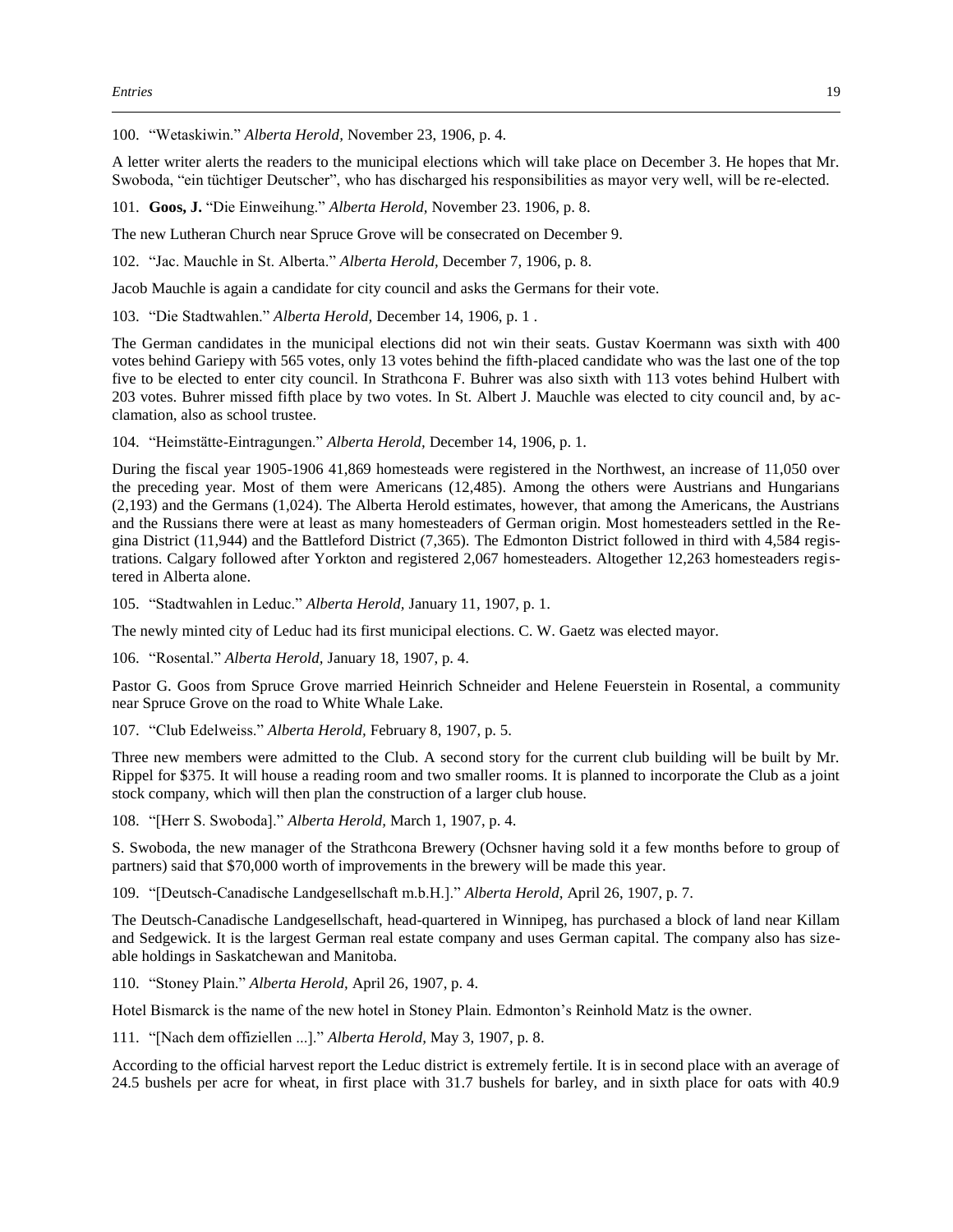100. "Wetaskiwin." *Alberta Herold,* November 23, 1906, p. 4.

A letter writer alerts the readers to the municipal elections which will take place on December 3. He hopes that Mr. Swoboda, "ein tüchtiger Deutscher", who has discharged his responsibilities as mayor very well, will be re-elected.

101. **Goos, J.** "Die Einweihung." *Alberta Herold,* November 23. 1906, p. 8.

The new Lutheran Church near Spruce Grove will be consecrated on December 9.

102. "Jac. Mauchle in St. Alberta." *Alberta Herold,* December 7, 1906, p. 8.

Jacob Mauchle is again a candidate for city council and asks the Germans for their vote.

103. "Die Stadtwahlen." *Alberta Herold,* December 14, 1906, p. 1 .

The German candidates in the municipal elections did not win their seats. Gustav Koermann was sixth with 400 votes behind Gariepy with 565 votes, only 13 votes behind the fifth-placed candidate who was the last one of the top five to be elected to enter city council. In Strathcona F. Buhrer was also sixth with 113 votes behind Hulbert with 203 votes. Buhrer missed fifth place by two votes. In St. Albert J. Mauchle was elected to city council and, by acclamation, also as school trustee.

104. "Heimstätte-Eintragungen." *Alberta Herold,* December 14, 1906, p. 1.

During the fiscal year 1905-1906 41,869 homesteads were registered in the Northwest, an increase of 11,050 over the preceding year. Most of them were Americans (12,485). Among the others were Austrians and Hungarians (2,193) and the Germans (1,024). The Alberta Herold estimates, however, that among the Americans, the Austrians and the Russians there were at least as many homesteaders of German origin. Most homesteaders settled in the Regina District (11,944) and the Battleford District (7,365). The Edmonton District followed in third with 4,584 registrations. Calgary followed after Yorkton and registered 2,067 homesteaders. Altogether 12,263 homesteaders registered in Alberta alone.

105. "Stadtwahlen in Leduc." *Alberta Herold,* January 11, 1907, p. 1.

The newly minted city of Leduc had its first municipal elections. C. W. Gaetz was elected mayor.

106. "Rosental." *Alberta Herold,* January 18, 1907, p. 4.

Pastor G. Goos from Spruce Grove married Heinrich Schneider and Helene Feuerstein in Rosental, a community near Spruce Grove on the road to White Whale Lake.

107. "Club Edelweiss." *Alberta Herold,* February 8, 1907, p. 5.

Three new members were admitted to the Club. A second story for the current club building will be built by Mr. Rippel for \$375. It will house a reading room and two smaller rooms. It is planned to incorporate the Club as a joint stock company, which will then plan the construction of a larger club house.

108. "[Herr S. Swoboda]." *Alberta Herold,* March 1, 1907, p. 4.

S. Swoboda, the new manager of the Strathcona Brewery (Ochsner having sold it a few months before to group of partners) said that \$70,000 worth of improvements in the brewery will be made this year.

109. "[Deutsch-Canadische Landgesellschaft m.b.H.]." *Alberta Herold,* April 26, 1907, p. 7.

The Deutsch-Canadische Landgesellschaft, head-quartered in Winnipeg, has purchased a block of land near Killam and Sedgewick. It is the largest German real estate company and uses German capital. The company also has sizeable holdings in Saskatchewan and Manitoba.

110. "Stoney Plain." *Alberta Herold,* April 26, 1907, p. 4.

Hotel Bismarck is the name of the new hotel in Stoney Plain. Edmonton's Reinhold Matz is the owner.

111. "[Nach dem offiziellen ...]." *Alberta Herold,* May 3, 1907, p. 8.

According to the official harvest report the Leduc district is extremely fertile. It is in second place with an average of 24.5 bushels per acre for wheat, in first place with 31.7 bushels for barley, and in sixth place for oats with 40.9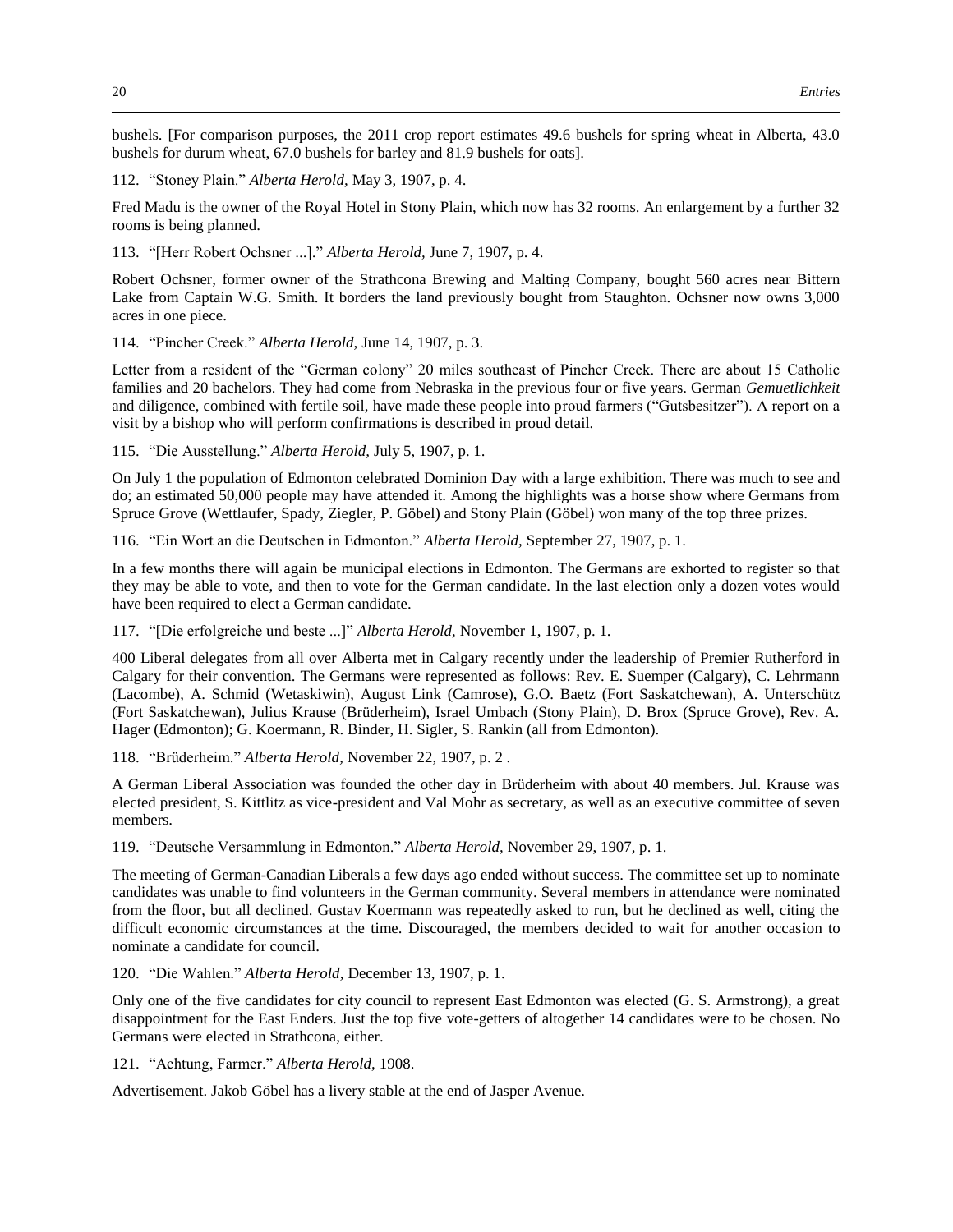bushels. [For comparison purposes, the 2011 crop report estimates 49.6 bushels for spring wheat in Alberta, 43.0 bushels for durum wheat, 67.0 bushels for barley and 81.9 bushels for oats].

112. "Stoney Plain." *Alberta Herold,* May 3, 1907, p. 4.

Fred Madu is the owner of the Royal Hotel in Stony Plain, which now has 32 rooms. An enlargement by a further 32 rooms is being planned.

113. "[Herr Robert Ochsner ...]." *Alberta Herold,* June 7, 1907, p. 4.

Robert Ochsner, former owner of the Strathcona Brewing and Malting Company, bought 560 acres near Bittern Lake from Captain W.G. Smith. It borders the land previously bought from Staughton. Ochsner now owns 3,000 acres in one piece.

114. "Pincher Creek." *Alberta Herold,* June 14, 1907, p. 3.

Letter from a resident of the "German colony" 20 miles southeast of Pincher Creek. There are about 15 Catholic families and 20 bachelors. They had come from Nebraska in the previous four or five years. German *Gemuetlichkeit* and diligence, combined with fertile soil, have made these people into proud farmers ("Gutsbesitzer"). A report on a visit by a bishop who will perform confirmations is described in proud detail.

115. "Die Ausstellung." *Alberta Herold,* July 5, 1907, p. 1.

On July 1 the population of Edmonton celebrated Dominion Day with a large exhibition. There was much to see and do; an estimated 50,000 people may have attended it. Among the highlights was a horse show where Germans from Spruce Grove (Wettlaufer, Spady, Ziegler, P. Göbel) and Stony Plain (Göbel) won many of the top three prizes.

116. "Ein Wort an die Deutschen in Edmonton." *Alberta Herold,* September 27, 1907, p. 1.

In a few months there will again be municipal elections in Edmonton. The Germans are exhorted to register so that they may be able to vote, and then to vote for the German candidate. In the last election only a dozen votes would have been required to elect a German candidate.

117. "[Die erfolgreiche und beste ...]" *Alberta Herold,* November 1, 1907, p. 1.

400 Liberal delegates from all over Alberta met in Calgary recently under the leadership of Premier Rutherford in Calgary for their convention. The Germans were represented as follows: Rev. E. Suemper (Calgary), C. Lehrmann (Lacombe), A. Schmid (Wetaskiwin), August Link (Camrose), G.O. Baetz (Fort Saskatchewan), A. Unterschütz (Fort Saskatchewan), Julius Krause (Brüderheim), Israel Umbach (Stony Plain), D. Brox (Spruce Grove), Rev. A. Hager (Edmonton); G. Koermann, R. Binder, H. Sigler, S. Rankin (all from Edmonton).

118. "Brüderheim." *Alberta Herold,* November 22, 1907, p. 2 .

A German Liberal Association was founded the other day in Brüderheim with about 40 members. Jul. Krause was elected president, S. Kittlitz as vice-president and Val Mohr as secretary, as well as an executive committee of seven members.

119. "Deutsche Versammlung in Edmonton." *Alberta Herold,* November 29, 1907, p. 1.

The meeting of German-Canadian Liberals a few days ago ended without success. The committee set up to nominate candidates was unable to find volunteers in the German community. Several members in attendance were nominated from the floor, but all declined. Gustav Koermann was repeatedly asked to run, but he declined as well, citing the difficult economic circumstances at the time. Discouraged, the members decided to wait for another occasion to nominate a candidate for council.

120. "Die Wahlen." *Alberta Herold,* December 13, 1907, p. 1.

Only one of the five candidates for city council to represent East Edmonton was elected (G. S. Armstrong), a great disappointment for the East Enders. Just the top five vote-getters of altogether 14 candidates were to be chosen. No Germans were elected in Strathcona, either.

121. "Achtung, Farmer." *Alberta Herold,* 1908.

Advertisement. Jakob Göbel has a livery stable at the end of Jasper Avenue.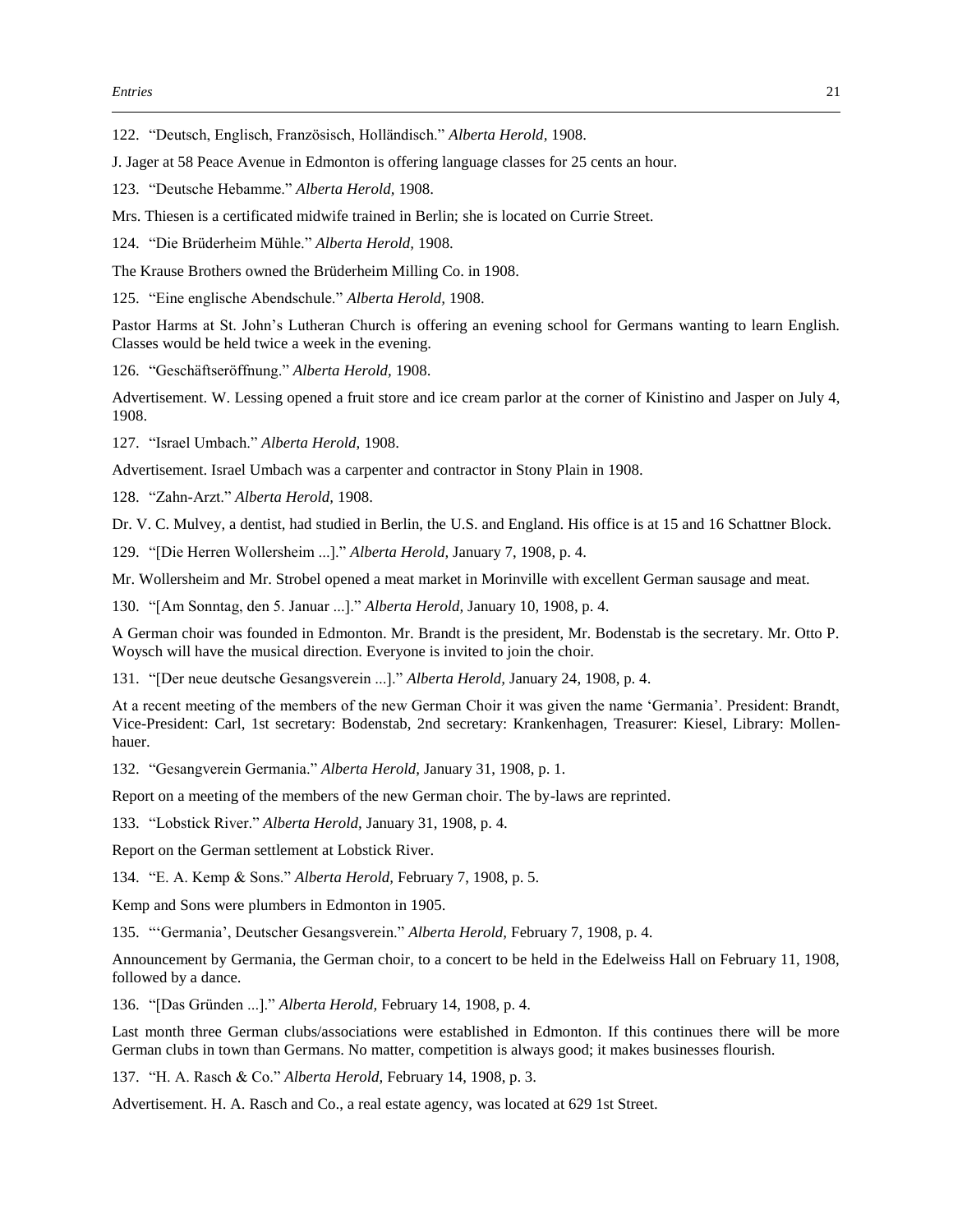122. "Deutsch, Englisch, Französisch, Holländisch." *Alberta Herold,* 1908.

J. Jager at 58 Peace Avenue in Edmonton is offering language classes for 25 cents an hour.

- 123. "Deutsche Hebamme." *Alberta Herold,* 1908.
- Mrs. Thiesen is a certificated midwife trained in Berlin; she is located on Currie Street.

124. "Die Brüderheim Mühle." *Alberta Herold,* 1908.

The Krause Brothers owned the Brüderheim Milling Co. in 1908.

125. "Eine englische Abendschule." *Alberta Herold,* 1908.

Pastor Harms at St. John's Lutheran Church is offering an evening school for Germans wanting to learn English. Classes would be held twice a week in the evening.

126. "Geschäftseröffnung." *Alberta Herold,* 1908.

Advertisement. W. Lessing opened a fruit store and ice cream parlor at the corner of Kinistino and Jasper on July 4, 1908.

127. "Israel Umbach." *Alberta Herold,* 1908.

Advertisement. Israel Umbach was a carpenter and contractor in Stony Plain in 1908.

128. "Zahn-Arzt." *Alberta Herold,* 1908.

Dr. V. C. Mulvey, a dentist, had studied in Berlin, the U.S. and England. His office is at 15 and 16 Schattner Block.

129. "[Die Herren Wollersheim ...]." *Alberta Herold,* January 7, 1908, p. 4.

Mr. Wollersheim and Mr. Strobel opened a meat market in Morinville with excellent German sausage and meat.

130. "[Am Sonntag, den 5. Januar ...]." *Alberta Herold,* January 10, 1908, p. 4.

A German choir was founded in Edmonton. Mr. Brandt is the president, Mr. Bodenstab is the secretary. Mr. Otto P. Woysch will have the musical direction. Everyone is invited to join the choir.

131. "[Der neue deutsche Gesangsverein ...]." *Alberta Herold,* January 24, 1908, p. 4.

At a recent meeting of the members of the new German Choir it was given the name 'Germania'. President: Brandt, Vice-President: Carl, 1st secretary: Bodenstab, 2nd secretary: Krankenhagen, Treasurer: Kiesel, Library: Mollenhauer.

132. "Gesangverein Germania." *Alberta Herold,* January 31, 1908, p. 1.

Report on a meeting of the members of the new German choir. The by-laws are reprinted.

133. "Lobstick River." *Alberta Herold,* January 31, 1908, p. 4.

Report on the German settlement at Lobstick River.

134. "E. A. Kemp & Sons." *Alberta Herold,* February 7, 1908, p. 5.

Kemp and Sons were plumbers in Edmonton in 1905.

135. "'Germania', Deutscher Gesangsverein." *Alberta Herold,* February 7, 1908, p. 4.

Announcement by Germania, the German choir, to a concert to be held in the Edelweiss Hall on February 11, 1908, followed by a dance.

136. "[Das Gründen ...]." *Alberta Herold,* February 14, 1908, p. 4.

Last month three German clubs/associations were established in Edmonton. If this continues there will be more German clubs in town than Germans. No matter, competition is always good; it makes businesses flourish.

137. "H. A. Rasch & Co." *Alberta Herold,* February 14, 1908, p. 3.

Advertisement. H. A. Rasch and Co., a real estate agency, was located at 629 1st Street.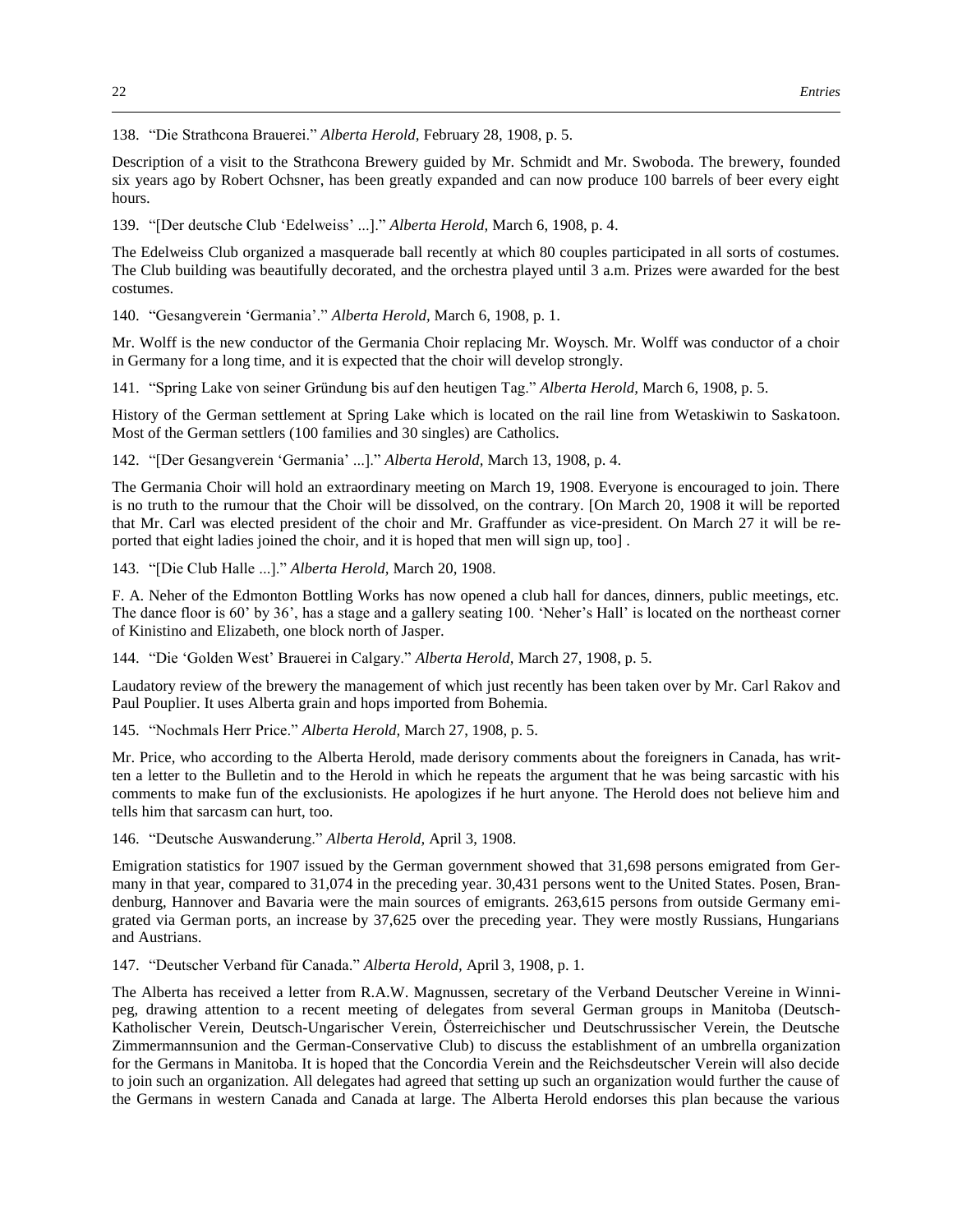138. "Die Strathcona Brauerei." *Alberta Herold,* February 28, 1908, p. 5.

Description of a visit to the Strathcona Brewery guided by Mr. Schmidt and Mr. Swoboda. The brewery, founded six years ago by Robert Ochsner, has been greatly expanded and can now produce 100 barrels of beer every eight hours.

139. "[Der deutsche Club 'Edelweiss' ...]." *Alberta Herold,* March 6, 1908, p. 4.

The Edelweiss Club organized a masquerade ball recently at which 80 couples participated in all sorts of costumes. The Club building was beautifully decorated, and the orchestra played until 3 a.m. Prizes were awarded for the best costumes.

140. "Gesangverein 'Germania'." *Alberta Herold,* March 6, 1908, p. 1.

Mr. Wolff is the new conductor of the Germania Choir replacing Mr. Woysch. Mr. Wolff was conductor of a choir in Germany for a long time, and it is expected that the choir will develop strongly.

141. "Spring Lake von seiner Gründung bis auf den heutigen Tag." *Alberta Herold,* March 6, 1908, p. 5.

History of the German settlement at Spring Lake which is located on the rail line from Wetaskiwin to Saskatoon. Most of the German settlers (100 families and 30 singles) are Catholics.

142. "[Der Gesangverein 'Germania' ...]." *Alberta Herold,* March 13, 1908, p. 4.

The Germania Choir will hold an extraordinary meeting on March 19, 1908. Everyone is encouraged to join. There is no truth to the rumour that the Choir will be dissolved, on the contrary. [On March 20, 1908 it will be reported that Mr. Carl was elected president of the choir and Mr. Graffunder as vice-president. On March 27 it will be reported that eight ladies joined the choir, and it is hoped that men will sign up, too] .

143. "[Die Club Halle ...]." *Alberta Herold,* March 20, 1908.

F. A. Neher of the Edmonton Bottling Works has now opened a club hall for dances, dinners, public meetings, etc. The dance floor is 60' by 36', has a stage and a gallery seating 100. 'Neher's Hall' is located on the northeast corner of Kinistino and Elizabeth, one block north of Jasper.

144. "Die 'Golden West' Brauerei in Calgary." *Alberta Herold,* March 27, 1908, p. 5.

Laudatory review of the brewery the management of which just recently has been taken over by Mr. Carl Rakov and Paul Pouplier. It uses Alberta grain and hops imported from Bohemia.

145. "Nochmals Herr Price." *Alberta Herold,* March 27, 1908, p. 5.

Mr. Price, who according to the Alberta Herold, made derisory comments about the foreigners in Canada, has written a letter to the Bulletin and to the Herold in which he repeats the argument that he was being sarcastic with his comments to make fun of the exclusionists. He apologizes if he hurt anyone. The Herold does not believe him and tells him that sarcasm can hurt, too.

146. "Deutsche Auswanderung." *Alberta Herold,* April 3, 1908.

Emigration statistics for 1907 issued by the German government showed that 31,698 persons emigrated from Germany in that year, compared to 31,074 in the preceding year. 30,431 persons went to the United States. Posen, Brandenburg, Hannover and Bavaria were the main sources of emigrants. 263,615 persons from outside Germany emigrated via German ports, an increase by 37,625 over the preceding year. They were mostly Russians, Hungarians and Austrians.

147. "Deutscher Verband für Canada." *Alberta Herold,* April 3, 1908, p. 1.

The Alberta has received a letter from R.A.W. Magnussen, secretary of the Verband Deutscher Vereine in Winnipeg, drawing attention to a recent meeting of delegates from several German groups in Manitoba (Deutsch-Katholischer Verein, Deutsch-Ungarischer Verein, Österreichischer und Deutschrussischer Verein, the Deutsche Zimmermannsunion and the German-Conservative Club) to discuss the establishment of an umbrella organization for the Germans in Manitoba. It is hoped that the Concordia Verein and the Reichsdeutscher Verein will also decide to join such an organization. All delegates had agreed that setting up such an organization would further the cause of the Germans in western Canada and Canada at large. The Alberta Herold endorses this plan because the various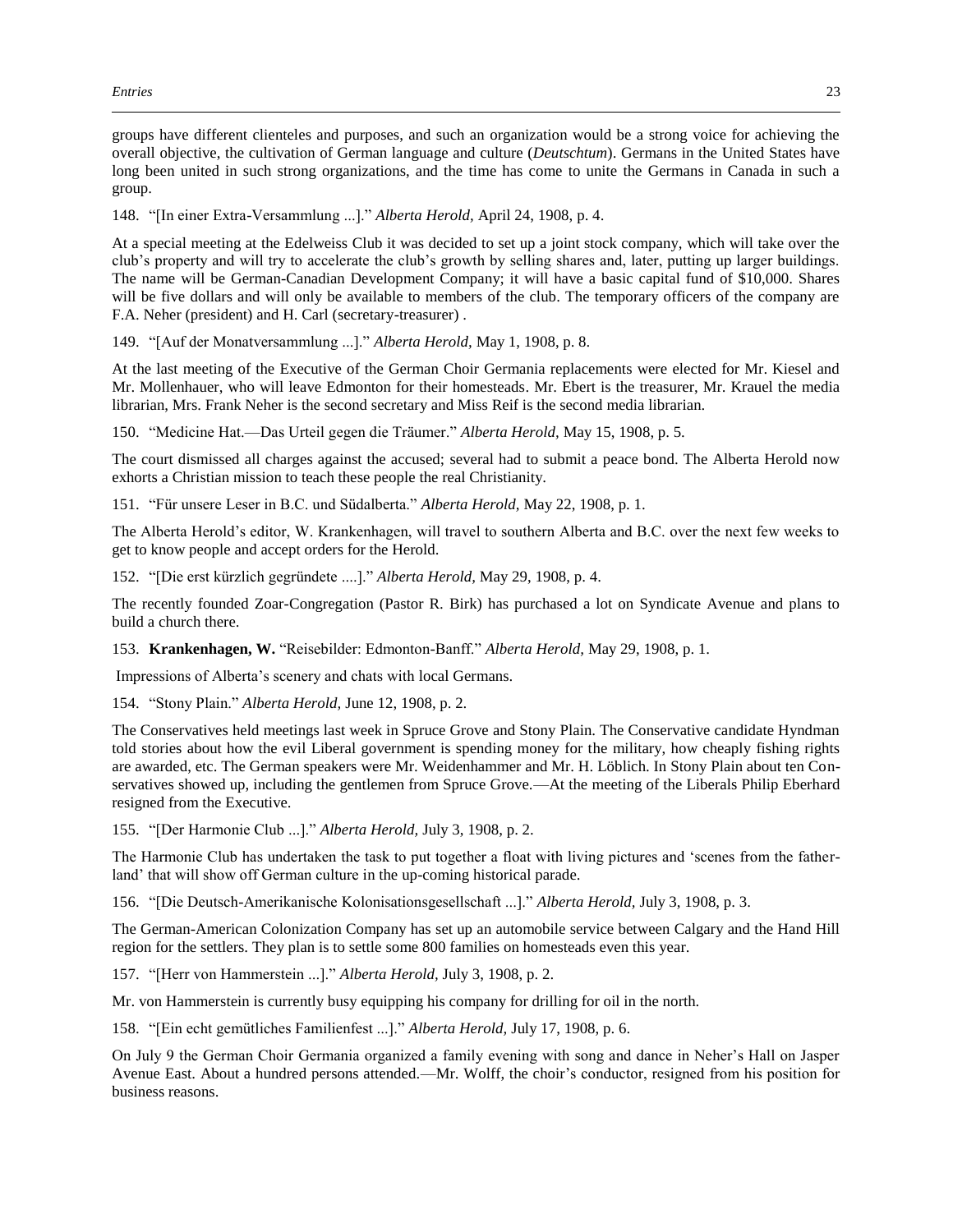groups have different clienteles and purposes, and such an organization would be a strong voice for achieving the overall objective, the cultivation of German language and culture (*Deutschtum*). Germans in the United States have long been united in such strong organizations, and the time has come to unite the Germans in Canada in such a group.

148. "[In einer Extra-Versammlung ...]." *Alberta Herold,* April 24, 1908, p. 4.

At a special meeting at the Edelweiss Club it was decided to set up a joint stock company, which will take over the club's property and will try to accelerate the club's growth by selling shares and, later, putting up larger buildings. The name will be German-Canadian Development Company; it will have a basic capital fund of \$10,000. Shares will be five dollars and will only be available to members of the club. The temporary officers of the company are F.A. Neher (president) and H. Carl (secretary-treasurer) .

149. "[Auf der Monatversammlung ...]." *Alberta Herold,* May 1, 1908, p. 8.

At the last meeting of the Executive of the German Choir Germania replacements were elected for Mr. Kiesel and Mr. Mollenhauer, who will leave Edmonton for their homesteads. Mr. Ebert is the treasurer, Mr. Krauel the media librarian, Mrs. Frank Neher is the second secretary and Miss Reif is the second media librarian.

150. "Medicine Hat.—Das Urteil gegen die Träumer." *Alberta Herold,* May 15, 1908, p. 5.

The court dismissed all charges against the accused; several had to submit a peace bond. The Alberta Herold now exhorts a Christian mission to teach these people the real Christianity.

151. "Für unsere Leser in B.C. und Südalberta." *Alberta Herold,* May 22, 1908, p. 1.

The Alberta Herold's editor, W. Krankenhagen, will travel to southern Alberta and B.C. over the next few weeks to get to know people and accept orders for the Herold.

152. "[Die erst kürzlich gegründete ....]." *Alberta Herold,* May 29, 1908, p. 4.

The recently founded Zoar-Congregation (Pastor R. Birk) has purchased a lot on Syndicate Avenue and plans to build a church there.

153. **Krankenhagen, W.** "Reisebilder: Edmonton-Banff." *Alberta Herold,* May 29, 1908, p. 1.

Impressions of Alberta's scenery and chats with local Germans.

154. "Stony Plain." *Alberta Herold,* June 12, 1908, p. 2.

The Conservatives held meetings last week in Spruce Grove and Stony Plain. The Conservative candidate Hyndman told stories about how the evil Liberal government is spending money for the military, how cheaply fishing rights are awarded, etc. The German speakers were Mr. Weidenhammer and Mr. H. Löblich. In Stony Plain about ten Conservatives showed up, including the gentlemen from Spruce Grove.—At the meeting of the Liberals Philip Eberhard resigned from the Executive.

155. "[Der Harmonie Club ...]." *Alberta Herold,* July 3, 1908, p. 2.

The Harmonie Club has undertaken the task to put together a float with living pictures and 'scenes from the fatherland' that will show off German culture in the up-coming historical parade.

156. "[Die Deutsch-Amerikanische Kolonisationsgesellschaft ...]." *Alberta Herold,* July 3, 1908, p. 3.

The German-American Colonization Company has set up an automobile service between Calgary and the Hand Hill region for the settlers. They plan is to settle some 800 families on homesteads even this year.

157. "[Herr von Hammerstein ...]." *Alberta Herold,* July 3, 1908, p. 2.

Mr. von Hammerstein is currently busy equipping his company for drilling for oil in the north.

158. "[Ein echt gemütliches Familienfest ...]." *Alberta Herold,* July 17, 1908, p. 6.

On July 9 the German Choir Germania organized a family evening with song and dance in Neher's Hall on Jasper Avenue East. About a hundred persons attended.—Mr. Wolff, the choir's conductor, resigned from his position for business reasons.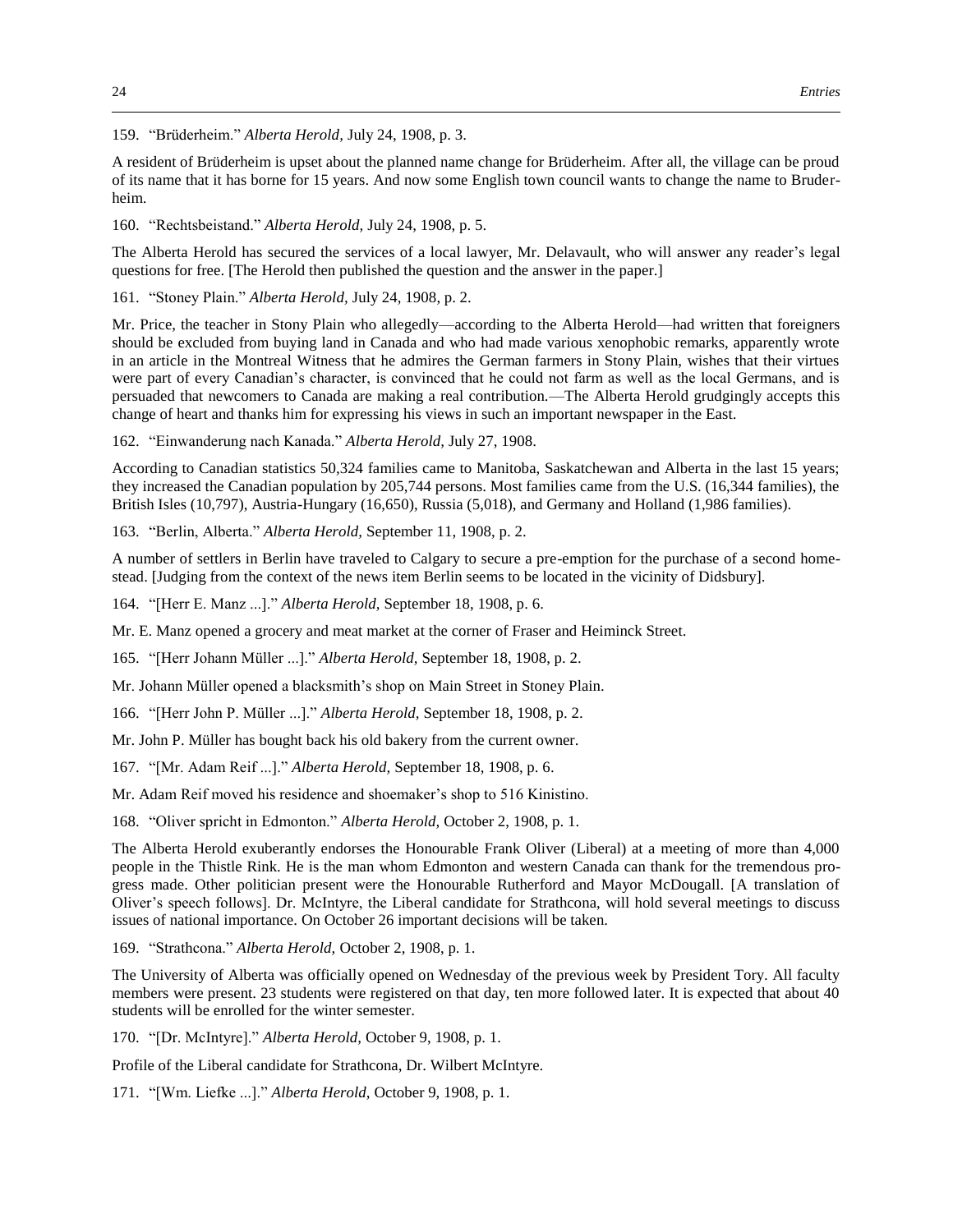159. "Brüderheim." *Alberta Herold,* July 24, 1908, p. 3.

A resident of Brüderheim is upset about the planned name change for Brüderheim. After all, the village can be proud of its name that it has borne for 15 years. And now some English town council wants to change the name to Bruderheim.

160. "Rechtsbeistand." *Alberta Herold,* July 24, 1908, p. 5.

The Alberta Herold has secured the services of a local lawyer, Mr. Delavault, who will answer any reader's legal questions for free. [The Herold then published the question and the answer in the paper.]

161. "Stoney Plain." *Alberta Herold,* July 24, 1908, p. 2.

Mr. Price, the teacher in Stony Plain who allegedly—according to the Alberta Herold—had written that foreigners should be excluded from buying land in Canada and who had made various xenophobic remarks, apparently wrote in an article in the Montreal Witness that he admires the German farmers in Stony Plain, wishes that their virtues were part of every Canadian's character, is convinced that he could not farm as well as the local Germans, and is persuaded that newcomers to Canada are making a real contribution.—The Alberta Herold grudgingly accepts this change of heart and thanks him for expressing his views in such an important newspaper in the East.

162. "Einwanderung nach Kanada." *Alberta Herold,* July 27, 1908.

According to Canadian statistics 50,324 families came to Manitoba, Saskatchewan and Alberta in the last 15 years; they increased the Canadian population by 205,744 persons. Most families came from the U.S. (16,344 families), the British Isles (10,797), Austria-Hungary (16,650), Russia (5,018), and Germany and Holland (1,986 families).

163. "Berlin, Alberta." *Alberta Herold,* September 11, 1908, p. 2.

A number of settlers in Berlin have traveled to Calgary to secure a pre-emption for the purchase of a second homestead. [Judging from the context of the news item Berlin seems to be located in the vicinity of Didsbury].

164. "[Herr E. Manz ...]." *Alberta Herold,* September 18, 1908, p. 6.

Mr. E. Manz opened a grocery and meat market at the corner of Fraser and Heiminck Street.

165. "[Herr Johann Müller ...]." *Alberta Herold,* September 18, 1908, p. 2.

Mr. Johann Müller opened a blacksmith's shop on Main Street in Stoney Plain.

166. "[Herr John P. Müller ...]." *Alberta Herold,* September 18, 1908, p. 2.

Mr. John P. Müller has bought back his old bakery from the current owner.

167. "[Mr. Adam Reif ...]." *Alberta Herold,* September 18, 1908, p. 6.

Mr. Adam Reif moved his residence and shoemaker's shop to 516 Kinistino.

168. "Oliver spricht in Edmonton." *Alberta Herold,* October 2, 1908, p. 1.

The Alberta Herold exuberantly endorses the Honourable Frank Oliver (Liberal) at a meeting of more than 4,000 people in the Thistle Rink. He is the man whom Edmonton and western Canada can thank for the tremendous progress made. Other politician present were the Honourable Rutherford and Mayor McDougall. [A translation of Oliver's speech follows]. Dr. McIntyre, the Liberal candidate for Strathcona, will hold several meetings to discuss issues of national importance. On October 26 important decisions will be taken.

169. "Strathcona." *Alberta Herold,* October 2, 1908, p. 1.

The University of Alberta was officially opened on Wednesday of the previous week by President Tory. All faculty members were present. 23 students were registered on that day, ten more followed later. It is expected that about 40 students will be enrolled for the winter semester.

170. "[Dr. McIntyre]." *Alberta Herold,* October 9, 1908, p. 1.

Profile of the Liberal candidate for Strathcona, Dr. Wilbert McIntyre.

171. "[Wm. Liefke ...]." *Alberta Herold,* October 9, 1908, p. 1.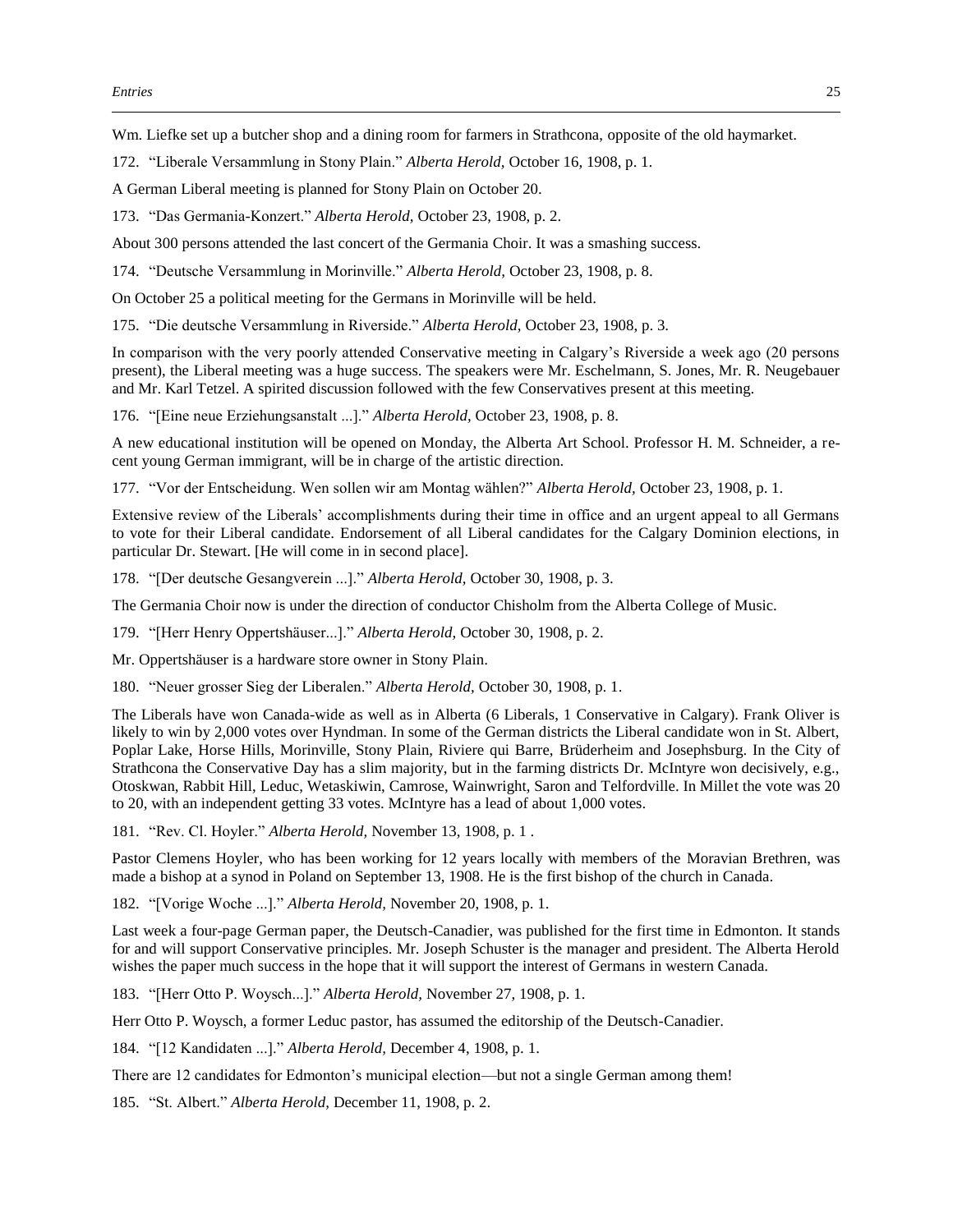Wm. Liefke set up a butcher shop and a dining room for farmers in Strathcona, opposite of the old haymarket.

172. "Liberale Versammlung in Stony Plain." *Alberta Herold,* October 16, 1908, p. 1.

A German Liberal meeting is planned for Stony Plain on October 20.

173. "Das Germania-Konzert." *Alberta Herold,* October 23, 1908, p. 2.

About 300 persons attended the last concert of the Germania Choir. It was a smashing success.

174. "Deutsche Versammlung in Morinville." *Alberta Herold,* October 23, 1908, p. 8.

On October 25 a political meeting for the Germans in Morinville will be held.

175. "Die deutsche Versammlung in Riverside." *Alberta Herold,* October 23, 1908, p. 3.

In comparison with the very poorly attended Conservative meeting in Calgary's Riverside a week ago (20 persons present), the Liberal meeting was a huge success. The speakers were Mr. Eschelmann, S. Jones, Mr. R. Neugebauer and Mr. Karl Tetzel. A spirited discussion followed with the few Conservatives present at this meeting.

176. "[Eine neue Erziehungsanstalt ...]." *Alberta Herold,* October 23, 1908, p. 8.

A new educational institution will be opened on Monday, the Alberta Art School. Professor H. M. Schneider, a recent young German immigrant, will be in charge of the artistic direction.

177. "Vor der Entscheidung. Wen sollen wir am Montag wählen?" *Alberta Herold,* October 23, 1908, p. 1.

Extensive review of the Liberals' accomplishments during their time in office and an urgent appeal to all Germans to vote for their Liberal candidate. Endorsement of all Liberal candidates for the Calgary Dominion elections, in particular Dr. Stewart. [He will come in in second place].

178. "[Der deutsche Gesangverein ...]." *Alberta Herold,* October 30, 1908, p. 3.

The Germania Choir now is under the direction of conductor Chisholm from the Alberta College of Music.

179. "[Herr Henry Oppertshäuser...]." *Alberta Herold,* October 30, 1908, p. 2.

Mr. Oppertshäuser is a hardware store owner in Stony Plain.

180. "Neuer grosser Sieg der Liberalen." *Alberta Herold,* October 30, 1908, p. 1.

The Liberals have won Canada-wide as well as in Alberta (6 Liberals, 1 Conservative in Calgary). Frank Oliver is likely to win by 2,000 votes over Hyndman. In some of the German districts the Liberal candidate won in St. Albert, Poplar Lake, Horse Hills, Morinville, Stony Plain, Riviere qui Barre, Brüderheim and Josephsburg. In the City of Strathcona the Conservative Day has a slim majority, but in the farming districts Dr. McIntyre won decisively, e.g., Otoskwan, Rabbit Hill, Leduc, Wetaskiwin, Camrose, Wainwright, Saron and Telfordville. In Millet the vote was 20 to 20, with an independent getting 33 votes. McIntyre has a lead of about 1,000 votes.

181. "Rev. Cl. Hoyler." *Alberta Herold,* November 13, 1908, p. 1 .

Pastor Clemens Hoyler, who has been working for 12 years locally with members of the Moravian Brethren, was made a bishop at a synod in Poland on September 13, 1908. He is the first bishop of the church in Canada.

182. "[Vorige Woche ...]." *Alberta Herold,* November 20, 1908, p. 1.

Last week a four-page German paper, the Deutsch-Canadier, was published for the first time in Edmonton. It stands for and will support Conservative principles. Mr. Joseph Schuster is the manager and president. The Alberta Herold wishes the paper much success in the hope that it will support the interest of Germans in western Canada.

183. "[Herr Otto P. Woysch...]." *Alberta Herold,* November 27, 1908, p. 1.

Herr Otto P. Woysch, a former Leduc pastor, has assumed the editorship of the Deutsch-Canadier.

184. "[12 Kandidaten ...]." *Alberta Herold,* December 4, 1908, p. 1.

There are 12 candidates for Edmonton's municipal election—but not a single German among them!

185. "St. Albert." *Alberta Herold,* December 11, 1908, p. 2.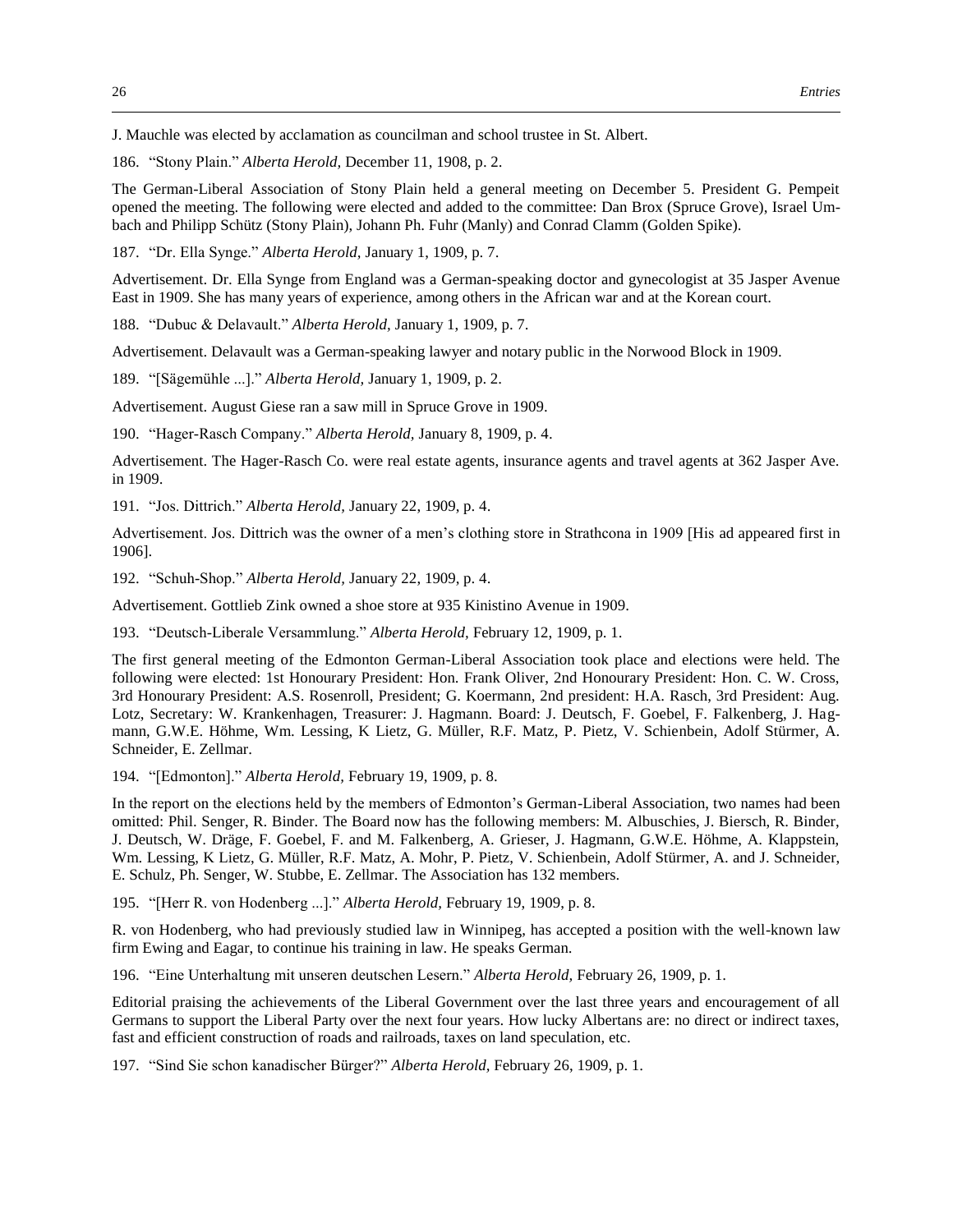J. Mauchle was elected by acclamation as councilman and school trustee in St. Albert.

186. "Stony Plain." *Alberta Herold,* December 11, 1908, p. 2.

The German-Liberal Association of Stony Plain held a general meeting on December 5. President G. Pempeit opened the meeting. The following were elected and added to the committee: Dan Brox (Spruce Grove), Israel Umbach and Philipp Schütz (Stony Plain), Johann Ph. Fuhr (Manly) and Conrad Clamm (Golden Spike).

187. "Dr. Ella Synge." *Alberta Herold,* January 1, 1909, p. 7.

Advertisement. Dr. Ella Synge from England was a German-speaking doctor and gynecologist at 35 Jasper Avenue East in 1909. She has many years of experience, among others in the African war and at the Korean court.

188. "Dubuc & Delavault." *Alberta Herold,* January 1, 1909, p. 7.

Advertisement. Delavault was a German-speaking lawyer and notary public in the Norwood Block in 1909.

189. "[Sägemühle ...]." *Alberta Herold,* January 1, 1909, p. 2.

Advertisement. August Giese ran a saw mill in Spruce Grove in 1909.

190. "Hager-Rasch Company." *Alberta Herold,* January 8, 1909, p. 4.

Advertisement. The Hager-Rasch Co. were real estate agents, insurance agents and travel agents at 362 Jasper Ave. in 1909.

191. "Jos. Dittrich." *Alberta Herold,* January 22, 1909, p. 4.

Advertisement. Jos. Dittrich was the owner of a men's clothing store in Strathcona in 1909 [His ad appeared first in 1906].

192. "Schuh-Shop." *Alberta Herold,* January 22, 1909, p. 4.

Advertisement. Gottlieb Zink owned a shoe store at 935 Kinistino Avenue in 1909.

193. "Deutsch-Liberale Versammlung." *Alberta Herold,* February 12, 1909, p. 1.

The first general meeting of the Edmonton German-Liberal Association took place and elections were held. The following were elected: 1st Honourary President: Hon. Frank Oliver, 2nd Honourary President: Hon. C. W. Cross, 3rd Honourary President: A.S. Rosenroll, President; G. Koermann, 2nd president: H.A. Rasch, 3rd President: Aug. Lotz, Secretary: W. Krankenhagen, Treasurer: J. Hagmann. Board: J. Deutsch, F. Goebel, F. Falkenberg, J. Hagmann, G.W.E. Höhme, Wm. Lessing, K Lietz, G. Müller, R.F. Matz, P. Pietz, V. Schienbein, Adolf Stürmer, A. Schneider, E. Zellmar.

194. "[Edmonton]." *Alberta Herold,* February 19, 1909, p. 8.

In the report on the elections held by the members of Edmonton's German-Liberal Association, two names had been omitted: Phil. Senger, R. Binder. The Board now has the following members: M. Albuschies, J. Biersch, R. Binder, J. Deutsch, W. Dräge, F. Goebel, F. and M. Falkenberg, A. Grieser, J. Hagmann, G.W.E. Höhme, A. Klappstein, Wm. Lessing, K Lietz, G. Müller, R.F. Matz, A. Mohr, P. Pietz, V. Schienbein, Adolf Stürmer, A. and J. Schneider, E. Schulz, Ph. Senger, W. Stubbe, E. Zellmar. The Association has 132 members.

195. "[Herr R. von Hodenberg ...]." *Alberta Herold,* February 19, 1909, p. 8.

R. von Hodenberg, who had previously studied law in Winnipeg, has accepted a position with the well-known law firm Ewing and Eagar, to continue his training in law. He speaks German.

196. "Eine Unterhaltung mit unseren deutschen Lesern." *Alberta Herold,* February 26, 1909, p. 1.

Editorial praising the achievements of the Liberal Government over the last three years and encouragement of all Germans to support the Liberal Party over the next four years. How lucky Albertans are: no direct or indirect taxes, fast and efficient construction of roads and railroads, taxes on land speculation, etc.

197. "Sind Sie schon kanadischer Bürger?" *Alberta Herold,* February 26, 1909, p. 1.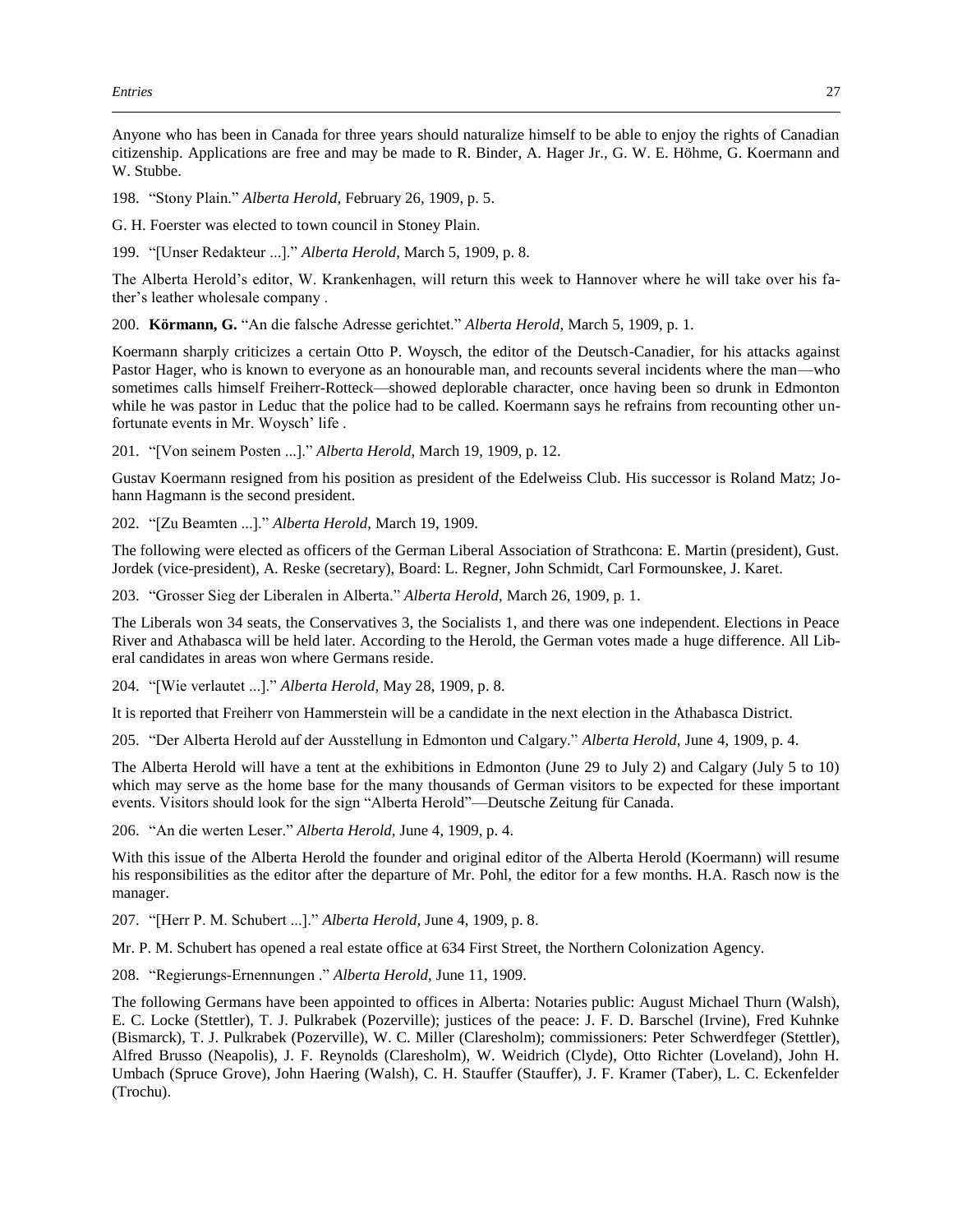Anyone who has been in Canada for three years should naturalize himself to be able to enjoy the rights of Canadian citizenship. Applications are free and may be made to R. Binder, A. Hager Jr., G. W. E. Höhme, G. Koermann and W. Stubbe.

198. "Stony Plain." *Alberta Herold,* February 26, 1909, p. 5.

G. H. Foerster was elected to town council in Stoney Plain.

199. "[Unser Redakteur ...]." *Alberta Herold,* March 5, 1909, p. 8.

The Alberta Herold's editor, W. Krankenhagen, will return this week to Hannover where he will take over his father's leather wholesale company .

200. **Körmann, G.** "An die falsche Adresse gerichtet." *Alberta Herold,* March 5, 1909, p. 1.

Koermann sharply criticizes a certain Otto P. Woysch, the editor of the Deutsch-Canadier, for his attacks against Pastor Hager, who is known to everyone as an honourable man, and recounts several incidents where the man—who sometimes calls himself Freiherr-Rotteck—showed deplorable character, once having been so drunk in Edmonton while he was pastor in Leduc that the police had to be called. Koermann says he refrains from recounting other unfortunate events in Mr. Woysch' life .

201. "[Von seinem Posten ...]." *Alberta Herold,* March 19, 1909, p. 12.

Gustav Koermann resigned from his position as president of the Edelweiss Club. His successor is Roland Matz; Johann Hagmann is the second president.

202. "[Zu Beamten ...]." *Alberta Herold,* March 19, 1909.

The following were elected as officers of the German Liberal Association of Strathcona: E. Martin (president), Gust. Jordek (vice-president), A. Reske (secretary), Board: L. Regner, John Schmidt, Carl Formounskee, J. Karet.

203. "Grosser Sieg der Liberalen in Alberta." *Alberta Herold,* March 26, 1909, p. 1.

The Liberals won 34 seats, the Conservatives 3, the Socialists 1, and there was one independent. Elections in Peace River and Athabasca will be held later. According to the Herold, the German votes made a huge difference. All Liberal candidates in areas won where Germans reside.

204. "[Wie verlautet ...]." *Alberta Herold,* May 28, 1909, p. 8.

It is reported that Freiherr von Hammerstein will be a candidate in the next election in the Athabasca District.

205. "Der Alberta Herold auf der Ausstellung in Edmonton und Calgary." *Alberta Herold,* June 4, 1909, p. 4.

The Alberta Herold will have a tent at the exhibitions in Edmonton (June 29 to July 2) and Calgary (July 5 to 10) which may serve as the home base for the many thousands of German visitors to be expected for these important events. Visitors should look for the sign "Alberta Herold"—Deutsche Zeitung für Canada.

206. "An die werten Leser." *Alberta Herold,* June 4, 1909, p. 4.

With this issue of the Alberta Herold the founder and original editor of the Alberta Herold (Koermann) will resume his responsibilities as the editor after the departure of Mr. Pohl, the editor for a few months. H.A. Rasch now is the manager.

207. "[Herr P. M. Schubert ...]." *Alberta Herold,* June 4, 1909, p. 8.

Mr. P. M. Schubert has opened a real estate office at 634 First Street, the Northern Colonization Agency.

208. "Regierungs-Ernennungen ." *Alberta Herold,* June 11, 1909.

The following Germans have been appointed to offices in Alberta: Notaries public: August Michael Thurn (Walsh), E. C. Locke (Stettler), T. J. Pulkrabek (Pozerville); justices of the peace: J. F. D. Barschel (Irvine), Fred Kuhnke (Bismarck), T. J. Pulkrabek (Pozerville), W. C. Miller (Claresholm); commissioners: Peter Schwerdfeger (Stettler), Alfred Brusso (Neapolis), J. F. Reynolds (Claresholm), W. Weidrich (Clyde), Otto Richter (Loveland), John H. Umbach (Spruce Grove), John Haering (Walsh), C. H. Stauffer (Stauffer), J. F. Kramer (Taber), L. C. Eckenfelder (Trochu).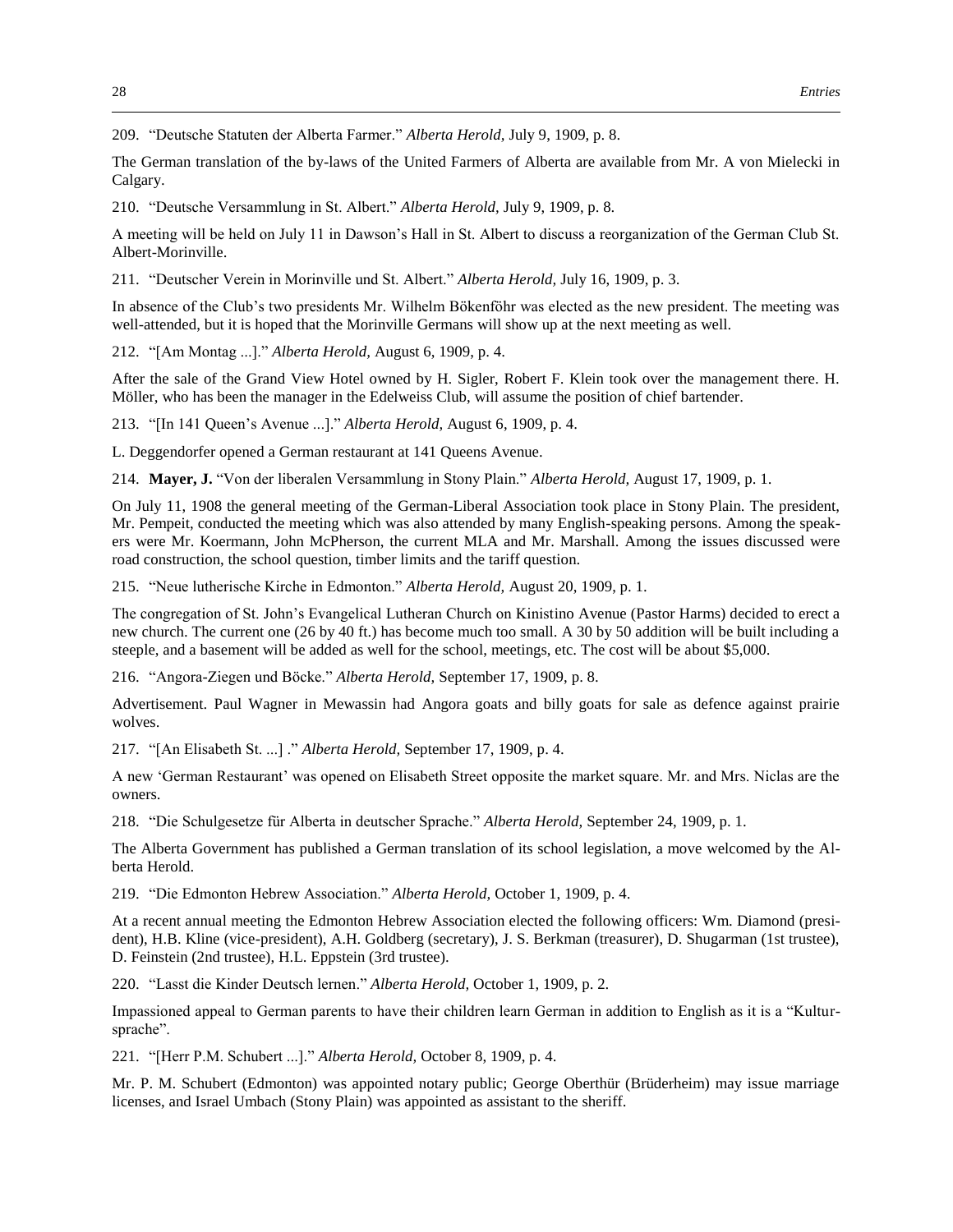209. "Deutsche Statuten der Alberta Farmer." *Alberta Herold,* July 9, 1909, p. 8.

The German translation of the by-laws of the United Farmers of Alberta are available from Mr. A von Mielecki in Calgary.

210. "Deutsche Versammlung in St. Albert." *Alberta Herold,* July 9, 1909, p. 8.

A meeting will be held on July 11 in Dawson's Hall in St. Albert to discuss a reorganization of the German Club St. Albert-Morinville.

211. "Deutscher Verein in Morinville und St. Albert." *Alberta Herold,* July 16, 1909, p. 3.

In absence of the Club's two presidents Mr. Wilhelm Bökenföhr was elected as the new president. The meeting was well-attended, but it is hoped that the Morinville Germans will show up at the next meeting as well.

212. "[Am Montag ...]." *Alberta Herold,* August 6, 1909, p. 4.

After the sale of the Grand View Hotel owned by H. Sigler, Robert F. Klein took over the management there. H. Möller, who has been the manager in the Edelweiss Club, will assume the position of chief bartender.

213. "[In 141 Queen's Avenue ...]." *Alberta Herold,* August 6, 1909, p. 4.

L. Deggendorfer opened a German restaurant at 141 Queens Avenue.

214. **Mayer, J.** "Von der liberalen Versammlung in Stony Plain." *Alberta Herold,* August 17, 1909, p. 1.

On July 11, 1908 the general meeting of the German-Liberal Association took place in Stony Plain. The president, Mr. Pempeit, conducted the meeting which was also attended by many English-speaking persons. Among the speakers were Mr. Koermann, John McPherson, the current MLA and Mr. Marshall. Among the issues discussed were road construction, the school question, timber limits and the tariff question.

215. "Neue lutherische Kirche in Edmonton." *Alberta Herold,* August 20, 1909, p. 1.

The congregation of St. John's Evangelical Lutheran Church on Kinistino Avenue (Pastor Harms) decided to erect a new church. The current one (26 by 40 ft.) has become much too small. A 30 by 50 addition will be built including a steeple, and a basement will be added as well for the school, meetings, etc. The cost will be about \$5,000.

216. "Angora-Ziegen und Böcke." *Alberta Herold,* September 17, 1909, p. 8.

Advertisement. Paul Wagner in Mewassin had Angora goats and billy goats for sale as defence against prairie wolves.

217. "[An Elisabeth St. ...] ." *Alberta Herold,* September 17, 1909, p. 4.

A new 'German Restaurant' was opened on Elisabeth Street opposite the market square. Mr. and Mrs. Niclas are the owners.

218. "Die Schulgesetze für Alberta in deutscher Sprache." *Alberta Herold,* September 24, 1909, p. 1.

The Alberta Government has published a German translation of its school legislation, a move welcomed by the Alberta Herold.

219. "Die Edmonton Hebrew Association." *Alberta Herold,* October 1, 1909, p. 4.

At a recent annual meeting the Edmonton Hebrew Association elected the following officers: Wm. Diamond (president), H.B. Kline (vice-president), A.H. Goldberg (secretary), J. S. Berkman (treasurer), D. Shugarman (1st trustee), D. Feinstein (2nd trustee), H.L. Eppstein (3rd trustee).

220. "Lasst die Kinder Deutsch lernen." *Alberta Herold,* October 1, 1909, p. 2.

Impassioned appeal to German parents to have their children learn German in addition to English as it is a "Kultursprache".

221. "[Herr P.M. Schubert ...]." *Alberta Herold,* October 8, 1909, p. 4.

Mr. P. M. Schubert (Edmonton) was appointed notary public; George Oberthür (Brüderheim) may issue marriage licenses, and Israel Umbach (Stony Plain) was appointed as assistant to the sheriff.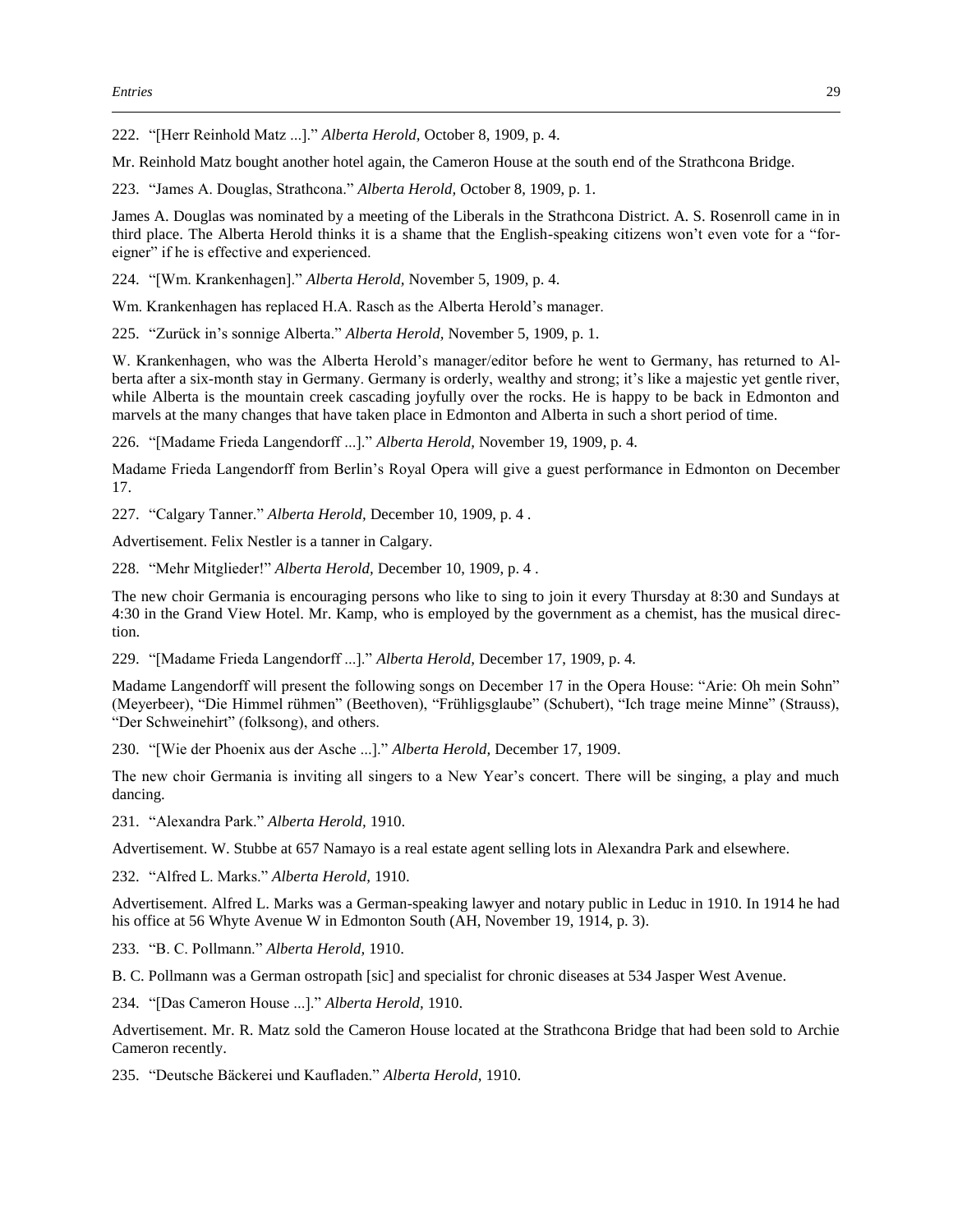222. "[Herr Reinhold Matz ...]." *Alberta Herold,* October 8, 1909, p. 4.

Mr. Reinhold Matz bought another hotel again, the Cameron House at the south end of the Strathcona Bridge.

223. "James A. Douglas, Strathcona." *Alberta Herold,* October 8, 1909, p. 1.

James A. Douglas was nominated by a meeting of the Liberals in the Strathcona District. A. S. Rosenroll came in in third place. The Alberta Herold thinks it is a shame that the English-speaking citizens won't even vote for a "foreigner" if he is effective and experienced.

224. "[Wm. Krankenhagen]." *Alberta Herold,* November 5, 1909, p. 4.

Wm. Krankenhagen has replaced H.A. Rasch as the Alberta Herold's manager.

225. "Zurück in's sonnige Alberta." *Alberta Herold,* November 5, 1909, p. 1.

W. Krankenhagen, who was the Alberta Herold's manager/editor before he went to Germany, has returned to Alberta after a six-month stay in Germany. Germany is orderly, wealthy and strong; it's like a majestic yet gentle river, while Alberta is the mountain creek cascading joyfully over the rocks. He is happy to be back in Edmonton and marvels at the many changes that have taken place in Edmonton and Alberta in such a short period of time.

226. "[Madame Frieda Langendorff ...]." *Alberta Herold,* November 19, 1909, p. 4.

Madame Frieda Langendorff from Berlin's Royal Opera will give a guest performance in Edmonton on December 17.

227. "Calgary Tanner." *Alberta Herold,* December 10, 1909, p. 4 .

Advertisement. Felix Nestler is a tanner in Calgary.

228. "Mehr Mitglieder!" *Alberta Herold,* December 10, 1909, p. 4 .

The new choir Germania is encouraging persons who like to sing to join it every Thursday at 8:30 and Sundays at 4:30 in the Grand View Hotel. Mr. Kamp, who is employed by the government as a chemist, has the musical direction.

229. "[Madame Frieda Langendorff ...]." *Alberta Herold,* December 17, 1909, p. 4.

Madame Langendorff will present the following songs on December 17 in the Opera House: "Arie: Oh mein Sohn" (Meyerbeer), "Die Himmel rühmen" (Beethoven), "Frühligsglaube" (Schubert), "Ich trage meine Minne" (Strauss), "Der Schweinehirt" (folksong), and others.

230. "[Wie der Phoenix aus der Asche ...]." *Alberta Herold,* December 17, 1909.

The new choir Germania is inviting all singers to a New Year's concert. There will be singing, a play and much dancing.

231. "Alexandra Park." *Alberta Herold,* 1910.

Advertisement. W. Stubbe at 657 Namayo is a real estate agent selling lots in Alexandra Park and elsewhere.

232. "Alfred L. Marks." *Alberta Herold,* 1910.

Advertisement. Alfred L. Marks was a German-speaking lawyer and notary public in Leduc in 1910. In 1914 he had his office at 56 Whyte Avenue W in Edmonton South (AH, November 19, 1914, p. 3).

233. "B. C. Pollmann." *Alberta Herold,* 1910.

B. C. Pollmann was a German ostropath [sic] and specialist for chronic diseases at 534 Jasper West Avenue.

234. "[Das Cameron House ...]." *Alberta Herold,* 1910.

Advertisement. Mr. R. Matz sold the Cameron House located at the Strathcona Bridge that had been sold to Archie Cameron recently.

235. "Deutsche Bäckerei und Kaufladen." *Alberta Herold,* 1910.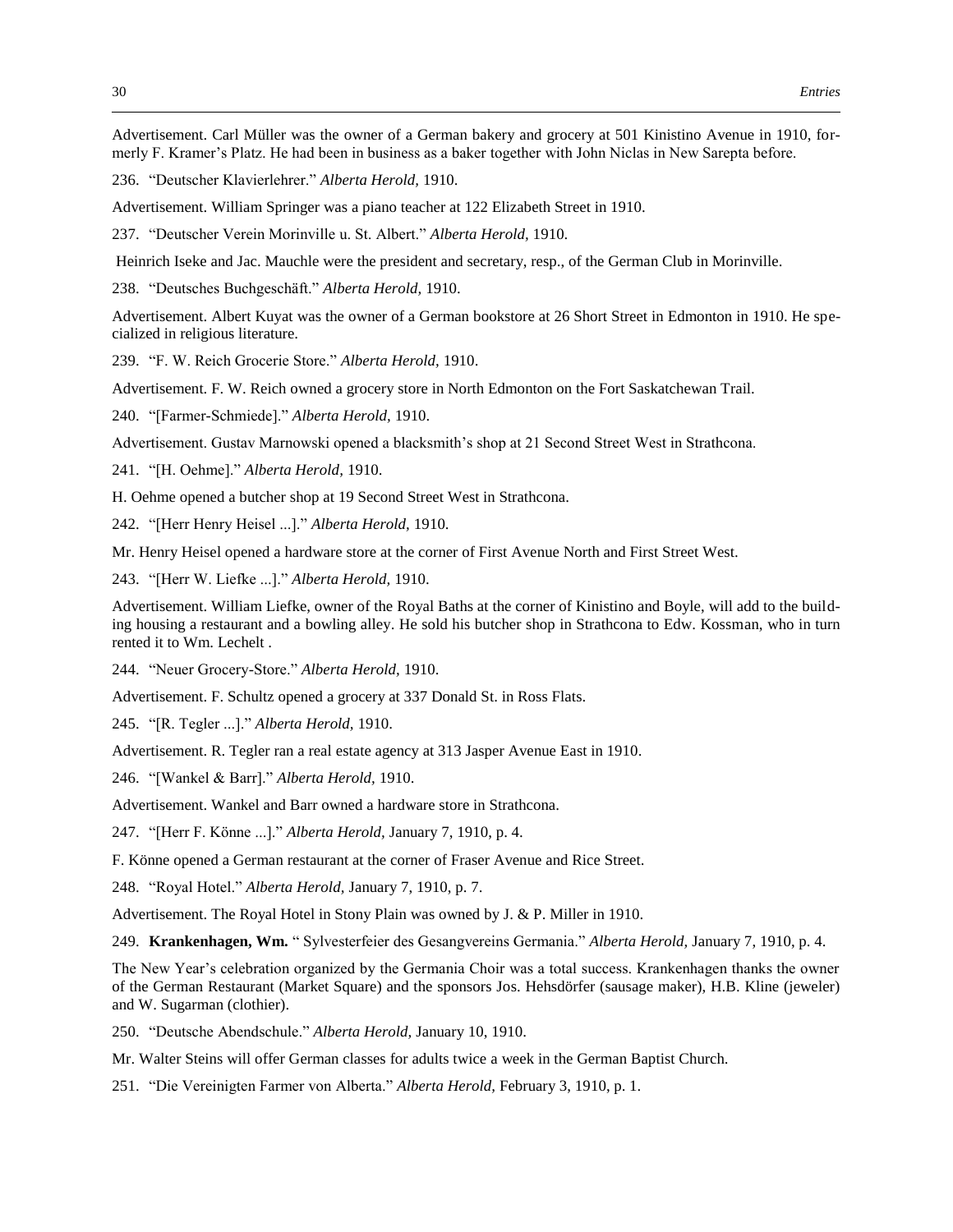Advertisement. Carl Müller was the owner of a German bakery and grocery at 501 Kinistino Avenue in 1910, formerly F. Kramer's Platz. He had been in business as a baker together with John Niclas in New Sarepta before.

236. "Deutscher Klavierlehrer." *Alberta Herold,* 1910.

Advertisement. William Springer was a piano teacher at 122 Elizabeth Street in 1910.

237. "Deutscher Verein Morinville u. St. Albert." *Alberta Herold,* 1910.

Heinrich Iseke and Jac. Mauchle were the president and secretary, resp., of the German Club in Morinville.

238. "Deutsches Buchgeschäft." *Alberta Herold,* 1910.

Advertisement. Albert Kuyat was the owner of a German bookstore at 26 Short Street in Edmonton in 1910. He specialized in religious literature.

239. "F. W. Reich Grocerie Store." *Alberta Herold,* 1910.

Advertisement. F. W. Reich owned a grocery store in North Edmonton on the Fort Saskatchewan Trail.

240. "[Farmer-Schmiede]." *Alberta Herold,* 1910.

Advertisement. Gustav Marnowski opened a blacksmith's shop at 21 Second Street West in Strathcona.

241. "[H. Oehme]." *Alberta Herold,* 1910.

H. Oehme opened a butcher shop at 19 Second Street West in Strathcona.

242. "[Herr Henry Heisel ...]." *Alberta Herold,* 1910.

Mr. Henry Heisel opened a hardware store at the corner of First Avenue North and First Street West.

243. "[Herr W. Liefke ...]." *Alberta Herold,* 1910.

Advertisement. William Liefke, owner of the Royal Baths at the corner of Kinistino and Boyle, will add to the building housing a restaurant and a bowling alley. He sold his butcher shop in Strathcona to Edw. Kossman, who in turn rented it to Wm. Lechelt .

244. "Neuer Grocery-Store." *Alberta Herold,* 1910.

Advertisement. F. Schultz opened a grocery at 337 Donald St. in Ross Flats.

245. "[R. Tegler ...]." *Alberta Herold,* 1910.

Advertisement. R. Tegler ran a real estate agency at 313 Jasper Avenue East in 1910.

246. "[Wankel & Barr]." *Alberta Herold,* 1910.

Advertisement. Wankel and Barr owned a hardware store in Strathcona.

247. "[Herr F. Könne ...]." *Alberta Herold,* January 7, 1910, p. 4.

F. Könne opened a German restaurant at the corner of Fraser Avenue and Rice Street.

248. "Royal Hotel." *Alberta Herold,* January 7, 1910, p. 7.

Advertisement. The Royal Hotel in Stony Plain was owned by J. & P. Miller in 1910.

249. **Krankenhagen, Wm.** " Sylvesterfeier des Gesangvereins Germania." *Alberta Herold,* January 7, 1910, p. 4.

The New Year's celebration organized by the Germania Choir was a total success. Krankenhagen thanks the owner of the German Restaurant (Market Square) and the sponsors Jos. Hehsdörfer (sausage maker), H.B. Kline (jeweler) and W. Sugarman (clothier).

250. "Deutsche Abendschule." *Alberta Herold,* January 10, 1910.

Mr. Walter Steins will offer German classes for adults twice a week in the German Baptist Church.

251. "Die Vereinigten Farmer von Alberta." *Alberta Herold,* February 3, 1910, p. 1.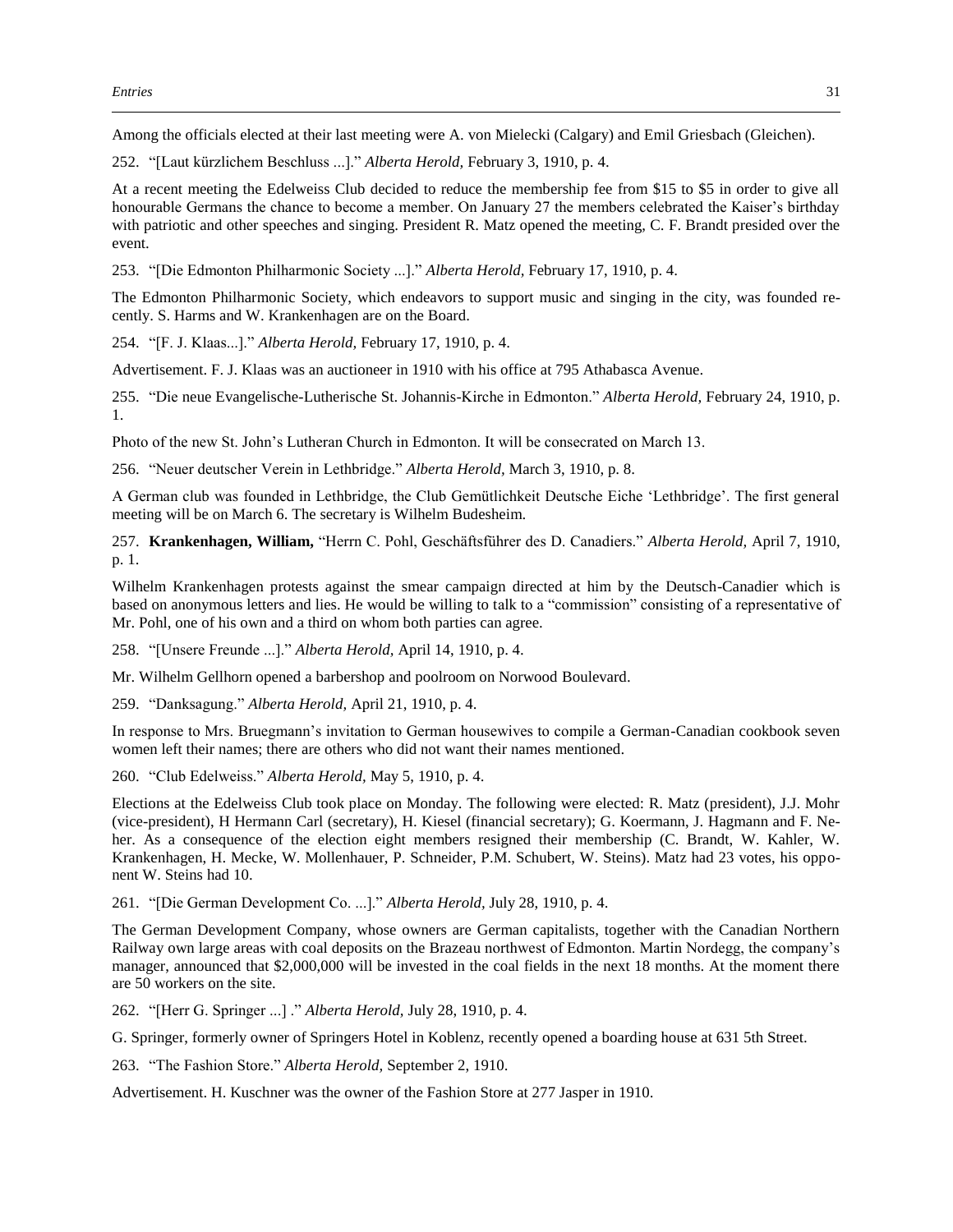Among the officials elected at their last meeting were A. von Mielecki (Calgary) and Emil Griesbach (Gleichen).

252. "[Laut kürzlichem Beschluss ...]." *Alberta Herold,* February 3, 1910, p. 4.

At a recent meeting the Edelweiss Club decided to reduce the membership fee from \$15 to \$5 in order to give all honourable Germans the chance to become a member. On January 27 the members celebrated the Kaiser's birthday with patriotic and other speeches and singing. President R. Matz opened the meeting, C. F. Brandt presided over the event.

253. "[Die Edmonton Philharmonic Society ...]." *Alberta Herold,* February 17, 1910, p. 4.

The Edmonton Philharmonic Society, which endeavors to support music and singing in the city, was founded recently. S. Harms and W. Krankenhagen are on the Board.

254. "[F. J. Klaas...]." *Alberta Herold,* February 17, 1910, p. 4.

Advertisement. F. J. Klaas was an auctioneer in 1910 with his office at 795 Athabasca Avenue.

255. "Die neue Evangelische-Lutherische St. Johannis-Kirche in Edmonton." *Alberta Herold,* February 24, 1910, p. 1.

Photo of the new St. John's Lutheran Church in Edmonton. It will be consecrated on March 13.

256. "Neuer deutscher Verein in Lethbridge." *Alberta Herold,* March 3, 1910, p. 8.

A German club was founded in Lethbridge, the Club Gemütlichkeit Deutsche Eiche 'Lethbridge'. The first general meeting will be on March 6. The secretary is Wilhelm Budesheim.

257. **Krankenhagen, William,** "Herrn C. Pohl, Geschäftsführer des D. Canadiers." *Alberta Herold,* April 7, 1910, p. 1.

Wilhelm Krankenhagen protests against the smear campaign directed at him by the Deutsch-Canadier which is based on anonymous letters and lies. He would be willing to talk to a "commission" consisting of a representative of Mr. Pohl, one of his own and a third on whom both parties can agree.

258. "[Unsere Freunde ...]." *Alberta Herold,* April 14, 1910, p. 4.

Mr. Wilhelm Gellhorn opened a barbershop and poolroom on Norwood Boulevard.

259. "Danksagung." *Alberta Herold,* April 21, 1910, p. 4.

In response to Mrs. Bruegmann's invitation to German housewives to compile a German-Canadian cookbook seven women left their names; there are others who did not want their names mentioned.

260. "Club Edelweiss." *Alberta Herold,* May 5, 1910, p. 4.

Elections at the Edelweiss Club took place on Monday. The following were elected: R. Matz (president), J.J. Mohr (vice-president), H Hermann Carl (secretary), H. Kiesel (financial secretary); G. Koermann, J. Hagmann and F. Neher. As a consequence of the election eight members resigned their membership (C. Brandt, W. Kahler, W. Krankenhagen, H. Mecke, W. Mollenhauer, P. Schneider, P.M. Schubert, W. Steins). Matz had 23 votes, his opponent W. Steins had 10.

261. "[Die German Development Co. ...]." *Alberta Herold,* July 28, 1910, p. 4.

The German Development Company, whose owners are German capitalists, together with the Canadian Northern Railway own large areas with coal deposits on the Brazeau northwest of Edmonton. Martin Nordegg, the company's manager, announced that \$2,000,000 will be invested in the coal fields in the next 18 months. At the moment there are 50 workers on the site.

262. "[Herr G. Springer ...] ." *Alberta Herold,* July 28, 1910, p. 4.

G. Springer, formerly owner of Springers Hotel in Koblenz, recently opened a boarding house at 631 5th Street.

263. "The Fashion Store." *Alberta Herold,* September 2, 1910.

Advertisement. H. Kuschner was the owner of the Fashion Store at 277 Jasper in 1910.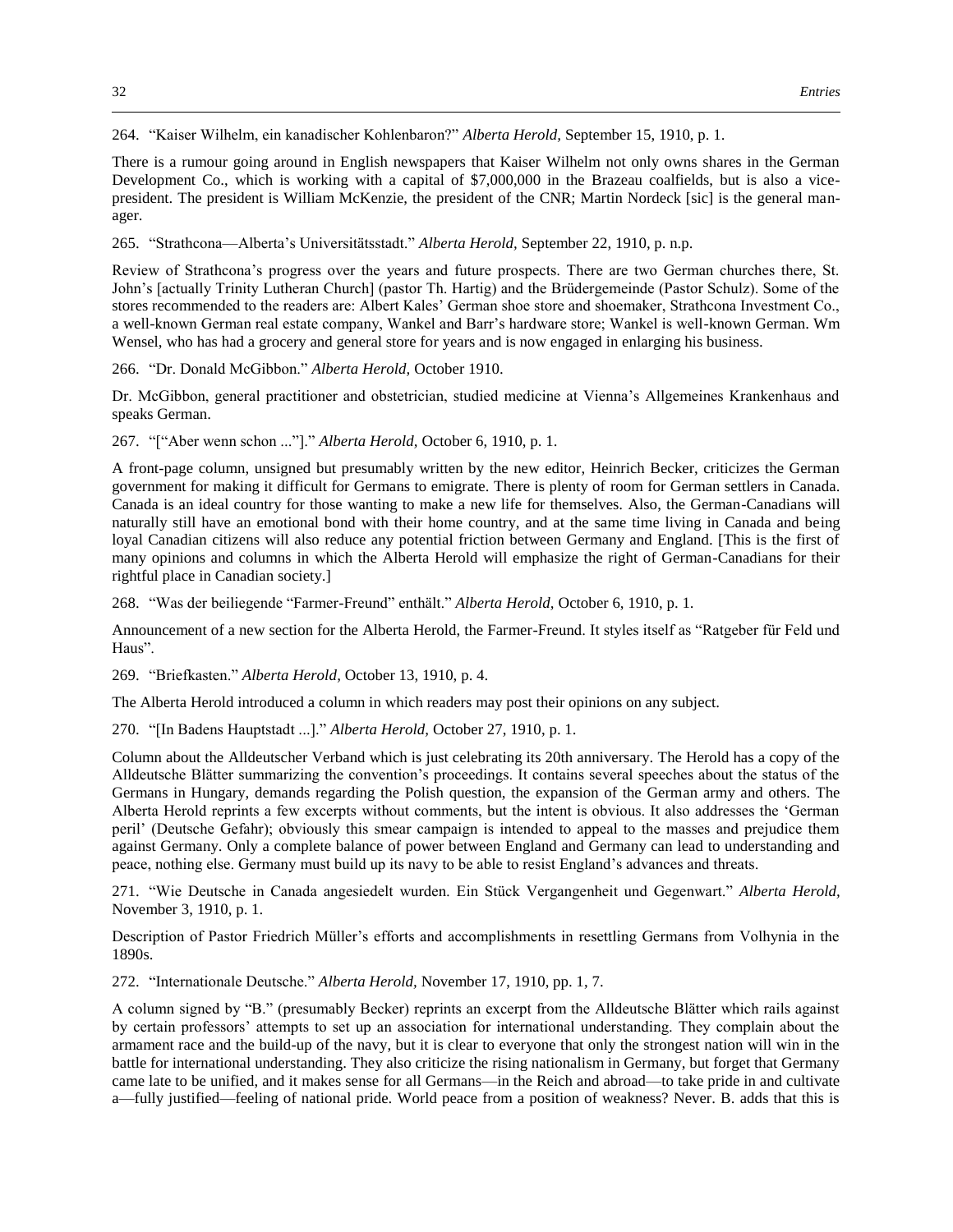264. "Kaiser Wilhelm, ein kanadischer Kohlenbaron?" *Alberta Herold,* September 15, 1910, p. 1.

There is a rumour going around in English newspapers that Kaiser Wilhelm not only owns shares in the German Development Co., which is working with a capital of \$7,000,000 in the Brazeau coalfields, but is also a vicepresident. The president is William McKenzie, the president of the CNR; Martin Nordeck [sic] is the general manager.

265. "Strathcona—Alberta's Universitätsstadt." *Alberta Herold,* September 22, 1910, p. n.p.

Review of Strathcona's progress over the years and future prospects. There are two German churches there, St. John's [actually Trinity Lutheran Church] (pastor Th. Hartig) and the Brüdergemeinde (Pastor Schulz). Some of the stores recommended to the readers are: Albert Kales' German shoe store and shoemaker, Strathcona Investment Co., a well-known German real estate company, Wankel and Barr's hardware store; Wankel is well-known German. Wm Wensel, who has had a grocery and general store for years and is now engaged in enlarging his business.

266. "Dr. Donald McGibbon." *Alberta Herold,* October 1910.

Dr. McGibbon, general practitioner and obstetrician, studied medicine at Vienna's Allgemeines Krankenhaus and speaks German.

267. "["Aber wenn schon ..."]." *Alberta Herold,* October 6, 1910, p. 1.

A front-page column, unsigned but presumably written by the new editor, Heinrich Becker, criticizes the German government for making it difficult for Germans to emigrate. There is plenty of room for German settlers in Canada. Canada is an ideal country for those wanting to make a new life for themselves. Also, the German-Canadians will naturally still have an emotional bond with their home country, and at the same time living in Canada and being loyal Canadian citizens will also reduce any potential friction between Germany and England. [This is the first of many opinions and columns in which the Alberta Herold will emphasize the right of German-Canadians for their rightful place in Canadian society.]

268. "Was der beiliegende "Farmer-Freund" enthält." *Alberta Herold,* October 6, 1910, p. 1.

Announcement of a new section for the Alberta Herold, the Farmer-Freund. It styles itself as "Ratgeber für Feld und Haus".

269. "Briefkasten." *Alberta Herold,* October 13, 1910, p. 4.

The Alberta Herold introduced a column in which readers may post their opinions on any subject.

270. "[In Badens Hauptstadt ...]." *Alberta Herold,* October 27, 1910, p. 1.

Column about the Alldeutscher Verband which is just celebrating its 20th anniversary. The Herold has a copy of the Alldeutsche Blätter summarizing the convention's proceedings. It contains several speeches about the status of the Germans in Hungary, demands regarding the Polish question, the expansion of the German army and others. The Alberta Herold reprints a few excerpts without comments, but the intent is obvious. It also addresses the 'German peril' (Deutsche Gefahr); obviously this smear campaign is intended to appeal to the masses and prejudice them against Germany. Only a complete balance of power between England and Germany can lead to understanding and peace, nothing else. Germany must build up its navy to be able to resist England's advances and threats.

271. "Wie Deutsche in Canada angesiedelt wurden. Ein Stück Vergangenheit und Gegenwart." *Alberta Herold,*  November 3, 1910, p. 1.

Description of Pastor Friedrich Müller's efforts and accomplishments in resettling Germans from Volhynia in the 1890s.

272. "Internationale Deutsche." *Alberta Herold,* November 17, 1910, pp. 1, 7.

A column signed by "B." (presumably Becker) reprints an excerpt from the Alldeutsche Blätter which rails against by certain professors' attempts to set up an association for international understanding. They complain about the armament race and the build-up of the navy, but it is clear to everyone that only the strongest nation will win in the battle for international understanding. They also criticize the rising nationalism in Germany, but forget that Germany came late to be unified, and it makes sense for all Germans—in the Reich and abroad—to take pride in and cultivate a—fully justified—feeling of national pride. World peace from a position of weakness? Never. B. adds that this is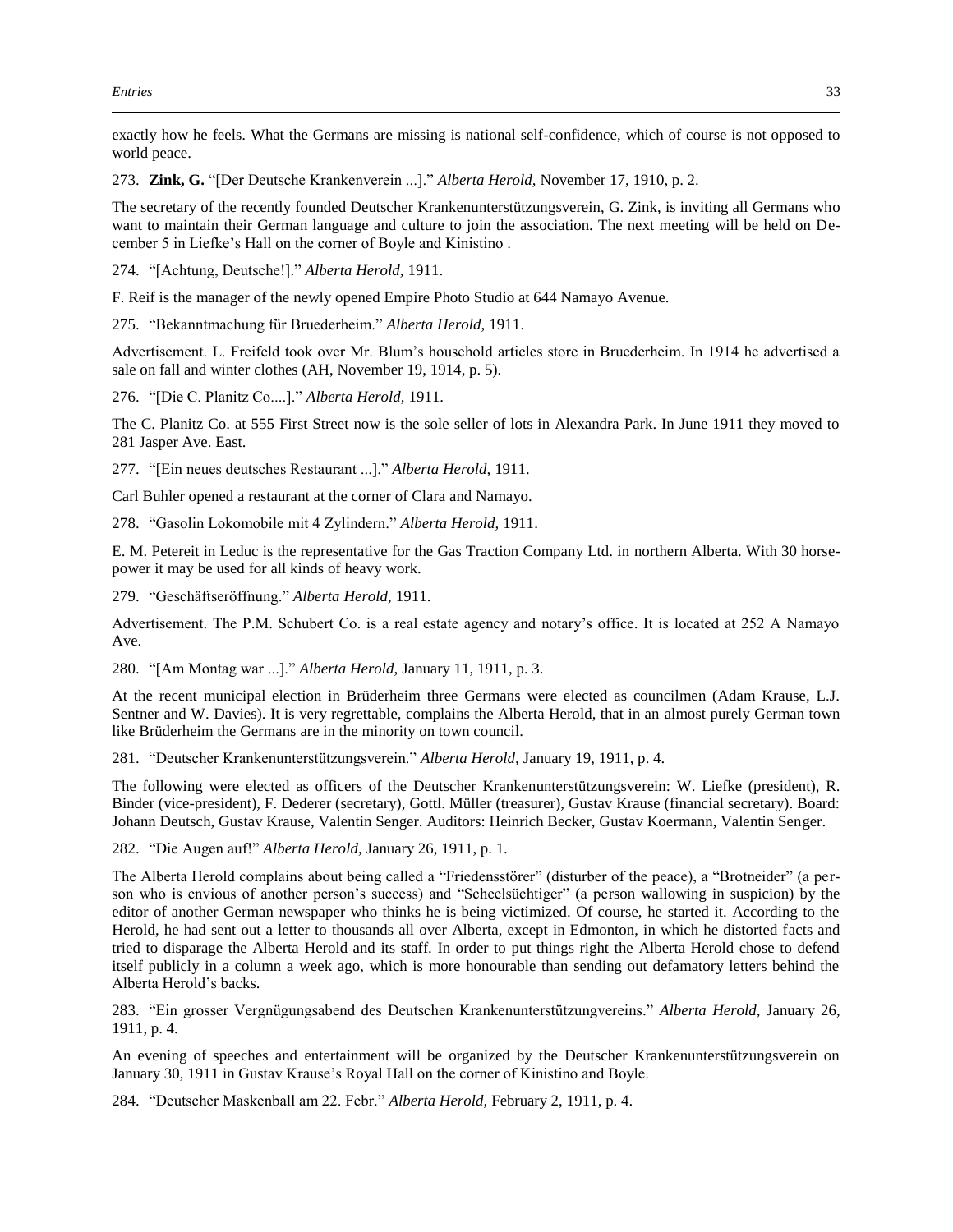exactly how he feels. What the Germans are missing is national self-confidence, which of course is not opposed to world peace.

273. **Zink, G.** "[Der Deutsche Krankenverein ...]." *Alberta Herold,* November 17, 1910, p. 2.

The secretary of the recently founded Deutscher Krankenunterstützungsverein, G. Zink, is inviting all Germans who want to maintain their German language and culture to join the association. The next meeting will be held on December 5 in Liefke's Hall on the corner of Boyle and Kinistino .

274. "[Achtung, Deutsche!]." *Alberta Herold,* 1911.

F. Reif is the manager of the newly opened Empire Photo Studio at 644 Namayo Avenue.

275. "Bekanntmachung für Bruederheim." *Alberta Herold,* 1911.

Advertisement. L. Freifeld took over Mr. Blum's household articles store in Bruederheim. In 1914 he advertised a sale on fall and winter clothes (AH, November 19, 1914, p. 5).

276. "[Die C. Planitz Co....]." *Alberta Herold,* 1911.

The C. Planitz Co. at 555 First Street now is the sole seller of lots in Alexandra Park. In June 1911 they moved to 281 Jasper Ave. East.

277. "[Ein neues deutsches Restaurant ...]." *Alberta Herold,* 1911.

Carl Buhler opened a restaurant at the corner of Clara and Namayo.

278. "Gasolin Lokomobile mit 4 Zylindern." *Alberta Herold,* 1911.

E. M. Petereit in Leduc is the representative for the Gas Traction Company Ltd. in northern Alberta. With 30 horsepower it may be used for all kinds of heavy work.

279. "Geschäftseröffnung." *Alberta Herold,* 1911.

Advertisement. The P.M. Schubert Co. is a real estate agency and notary's office. It is located at 252 A Namayo Ave.

280. "[Am Montag war ...]." *Alberta Herold,* January 11, 1911, p. 3.

At the recent municipal election in Brüderheim three Germans were elected as councilmen (Adam Krause, L.J. Sentner and W. Davies). It is very regrettable, complains the Alberta Herold, that in an almost purely German town like Brüderheim the Germans are in the minority on town council.

281. "Deutscher Krankenunterstützungsverein." *Alberta Herold,* January 19, 1911, p. 4.

The following were elected as officers of the Deutscher Krankenunterstützungsverein: W. Liefke (president), R. Binder (vice-president), F. Dederer (secretary), Gottl. Müller (treasurer), Gustav Krause (financial secretary). Board: Johann Deutsch, Gustav Krause, Valentin Senger. Auditors: Heinrich Becker, Gustav Koermann, Valentin Senger.

282. "Die Augen auf!" *Alberta Herold,* January 26, 1911, p. 1.

The Alberta Herold complains about being called a "Friedensstörer" (disturber of the peace), a "Brotneider" (a person who is envious of another person's success) and "Scheelsüchtiger" (a person wallowing in suspicion) by the editor of another German newspaper who thinks he is being victimized. Of course, he started it. According to the Herold, he had sent out a letter to thousands all over Alberta, except in Edmonton, in which he distorted facts and tried to disparage the Alberta Herold and its staff. In order to put things right the Alberta Herold chose to defend itself publicly in a column a week ago, which is more honourable than sending out defamatory letters behind the Alberta Herold's backs.

283. "Ein grosser Vergnügungsabend des Deutschen Krankenunterstützungvereins." *Alberta Herold,* January 26, 1911, p. 4.

An evening of speeches and entertainment will be organized by the Deutscher Krankenunterstützungsverein on January 30, 1911 in Gustav Krause's Royal Hall on the corner of Kinistino and Boyle.

284. "Deutscher Maskenball am 22. Febr." *Alberta Herold,* February 2, 1911, p. 4.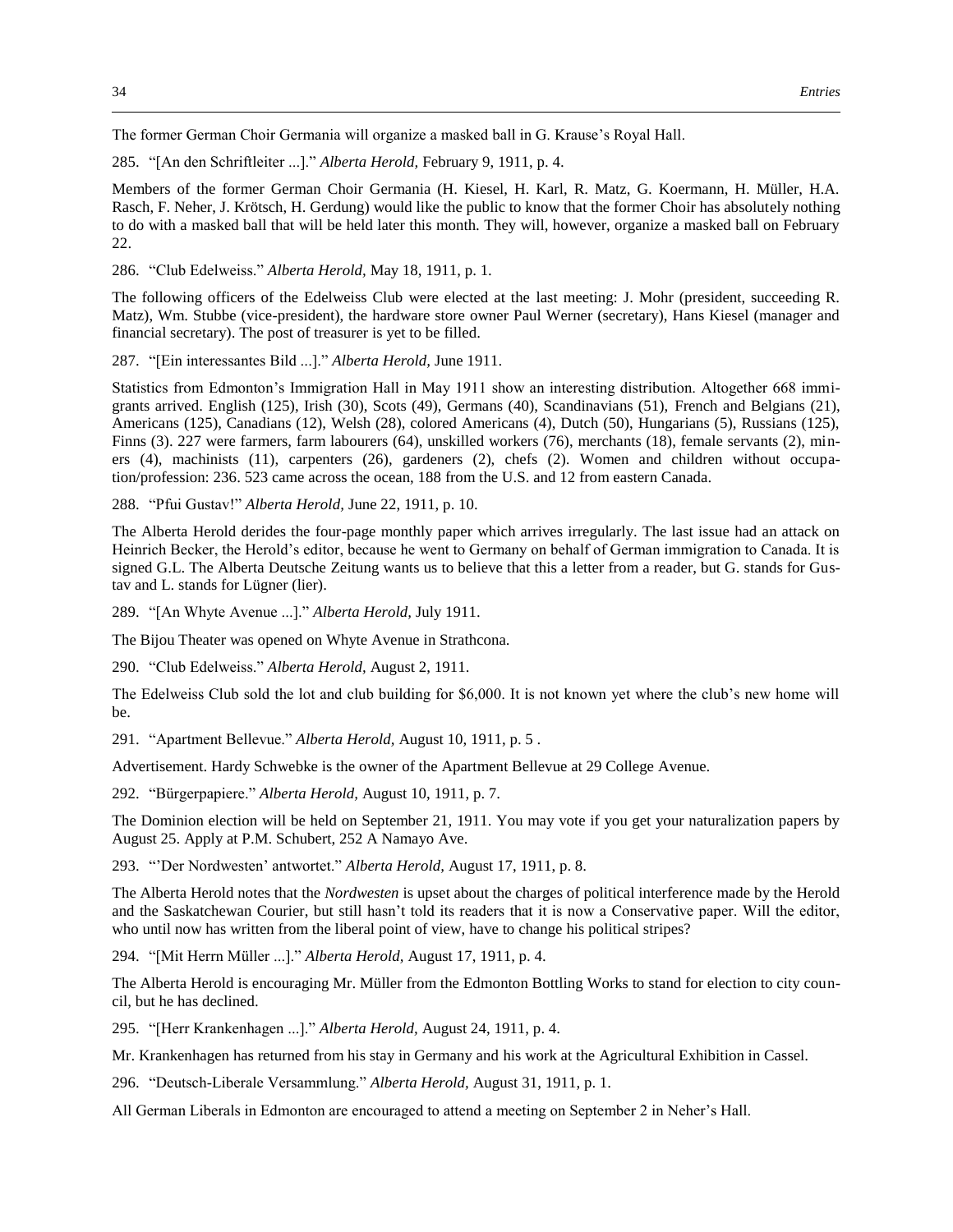The former German Choir Germania will organize a masked ball in G. Krause's Royal Hall.

285. "[An den Schriftleiter ...]." *Alberta Herold,* February 9, 1911, p. 4.

Members of the former German Choir Germania (H. Kiesel, H. Karl, R. Matz, G. Koermann, H. Müller, H.A. Rasch, F. Neher, J. Krötsch, H. Gerdung) would like the public to know that the former Choir has absolutely nothing to do with a masked ball that will be held later this month. They will, however, organize a masked ball on February 22.

286. "Club Edelweiss." *Alberta Herold,* May 18, 1911, p. 1.

The following officers of the Edelweiss Club were elected at the last meeting: J. Mohr (president, succeeding R. Matz), Wm. Stubbe (vice-president), the hardware store owner Paul Werner (secretary), Hans Kiesel (manager and financial secretary). The post of treasurer is yet to be filled.

287. "[Ein interessantes Bild ...]." *Alberta Herold,* June 1911.

Statistics from Edmonton's Immigration Hall in May 1911 show an interesting distribution. Altogether 668 immigrants arrived. English (125), Irish (30), Scots (49), Germans (40), Scandinavians (51), French and Belgians (21), Americans (125), Canadians (12), Welsh (28), colored Americans (4), Dutch (50), Hungarians (5), Russians (125), Finns (3). 227 were farmers, farm labourers (64), unskilled workers (76), merchants (18), female servants (2), miners (4), machinists (11), carpenters (26), gardeners (2), chefs (2). Women and children without occupation/profession: 236. 523 came across the ocean, 188 from the U.S. and 12 from eastern Canada.

288. "Pfui Gustav!" *Alberta Herold,* June 22, 1911, p. 10.

The Alberta Herold derides the four-page monthly paper which arrives irregularly. The last issue had an attack on Heinrich Becker, the Herold's editor, because he went to Germany on behalf of German immigration to Canada. It is signed G.L. The Alberta Deutsche Zeitung wants us to believe that this a letter from a reader, but G. stands for Gustav and L. stands for Lügner (lier).

289. "[An Whyte Avenue ...]." *Alberta Herold,* July 1911.

The Bijou Theater was opened on Whyte Avenue in Strathcona.

290. "Club Edelweiss." *Alberta Herold,* August 2, 1911.

The Edelweiss Club sold the lot and club building for \$6,000. It is not known yet where the club's new home will be.

291. "Apartment Bellevue." *Alberta Herold,* August 10, 1911, p. 5 .

Advertisement. Hardy Schwebke is the owner of the Apartment Bellevue at 29 College Avenue.

292. "Bürgerpapiere." *Alberta Herold,* August 10, 1911, p. 7.

The Dominion election will be held on September 21, 1911. You may vote if you get your naturalization papers by August 25. Apply at P.M. Schubert, 252 A Namayo Ave.

293. "'Der Nordwesten' antwortet." *Alberta Herold,* August 17, 1911, p. 8.

The Alberta Herold notes that the *Nordwesten* is upset about the charges of political interference made by the Herold and the Saskatchewan Courier, but still hasn't told its readers that it is now a Conservative paper. Will the editor, who until now has written from the liberal point of view, have to change his political stripes?

294. "[Mit Herrn Müller ...]." *Alberta Herold,* August 17, 1911, p. 4.

The Alberta Herold is encouraging Mr. Müller from the Edmonton Bottling Works to stand for election to city council, but he has declined.

295. "[Herr Krankenhagen ...]." *Alberta Herold,* August 24, 1911, p. 4.

Mr. Krankenhagen has returned from his stay in Germany and his work at the Agricultural Exhibition in Cassel.

296. "Deutsch-Liberale Versammlung." *Alberta Herold,* August 31, 1911, p. 1.

All German Liberals in Edmonton are encouraged to attend a meeting on September 2 in Neher's Hall.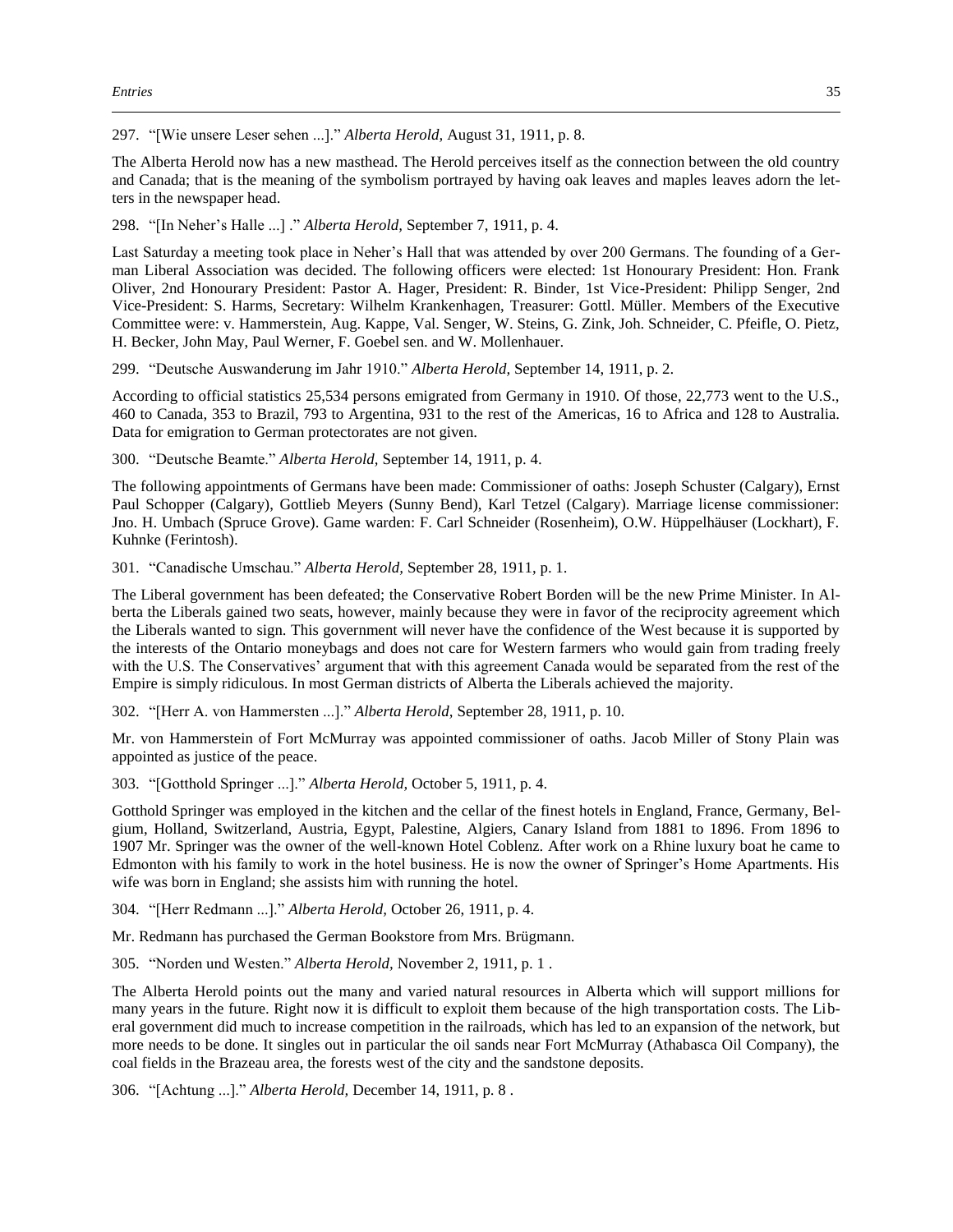297. "[Wie unsere Leser sehen ...]." *Alberta Herold,* August 31, 1911, p. 8.

The Alberta Herold now has a new masthead. The Herold perceives itself as the connection between the old country and Canada; that is the meaning of the symbolism portrayed by having oak leaves and maples leaves adorn the letters in the newspaper head.

298. "[In Neher's Halle ...] ." *Alberta Herold,* September 7, 1911, p. 4.

Last Saturday a meeting took place in Neher's Hall that was attended by over 200 Germans. The founding of a German Liberal Association was decided. The following officers were elected: 1st Honourary President: Hon. Frank Oliver, 2nd Honourary President: Pastor A. Hager, President: R. Binder, 1st Vice-President: Philipp Senger, 2nd Vice-President: S. Harms, Secretary: Wilhelm Krankenhagen, Treasurer: Gottl. Müller. Members of the Executive Committee were: v. Hammerstein, Aug. Kappe, Val. Senger, W. Steins, G. Zink, Joh. Schneider, C. Pfeifle, O. Pietz, H. Becker, John May, Paul Werner, F. Goebel sen. and W. Mollenhauer.

299. "Deutsche Auswanderung im Jahr 1910." *Alberta Herold,* September 14, 1911, p. 2.

According to official statistics 25,534 persons emigrated from Germany in 1910. Of those, 22,773 went to the U.S., 460 to Canada, 353 to Brazil, 793 to Argentina, 931 to the rest of the Americas, 16 to Africa and 128 to Australia. Data for emigration to German protectorates are not given.

300. "Deutsche Beamte." *Alberta Herold,* September 14, 1911, p. 4.

The following appointments of Germans have been made: Commissioner of oaths: Joseph Schuster (Calgary), Ernst Paul Schopper (Calgary), Gottlieb Meyers (Sunny Bend), Karl Tetzel (Calgary). Marriage license commissioner: Jno. H. Umbach (Spruce Grove). Game warden: F. Carl Schneider (Rosenheim), O.W. Hüppelhäuser (Lockhart), F. Kuhnke (Ferintosh).

301. "Canadische Umschau." *Alberta Herold,* September 28, 1911, p. 1.

The Liberal government has been defeated; the Conservative Robert Borden will be the new Prime Minister. In Alberta the Liberals gained two seats, however, mainly because they were in favor of the reciprocity agreement which the Liberals wanted to sign. This government will never have the confidence of the West because it is supported by the interests of the Ontario moneybags and does not care for Western farmers who would gain from trading freely with the U.S. The Conservatives' argument that with this agreement Canada would be separated from the rest of the Empire is simply ridiculous. In most German districts of Alberta the Liberals achieved the majority.

302. "[Herr A. von Hammersten ...]." *Alberta Herold,* September 28, 1911, p. 10.

Mr. von Hammerstein of Fort McMurray was appointed commissioner of oaths. Jacob Miller of Stony Plain was appointed as justice of the peace.

303. "[Gotthold Springer ...]." *Alberta Herold,* October 5, 1911, p. 4.

Gotthold Springer was employed in the kitchen and the cellar of the finest hotels in England, France, Germany, Belgium, Holland, Switzerland, Austria, Egypt, Palestine, Algiers, Canary Island from 1881 to 1896. From 1896 to 1907 Mr. Springer was the owner of the well-known Hotel Coblenz. After work on a Rhine luxury boat he came to Edmonton with his family to work in the hotel business. He is now the owner of Springer's Home Apartments. His wife was born in England; she assists him with running the hotel.

304. "[Herr Redmann ...]." *Alberta Herold,* October 26, 1911, p. 4.

Mr. Redmann has purchased the German Bookstore from Mrs. Brügmann.

305. "Norden und Westen." *Alberta Herold,* November 2, 1911, p. 1 .

The Alberta Herold points out the many and varied natural resources in Alberta which will support millions for many years in the future. Right now it is difficult to exploit them because of the high transportation costs. The Liberal government did much to increase competition in the railroads, which has led to an expansion of the network, but more needs to be done. It singles out in particular the oil sands near Fort McMurray (Athabasca Oil Company), the coal fields in the Brazeau area, the forests west of the city and the sandstone deposits.

306. "[Achtung ...]." *Alberta Herold,* December 14, 1911, p. 8 .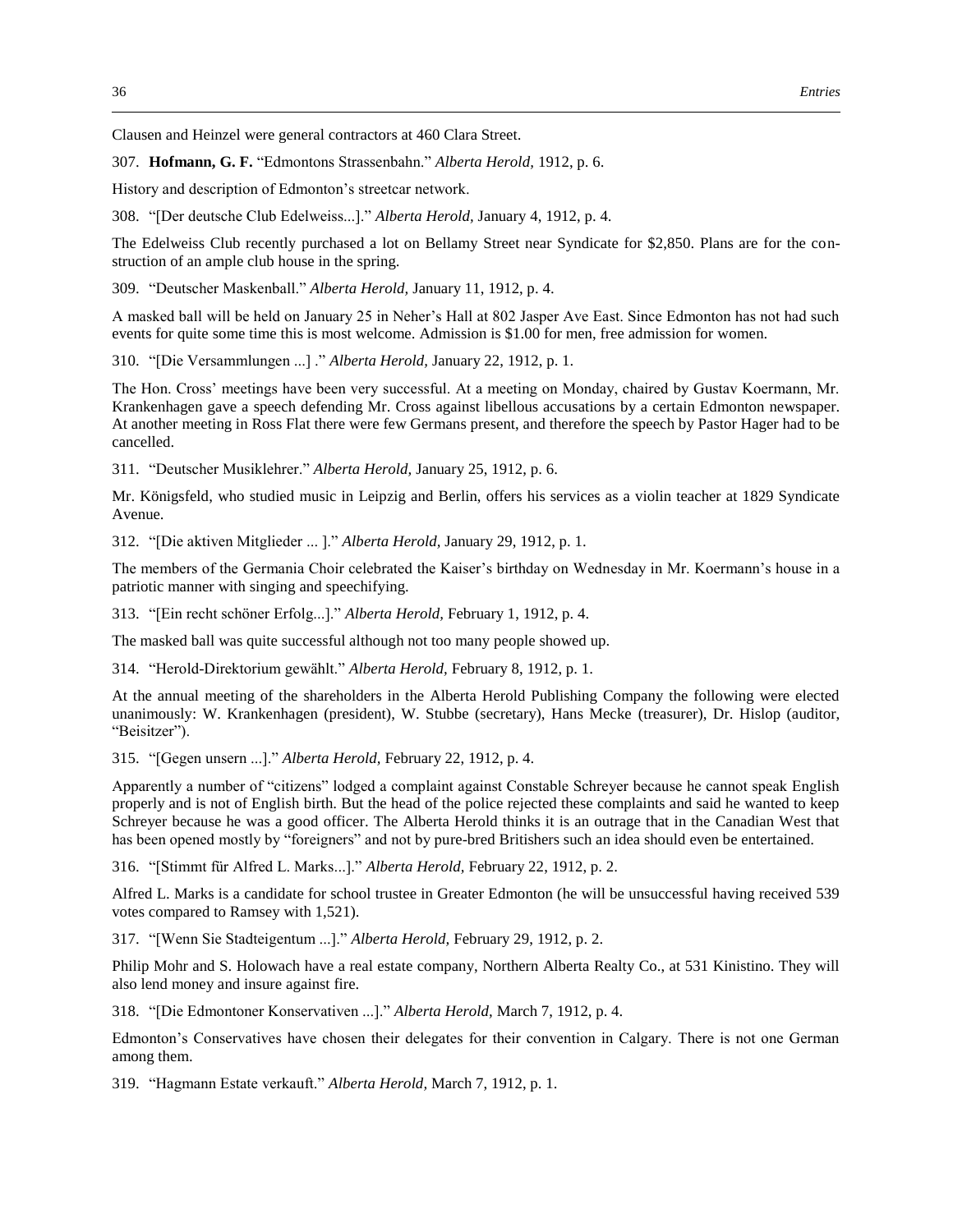Clausen and Heinzel were general contractors at 460 Clara Street.

307. **Hofmann, G. F.** "Edmontons Strassenbahn." *Alberta Herold,* 1912, p. 6.

History and description of Edmonton's streetcar network.

308. "[Der deutsche Club Edelweiss...]." *Alberta Herold,* January 4, 1912, p. 4.

The Edelweiss Club recently purchased a lot on Bellamy Street near Syndicate for \$2,850. Plans are for the construction of an ample club house in the spring.

309. "Deutscher Maskenball." *Alberta Herold,* January 11, 1912, p. 4.

A masked ball will be held on January 25 in Neher's Hall at 802 Jasper Ave East. Since Edmonton has not had such events for quite some time this is most welcome. Admission is \$1.00 for men, free admission for women.

310. "[Die Versammlungen ...] ." *Alberta Herold,* January 22, 1912, p. 1.

The Hon. Cross' meetings have been very successful. At a meeting on Monday, chaired by Gustav Koermann, Mr. Krankenhagen gave a speech defending Mr. Cross against libellous accusations by a certain Edmonton newspaper. At another meeting in Ross Flat there were few Germans present, and therefore the speech by Pastor Hager had to be cancelled.

311. "Deutscher Musiklehrer." *Alberta Herold,* January 25, 1912, p. 6.

Mr. Königsfeld, who studied music in Leipzig and Berlin, offers his services as a violin teacher at 1829 Syndicate Avenue.

312. "[Die aktiven Mitglieder ... ]." *Alberta Herold,* January 29, 1912, p. 1.

The members of the Germania Choir celebrated the Kaiser's birthday on Wednesday in Mr. Koermann's house in a patriotic manner with singing and speechifying.

313. "[Ein recht schöner Erfolg...]." *Alberta Herold,* February 1, 1912, p. 4.

The masked ball was quite successful although not too many people showed up.

314. "Herold-Direktorium gewählt." *Alberta Herold,* February 8, 1912, p. 1.

At the annual meeting of the shareholders in the Alberta Herold Publishing Company the following were elected unanimously: W. Krankenhagen (president), W. Stubbe (secretary), Hans Mecke (treasurer), Dr. Hislop (auditor, "Beisitzer").

315. "[Gegen unsern ...]." *Alberta Herold,* February 22, 1912, p. 4.

Apparently a number of "citizens" lodged a complaint against Constable Schreyer because he cannot speak English properly and is not of English birth. But the head of the police rejected these complaints and said he wanted to keep Schreyer because he was a good officer. The Alberta Herold thinks it is an outrage that in the Canadian West that has been opened mostly by "foreigners" and not by pure-bred Britishers such an idea should even be entertained.

316. "[Stimmt für Alfred L. Marks...]." *Alberta Herold,* February 22, 1912, p. 2.

Alfred L. Marks is a candidate for school trustee in Greater Edmonton (he will be unsuccessful having received 539 votes compared to Ramsey with 1,521).

317. "[Wenn Sie Stadteigentum ...]." *Alberta Herold,* February 29, 1912, p. 2.

Philip Mohr and S. Holowach have a real estate company, Northern Alberta Realty Co., at 531 Kinistino. They will also lend money and insure against fire.

318. "[Die Edmontoner Konservativen ...]." *Alberta Herold,* March 7, 1912, p. 4.

Edmonton's Conservatives have chosen their delegates for their convention in Calgary. There is not one German among them.

319. "Hagmann Estate verkauft." *Alberta Herold,* March 7, 1912, p. 1.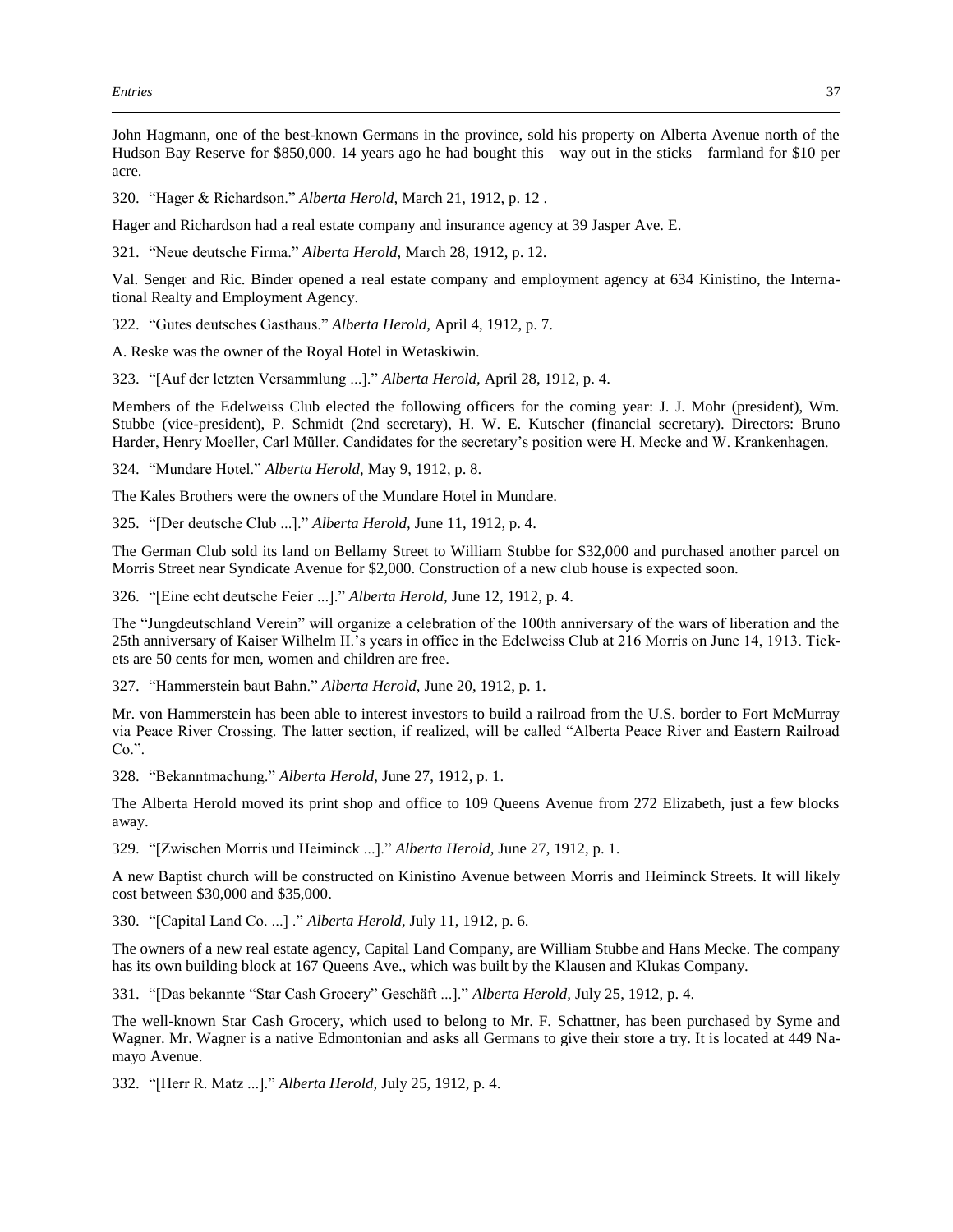John Hagmann, one of the best-known Germans in the province, sold his property on Alberta Avenue north of the Hudson Bay Reserve for \$850,000. 14 years ago he had bought this—way out in the sticks—farmland for \$10 per acre.

320. "Hager & Richardson." *Alberta Herold,* March 21, 1912, p. 12 .

Hager and Richardson had a real estate company and insurance agency at 39 Jasper Ave. E.

321. "Neue deutsche Firma." *Alberta Herold,* March 28, 1912, p. 12.

Val. Senger and Ric. Binder opened a real estate company and employment agency at 634 Kinistino, the International Realty and Employment Agency.

322. "Gutes deutsches Gasthaus." *Alberta Herold,* April 4, 1912, p. 7.

A. Reske was the owner of the Royal Hotel in Wetaskiwin.

323. "[Auf der letzten Versammlung ...]." *Alberta Herold,* April 28, 1912, p. 4.

Members of the Edelweiss Club elected the following officers for the coming year: J. J. Mohr (president), Wm. Stubbe (vice-president), P. Schmidt (2nd secretary), H. W. E. Kutscher (financial secretary). Directors: Bruno Harder, Henry Moeller, Carl Müller. Candidates for the secretary's position were H. Mecke and W. Krankenhagen.

324. "Mundare Hotel." *Alberta Herold,* May 9, 1912, p. 8.

The Kales Brothers were the owners of the Mundare Hotel in Mundare.

325. "[Der deutsche Club ...]." *Alberta Herold,* June 11, 1912, p. 4.

The German Club sold its land on Bellamy Street to William Stubbe for \$32,000 and purchased another parcel on Morris Street near Syndicate Avenue for \$2,000. Construction of a new club house is expected soon.

326. "[Eine echt deutsche Feier ...]." *Alberta Herold,* June 12, 1912, p. 4.

The "Jungdeutschland Verein" will organize a celebration of the 100th anniversary of the wars of liberation and the 25th anniversary of Kaiser Wilhelm II.'s years in office in the Edelweiss Club at 216 Morris on June 14, 1913. Tickets are 50 cents for men, women and children are free.

327. "Hammerstein baut Bahn." *Alberta Herold,* June 20, 1912, p. 1.

Mr. von Hammerstein has been able to interest investors to build a railroad from the U.S. border to Fort McMurray via Peace River Crossing. The latter section, if realized, will be called "Alberta Peace River and Eastern Railroad Co.".

328. "Bekanntmachung." *Alberta Herold,* June 27, 1912, p. 1.

The Alberta Herold moved its print shop and office to 109 Queens Avenue from 272 Elizabeth, just a few blocks away.

329. "[Zwischen Morris und Heiminck ...]." *Alberta Herold,* June 27, 1912, p. 1.

A new Baptist church will be constructed on Kinistino Avenue between Morris and Heiminck Streets. It will likely cost between \$30,000 and \$35,000.

330. "[Capital Land Co. ...] ." *Alberta Herold,* July 11, 1912, p. 6.

The owners of a new real estate agency, Capital Land Company, are William Stubbe and Hans Mecke. The company has its own building block at 167 Queens Ave., which was built by the Klausen and Klukas Company.

331. "[Das bekannte "Star Cash Grocery" Geschäft ...]." *Alberta Herold,* July 25, 1912, p. 4.

The well-known Star Cash Grocery, which used to belong to Mr. F. Schattner, has been purchased by Syme and Wagner. Mr. Wagner is a native Edmontonian and asks all Germans to give their store a try. It is located at 449 Namayo Avenue.

332. "[Herr R. Matz ...]." *Alberta Herold,* July 25, 1912, p. 4.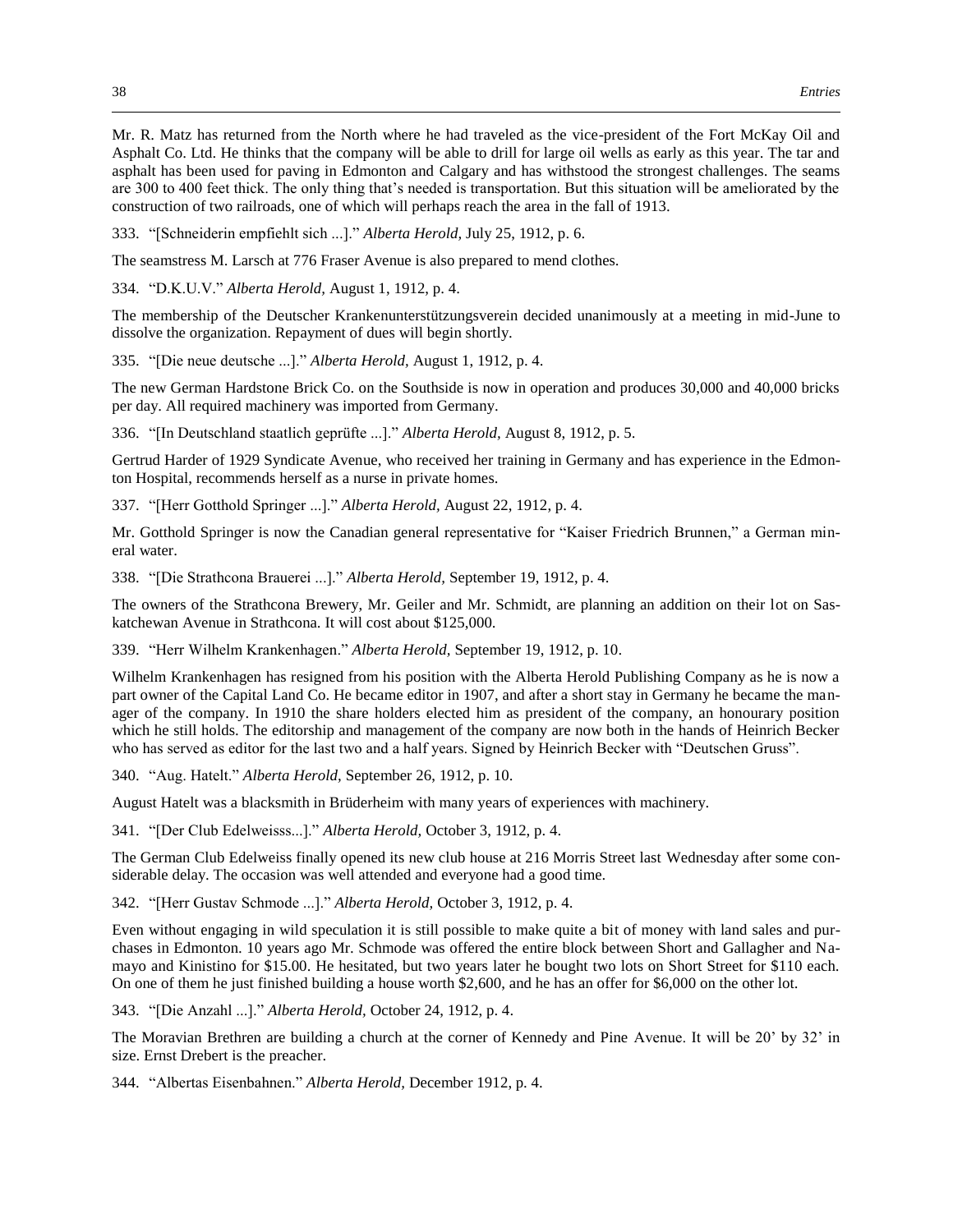Mr. R. Matz has returned from the North where he had traveled as the vice-president of the Fort McKay Oil and Asphalt Co. Ltd. He thinks that the company will be able to drill for large oil wells as early as this year. The tar and asphalt has been used for paving in Edmonton and Calgary and has withstood the strongest challenges. The seams are 300 to 400 feet thick. The only thing that's needed is transportation. But this situation will be ameliorated by the construction of two railroads, one of which will perhaps reach the area in the fall of 1913.

333. "[Schneiderin empfiehlt sich ...]." *Alberta Herold,* July 25, 1912, p. 6.

The seamstress M. Larsch at 776 Fraser Avenue is also prepared to mend clothes.

334. "D.K.U.V." *Alberta Herold,* August 1, 1912, p. 4.

The membership of the Deutscher Krankenunterstützungsverein decided unanimously at a meeting in mid-June to dissolve the organization. Repayment of dues will begin shortly.

335. "[Die neue deutsche ...]." *Alberta Herold,* August 1, 1912, p. 4.

The new German Hardstone Brick Co. on the Southside is now in operation and produces 30,000 and 40,000 bricks per day. All required machinery was imported from Germany.

336. "[In Deutschland staatlich geprüfte ...]." *Alberta Herold,* August 8, 1912, p. 5.

Gertrud Harder of 1929 Syndicate Avenue, who received her training in Germany and has experience in the Edmonton Hospital, recommends herself as a nurse in private homes.

337. "[Herr Gotthold Springer ...]." *Alberta Herold,* August 22, 1912, p. 4.

Mr. Gotthold Springer is now the Canadian general representative for "Kaiser Friedrich Brunnen," a German mineral water.

338. "[Die Strathcona Brauerei ...]." *Alberta Herold,* September 19, 1912, p. 4.

The owners of the Strathcona Brewery, Mr. Geiler and Mr. Schmidt, are planning an addition on their lot on Saskatchewan Avenue in Strathcona. It will cost about \$125,000.

339. "Herr Wilhelm Krankenhagen." *Alberta Herold,* September 19, 1912, p. 10.

Wilhelm Krankenhagen has resigned from his position with the Alberta Herold Publishing Company as he is now a part owner of the Capital Land Co. He became editor in 1907, and after a short stay in Germany he became the manager of the company. In 1910 the share holders elected him as president of the company, an honourary position which he still holds. The editorship and management of the company are now both in the hands of Heinrich Becker who has served as editor for the last two and a half years. Signed by Heinrich Becker with "Deutschen Gruss".

340. "Aug. Hatelt." *Alberta Herold,* September 26, 1912, p. 10.

August Hatelt was a blacksmith in Brüderheim with many years of experiences with machinery.

341. "[Der Club Edelweisss...]." *Alberta Herold,* October 3, 1912, p. 4.

The German Club Edelweiss finally opened its new club house at 216 Morris Street last Wednesday after some considerable delay. The occasion was well attended and everyone had a good time.

342. "[Herr Gustav Schmode ...]." *Alberta Herold,* October 3, 1912, p. 4.

Even without engaging in wild speculation it is still possible to make quite a bit of money with land sales and purchases in Edmonton. 10 years ago Mr. Schmode was offered the entire block between Short and Gallagher and Namayo and Kinistino for \$15.00. He hesitated, but two years later he bought two lots on Short Street for \$110 each. On one of them he just finished building a house worth \$2,600, and he has an offer for \$6,000 on the other lot.

343. "[Die Anzahl ...]." *Alberta Herold,* October 24, 1912, p. 4.

The Moravian Brethren are building a church at the corner of Kennedy and Pine Avenue. It will be 20' by 32' in size. Ernst Drebert is the preacher.

344. "Albertas Eisenbahnen." *Alberta Herold,* December 1912, p. 4.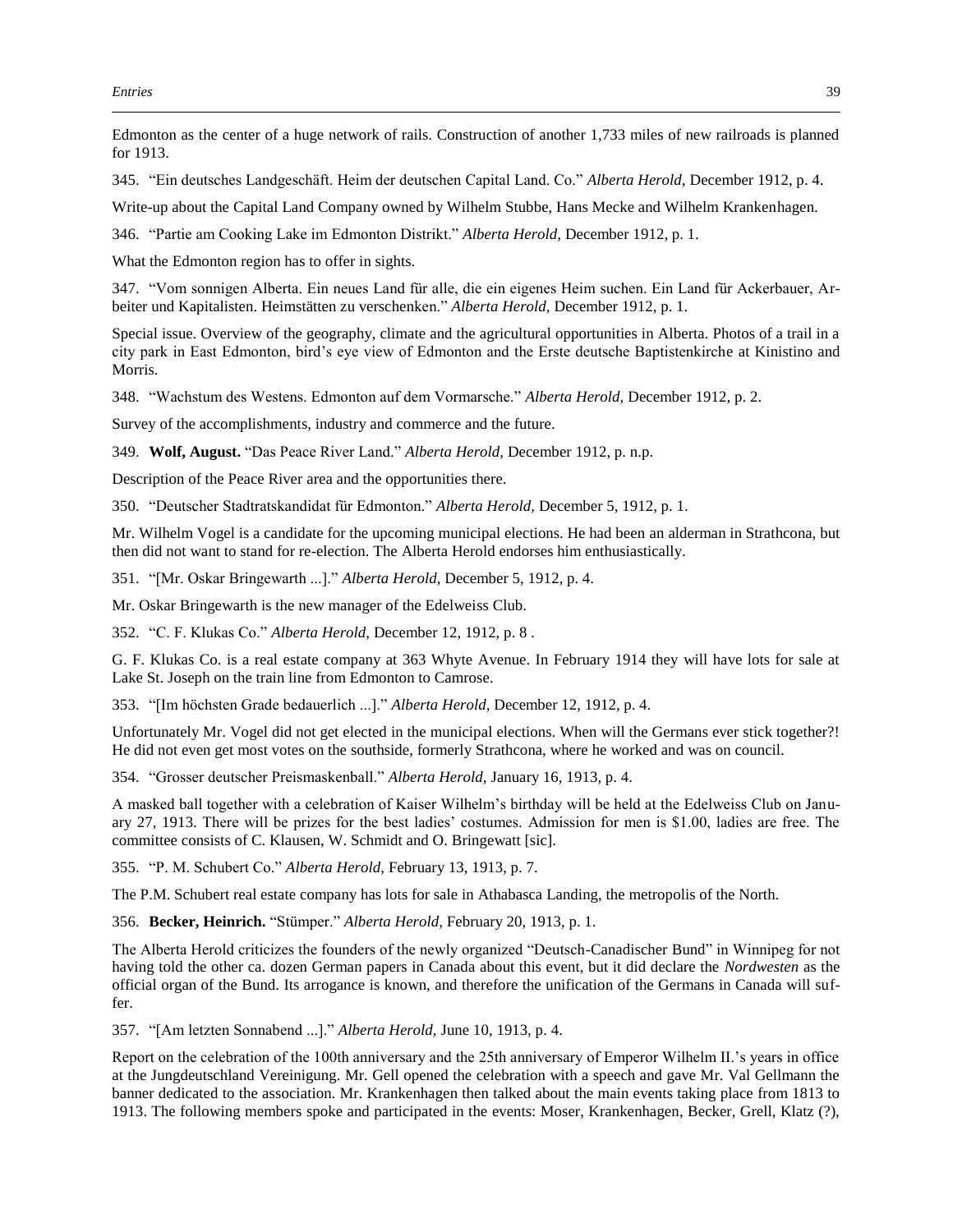Edmonton as the center of a huge network of rails. Construction of another 1,733 miles of new railroads is planned for 1913.

345. "Ein deutsches Landgeschäft. Heim der deutschen Capital Land. Co." *Alberta Herold,* December 1912, p. 4.

Write-up about the Capital Land Company owned by Wilhelm Stubbe, Hans Mecke and Wilhelm Krankenhagen.

346. "Partie am Cooking Lake im Edmonton Distrikt." *Alberta Herold,* December 1912, p. 1.

What the Edmonton region has to offer in sights.

347. "Vom sonnigen Alberta. Ein neues Land für alle, die ein eigenes Heim suchen. Ein Land für Ackerbauer, Arbeiter und Kapitalisten. Heimstätten zu verschenken." *Alberta Herold,* December 1912, p. 1.

Special issue. Overview of the geography, climate and the agricultural opportunities in Alberta. Photos of a trail in a city park in East Edmonton, bird's eye view of Edmonton and the Erste deutsche Baptistenkirche at Kinistino and Morris.

348. "Wachstum des Westens. Edmonton auf dem Vormarsche." *Alberta Herold,* December 1912, p. 2.

Survey of the accomplishments, industry and commerce and the future.

349. **Wolf, August.** "Das Peace River Land." *Alberta Herold,* December 1912, p. n.p.

Description of the Peace River area and the opportunities there.

350. "Deutscher Stadtratskandidat für Edmonton." *Alberta Herold,* December 5, 1912, p. 1.

Mr. Wilhelm Vogel is a candidate for the upcoming municipal elections. He had been an alderman in Strathcona, but then did not want to stand for re-election. The Alberta Herold endorses him enthusiastically.

351. "[Mr. Oskar Bringewarth ...]." *Alberta Herold,* December 5, 1912, p. 4.

Mr. Oskar Bringewarth is the new manager of the Edelweiss Club.

352. "C. F. Klukas Co." *Alberta Herold,* December 12, 1912, p. 8 .

G. F. Klukas Co. is a real estate company at 363 Whyte Avenue. In February 1914 they will have lots for sale at Lake St. Joseph on the train line from Edmonton to Camrose.

353. "[Im höchsten Grade bedauerlich ...]." *Alberta Herold,* December 12, 1912, p. 4.

Unfortunately Mr. Vogel did not get elected in the municipal elections. When will the Germans ever stick together?! He did not even get most votes on the southside, formerly Strathcona, where he worked and was on council.

354. "Grosser deutscher Preismaskenball." *Alberta Herold,* January 16, 1913, p. 4.

A masked ball together with a celebration of Kaiser Wilhelm's birthday will be held at the Edelweiss Club on January 27, 1913. There will be prizes for the best ladies' costumes. Admission for men is \$1.00, ladies are free. The committee consists of C. Klausen, W. Schmidt and O. Bringewatt [sic].

355. "P. M. Schubert Co." *Alberta Herold,* February 13, 1913, p. 7.

The P.M. Schubert real estate company has lots for sale in Athabasca Landing, the metropolis of the North.

356. **Becker, Heinrich.** "Stümper." *Alberta Herold,* February 20, 1913, p. 1.

The Alberta Herold criticizes the founders of the newly organized "Deutsch-Canadischer Bund" in Winnipeg for not having told the other ca. dozen German papers in Canada about this event, but it did declare the *Nordwesten* as the official organ of the Bund. Its arrogance is known, and therefore the unification of the Germans in Canada will suffer.

357. "[Am letzten Sonnabend ...]." *Alberta Herold,* June 10, 1913, p. 4.

Report on the celebration of the 100th anniversary and the 25th anniversary of Emperor Wilhelm II.'s years in office at the Jungdeutschland Vereinigung. Mr. Gell opened the celebration with a speech and gave Mr. Val Gellmann the banner dedicated to the association. Mr. Krankenhagen then talked about the main events taking place from 1813 to 1913. The following members spoke and participated in the events: Moser, Krankenhagen, Becker, Grell, Klatz (?),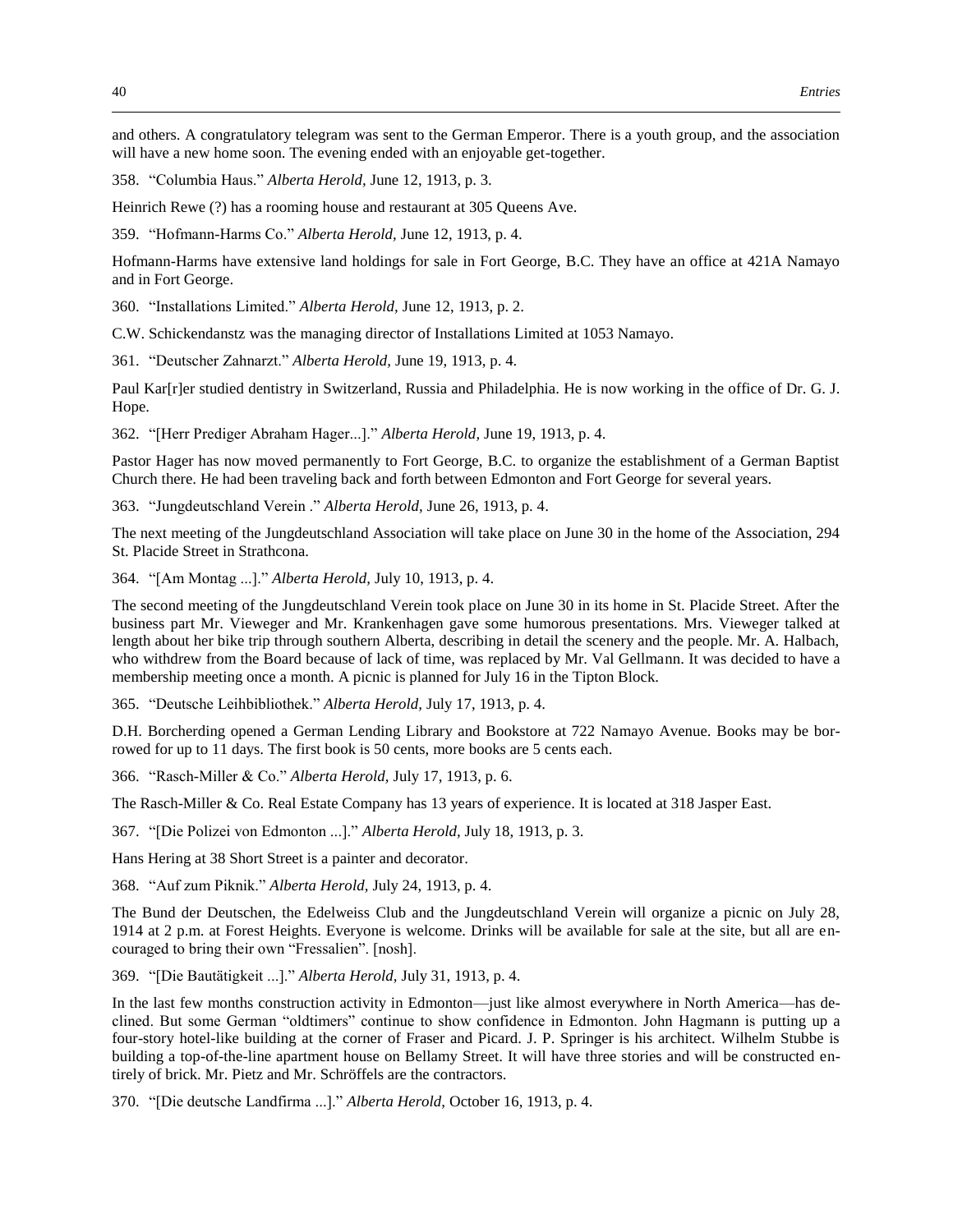and others. A congratulatory telegram was sent to the German Emperor. There is a youth group, and the association will have a new home soon. The evening ended with an enjoyable get-together.

358. "Columbia Haus." *Alberta Herold,* June 12, 1913, p. 3.

Heinrich Rewe (?) has a rooming house and restaurant at 305 Queens Ave.

359. "Hofmann-Harms Co." *Alberta Herold,* June 12, 1913, p. 4.

Hofmann-Harms have extensive land holdings for sale in Fort George, B.C. They have an office at 421A Namayo and in Fort George.

360. "Installations Limited." *Alberta Herold,* June 12, 1913, p. 2.

C.W. Schickendanstz was the managing director of Installations Limited at 1053 Namayo.

361. "Deutscher Zahnarzt." *Alberta Herold,* June 19, 1913, p. 4.

Paul Kar[r]er studied dentistry in Switzerland, Russia and Philadelphia. He is now working in the office of Dr. G. J. Hope.

362. "[Herr Prediger Abraham Hager...]." *Alberta Herold,* June 19, 1913, p. 4.

Pastor Hager has now moved permanently to Fort George, B.C. to organize the establishment of a German Baptist Church there. He had been traveling back and forth between Edmonton and Fort George for several years.

363. "Jungdeutschland Verein ." *Alberta Herold,* June 26, 1913, p. 4.

The next meeting of the Jungdeutschland Association will take place on June 30 in the home of the Association, 294 St. Placide Street in Strathcona.

364. "[Am Montag ...]." *Alberta Herold,* July 10, 1913, p. 4.

The second meeting of the Jungdeutschland Verein took place on June 30 in its home in St. Placide Street. After the business part Mr. Vieweger and Mr. Krankenhagen gave some humorous presentations. Mrs. Vieweger talked at length about her bike trip through southern Alberta, describing in detail the scenery and the people. Mr. A. Halbach, who withdrew from the Board because of lack of time, was replaced by Mr. Val Gellmann. It was decided to have a membership meeting once a month. A picnic is planned for July 16 in the Tipton Block.

365. "Deutsche Leihbibliothek." *Alberta Herold,* July 17, 1913, p. 4.

D.H. Borcherding opened a German Lending Library and Bookstore at 722 Namayo Avenue. Books may be borrowed for up to 11 days. The first book is 50 cents, more books are 5 cents each.

366. "Rasch-Miller & Co." *Alberta Herold,* July 17, 1913, p. 6.

The Rasch-Miller & Co. Real Estate Company has 13 years of experience. It is located at 318 Jasper East.

367. "[Die Polizei von Edmonton ...]." *Alberta Herold,* July 18, 1913, p. 3.

Hans Hering at 38 Short Street is a painter and decorator.

368. "Auf zum Piknik." *Alberta Herold,* July 24, 1913, p. 4.

The Bund der Deutschen, the Edelweiss Club and the Jungdeutschland Verein will organize a picnic on July 28, 1914 at 2 p.m. at Forest Heights. Everyone is welcome. Drinks will be available for sale at the site, but all are encouraged to bring their own "Fressalien". [nosh].

369. "[Die Bautätigkeit ...]." *Alberta Herold,* July 31, 1913, p. 4.

In the last few months construction activity in Edmonton—just like almost everywhere in North America—has declined. But some German "oldtimers" continue to show confidence in Edmonton. John Hagmann is putting up a four-story hotel-like building at the corner of Fraser and Picard. J. P. Springer is his architect. Wilhelm Stubbe is building a top-of-the-line apartment house on Bellamy Street. It will have three stories and will be constructed entirely of brick. Mr. Pietz and Mr. Schröffels are the contractors.

370. "[Die deutsche Landfirma ...]." *Alberta Herold,* October 16, 1913, p. 4.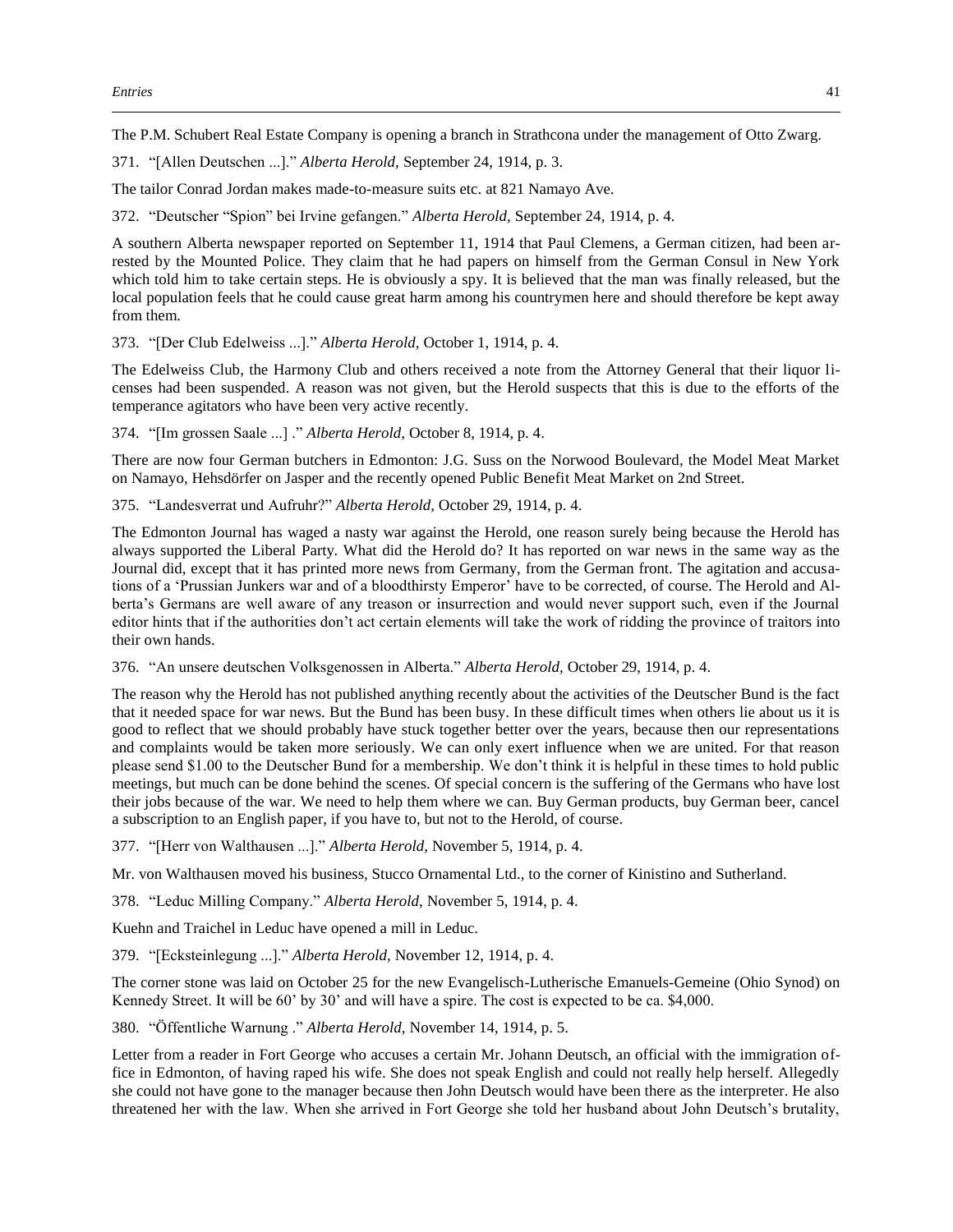The P.M. Schubert Real Estate Company is opening a branch in Strathcona under the management of Otto Zwarg.

371. "[Allen Deutschen ...]." *Alberta Herold,* September 24, 1914, p. 3.

The tailor Conrad Jordan makes made-to-measure suits etc. at 821 Namayo Ave.

372. "Deutscher "Spion" bei Irvine gefangen." *Alberta Herold,* September 24, 1914, p. 4.

A southern Alberta newspaper reported on September 11, 1914 that Paul Clemens, a German citizen, had been arrested by the Mounted Police. They claim that he had papers on himself from the German Consul in New York which told him to take certain steps. He is obviously a spy. It is believed that the man was finally released, but the local population feels that he could cause great harm among his countrymen here and should therefore be kept away from them.

373. "[Der Club Edelweiss ...]." *Alberta Herold,* October 1, 1914, p. 4.

The Edelweiss Club, the Harmony Club and others received a note from the Attorney General that their liquor licenses had been suspended. A reason was not given, but the Herold suspects that this is due to the efforts of the temperance agitators who have been very active recently.

374. "[Im grossen Saale ...] ." *Alberta Herold,* October 8, 1914, p. 4.

There are now four German butchers in Edmonton: J.G. Suss on the Norwood Boulevard, the Model Meat Market on Namayo, Hehsdörfer on Jasper and the recently opened Public Benefit Meat Market on 2nd Street.

375. "Landesverrat und Aufruhr?" *Alberta Herold,* October 29, 1914, p. 4.

The Edmonton Journal has waged a nasty war against the Herold, one reason surely being because the Herold has always supported the Liberal Party. What did the Herold do? It has reported on war news in the same way as the Journal did, except that it has printed more news from Germany, from the German front. The agitation and accusations of a 'Prussian Junkers war and of a bloodthirsty Emperor' have to be corrected, of course. The Herold and Alberta's Germans are well aware of any treason or insurrection and would never support such, even if the Journal editor hints that if the authorities don't act certain elements will take the work of ridding the province of traitors into their own hands.

376. "An unsere deutschen Volksgenossen in Alberta." *Alberta Herold,* October 29, 1914, p. 4.

The reason why the Herold has not published anything recently about the activities of the Deutscher Bund is the fact that it needed space for war news. But the Bund has been busy. In these difficult times when others lie about us it is good to reflect that we should probably have stuck together better over the years, because then our representations and complaints would be taken more seriously. We can only exert influence when we are united. For that reason please send \$1.00 to the Deutscher Bund for a membership. We don't think it is helpful in these times to hold public meetings, but much can be done behind the scenes. Of special concern is the suffering of the Germans who have lost their jobs because of the war. We need to help them where we can. Buy German products, buy German beer, cancel a subscription to an English paper, if you have to, but not to the Herold, of course.

377. "[Herr von Walthausen ...]." *Alberta Herold,* November 5, 1914, p. 4.

Mr. von Walthausen moved his business, Stucco Ornamental Ltd., to the corner of Kinistino and Sutherland.

378. "Leduc Milling Company." *Alberta Herold,* November 5, 1914, p. 4.

Kuehn and Traichel in Leduc have opened a mill in Leduc.

379. "[Ecksteinlegung ...]." *Alberta Herold,* November 12, 1914, p. 4.

The corner stone was laid on October 25 for the new Evangelisch-Lutherische Emanuels-Gemeine (Ohio Synod) on Kennedy Street. It will be 60' by 30' and will have a spire. The cost is expected to be ca. \$4,000.

380. "Öffentliche Warnung ." *Alberta Herold,* November 14, 1914, p. 5.

Letter from a reader in Fort George who accuses a certain Mr. Johann Deutsch, an official with the immigration office in Edmonton, of having raped his wife. She does not speak English and could not really help herself. Allegedly she could not have gone to the manager because then John Deutsch would have been there as the interpreter. He also threatened her with the law. When she arrived in Fort George she told her husband about John Deutsch's brutality,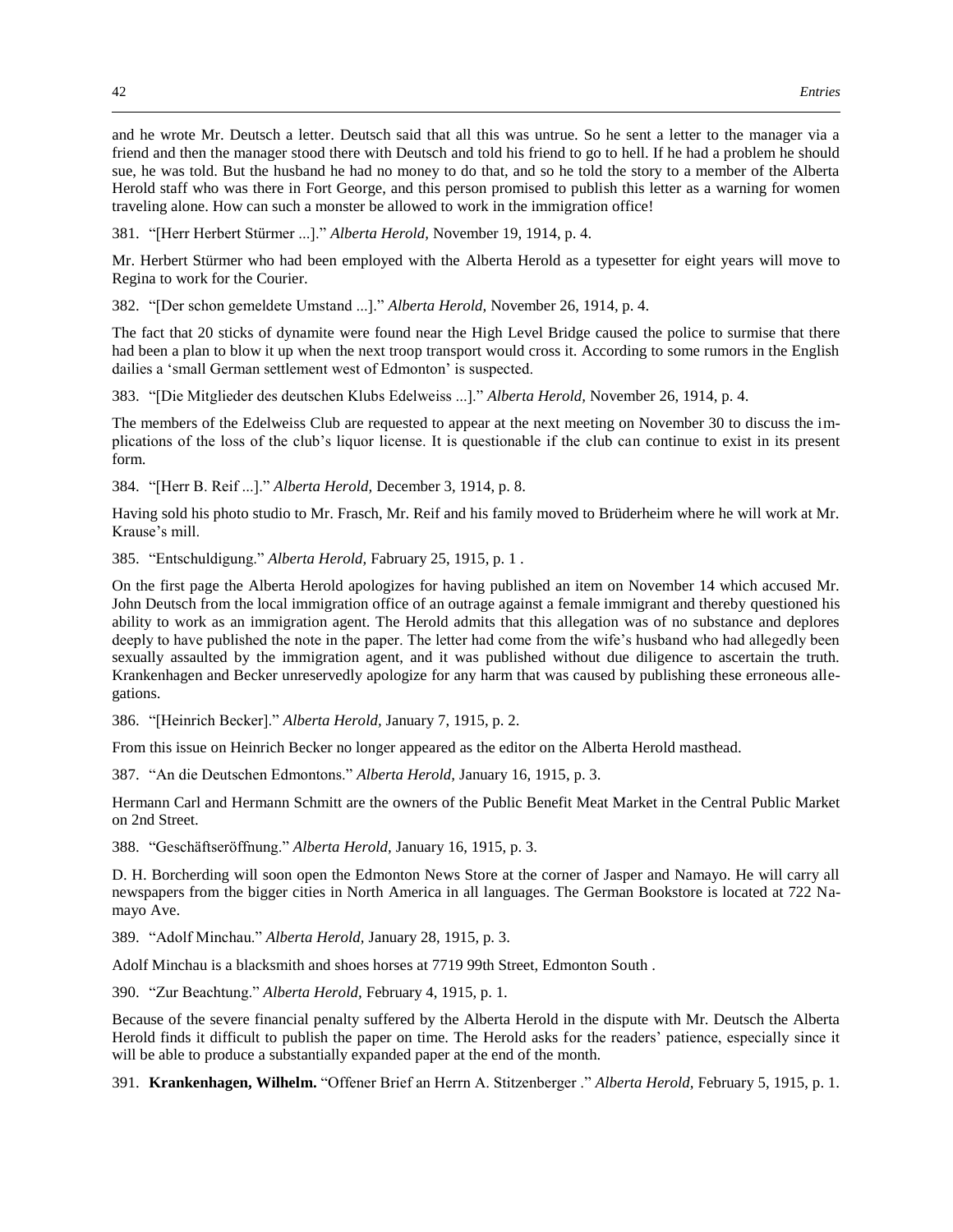and he wrote Mr. Deutsch a letter. Deutsch said that all this was untrue. So he sent a letter to the manager via a friend and then the manager stood there with Deutsch and told his friend to go to hell. If he had a problem he should sue, he was told. But the husband he had no money to do that, and so he told the story to a member of the Alberta Herold staff who was there in Fort George, and this person promised to publish this letter as a warning for women traveling alone. How can such a monster be allowed to work in the immigration office!

381. "[Herr Herbert Stürmer ...]." *Alberta Herold,* November 19, 1914, p. 4.

Mr. Herbert Stürmer who had been employed with the Alberta Herold as a typesetter for eight years will move to Regina to work for the Courier.

382. "[Der schon gemeldete Umstand ...]." *Alberta Herold,* November 26, 1914, p. 4.

The fact that 20 sticks of dynamite were found near the High Level Bridge caused the police to surmise that there had been a plan to blow it up when the next troop transport would cross it. According to some rumors in the English dailies a 'small German settlement west of Edmonton' is suspected.

383. "[Die Mitglieder des deutschen Klubs Edelweiss ...]." *Alberta Herold,* November 26, 1914, p. 4.

The members of the Edelweiss Club are requested to appear at the next meeting on November 30 to discuss the implications of the loss of the club's liquor license. It is questionable if the club can continue to exist in its present form.

384. "[Herr B. Reif ...]." *Alberta Herold,* December 3, 1914, p. 8.

Having sold his photo studio to Mr. Frasch, Mr. Reif and his family moved to Brüderheim where he will work at Mr. Krause's mill.

385. "Entschuldigung." *Alberta Herold,* Fabruary 25, 1915, p. 1 .

On the first page the Alberta Herold apologizes for having published an item on November 14 which accused Mr. John Deutsch from the local immigration office of an outrage against a female immigrant and thereby questioned his ability to work as an immigration agent. The Herold admits that this allegation was of no substance and deplores deeply to have published the note in the paper. The letter had come from the wife's husband who had allegedly been sexually assaulted by the immigration agent, and it was published without due diligence to ascertain the truth. Krankenhagen and Becker unreservedly apologize for any harm that was caused by publishing these erroneous allegations.

386. "[Heinrich Becker]." *Alberta Herold,* January 7, 1915, p. 2.

From this issue on Heinrich Becker no longer appeared as the editor on the Alberta Herold masthead.

387. "An die Deutschen Edmontons." *Alberta Herold,* January 16, 1915, p. 3.

Hermann Carl and Hermann Schmitt are the owners of the Public Benefit Meat Market in the Central Public Market on 2nd Street.

388. "Geschäftseröffnung." *Alberta Herold,* January 16, 1915, p. 3.

D. H. Borcherding will soon open the Edmonton News Store at the corner of Jasper and Namayo. He will carry all newspapers from the bigger cities in North America in all languages. The German Bookstore is located at 722 Namayo Ave.

389. "Adolf Minchau." *Alberta Herold,* January 28, 1915, p. 3.

Adolf Minchau is a blacksmith and shoes horses at 7719 99th Street, Edmonton South .

390. "Zur Beachtung." *Alberta Herold,* February 4, 1915, p. 1.

Because of the severe financial penalty suffered by the Alberta Herold in the dispute with Mr. Deutsch the Alberta Herold finds it difficult to publish the paper on time. The Herold asks for the readers' patience, especially since it will be able to produce a substantially expanded paper at the end of the month.

391. **Krankenhagen, Wilhelm.** "Offener Brief an Herrn A. Stitzenberger ." *Alberta Herold,* February 5, 1915, p. 1.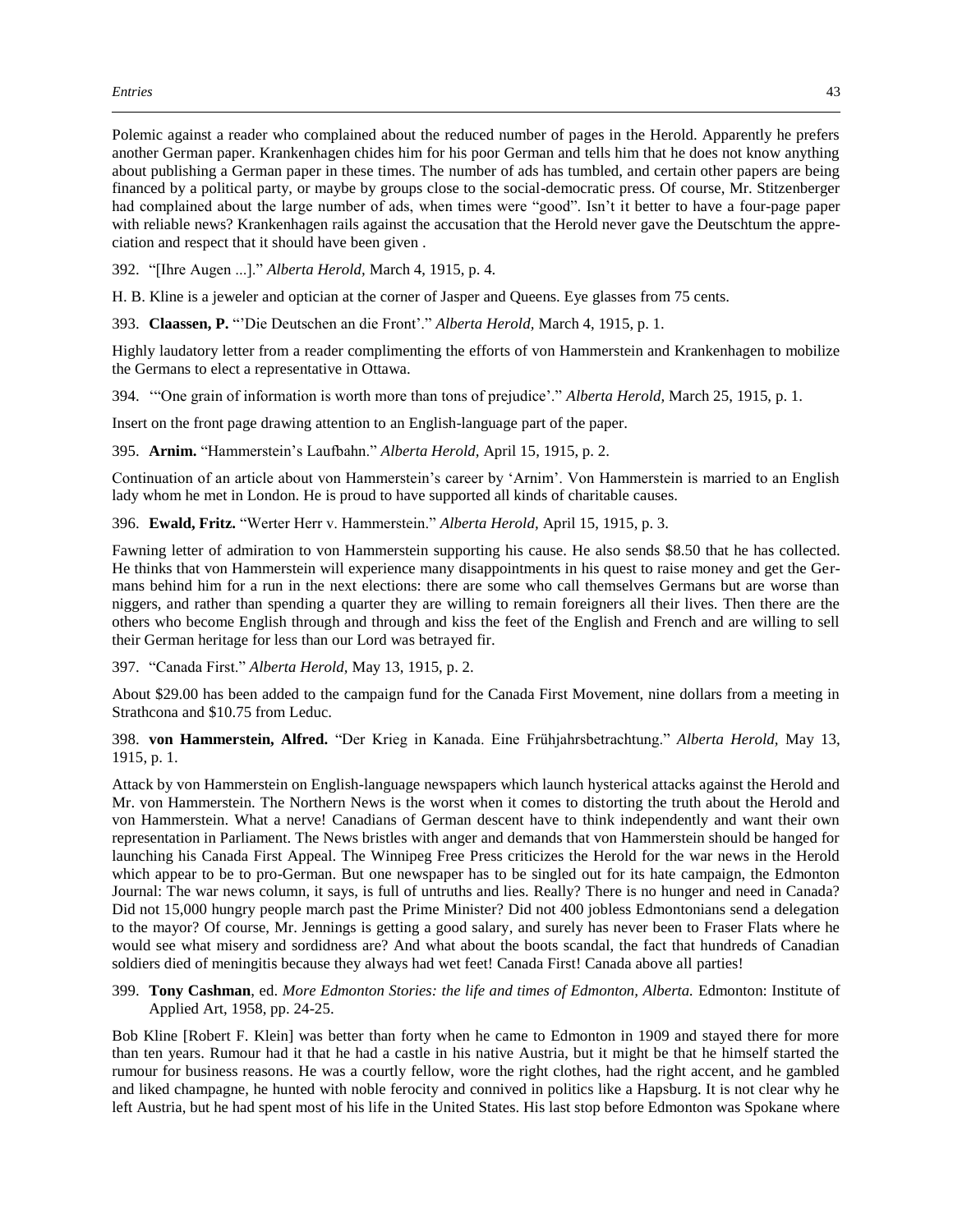Polemic against a reader who complained about the reduced number of pages in the Herold. Apparently he prefers another German paper. Krankenhagen chides him for his poor German and tells him that he does not know anything about publishing a German paper in these times. The number of ads has tumbled, and certain other papers are being financed by a political party, or maybe by groups close to the social-democratic press. Of course, Mr. Stitzenberger had complained about the large number of ads, when times were "good". Isn't it better to have a four-page paper with reliable news? Krankenhagen rails against the accusation that the Herold never gave the Deutschtum the appreciation and respect that it should have been given .

392. "[Ihre Augen ...]." *Alberta Herold,* March 4, 1915, p. 4.

H. B. Kline is a jeweler and optician at the corner of Jasper and Queens. Eye glasses from 75 cents.

393. **Claassen, P.** "'Die Deutschen an die Front'." *Alberta Herold,* March 4, 1915, p. 1.

Highly laudatory letter from a reader complimenting the efforts of von Hammerstein and Krankenhagen to mobilize the Germans to elect a representative in Ottawa.

394. '"One grain of information is worth more than tons of prejudice'." *Alberta Herold,* March 25, 1915, p. 1.

Insert on the front page drawing attention to an English-language part of the paper.

395. **Arnim.** "Hammerstein's Laufbahn." *Alberta Herold,* April 15, 1915, p. 2.

Continuation of an article about von Hammerstein's career by 'Arnim'. Von Hammerstein is married to an English lady whom he met in London. He is proud to have supported all kinds of charitable causes.

396. **Ewald, Fritz.** "Werter Herr v. Hammerstein." *Alberta Herold,* April 15, 1915, p. 3.

Fawning letter of admiration to von Hammerstein supporting his cause. He also sends \$8.50 that he has collected. He thinks that von Hammerstein will experience many disappointments in his quest to raise money and get the Germans behind him for a run in the next elections: there are some who call themselves Germans but are worse than niggers, and rather than spending a quarter they are willing to remain foreigners all their lives. Then there are the others who become English through and through and kiss the feet of the English and French and are willing to sell their German heritage for less than our Lord was betrayed fir.

397. "Canada First." *Alberta Herold,* May 13, 1915, p. 2.

About \$29.00 has been added to the campaign fund for the Canada First Movement, nine dollars from a meeting in Strathcona and \$10.75 from Leduc.

398. **von Hammerstein, Alfred.** "Der Krieg in Kanada. Eine Frühjahrsbetrachtung." *Alberta Herold,* May 13, 1915, p. 1.

Attack by von Hammerstein on English-language newspapers which launch hysterical attacks against the Herold and Mr. von Hammerstein. The Northern News is the worst when it comes to distorting the truth about the Herold and von Hammerstein. What a nerve! Canadians of German descent have to think independently and want their own representation in Parliament. The News bristles with anger and demands that von Hammerstein should be hanged for launching his Canada First Appeal. The Winnipeg Free Press criticizes the Herold for the war news in the Herold which appear to be to pro-German. But one newspaper has to be singled out for its hate campaign, the Edmonton Journal: The war news column, it says, is full of untruths and lies. Really? There is no hunger and need in Canada? Did not 15,000 hungry people march past the Prime Minister? Did not 400 jobless Edmontonians send a delegation to the mayor? Of course, Mr. Jennings is getting a good salary, and surely has never been to Fraser Flats where he would see what misery and sordidness are? And what about the boots scandal, the fact that hundreds of Canadian soldiers died of meningitis because they always had wet feet! Canada First! Canada above all parties!

399. **Tony Cashman**, ed. *More Edmonton Stories: the life and times of Edmonton, Alberta.* Edmonton: Institute of Applied Art, 1958, pp. 24-25.

Bob Kline [Robert F. Klein] was better than forty when he came to Edmonton in 1909 and stayed there for more than ten years. Rumour had it that he had a castle in his native Austria, but it might be that he himself started the rumour for business reasons. He was a courtly fellow, wore the right clothes, had the right accent, and he gambled and liked champagne, he hunted with noble ferocity and connived in politics like a Hapsburg. It is not clear why he left Austria, but he had spent most of his life in the United States. His last stop before Edmonton was Spokane where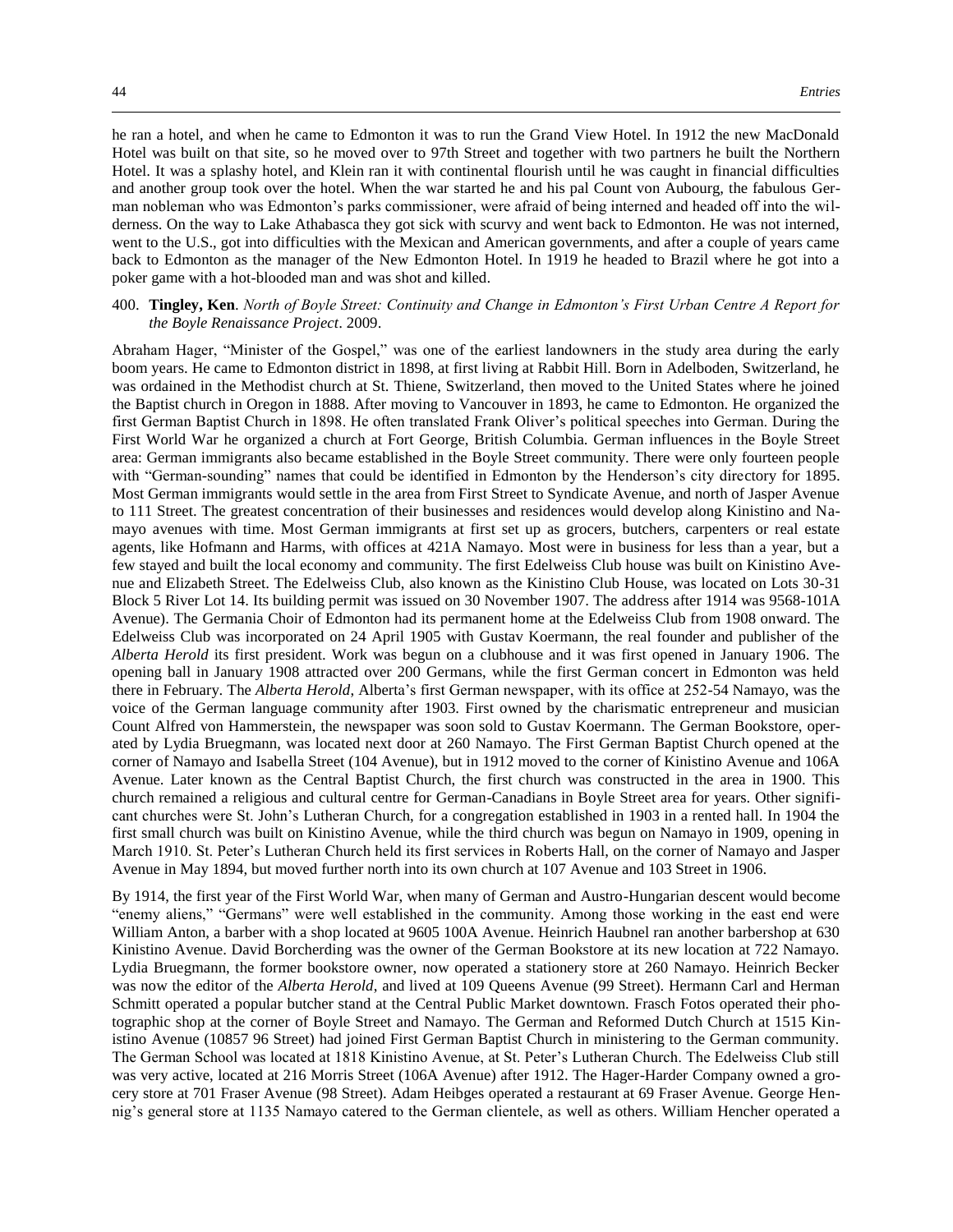he ran a hotel, and when he came to Edmonton it was to run the Grand View Hotel. In 1912 the new MacDonald Hotel was built on that site, so he moved over to 97th Street and together with two partners he built the Northern Hotel. It was a splashy hotel, and Klein ran it with continental flourish until he was caught in financial difficulties and another group took over the hotel. When the war started he and his pal Count von Aubourg, the fabulous German nobleman who was Edmonton's parks commissioner, were afraid of being interned and headed off into the wilderness. On the way to Lake Athabasca they got sick with scurvy and went back to Edmonton. He was not interned, went to the U.S., got into difficulties with the Mexican and American governments, and after a couple of years came back to Edmonton as the manager of the New Edmonton Hotel. In 1919 he headed to Brazil where he got into a poker game with a hot-blooded man and was shot and killed.

## 400. **Tingley, Ken**. *North of Boyle Street: Continuity and Change in Edmonton's First Urban Centre A Report for the Boyle Renaissance Project*. 2009.

Abraham Hager, "Minister of the Gospel," was one of the earliest landowners in the study area during the early boom years. He came to Edmonton district in 1898, at first living at Rabbit Hill. Born in Adelboden, Switzerland, he was ordained in the Methodist church at St. Thiene, Switzerland, then moved to the United States where he joined the Baptist church in Oregon in 1888. After moving to Vancouver in 1893, he came to Edmonton. He organized the first German Baptist Church in 1898. He often translated Frank Oliver's political speeches into German. During the First World War he organized a church at Fort George, British Columbia. German influences in the Boyle Street area: German immigrants also became established in the Boyle Street community. There were only fourteen people with "German-sounding" names that could be identified in Edmonton by the Henderson's city directory for 1895. Most German immigrants would settle in the area from First Street to Syndicate Avenue, and north of Jasper Avenue to 111 Street. The greatest concentration of their businesses and residences would develop along Kinistino and Namayo avenues with time. Most German immigrants at first set up as grocers, butchers, carpenters or real estate agents, like Hofmann and Harms, with offices at 421A Namayo. Most were in business for less than a year, but a few stayed and built the local economy and community. The first Edelweiss Club house was built on Kinistino Avenue and Elizabeth Street. The Edelweiss Club, also known as the Kinistino Club House, was located on Lots 30-31 Block 5 River Lot 14. Its building permit was issued on 30 November 1907. The address after 1914 was 9568-101A Avenue). The Germania Choir of Edmonton had its permanent home at the Edelweiss Club from 1908 onward. The Edelweiss Club was incorporated on 24 April 1905 with Gustav Koermann, the real founder and publisher of the *Alberta Herold* its first president. Work was begun on a clubhouse and it was first opened in January 1906. The opening ball in January 1908 attracted over 200 Germans, while the first German concert in Edmonton was held there in February. The *Alberta Herold*, Alberta's first German newspaper, with its office at 252-54 Namayo, was the voice of the German language community after 1903. First owned by the charismatic entrepreneur and musician Count Alfred von Hammerstein, the newspaper was soon sold to Gustav Koermann. The German Bookstore, operated by Lydia Bruegmann, was located next door at 260 Namayo. The First German Baptist Church opened at the corner of Namayo and Isabella Street (104 Avenue), but in 1912 moved to the corner of Kinistino Avenue and 106A Avenue. Later known as the Central Baptist Church, the first church was constructed in the area in 1900. This church remained a religious and cultural centre for German-Canadians in Boyle Street area for years. Other significant churches were St. John's Lutheran Church, for a congregation established in 1903 in a rented hall. In 1904 the first small church was built on Kinistino Avenue, while the third church was begun on Namayo in 1909, opening in March 1910. St. Peter's Lutheran Church held its first services in Roberts Hall, on the corner of Namayo and Jasper Avenue in May 1894, but moved further north into its own church at 107 Avenue and 103 Street in 1906.

By 1914, the first year of the First World War, when many of German and Austro-Hungarian descent would become "enemy aliens," "Germans" were well established in the community. Among those working in the east end were William Anton, a barber with a shop located at 9605 100A Avenue. Heinrich Haubnel ran another barbershop at 630 Kinistino Avenue. David Borcherding was the owner of the German Bookstore at its new location at 722 Namayo. Lydia Bruegmann, the former bookstore owner, now operated a stationery store at 260 Namayo. Heinrich Becker was now the editor of the *Alberta Herold*, and lived at 109 Queens Avenue (99 Street). Hermann Carl and Herman Schmitt operated a popular butcher stand at the Central Public Market downtown. Frasch Fotos operated their photographic shop at the corner of Boyle Street and Namayo. The German and Reformed Dutch Church at 1515 Kinistino Avenue (10857 96 Street) had joined First German Baptist Church in ministering to the German community. The German School was located at 1818 Kinistino Avenue, at St. Peter's Lutheran Church. The Edelweiss Club still was very active, located at 216 Morris Street (106A Avenue) after 1912. The Hager-Harder Company owned a grocery store at 701 Fraser Avenue (98 Street). Adam Heibges operated a restaurant at 69 Fraser Avenue. George Hennig's general store at 1135 Namayo catered to the German clientele, as well as others. William Hencher operated a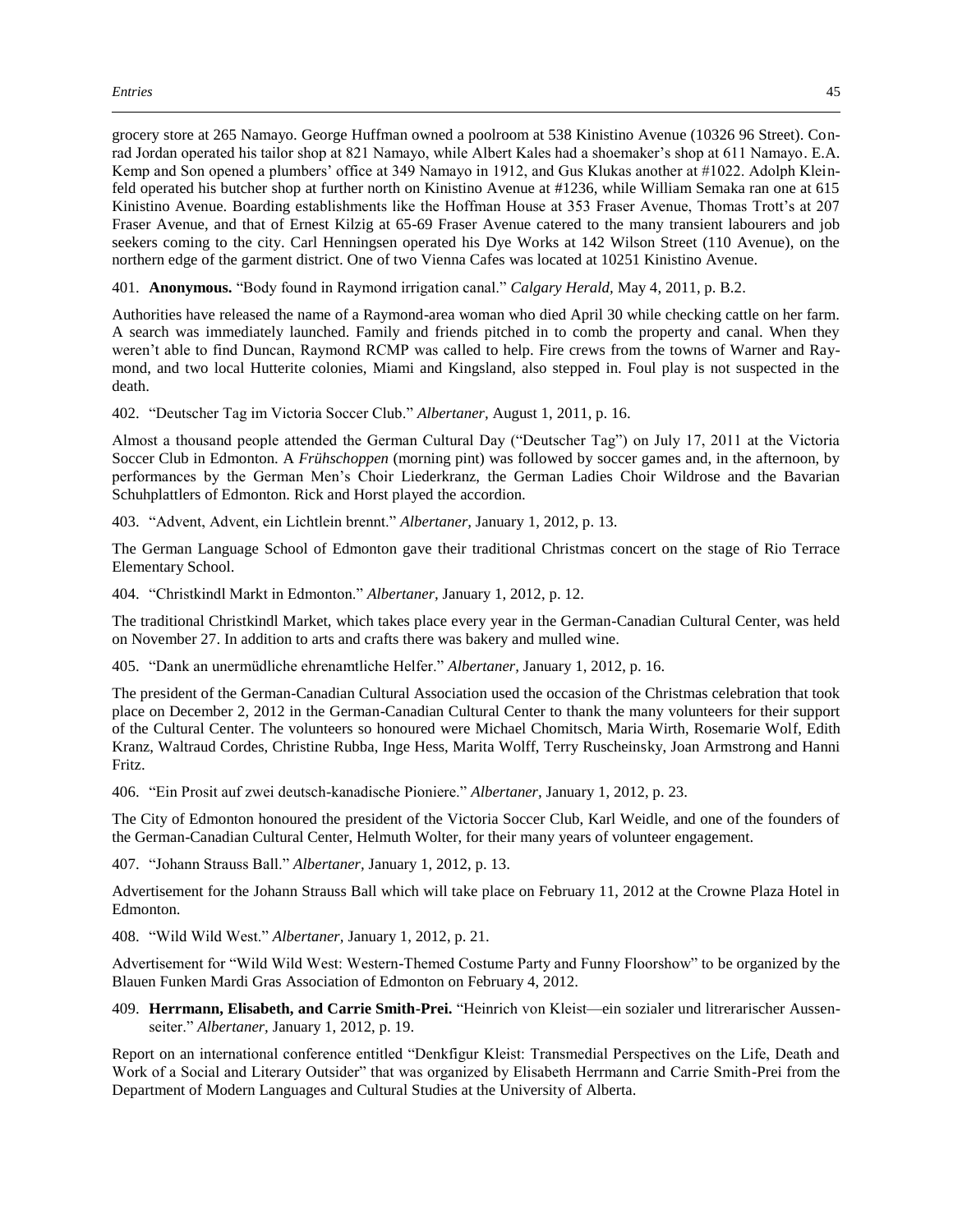grocery store at 265 Namayo. George Huffman owned a poolroom at 538 Kinistino Avenue (10326 96 Street). Conrad Jordan operated his tailor shop at 821 Namayo, while Albert Kales had a shoemaker's shop at 611 Namayo. E.A. Kemp and Son opened a plumbers' office at 349 Namayo in 1912, and Gus Klukas another at #1022. Adolph Kleinfeld operated his butcher shop at further north on Kinistino Avenue at #1236, while William Semaka ran one at 615 Kinistino Avenue. Boarding establishments like the Hoffman House at 353 Fraser Avenue, Thomas Trott's at 207 Fraser Avenue, and that of Ernest Kilzig at 65-69 Fraser Avenue catered to the many transient labourers and job seekers coming to the city. Carl Henningsen operated his Dye Works at 142 Wilson Street (110 Avenue), on the northern edge of the garment district. One of two Vienna Cafes was located at 10251 Kinistino Avenue.

401. **Anonymous.** "Body found in Raymond irrigation canal." *Calgary Herald,* May 4, 2011, p. B.2.

Authorities have released the name of a Raymond-area woman who died April 30 while checking cattle on her farm. A search was immediately launched. Family and friends pitched in to comb the property and canal. When they weren't able to find Duncan, Raymond RCMP was called to help. Fire crews from the towns of Warner and Raymond, and two local Hutterite colonies, Miami and Kingsland, also stepped in. Foul play is not suspected in the death.

402. "Deutscher Tag im Victoria Soccer Club." *Albertaner,* August 1, 2011, p. 16.

Almost a thousand people attended the German Cultural Day ("Deutscher Tag") on July 17, 2011 at the Victoria Soccer Club in Edmonton. A *Frühschoppen* (morning pint) was followed by soccer games and, in the afternoon, by performances by the German Men's Choir Liederkranz, the German Ladies Choir Wildrose and the Bavarian Schuhplattlers of Edmonton. Rick and Horst played the accordion.

403. "Advent, Advent, ein Lichtlein brennt." *Albertaner,* January 1, 2012, p. 13.

The German Language School of Edmonton gave their traditional Christmas concert on the stage of Rio Terrace Elementary School.

404. "Christkindl Markt in Edmonton." *Albertaner,* January 1, 2012, p. 12.

The traditional Christkindl Market, which takes place every year in the German-Canadian Cultural Center, was held on November 27. In addition to arts and crafts there was bakery and mulled wine.

405. "Dank an unermüdliche ehrenamtliche Helfer." *Albertaner,* January 1, 2012, p. 16.

The president of the German-Canadian Cultural Association used the occasion of the Christmas celebration that took place on December 2, 2012 in the German-Canadian Cultural Center to thank the many volunteers for their support of the Cultural Center. The volunteers so honoured were Michael Chomitsch, Maria Wirth, Rosemarie Wolf, Edith Kranz, Waltraud Cordes, Christine Rubba, Inge Hess, Marita Wolff, Terry Ruscheinsky, Joan Armstrong and Hanni Fritz.

406. "Ein Prosit auf zwei deutsch-kanadische Pioniere." *Albertaner,* January 1, 2012, p. 23.

The City of Edmonton honoured the president of the Victoria Soccer Club, Karl Weidle, and one of the founders of the German-Canadian Cultural Center, Helmuth Wolter, for their many years of volunteer engagement.

407. "Johann Strauss Ball." *Albertaner,* January 1, 2012, p. 13.

Advertisement for the Johann Strauss Ball which will take place on February 11, 2012 at the Crowne Plaza Hotel in Edmonton.

408. "Wild Wild West." *Albertaner,* January 1, 2012, p. 21.

Advertisement for "Wild Wild West: Western-Themed Costume Party and Funny Floorshow" to be organized by the Blauen Funken Mardi Gras Association of Edmonton on February 4, 2012.

409. **Herrmann, Elisabeth, and Carrie Smith-Prei.** "Heinrich von Kleist—ein sozialer und litrerarischer Aussenseiter." *Albertaner,* January 1, 2012, p. 19.

Report on an international conference entitled "Denkfigur Kleist: Transmedial Perspectives on the Life, Death and Work of a Social and Literary Outsider" that was organized by Elisabeth Herrmann and Carrie Smith-Prei from the Department of Modern Languages and Cultural Studies at the University of Alberta.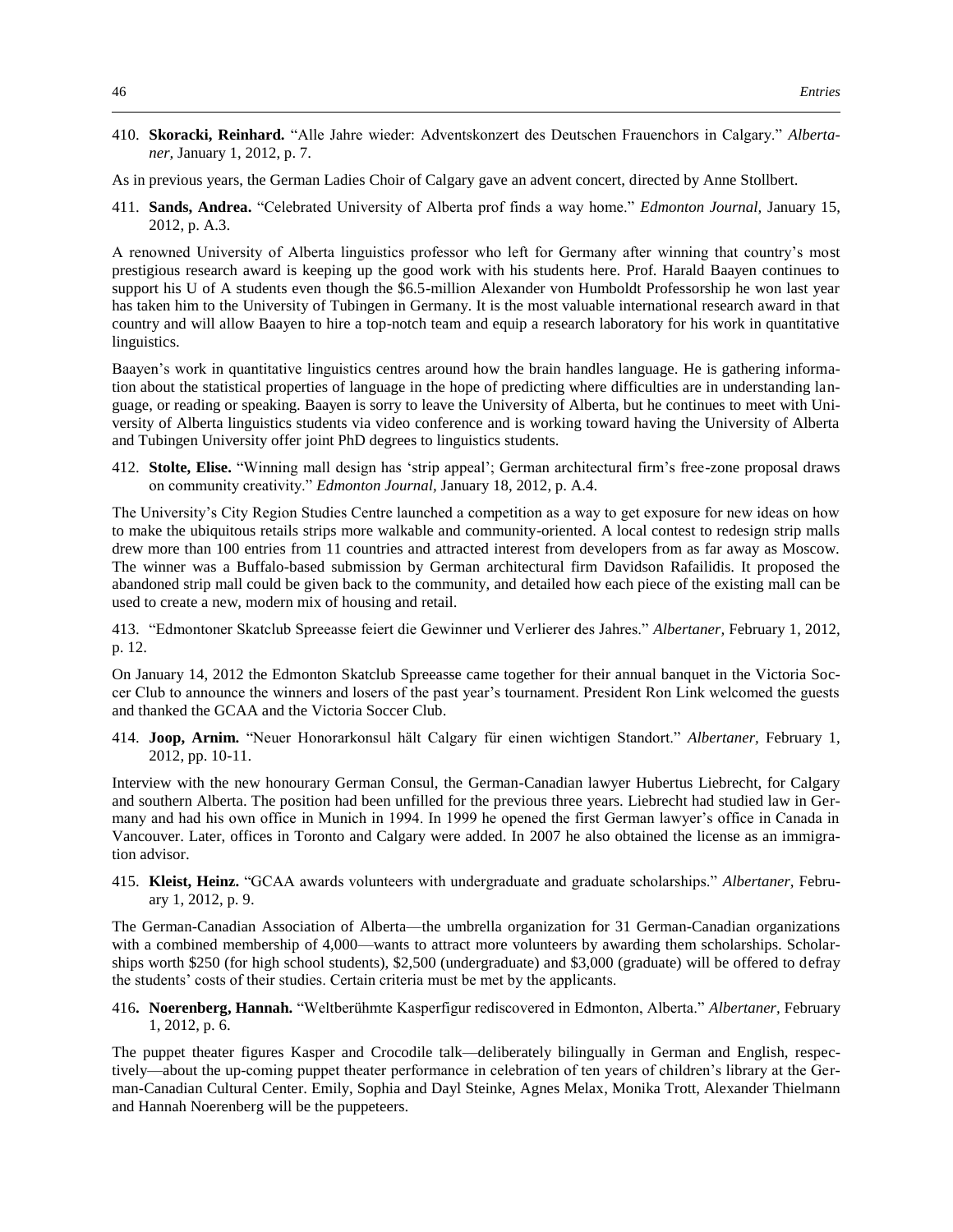410. **Skoracki, Reinhard.** "Alle Jahre wieder: Adventskonzert des Deutschen Frauenchors in Calgary." *Albertaner,* January 1, 2012, p. 7.

As in previous years, the German Ladies Choir of Calgary gave an advent concert, directed by Anne Stollbert.

411. **Sands, Andrea.** "Celebrated University of Alberta prof finds a way home." *Edmonton Journal,* January 15, 2012, p. A.3.

A renowned University of Alberta linguistics professor who left for Germany after winning that country's most prestigious research award is keeping up the good work with his students here. Prof. Harald Baayen continues to support his U of A students even though the \$6.5-million Alexander von Humboldt Professorship he won last year has taken him to the University of Tubingen in Germany. It is the most valuable international research award in that country and will allow Baayen to hire a top-notch team and equip a research laboratory for his work in quantitative linguistics.

Baayen's work in quantitative linguistics centres around how the brain handles language. He is gathering information about the statistical properties of language in the hope of predicting where difficulties are in understanding language, or reading or speaking. Baayen is sorry to leave the University of Alberta, but he continues to meet with University of Alberta linguistics students via video conference and is working toward having the University of Alberta and Tubingen University offer joint PhD degrees to linguistics students.

412. **Stolte, Elise.** "Winning mall design has 'strip appeal'; German architectural firm's free-zone proposal draws on community creativity." *Edmonton Journal,* January 18, 2012, p. A.4.

The University's City Region Studies Centre launched a competition as a way to get exposure for new ideas on how to make the ubiquitous retails strips more walkable and community-oriented. A local contest to redesign strip malls drew more than 100 entries from 11 countries and attracted interest from developers from as far away as Moscow. The winner was a Buffalo-based submission by German architectural firm Davidson Rafailidis. It proposed the abandoned strip mall could be given back to the community, and detailed how each piece of the existing mall can be used to create a new, modern mix of housing and retail.

413. "Edmontoner Skatclub Spreeasse feiert die Gewinner und Verlierer des Jahres." *Albertaner,* February 1, 2012, p. 12.

On January 14, 2012 the Edmonton Skatclub Spreeasse came together for their annual banquet in the Victoria Soccer Club to announce the winners and losers of the past year's tournament. President Ron Link welcomed the guests and thanked the GCAA and the Victoria Soccer Club.

414. **Joop, Arnim.** "Neuer Honorarkonsul hält Calgary für einen wichtigen Standort." *Albertaner,* February 1, 2012, pp. 10-11.

Interview with the new honourary German Consul, the German-Canadian lawyer Hubertus Liebrecht, for Calgary and southern Alberta. The position had been unfilled for the previous three years. Liebrecht had studied law in Germany and had his own office in Munich in 1994. In 1999 he opened the first German lawyer's office in Canada in Vancouver. Later, offices in Toronto and Calgary were added. In 2007 he also obtained the license as an immigration advisor.

415. **Kleist, Heinz.** "GCAA awards volunteers with undergraduate and graduate scholarships." *Albertaner,* February 1, 2012, p. 9.

The German-Canadian Association of Alberta—the umbrella organization for 31 German-Canadian organizations with a combined membership of 4,000—wants to attract more volunteers by awarding them scholarships. Scholarships worth \$250 (for high school students), \$2,500 (undergraduate) and \$3,000 (graduate) will be offered to defray the students' costs of their studies. Certain criteria must be met by the applicants.

416**. Noerenberg, Hannah.** "Weltberühmte Kasperfigur rediscovered in Edmonton, Alberta." *Albertaner,* February 1, 2012, p. 6.

The puppet theater figures Kasper and Crocodile talk—deliberately bilingually in German and English, respectively—about the up-coming puppet theater performance in celebration of ten years of children's library at the German-Canadian Cultural Center. Emily, Sophia and Dayl Steinke, Agnes Melax, Monika Trott, Alexander Thielmann and Hannah Noerenberg will be the puppeteers.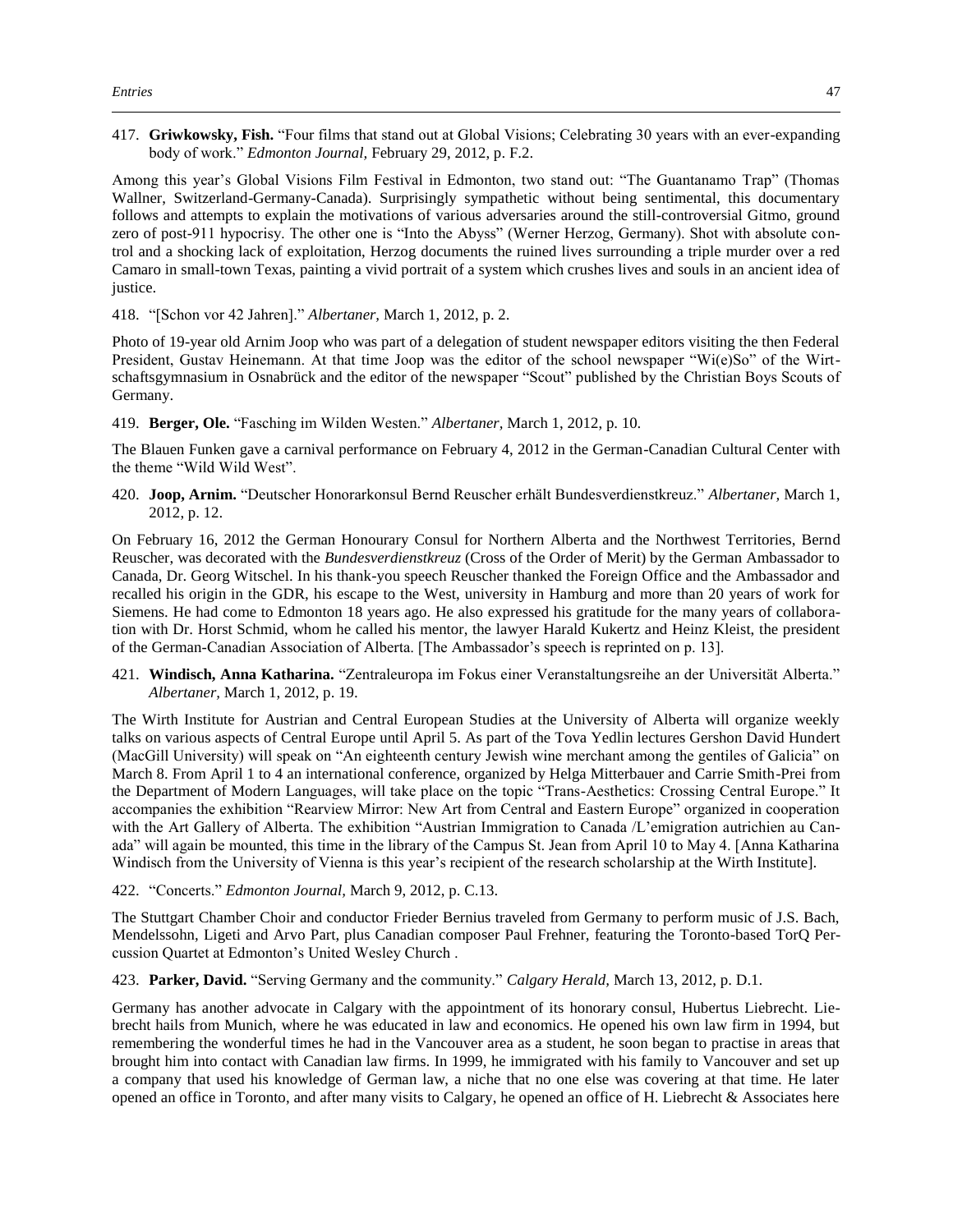417. **Griwkowsky, Fish.** "Four films that stand out at Global Visions; Celebrating 30 years with an ever-expanding body of work." *Edmonton Journal,* February 29, 2012, p. F.2.

Among this year's Global Visions Film Festival in Edmonton, two stand out: "The Guantanamo Trap" (Thomas Wallner, Switzerland-Germany-Canada). Surprisingly sympathetic without being sentimental, this documentary follows and attempts to explain the motivations of various adversaries around the still-controversial Gitmo, ground zero of post-911 hypocrisy. The other one is "Into the Abyss" (Werner Herzog, Germany). Shot with absolute control and a shocking lack of exploitation, Herzog documents the ruined lives surrounding a triple murder over a red Camaro in small-town Texas, painting a vivid portrait of a system which crushes lives and souls in an ancient idea of justice.

418. "[Schon vor 42 Jahren]." *Albertaner,* March 1, 2012, p. 2.

Photo of 19-year old Arnim Joop who was part of a delegation of student newspaper editors visiting the then Federal President, Gustav Heinemann. At that time Joop was the editor of the school newspaper "Wi(e)So" of the Wirtschaftsgymnasium in Osnabrück and the editor of the newspaper "Scout" published by the Christian Boys Scouts of Germany.

419. **Berger, Ole.** "Fasching im Wilden Westen." *Albertaner,* March 1, 2012, p. 10.

The Blauen Funken gave a carnival performance on February 4, 2012 in the German-Canadian Cultural Center with the theme "Wild Wild West".

420. **Joop, Arnim.** "Deutscher Honorarkonsul Bernd Reuscher erhält Bundesverdienstkreuz." *Albertaner,* March 1, 2012, p. 12.

On February 16, 2012 the German Honourary Consul for Northern Alberta and the Northwest Territories, Bernd Reuscher, was decorated with the *Bundesverdienstkreuz* (Cross of the Order of Merit) by the German Ambassador to Canada, Dr. Georg Witschel. In his thank-you speech Reuscher thanked the Foreign Office and the Ambassador and recalled his origin in the GDR, his escape to the West, university in Hamburg and more than 20 years of work for Siemens. He had come to Edmonton 18 years ago. He also expressed his gratitude for the many years of collaboration with Dr. Horst Schmid, whom he called his mentor, the lawyer Harald Kukertz and Heinz Kleist, the president of the German-Canadian Association of Alberta. [The Ambassador's speech is reprinted on p. 13].

421. **Windisch, Anna Katharina.** "Zentraleuropa im Fokus einer Veranstaltungsreihe an der Universität Alberta." *Albertaner,* March 1, 2012, p. 19.

The Wirth Institute for Austrian and Central European Studies at the University of Alberta will organize weekly talks on various aspects of Central Europe until April 5. As part of the Tova Yedlin lectures Gershon David Hundert (MacGill University) will speak on "An eighteenth century Jewish wine merchant among the gentiles of Galicia" on March 8. From April 1 to 4 an international conference, organized by Helga Mitterbauer and Carrie Smith-Prei from the Department of Modern Languages, will take place on the topic "Trans-Aesthetics: Crossing Central Europe." It accompanies the exhibition "Rearview Mirror: New Art from Central and Eastern Europe" organized in cooperation with the Art Gallery of Alberta. The exhibition "Austrian Immigration to Canada /L'emigration autrichien au Canada" will again be mounted, this time in the library of the Campus St. Jean from April 10 to May 4. [Anna Katharina Windisch from the University of Vienna is this year's recipient of the research scholarship at the Wirth Institute].

## 422. "Concerts." *Edmonton Journal,* March 9, 2012, p. C.13.

The Stuttgart Chamber Choir and conductor Frieder Bernius traveled from Germany to perform music of J.S. Bach, Mendelssohn, Ligeti and Arvo Part, plus Canadian composer Paul Frehner, featuring the Toronto-based TorQ Percussion Quartet at Edmonton's United Wesley Church .

423. **Parker, David.** "Serving Germany and the community." *Calgary Herald,* March 13, 2012, p. D.1.

Germany has another advocate in Calgary with the appointment of its honorary consul, Hubertus Liebrecht. Liebrecht hails from Munich, where he was educated in law and economics. He opened his own law firm in 1994, but remembering the wonderful times he had in the Vancouver area as a student, he soon began to practise in areas that brought him into contact with Canadian law firms. In 1999, he immigrated with his family to Vancouver and set up a company that used his knowledge of German law, a niche that no one else was covering at that time. He later opened an office in Toronto, and after many visits to Calgary, he opened an office of H. Liebrecht & Associates here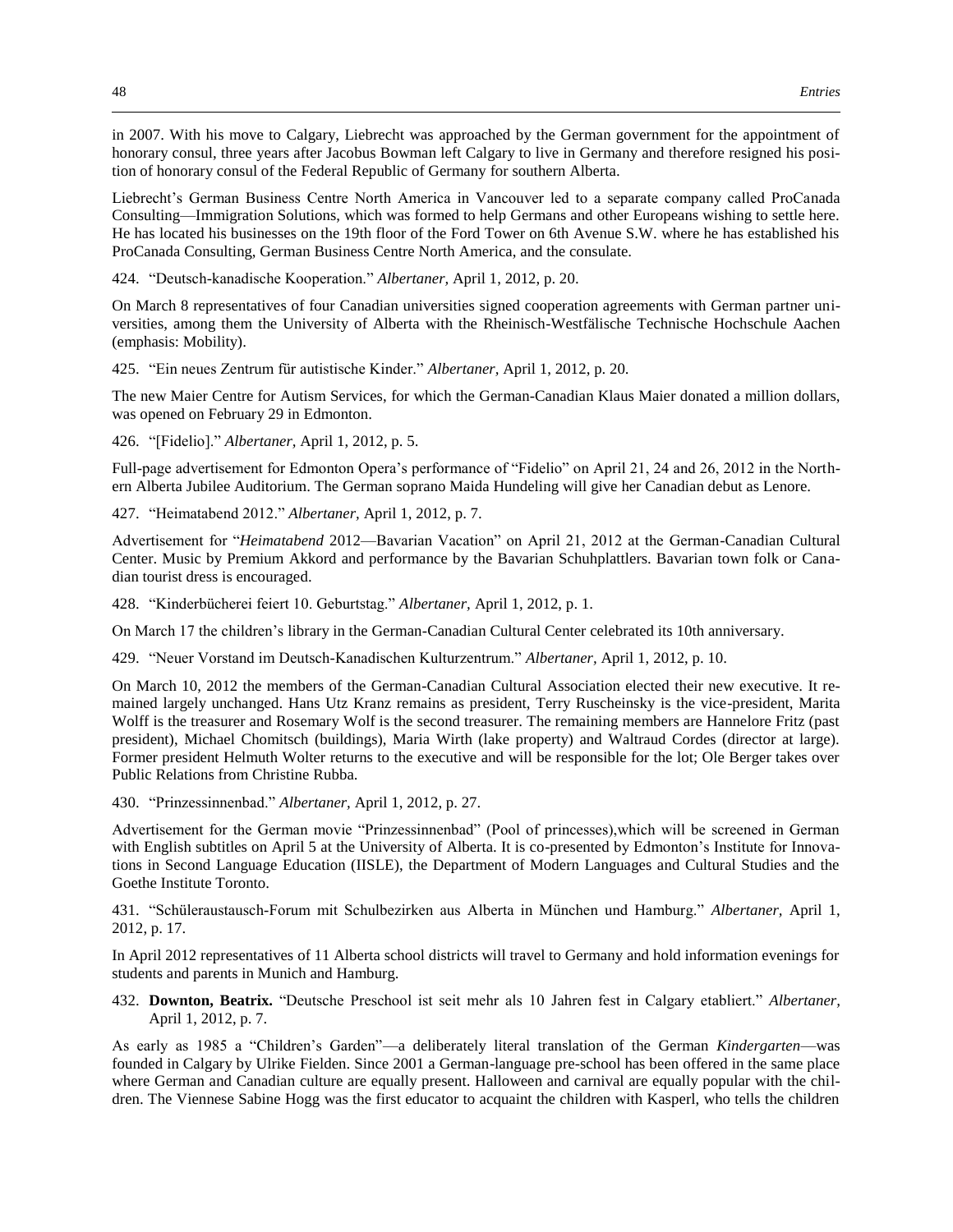in 2007. With his move to Calgary, Liebrecht was approached by the German government for the appointment of honorary consul, three years after Jacobus Bowman left Calgary to live in Germany and therefore resigned his position of honorary consul of the Federal Republic of Germany for southern Alberta.

Liebrecht's German Business Centre North America in Vancouver led to a separate company called ProCanada Consulting—Immigration Solutions, which was formed to help Germans and other Europeans wishing to settle here. He has located his businesses on the 19th floor of the Ford Tower on 6th Avenue S.W. where he has established his ProCanada Consulting, German Business Centre North America, and the consulate.

424. "Deutsch-kanadische Kooperation." *Albertaner,* April 1, 2012, p. 20.

On March 8 representatives of four Canadian universities signed cooperation agreements with German partner universities, among them the University of Alberta with the Rheinisch-Westfälische Technische Hochschule Aachen (emphasis: Mobility).

425. "Ein neues Zentrum für autistische Kinder." *Albertaner,* April 1, 2012, p. 20.

The new Maier Centre for Autism Services, for which the German-Canadian Klaus Maier donated a million dollars, was opened on February 29 in Edmonton.

426. "[Fidelio]." *Albertaner,* April 1, 2012, p. 5.

Full-page advertisement for Edmonton Opera's performance of "Fidelio" on April 21, 24 and 26, 2012 in the Northern Alberta Jubilee Auditorium. The German soprano Maida Hundeling will give her Canadian debut as Lenore.

427. "Heimatabend 2012." *Albertaner,* April 1, 2012, p. 7.

Advertisement for "*Heimatabend* 2012—Bavarian Vacation" on April 21, 2012 at the German-Canadian Cultural Center. Music by Premium Akkord and performance by the Bavarian Schuhplattlers. Bavarian town folk or Canadian tourist dress is encouraged.

428. "Kinderbücherei feiert 10. Geburtstag." *Albertaner,* April 1, 2012, p. 1.

On March 17 the children's library in the German-Canadian Cultural Center celebrated its 10th anniversary.

429. "Neuer Vorstand im Deutsch-Kanadischen Kulturzentrum." *Albertaner,* April 1, 2012, p. 10.

On March 10, 2012 the members of the German-Canadian Cultural Association elected their new executive. It remained largely unchanged. Hans Utz Kranz remains as president, Terry Ruscheinsky is the vice-president, Marita Wolff is the treasurer and Rosemary Wolf is the second treasurer. The remaining members are Hannelore Fritz (past president), Michael Chomitsch (buildings), Maria Wirth (lake property) and Waltraud Cordes (director at large). Former president Helmuth Wolter returns to the executive and will be responsible for the lot; Ole Berger takes over Public Relations from Christine Rubba.

430. "Prinzessinnenbad." *Albertaner,* April 1, 2012, p. 27.

Advertisement for the German movie "Prinzessinnenbad" (Pool of princesses),which will be screened in German with English subtitles on April 5 at the University of Alberta. It is co-presented by Edmonton's Institute for Innovations in Second Language Education (IISLE), the Department of Modern Languages and Cultural Studies and the Goethe Institute Toronto.

431. "Schüleraustausch-Forum mit Schulbezirken aus Alberta in München und Hamburg." *Albertaner,* April 1, 2012, p. 17.

In April 2012 representatives of 11 Alberta school districts will travel to Germany and hold information evenings for students and parents in Munich and Hamburg.

432. **Downton, Beatrix.** "Deutsche Preschool ist seit mehr als 10 Jahren fest in Calgary etabliert." *Albertaner,*  April 1, 2012, p. 7.

As early as 1985 a "Children's Garden"—a deliberately literal translation of the German *Kindergarten*—was founded in Calgary by Ulrike Fielden. Since 2001 a German-language pre-school has been offered in the same place where German and Canadian culture are equally present. Halloween and carnival are equally popular with the children. The Viennese Sabine Hogg was the first educator to acquaint the children with Kasperl, who tells the children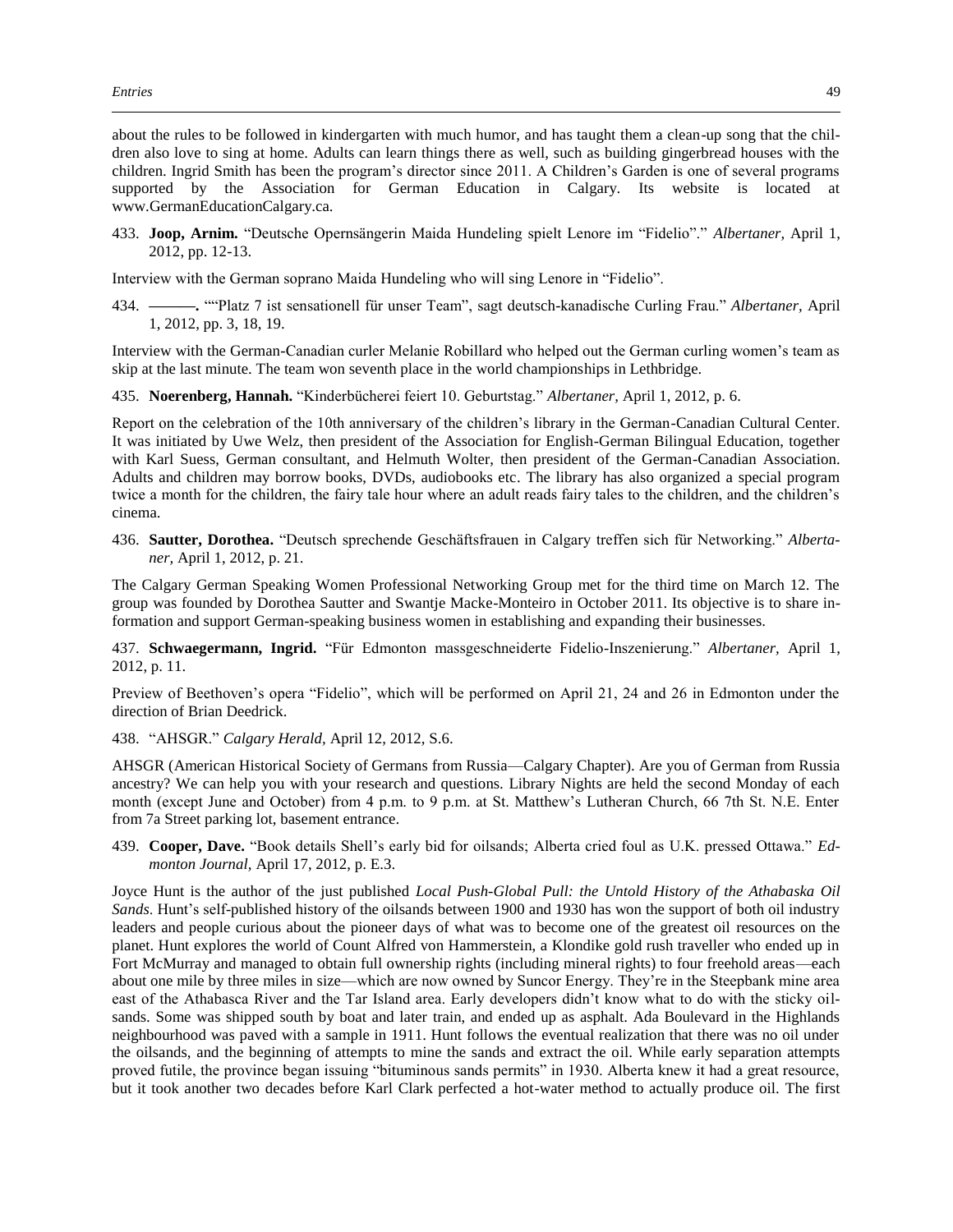about the rules to be followed in kindergarten with much humor, and has taught them a clean-up song that the children also love to sing at home. Adults can learn things there as well, such as building gingerbread houses with the children. Ingrid Smith has been the program's director since 2011. A Children's Garden is one of several programs supported by the Association for German Education in Calgary. Its website is located at www.GermanEducationCalgary.ca.

433. **Joop, Arnim.** "Deutsche Opernsängerin Maida Hundeling spielt Lenore im "Fidelio"." *Albertaner,* April 1, 2012, pp. 12-13.

Interview with the German soprano Maida Hundeling who will sing Lenore in "Fidelio".

434. **———.** ""Platz 7 ist sensationell für unser Team", sagt deutsch-kanadische Curling Frau." *Albertaner,* April 1, 2012, pp. 3, 18, 19.

Interview with the German-Canadian curler Melanie Robillard who helped out the German curling women's team as skip at the last minute. The team won seventh place in the world championships in Lethbridge.

435. **Noerenberg, Hannah.** "Kinderbücherei feiert 10. Geburtstag." *Albertaner,* April 1, 2012, p. 6.

Report on the celebration of the 10th anniversary of the children's library in the German-Canadian Cultural Center. It was initiated by Uwe Welz, then president of the Association for English-German Bilingual Education, together with Karl Suess, German consultant, and Helmuth Wolter, then president of the German-Canadian Association. Adults and children may borrow books, DVDs, audiobooks etc. The library has also organized a special program twice a month for the children, the fairy tale hour where an adult reads fairy tales to the children, and the children's cinema.

436. **Sautter, Dorothea.** "Deutsch sprechende Geschäftsfrauen in Calgary treffen sich für Networking." *Albertaner,* April 1, 2012, p. 21.

The Calgary German Speaking Women Professional Networking Group met for the third time on March 12. The group was founded by Dorothea Sautter and Swantje Macke-Monteiro in October 2011. Its objective is to share information and support German-speaking business women in establishing and expanding their businesses.

437. **Schwaegermann, Ingrid.** "Für Edmonton massgeschneiderte Fidelio-Inszenierung." *Albertaner,* April 1, 2012, p. 11.

Preview of Beethoven's opera "Fidelio", which will be performed on April 21, 24 and 26 in Edmonton under the direction of Brian Deedrick.

438. "AHSGR." *Calgary Herald,* April 12, 2012, S.6.

AHSGR (American Historical Society of Germans from Russia—Calgary Chapter). Are you of German from Russia ancestry? We can help you with your research and questions. Library Nights are held the second Monday of each month (except June and October) from 4 p.m. to 9 p.m. at St. Matthew's Lutheran Church, 66 7th St. N.E. Enter from 7a Street parking lot, basement entrance.

439. **Cooper, Dave.** "Book details Shell's early bid for oilsands; Alberta cried foul as U.K. pressed Ottawa." *Edmonton Journal,* April 17, 2012, p. E.3.

Joyce Hunt is the author of the just published *Local Push-Global Pull: the Untold History of the Athabaska Oil Sands*. Hunt's self-published history of the oilsands between 1900 and 1930 has won the support of both oil industry leaders and people curious about the pioneer days of what was to become one of the greatest oil resources on the planet. Hunt explores the world of Count Alfred von Hammerstein, a Klondike gold rush traveller who ended up in Fort McMurray and managed to obtain full ownership rights (including mineral rights) to four freehold areas—each about one mile by three miles in size—which are now owned by Suncor Energy. They're in the Steepbank mine area east of the Athabasca River and the Tar Island area. Early developers didn't know what to do with the sticky oilsands. Some was shipped south by boat and later train, and ended up as asphalt. Ada Boulevard in the Highlands neighbourhood was paved with a sample in 1911. Hunt follows the eventual realization that there was no oil under the oilsands, and the beginning of attempts to mine the sands and extract the oil. While early separation attempts proved futile, the province began issuing "bituminous sands permits" in 1930. Alberta knew it had a great resource, but it took another two decades before Karl Clark perfected a hot-water method to actually produce oil. The first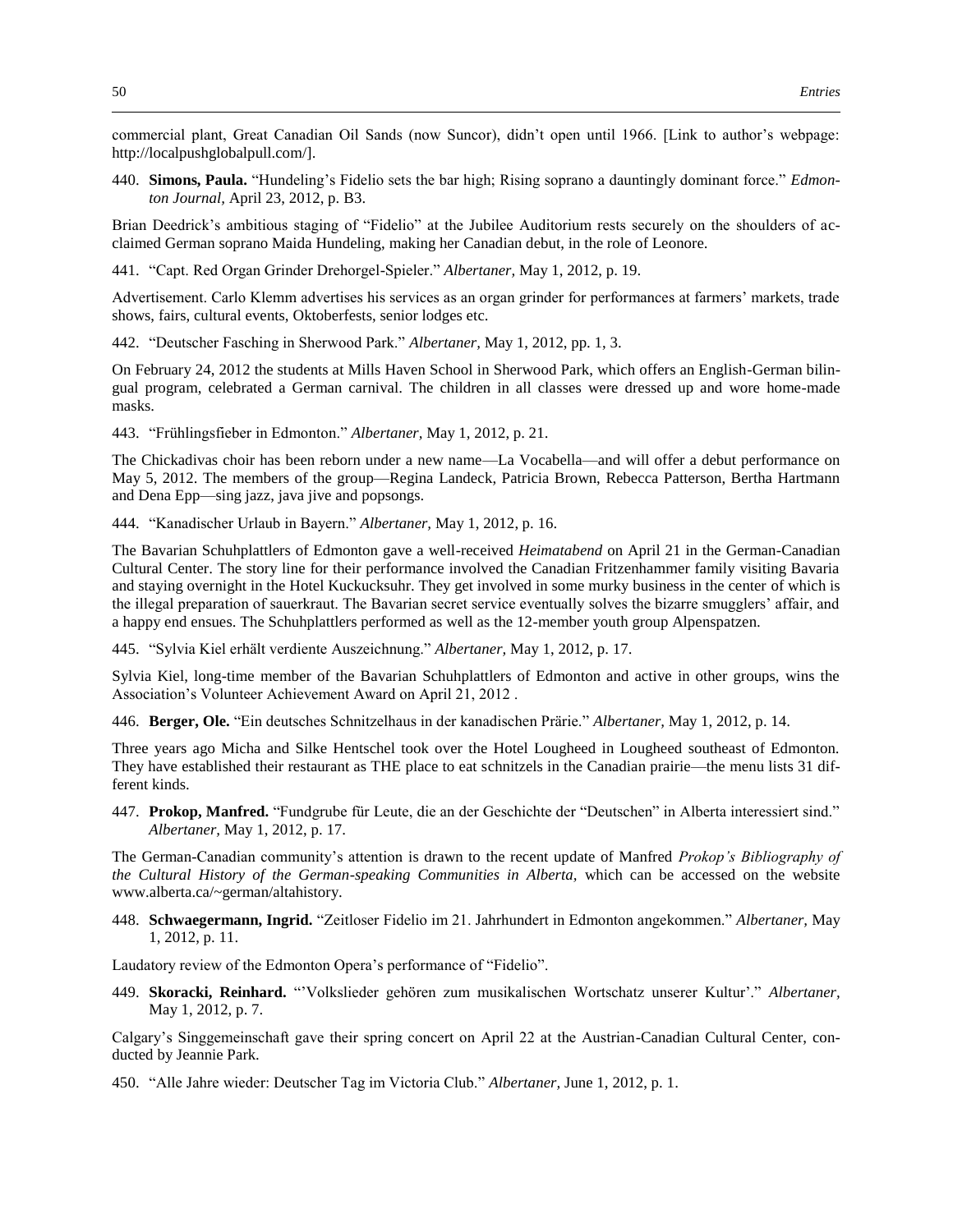commercial plant, Great Canadian Oil Sands (now Suncor), didn't open until 1966. [Link to author's webpage: http://localpushglobalpull.com/].

440. **Simons, Paula.** "Hundeling's Fidelio sets the bar high; Rising soprano a dauntingly dominant force." *Edmonton Journal,* April 23, 2012, p. B3.

Brian Deedrick's ambitious staging of "Fidelio" at the Jubilee Auditorium rests securely on the shoulders of acclaimed German soprano Maida Hundeling, making her Canadian debut, in the role of Leonore.

441. "Capt. Red Organ Grinder Drehorgel-Spieler." *Albertaner,* May 1, 2012, p. 19.

Advertisement. Carlo Klemm advertises his services as an organ grinder for performances at farmers' markets, trade shows, fairs, cultural events, Oktoberfests, senior lodges etc.

442. "Deutscher Fasching in Sherwood Park." *Albertaner,* May 1, 2012, pp. 1, 3.

On February 24, 2012 the students at Mills Haven School in Sherwood Park, which offers an English-German bilingual program, celebrated a German carnival. The children in all classes were dressed up and wore home-made masks.

443. "Frühlingsfieber in Edmonton." *Albertaner,* May 1, 2012, p. 21.

The Chickadivas choir has been reborn under a new name—La Vocabella—and will offer a debut performance on May 5, 2012. The members of the group—Regina Landeck, Patricia Brown, Rebecca Patterson, Bertha Hartmann and Dena Epp—sing jazz, java jive and popsongs.

444. "Kanadischer Urlaub in Bayern." *Albertaner,* May 1, 2012, p. 16.

The Bavarian Schuhplattlers of Edmonton gave a well-received *Heimatabend* on April 21 in the German-Canadian Cultural Center. The story line for their performance involved the Canadian Fritzenhammer family visiting Bavaria and staying overnight in the Hotel Kuckucksuhr. They get involved in some murky business in the center of which is the illegal preparation of sauerkraut. The Bavarian secret service eventually solves the bizarre smugglers' affair, and a happy end ensues. The Schuhplattlers performed as well as the 12-member youth group Alpenspatzen.

445. "Sylvia Kiel erhält verdiente Auszeichnung." *Albertaner,* May 1, 2012, p. 17.

Sylvia Kiel, long-time member of the Bavarian Schuhplattlers of Edmonton and active in other groups, wins the Association's Volunteer Achievement Award on April 21, 2012 .

446. **Berger, Ole.** "Ein deutsches Schnitzelhaus in der kanadischen Prärie." *Albertaner,* May 1, 2012, p. 14.

Three years ago Micha and Silke Hentschel took over the Hotel Lougheed in Lougheed southeast of Edmonton. They have established their restaurant as THE place to eat schnitzels in the Canadian prairie—the menu lists 31 different kinds.

447. **Prokop, Manfred.** "Fundgrube für Leute, die an der Geschichte der "Deutschen" in Alberta interessiert sind." *Albertaner,* May 1, 2012, p. 17.

The German-Canadian community's attention is drawn to the recent update of Manfred *Prokop's Bibliography of the Cultural History of the German-speaking Communities in Alberta,* which can be accessed on the website www.alberta.ca/~german/altahistory.

448. **Schwaegermann, Ingrid.** "Zeitloser Fidelio im 21. Jahrhundert in Edmonton angekommen." *Albertaner,* May 1, 2012, p. 11.

Laudatory review of the Edmonton Opera's performance of "Fidelio".

449. **Skoracki, Reinhard.** "'Volkslieder gehören zum musikalischen Wortschatz unserer Kultur'." *Albertaner,*  May 1, 2012, p. 7.

Calgary's Singgemeinschaft gave their spring concert on April 22 at the Austrian-Canadian Cultural Center, conducted by Jeannie Park.

450. "Alle Jahre wieder: Deutscher Tag im Victoria Club." *Albertaner,* June 1, 2012, p. 1.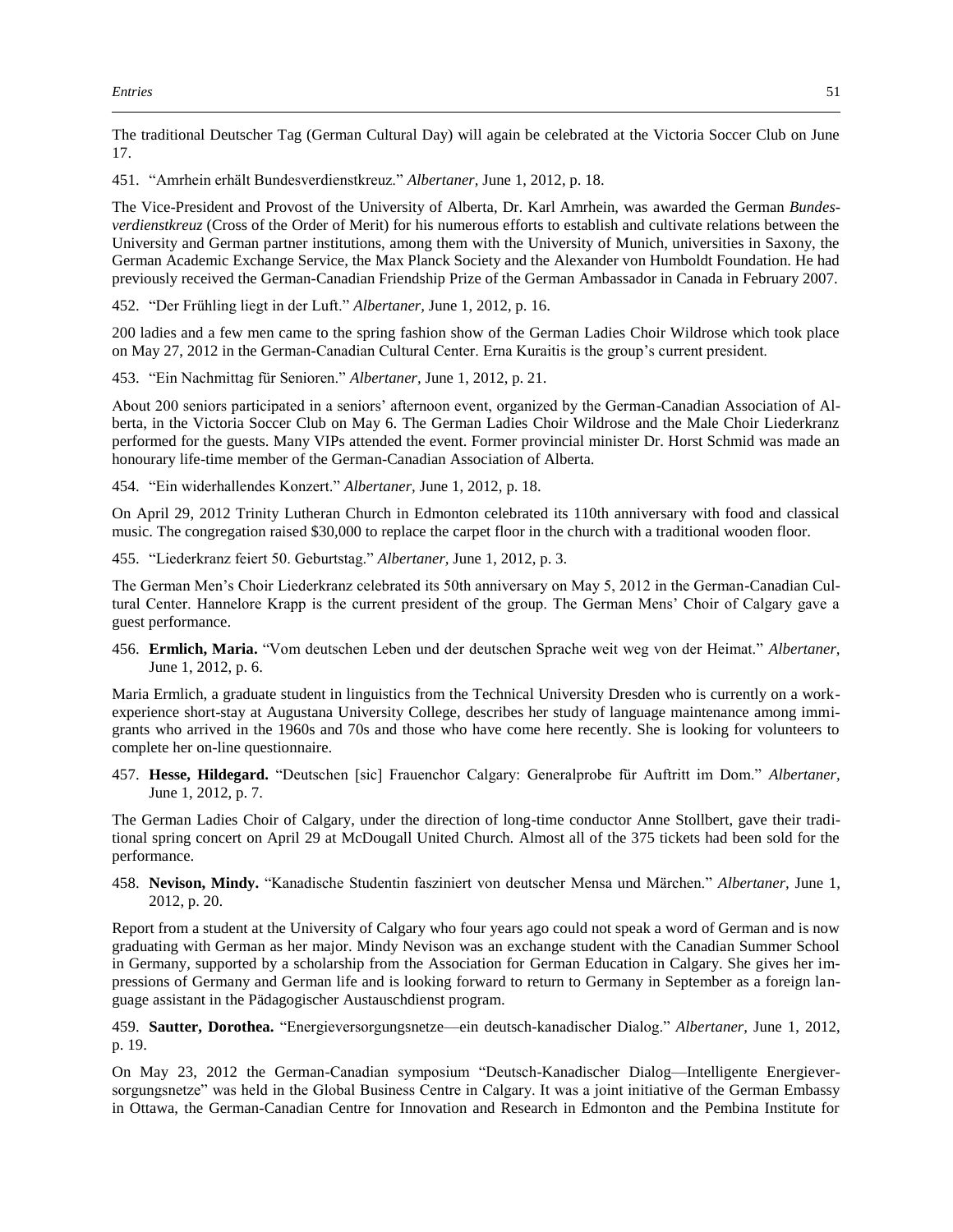The traditional Deutscher Tag (German Cultural Day) will again be celebrated at the Victoria Soccer Club on June 17.

451. "Amrhein erhält Bundesverdienstkreuz." *Albertaner,* June 1, 2012, p. 18.

The Vice-President and Provost of the University of Alberta, Dr. Karl Amrhein, was awarded the German *Bundesverdienstkreuz* (Cross of the Order of Merit) for his numerous efforts to establish and cultivate relations between the University and German partner institutions, among them with the University of Munich, universities in Saxony, the German Academic Exchange Service, the Max Planck Society and the Alexander von Humboldt Foundation. He had previously received the German-Canadian Friendship Prize of the German Ambassador in Canada in February 2007.

452. "Der Frühling liegt in der Luft." *Albertaner,* June 1, 2012, p. 16.

200 ladies and a few men came to the spring fashion show of the German Ladies Choir Wildrose which took place on May 27, 2012 in the German-Canadian Cultural Center. Erna Kuraitis is the group's current president.

453. "Ein Nachmittag für Senioren." *Albertaner,* June 1, 2012, p. 21.

About 200 seniors participated in a seniors' afternoon event, organized by the German-Canadian Association of Alberta, in the Victoria Soccer Club on May 6. The German Ladies Choir Wildrose and the Male Choir Liederkranz performed for the guests. Many VIPs attended the event. Former provincial minister Dr. Horst Schmid was made an honourary life-time member of the German-Canadian Association of Alberta.

454. "Ein widerhallendes Konzert." *Albertaner,* June 1, 2012, p. 18.

On April 29, 2012 Trinity Lutheran Church in Edmonton celebrated its 110th anniversary with food and classical music. The congregation raised \$30,000 to replace the carpet floor in the church with a traditional wooden floor.

455. "Liederkranz feiert 50. Geburtstag." *Albertaner,* June 1, 2012, p. 3.

The German Men's Choir Liederkranz celebrated its 50th anniversary on May 5, 2012 in the German-Canadian Cultural Center. Hannelore Krapp is the current president of the group. The German Mens' Choir of Calgary gave a guest performance.

456. **Ermlich, Maria.** "Vom deutschen Leben und der deutschen Sprache weit weg von der Heimat." *Albertaner,*  June 1, 2012, p. 6.

Maria Ermlich, a graduate student in linguistics from the Technical University Dresden who is currently on a workexperience short-stay at Augustana University College, describes her study of language maintenance among immigrants who arrived in the 1960s and 70s and those who have come here recently. She is looking for volunteers to complete her on-line questionnaire.

457. **Hesse, Hildegard.** "Deutschen [sic] Frauenchor Calgary: Generalprobe für Auftritt im Dom." *Albertaner,*  June 1, 2012, p. 7.

The German Ladies Choir of Calgary, under the direction of long-time conductor Anne Stollbert, gave their traditional spring concert on April 29 at McDougall United Church. Almost all of the 375 tickets had been sold for the performance.

458. **Nevison, Mindy.** "Kanadische Studentin fasziniert von deutscher Mensa und Märchen." *Albertaner,* June 1, 2012, p. 20.

Report from a student at the University of Calgary who four years ago could not speak a word of German and is now graduating with German as her major. Mindy Nevison was an exchange student with the Canadian Summer School in Germany, supported by a scholarship from the Association for German Education in Calgary. She gives her impressions of Germany and German life and is looking forward to return to Germany in September as a foreign language assistant in the Pädagogischer Austauschdienst program.

459. **Sautter, Dorothea.** "Energieversorgungsnetze—ein deutsch-kanadischer Dialog." *Albertaner,* June 1, 2012, p. 19.

On May 23, 2012 the German-Canadian symposium "Deutsch-Kanadischer Dialog—Intelligente Energieversorgungsnetze" was held in the Global Business Centre in Calgary. It was a joint initiative of the German Embassy in Ottawa, the German-Canadian Centre for Innovation and Research in Edmonton and the Pembina Institute for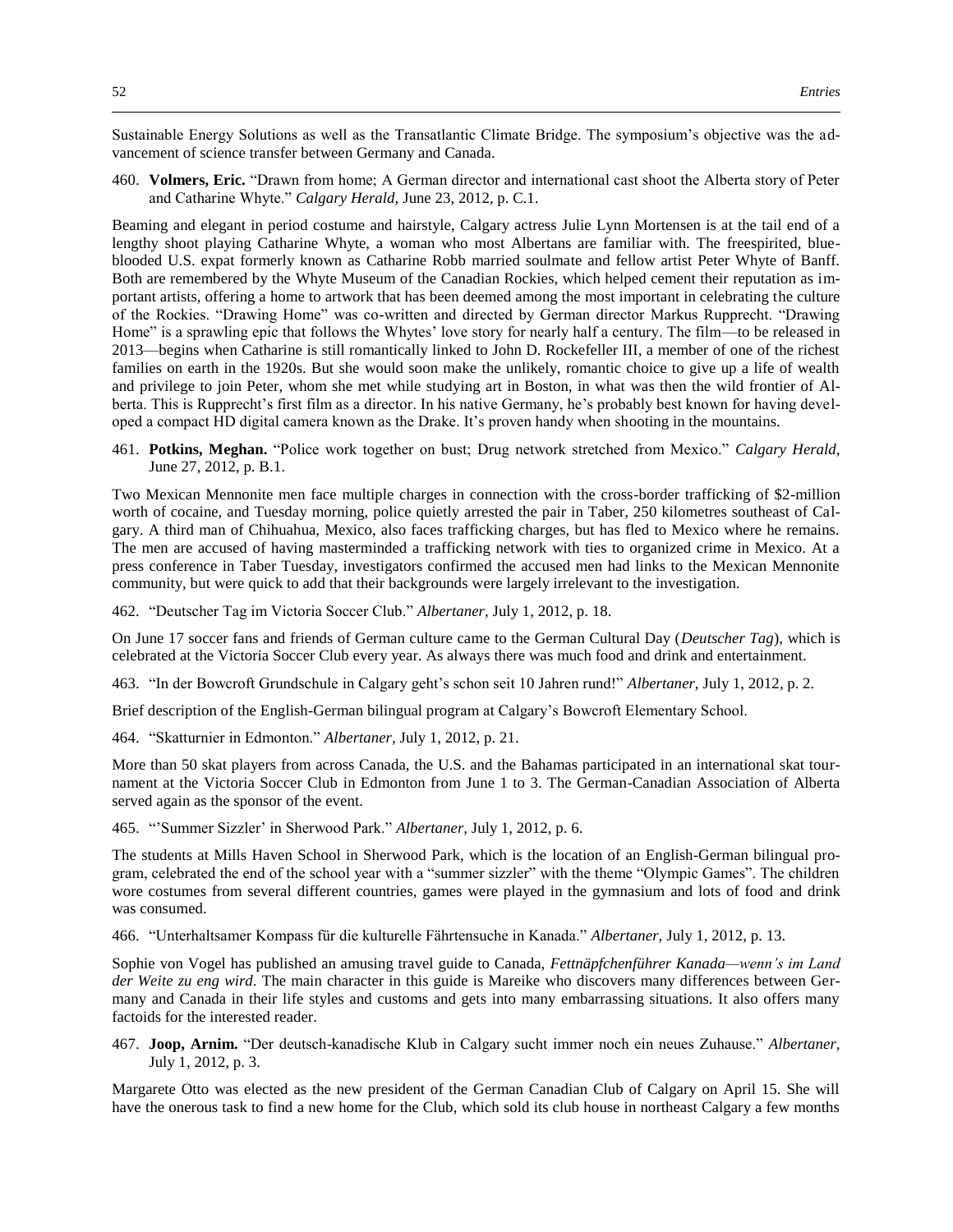Sustainable Energy Solutions as well as the Transatlantic Climate Bridge. The symposium's objective was the advancement of science transfer between Germany and Canada.

460. **Volmers, Eric.** "Drawn from home; A German director and international cast shoot the Alberta story of Peter and Catharine Whyte." *Calgary Herald,* June 23, 2012, p. C.1.

Beaming and elegant in period costume and hairstyle, Calgary actress Julie Lynn Mortensen is at the tail end of a lengthy shoot playing Catharine Whyte, a woman who most Albertans are familiar with. The freespirited, blueblooded U.S. expat formerly known as Catharine Robb married soulmate and fellow artist Peter Whyte of Banff. Both are remembered by the Whyte Museum of the Canadian Rockies, which helped cement their reputation as important artists, offering a home to artwork that has been deemed among the most important in celebrating the culture of the Rockies. "Drawing Home" was co-written and directed by German director Markus Rupprecht. "Drawing Home" is a sprawling epic that follows the Whytes' love story for nearly half a century. The film—to be released in 2013—begins when Catharine is still romantically linked to John D. Rockefeller III, a member of one of the richest families on earth in the 1920s. But she would soon make the unlikely, romantic choice to give up a life of wealth and privilege to join Peter, whom she met while studying art in Boston, in what was then the wild frontier of Alberta. This is Rupprecht's first film as a director. In his native Germany, he's probably best known for having developed a compact HD digital camera known as the Drake. It's proven handy when shooting in the mountains.

461. **Potkins, Meghan.** "Police work together on bust; Drug network stretched from Mexico." *Calgary Herald,*  June 27, 2012, p. B.1.

Two Mexican Mennonite men face multiple charges in connection with the cross-border trafficking of \$2-million worth of cocaine, and Tuesday morning, police quietly arrested the pair in Taber, 250 kilometres southeast of Calgary. A third man of Chihuahua, Mexico, also faces trafficking charges, but has fled to Mexico where he remains. The men are accused of having masterminded a trafficking network with ties to organized crime in Mexico. At a press conference in Taber Tuesday, investigators confirmed the accused men had links to the Mexican Mennonite community, but were quick to add that their backgrounds were largely irrelevant to the investigation.

462. "Deutscher Tag im Victoria Soccer Club." *Albertaner,* July 1, 2012, p. 18.

On June 17 soccer fans and friends of German culture came to the German Cultural Day (*Deutscher Tag*), which is celebrated at the Victoria Soccer Club every year. As always there was much food and drink and entertainment.

463. "In der Bowcroft Grundschule in Calgary geht's schon seit 10 Jahren rund!" *Albertaner,* July 1, 2012, p. 2.

Brief description of the English-German bilingual program at Calgary's Bowcroft Elementary School.

464. "Skatturnier in Edmonton." *Albertaner,* July 1, 2012, p. 21.

More than 50 skat players from across Canada, the U.S. and the Bahamas participated in an international skat tournament at the Victoria Soccer Club in Edmonton from June 1 to 3. The German-Canadian Association of Alberta served again as the sponsor of the event.

465. "'Summer Sizzler' in Sherwood Park." *Albertaner,* July 1, 2012, p. 6.

The students at Mills Haven School in Sherwood Park, which is the location of an English-German bilingual program, celebrated the end of the school year with a "summer sizzler" with the theme "Olympic Games". The children wore costumes from several different countries, games were played in the gymnasium and lots of food and drink was consumed.

466. "Unterhaltsamer Kompass für die kulturelle Fährtensuche in Kanada." *Albertaner,* July 1, 2012, p. 13.

Sophie von Vogel has published an amusing travel guide to Canada, *Fettnäpfchenführer Kanada—wenn's im Land der Weite zu eng wird*. The main character in this guide is Mareike who discovers many differences between Germany and Canada in their life styles and customs and gets into many embarrassing situations. It also offers many factoids for the interested reader.

467. **Joop, Arnim.** "Der deutsch-kanadische Klub in Calgary sucht immer noch ein neues Zuhause." *Albertaner,*  July 1, 2012, p. 3.

Margarete Otto was elected as the new president of the German Canadian Club of Calgary on April 15. She will have the onerous task to find a new home for the Club, which sold its club house in northeast Calgary a few months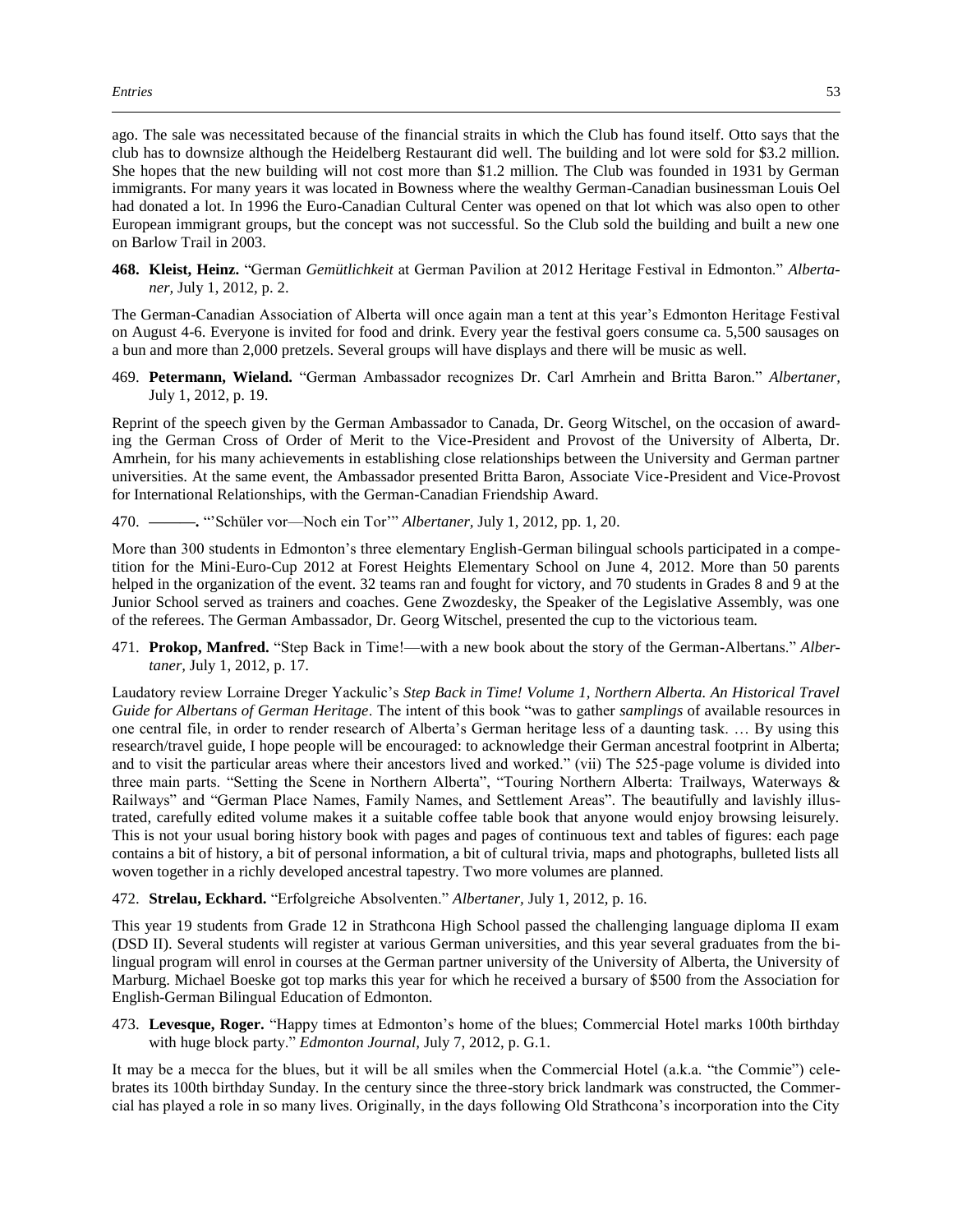ago. The sale was necessitated because of the financial straits in which the Club has found itself. Otto says that the club has to downsize although the Heidelberg Restaurant did well. The building and lot were sold for \$3.2 million. She hopes that the new building will not cost more than \$1.2 million. The Club was founded in 1931 by German immigrants. For many years it was located in Bowness where the wealthy German-Canadian businessman Louis Oel had donated a lot. In 1996 the Euro-Canadian Cultural Center was opened on that lot which was also open to other European immigrant groups, but the concept was not successful. So the Club sold the building and built a new one on Barlow Trail in 2003.

**468. Kleist, Heinz.** "German *Gemütlichkeit* at German Pavilion at 2012 Heritage Festival in Edmonton." *Albertaner,* July 1, 2012, p. 2.

The German-Canadian Association of Alberta will once again man a tent at this year's Edmonton Heritage Festival on August 4-6. Everyone is invited for food and drink. Every year the festival goers consume ca. 5,500 sausages on a bun and more than 2,000 pretzels. Several groups will have displays and there will be music as well.

469. **Petermann, Wieland.** "German Ambassador recognizes Dr. Carl Amrhein and Britta Baron." *Albertaner,*  July 1, 2012, p. 19.

Reprint of the speech given by the German Ambassador to Canada, Dr. Georg Witschel, on the occasion of awarding the German Cross of Order of Merit to the Vice-President and Provost of the University of Alberta, Dr. Amrhein, for his many achievements in establishing close relationships between the University and German partner universities. At the same event, the Ambassador presented Britta Baron, Associate Vice-President and Vice-Provost for International Relationships, with the German-Canadian Friendship Award.

470. **———.** "'Schüler vor—Noch ein Tor'" *Albertaner,* July 1, 2012, pp. 1, 20.

More than 300 students in Edmonton's three elementary English-German bilingual schools participated in a competition for the Mini-Euro-Cup 2012 at Forest Heights Elementary School on June 4, 2012. More than 50 parents helped in the organization of the event. 32 teams ran and fought for victory, and 70 students in Grades 8 and 9 at the Junior School served as trainers and coaches. Gene Zwozdesky, the Speaker of the Legislative Assembly, was one of the referees. The German Ambassador, Dr. Georg Witschel, presented the cup to the victorious team.

471. **Prokop, Manfred.** "Step Back in Time!—with a new book about the story of the German-Albertans." *Albertaner,* July 1, 2012, p. 17.

Laudatory review Lorraine Dreger Yackulic's *Step Back in Time! Volume 1, Northern Alberta. An Historical Travel Guide for Albertans of German Heritage*. The intent of this book "was to gather *samplings* of available resources in one central file, in order to render research of Alberta's German heritage less of a daunting task. … By using this research/travel guide, I hope people will be encouraged: to acknowledge their German ancestral footprint in Alberta; and to visit the particular areas where their ancestors lived and worked." (vii) The 525-page volume is divided into three main parts. "Setting the Scene in Northern Alberta", "Touring Northern Alberta: Trailways, Waterways & Railways" and "German Place Names, Family Names, and Settlement Areas". The beautifully and lavishly illustrated, carefully edited volume makes it a suitable coffee table book that anyone would enjoy browsing leisurely. This is not your usual boring history book with pages and pages of continuous text and tables of figures: each page contains a bit of history, a bit of personal information, a bit of cultural trivia, maps and photographs, bulleted lists all woven together in a richly developed ancestral tapestry. Two more volumes are planned.

472. **Strelau, Eckhard.** "Erfolgreiche Absolventen." *Albertaner,* July 1, 2012, p. 16.

This year 19 students from Grade 12 in Strathcona High School passed the challenging language diploma II exam (DSD II). Several students will register at various German universities, and this year several graduates from the bilingual program will enrol in courses at the German partner university of the University of Alberta, the University of Marburg. Michael Boeske got top marks this year for which he received a bursary of \$500 from the Association for English-German Bilingual Education of Edmonton.

473. **Levesque, Roger.** "Happy times at Edmonton's home of the blues; Commercial Hotel marks 100th birthday with huge block party." *Edmonton Journal,* July 7, 2012, p. G.1.

It may be a mecca for the blues, but it will be all smiles when the Commercial Hotel (a.k.a. "the Commie") celebrates its 100th birthday Sunday. In the century since the three-story brick landmark was constructed, the Commercial has played a role in so many lives. Originally, in the days following Old Strathcona's incorporation into the City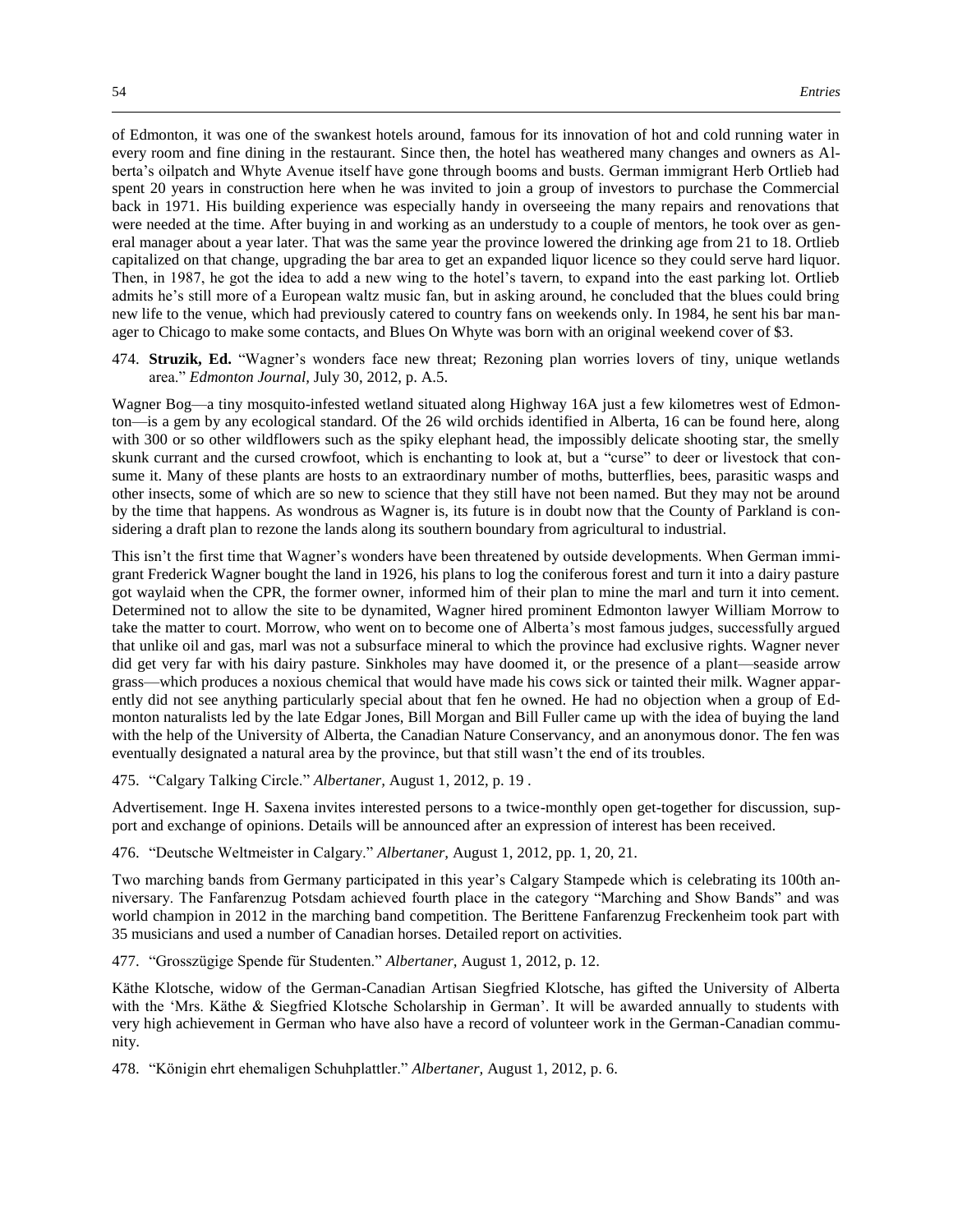of Edmonton, it was one of the swankest hotels around, famous for its innovation of hot and cold running water in every room and fine dining in the restaurant. Since then, the hotel has weathered many changes and owners as Alberta's oilpatch and Whyte Avenue itself have gone through booms and busts. German immigrant Herb Ortlieb had spent 20 years in construction here when he was invited to join a group of investors to purchase the Commercial back in 1971. His building experience was especially handy in overseeing the many repairs and renovations that were needed at the time. After buying in and working as an understudy to a couple of mentors, he took over as general manager about a year later. That was the same year the province lowered the drinking age from 21 to 18. Ortlieb capitalized on that change, upgrading the bar area to get an expanded liquor licence so they could serve hard liquor. Then, in 1987, he got the idea to add a new wing to the hotel's tavern, to expand into the east parking lot. Ortlieb admits he's still more of a European waltz music fan, but in asking around, he concluded that the blues could bring new life to the venue, which had previously catered to country fans on weekends only. In 1984, he sent his bar manager to Chicago to make some contacts, and Blues On Whyte was born with an original weekend cover of \$3.

474. **Struzik, Ed.** "Wagner's wonders face new threat; Rezoning plan worries lovers of tiny, unique wetlands area." *Edmonton Journal,* July 30, 2012, p. A.5.

Wagner Bog—a tiny mosquito-infested wetland situated along Highway 16A just a few kilometres west of Edmonton—is a gem by any ecological standard. Of the 26 wild orchids identified in Alberta, 16 can be found here, along with 300 or so other wildflowers such as the spiky elephant head, the impossibly delicate shooting star, the smelly skunk currant and the cursed crowfoot, which is enchanting to look at, but a "curse" to deer or livestock that consume it. Many of these plants are hosts to an extraordinary number of moths, butterflies, bees, parasitic wasps and other insects, some of which are so new to science that they still have not been named. But they may not be around by the time that happens. As wondrous as Wagner is, its future is in doubt now that the County of Parkland is considering a draft plan to rezone the lands along its southern boundary from agricultural to industrial.

This isn't the first time that Wagner's wonders have been threatened by outside developments. When German immigrant Frederick Wagner bought the land in 1926, his plans to log the coniferous forest and turn it into a dairy pasture got waylaid when the CPR, the former owner, informed him of their plan to mine the marl and turn it into cement. Determined not to allow the site to be dynamited, Wagner hired prominent Edmonton lawyer William Morrow to take the matter to court. Morrow, who went on to become one of Alberta's most famous judges, successfully argued that unlike oil and gas, marl was not a subsurface mineral to which the province had exclusive rights. Wagner never did get very far with his dairy pasture. Sinkholes may have doomed it, or the presence of a plant—seaside arrow grass—which produces a noxious chemical that would have made his cows sick or tainted their milk. Wagner apparently did not see anything particularly special about that fen he owned. He had no objection when a group of Edmonton naturalists led by the late Edgar Jones, Bill Morgan and Bill Fuller came up with the idea of buying the land with the help of the University of Alberta, the Canadian Nature Conservancy, and an anonymous donor. The fen was eventually designated a natural area by the province, but that still wasn't the end of its troubles.

475. "Calgary Talking Circle." *Albertaner,* August 1, 2012, p. 19 .

Advertisement. Inge H. Saxena invites interested persons to a twice-monthly open get-together for discussion, support and exchange of opinions. Details will be announced after an expression of interest has been received.

476. "Deutsche Weltmeister in Calgary." *Albertaner,* August 1, 2012, pp. 1, 20, 21.

Two marching bands from Germany participated in this year's Calgary Stampede which is celebrating its 100th anniversary. The Fanfarenzug Potsdam achieved fourth place in the category "Marching and Show Bands" and was world champion in 2012 in the marching band competition. The Berittene Fanfarenzug Freckenheim took part with 35 musicians and used a number of Canadian horses. Detailed report on activities.

477. "Grosszügige Spende für Studenten." *Albertaner,* August 1, 2012, p. 12.

Käthe Klotsche, widow of the German-Canadian Artisan Siegfried Klotsche, has gifted the University of Alberta with the 'Mrs. Käthe & Siegfried Klotsche Scholarship in German'. It will be awarded annually to students with very high achievement in German who have also have a record of volunteer work in the German-Canadian community.

478. "Königin ehrt ehemaligen Schuhplattler." *Albertaner,* August 1, 2012, p. 6.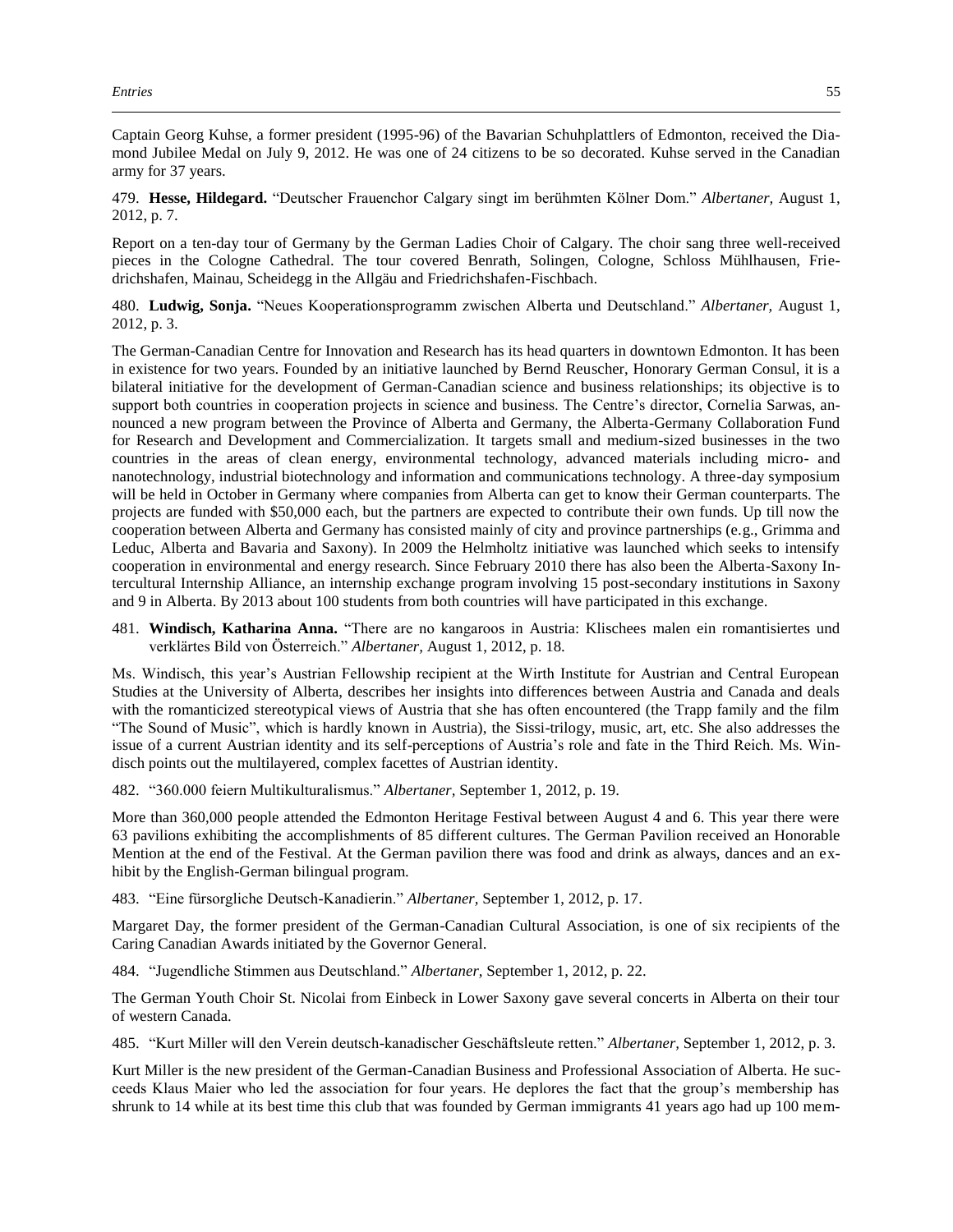Captain Georg Kuhse, a former president (1995-96) of the Bavarian Schuhplattlers of Edmonton, received the Diamond Jubilee Medal on July 9, 2012. He was one of 24 citizens to be so decorated. Kuhse served in the Canadian army for 37 years.

479. **Hesse, Hildegard.** "Deutscher Frauenchor Calgary singt im berühmten Kölner Dom." *Albertaner,* August 1, 2012, p. 7.

Report on a ten-day tour of Germany by the German Ladies Choir of Calgary. The choir sang three well-received pieces in the Cologne Cathedral. The tour covered Benrath, Solingen, Cologne, Schloss Mühlhausen, Friedrichshafen, Mainau, Scheidegg in the Allgäu and Friedrichshafen-Fischbach.

480. **Ludwig, Sonja.** "Neues Kooperationsprogramm zwischen Alberta und Deutschland." *Albertaner,* August 1, 2012, p. 3.

The German-Canadian Centre for Innovation and Research has its head quarters in downtown Edmonton. It has been in existence for two years. Founded by an initiative launched by Bernd Reuscher, Honorary German Consul, it is a bilateral initiative for the development of German-Canadian science and business relationships; its objective is to support both countries in cooperation projects in science and business. The Centre's director, Cornelia Sarwas, announced a new program between the Province of Alberta and Germany, the Alberta-Germany Collaboration Fund for Research and Development and Commercialization. It targets small and medium-sized businesses in the two countries in the areas of clean energy, environmental technology, advanced materials including micro- and nanotechnology, industrial biotechnology and information and communications technology. A three-day symposium will be held in October in Germany where companies from Alberta can get to know their German counterparts. The projects are funded with \$50,000 each, but the partners are expected to contribute their own funds. Up till now the cooperation between Alberta and Germany has consisted mainly of city and province partnerships (e.g., Grimma and Leduc, Alberta and Bavaria and Saxony). In 2009 the Helmholtz initiative was launched which seeks to intensify cooperation in environmental and energy research. Since February 2010 there has also been the Alberta-Saxony Intercultural Internship Alliance, an internship exchange program involving 15 post-secondary institutions in Saxony and 9 in Alberta. By 2013 about 100 students from both countries will have participated in this exchange.

481. **Windisch, Katharina Anna.** "There are no kangaroos in Austria: Klischees malen ein romantisiertes und verklärtes Bild von Österreich." *Albertaner,* August 1, 2012, p. 18.

Ms. Windisch, this year's Austrian Fellowship recipient at the Wirth Institute for Austrian and Central European Studies at the University of Alberta, describes her insights into differences between Austria and Canada and deals with the romanticized stereotypical views of Austria that she has often encountered (the Trapp family and the film "The Sound of Music", which is hardly known in Austria), the Sissi-trilogy, music, art, etc. She also addresses the issue of a current Austrian identity and its self-perceptions of Austria's role and fate in the Third Reich. Ms. Windisch points out the multilayered, complex facettes of Austrian identity.

482. "360.000 feiern Multikulturalismus." *Albertaner,* September 1, 2012, p. 19.

More than 360,000 people attended the Edmonton Heritage Festival between August 4 and 6. This year there were 63 pavilions exhibiting the accomplishments of 85 different cultures. The German Pavilion received an Honorable Mention at the end of the Festival. At the German pavilion there was food and drink as always, dances and an exhibit by the English-German bilingual program.

483. "Eine fürsorgliche Deutsch-Kanadierin." *Albertaner,* September 1, 2012, p. 17.

Margaret Day, the former president of the German-Canadian Cultural Association, is one of six recipients of the Caring Canadian Awards initiated by the Governor General.

484. "Jugendliche Stimmen aus Deutschland." *Albertaner,* September 1, 2012, p. 22.

The German Youth Choir St. Nicolai from Einbeck in Lower Saxony gave several concerts in Alberta on their tour of western Canada.

485. "Kurt Miller will den Verein deutsch-kanadischer Geschäftsleute retten." *Albertaner,* September 1, 2012, p. 3.

Kurt Miller is the new president of the German-Canadian Business and Professional Association of Alberta. He succeeds Klaus Maier who led the association for four years. He deplores the fact that the group's membership has shrunk to 14 while at its best time this club that was founded by German immigrants 41 years ago had up 100 mem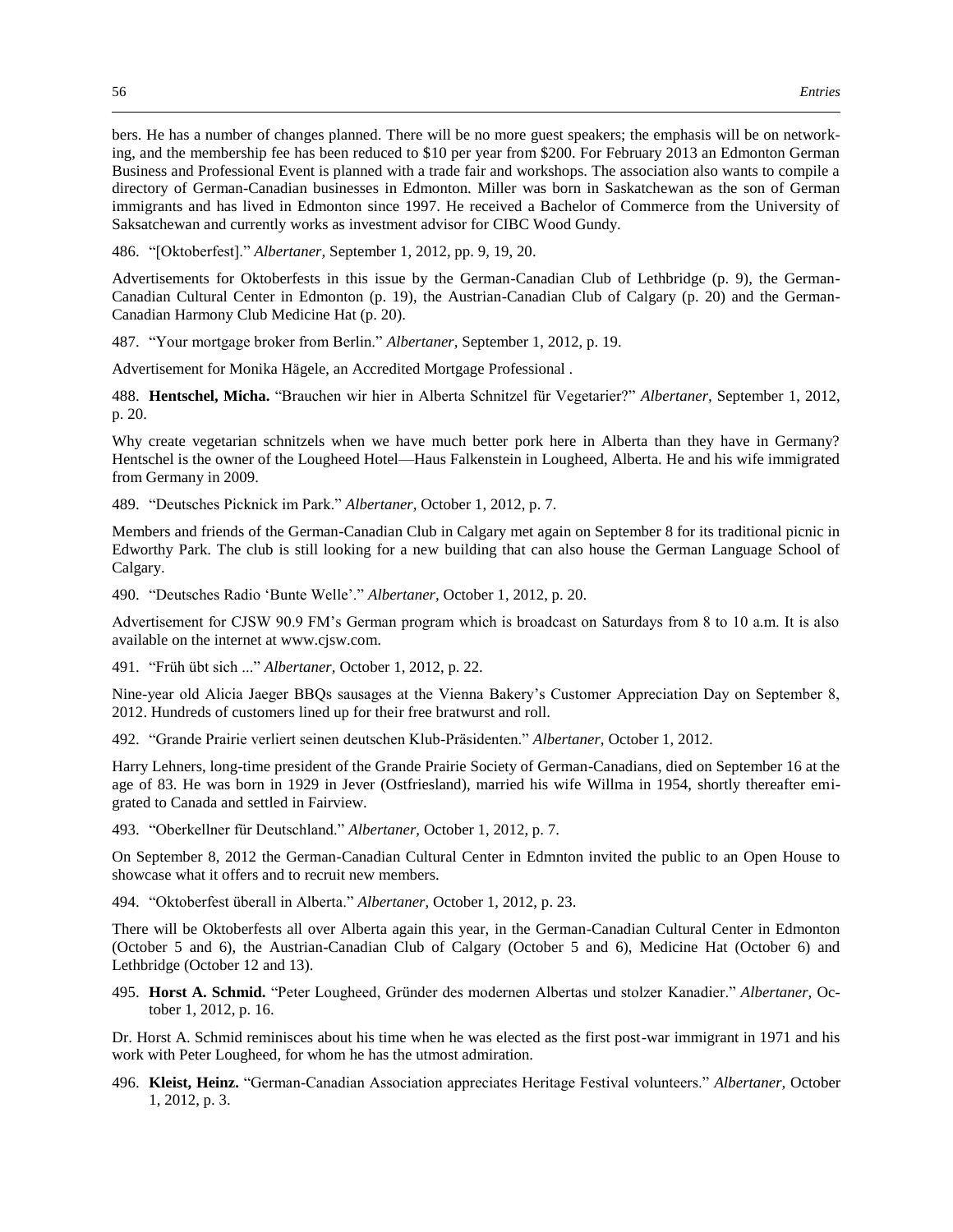bers. He has a number of changes planned. There will be no more guest speakers; the emphasis will be on networking, and the membership fee has been reduced to \$10 per year from \$200. For February 2013 an Edmonton German Business and Professional Event is planned with a trade fair and workshops. The association also wants to compile a directory of German-Canadian businesses in Edmonton. Miller was born in Saskatchewan as the son of German immigrants and has lived in Edmonton since 1997. He received a Bachelor of Commerce from the University of Saksatchewan and currently works as investment advisor for CIBC Wood Gundy.

486. "[Oktoberfest]." *Albertaner,* September 1, 2012, pp. 9, 19, 20.

Advertisements for Oktoberfests in this issue by the German-Canadian Club of Lethbridge (p. 9), the German-Canadian Cultural Center in Edmonton (p. 19), the Austrian-Canadian Club of Calgary (p. 20) and the German-Canadian Harmony Club Medicine Hat (p. 20).

487. "Your mortgage broker from Berlin." *Albertaner,* September 1, 2012, p. 19.

Advertisement for Monika Hägele, an Accredited Mortgage Professional .

488. **Hentschel, Micha.** "Brauchen wir hier in Alberta Schnitzel für Vegetarier?" *Albertaner,* September 1, 2012, p. 20.

Why create vegetarian schnitzels when we have much better pork here in Alberta than they have in Germany? Hentschel is the owner of the Lougheed Hotel—Haus Falkenstein in Lougheed, Alberta. He and his wife immigrated from Germany in 2009.

489. "Deutsches Picknick im Park." *Albertaner,* October 1, 2012, p. 7.

Members and friends of the German-Canadian Club in Calgary met again on September 8 for its traditional picnic in Edworthy Park. The club is still looking for a new building that can also house the German Language School of Calgary.

490. "Deutsches Radio 'Bunte Welle'." *Albertaner,* October 1, 2012, p. 20.

Advertisement for CJSW 90.9 FM's German program which is broadcast on Saturdays from 8 to 10 a.m. It is also available on the internet at www.cjsw.com.

491. "Früh übt sich ..." *Albertaner,* October 1, 2012, p. 22.

Nine-year old Alicia Jaeger BBQs sausages at the Vienna Bakery's Customer Appreciation Day on September 8, 2012. Hundreds of customers lined up for their free bratwurst and roll.

492. "Grande Prairie verliert seinen deutschen Klub-Präsidenten." *Albertaner,* October 1, 2012.

Harry Lehners, long-time president of the Grande Prairie Society of German-Canadians, died on September 16 at the age of 83. He was born in 1929 in Jever (Ostfriesland), married his wife Willma in 1954, shortly thereafter emigrated to Canada and settled in Fairview.

493. "Oberkellner für Deutschland." *Albertaner,* October 1, 2012, p. 7.

On September 8, 2012 the German-Canadian Cultural Center in Edmnton invited the public to an Open House to showcase what it offers and to recruit new members.

494. "Oktoberfest überall in Alberta." *Albertaner,* October 1, 2012, p. 23.

There will be Oktoberfests all over Alberta again this year, in the German-Canadian Cultural Center in Edmonton (October 5 and 6), the Austrian-Canadian Club of Calgary (October 5 and 6), Medicine Hat (October 6) and Lethbridge (October 12 and 13).

495. **Horst A. Schmid.** "Peter Lougheed, Gründer des modernen Albertas und stolzer Kanadier." *Albertaner,* October 1, 2012, p. 16.

Dr. Horst A. Schmid reminisces about his time when he was elected as the first post-war immigrant in 1971 and his work with Peter Lougheed, for whom he has the utmost admiration.

496. **Kleist, Heinz.** "German-Canadian Association appreciates Heritage Festival volunteers." *Albertaner,* October 1, 2012, p. 3.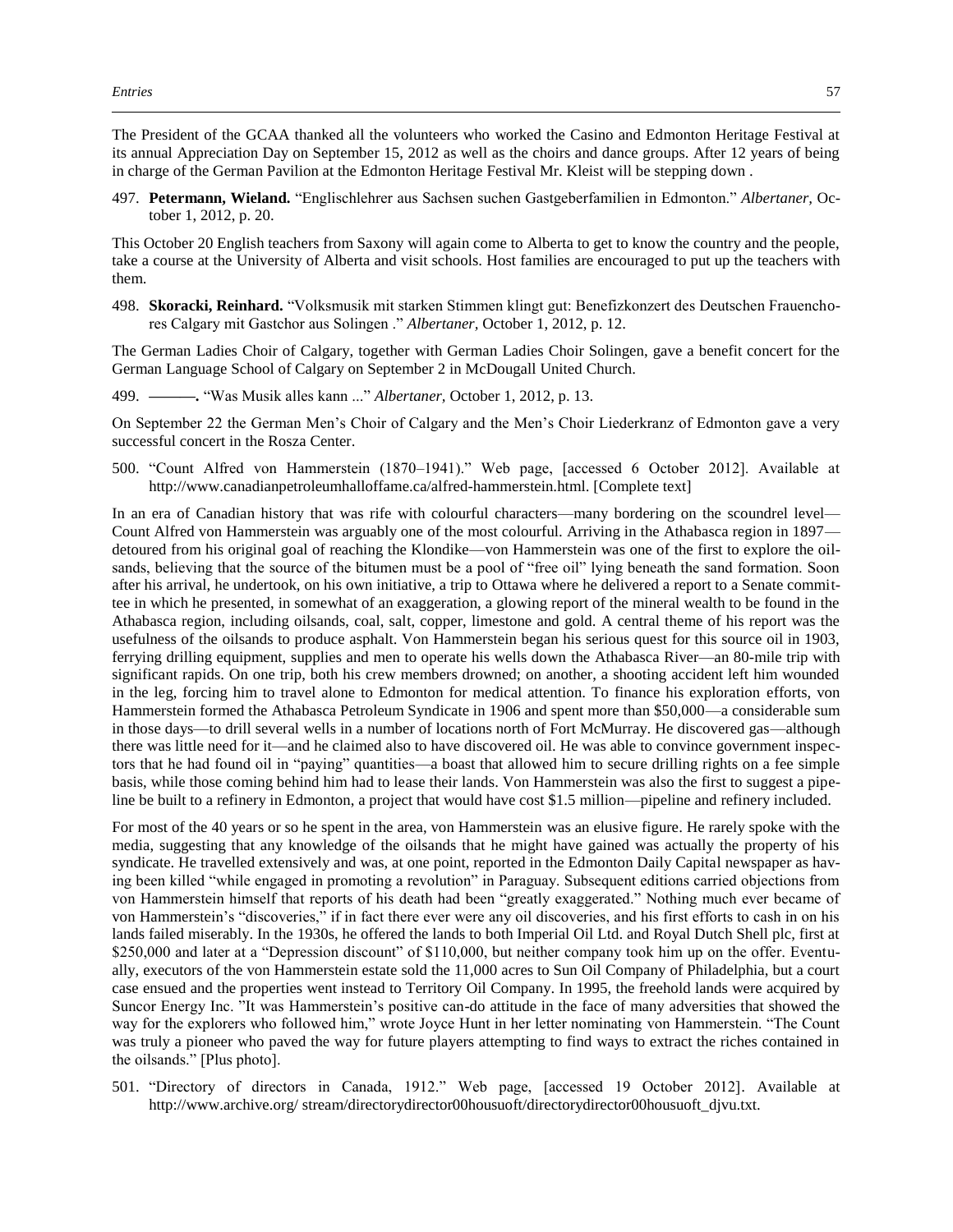The President of the GCAA thanked all the volunteers who worked the Casino and Edmonton Heritage Festival at its annual Appreciation Day on September 15, 2012 as well as the choirs and dance groups. After 12 years of being in charge of the German Pavilion at the Edmonton Heritage Festival Mr. Kleist will be stepping down .

497. **Petermann, Wieland.** "Englischlehrer aus Sachsen suchen Gastgeberfamilien in Edmonton." *Albertaner,* October 1, 2012, p. 20.

This October 20 English teachers from Saxony will again come to Alberta to get to know the country and the people, take a course at the University of Alberta and visit schools. Host families are encouraged to put up the teachers with them.

498. **Skoracki, Reinhard.** "Volksmusik mit starken Stimmen klingt gut: Benefizkonzert des Deutschen Frauenchores Calgary mit Gastchor aus Solingen ." *Albertaner,* October 1, 2012, p. 12.

The German Ladies Choir of Calgary, together with German Ladies Choir Solingen, gave a benefit concert for the German Language School of Calgary on September 2 in McDougall United Church.

499. **———.** "Was Musik alles kann ..." *Albertaner,* October 1, 2012, p. 13.

On September 22 the German Men's Choir of Calgary and the Men's Choir Liederkranz of Edmonton gave a very successful concert in the Rosza Center.

500. "Count Alfred von Hammerstein (1870–1941)." Web page, [accessed 6 October 2012]. Available at http://www.canadianpetroleumhalloffame.ca/alfred-hammerstein.html. [Complete text]

In an era of Canadian history that was rife with colourful characters—many bordering on the scoundrel level— Count Alfred von Hammerstein was arguably one of the most colourful. Arriving in the Athabasca region in 1897 detoured from his original goal of reaching the Klondike—von Hammerstein was one of the first to explore the oilsands, believing that the source of the bitumen must be a pool of "free oil" lying beneath the sand formation. Soon after his arrival, he undertook, on his own initiative, a trip to Ottawa where he delivered a report to a Senate committee in which he presented, in somewhat of an exaggeration, a glowing report of the mineral wealth to be found in the Athabasca region, including oilsands, coal, salt, copper, limestone and gold. A central theme of his report was the usefulness of the oilsands to produce asphalt. Von Hammerstein began his serious quest for this source oil in 1903, ferrying drilling equipment, supplies and men to operate his wells down the Athabasca River—an 80-mile trip with significant rapids. On one trip, both his crew members drowned; on another, a shooting accident left him wounded in the leg, forcing him to travel alone to Edmonton for medical attention. To finance his exploration efforts, von Hammerstein formed the Athabasca Petroleum Syndicate in 1906 and spent more than \$50,000—a considerable sum in those days—to drill several wells in a number of locations north of Fort McMurray. He discovered gas—although there was little need for it—and he claimed also to have discovered oil. He was able to convince government inspectors that he had found oil in "paying" quantities—a boast that allowed him to secure drilling rights on a fee simple basis, while those coming behind him had to lease their lands. Von Hammerstein was also the first to suggest a pipeline be built to a refinery in Edmonton, a project that would have cost \$1.5 million—pipeline and refinery included.

For most of the 40 years or so he spent in the area, von Hammerstein was an elusive figure. He rarely spoke with the media, suggesting that any knowledge of the oilsands that he might have gained was actually the property of his syndicate. He travelled extensively and was, at one point, reported in the Edmonton Daily Capital newspaper as having been killed "while engaged in promoting a revolution" in Paraguay. Subsequent editions carried objections from von Hammerstein himself that reports of his death had been "greatly exaggerated." Nothing much ever became of von Hammerstein's "discoveries," if in fact there ever were any oil discoveries, and his first efforts to cash in on his lands failed miserably. In the 1930s, he offered the lands to both Imperial Oil Ltd. and Royal Dutch Shell plc, first at \$250,000 and later at a "Depression discount" of \$110,000, but neither company took him up on the offer. Eventually, executors of the von Hammerstein estate sold the 11,000 acres to Sun Oil Company of Philadelphia, but a court case ensued and the properties went instead to Territory Oil Company. In 1995, the freehold lands were acquired by Suncor Energy Inc. "It was Hammerstein's positive can-do attitude in the face of many adversities that showed the way for the explorers who followed him," wrote Joyce Hunt in her letter nominating von Hammerstein. "The Count was truly a pioneer who paved the way for future players attempting to find ways to extract the riches contained in the oilsands." [Plus photo].

501. "Directory of directors in Canada, 1912." Web page, [accessed 19 October 2012]. Available at http://www.archive.org/ stream/directorydirector00housuoft/directorydirector00housuoft\_djvu.txt.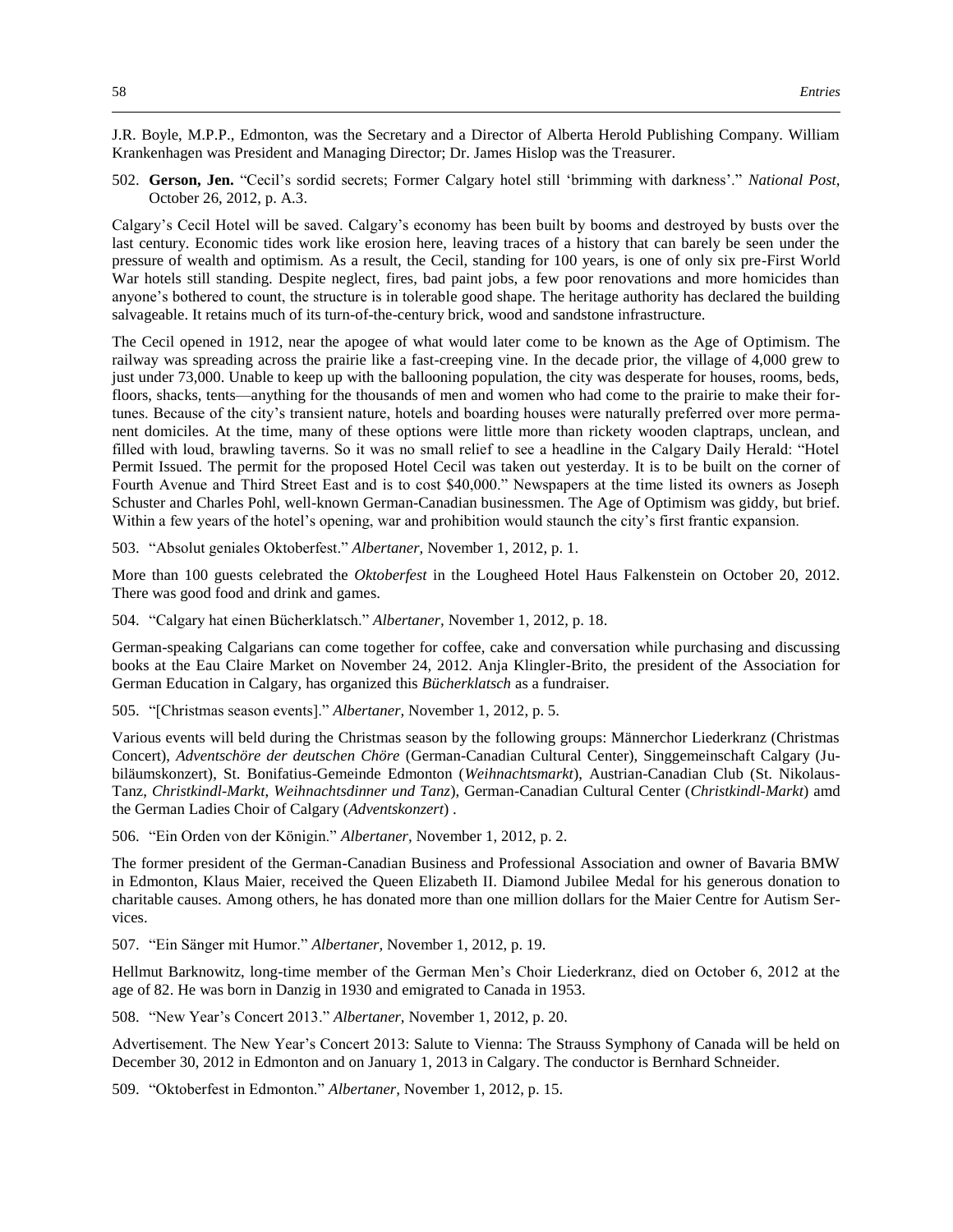J.R. Boyle, M.P.P., Edmonton, was the Secretary and a Director of Alberta Herold Publishing Company. William Krankenhagen was President and Managing Director; Dr. James Hislop was the Treasurer.

502. **Gerson, Jen.** "Cecil's sordid secrets; Former Calgary hotel still 'brimming with darkness'." *National Post,*  October 26, 2012, p. A.3.

Calgary's Cecil Hotel will be saved. Calgary's economy has been built by booms and destroyed by busts over the last century. Economic tides work like erosion here, leaving traces of a history that can barely be seen under the pressure of wealth and optimism. As a result, the Cecil, standing for 100 years, is one of only six pre-First World War hotels still standing. Despite neglect, fires, bad paint jobs, a few poor renovations and more homicides than anyone's bothered to count, the structure is in tolerable good shape. The heritage authority has declared the building salvageable. It retains much of its turn-of-the-century brick, wood and sandstone infrastructure.

The Cecil opened in 1912, near the apogee of what would later come to be known as the Age of Optimism. The railway was spreading across the prairie like a fast-creeping vine. In the decade prior, the village of 4,000 grew to just under 73,000. Unable to keep up with the ballooning population, the city was desperate for houses, rooms, beds, floors, shacks, tents—anything for the thousands of men and women who had come to the prairie to make their fortunes. Because of the city's transient nature, hotels and boarding houses were naturally preferred over more permanent domiciles. At the time, many of these options were little more than rickety wooden claptraps, unclean, and filled with loud, brawling taverns. So it was no small relief to see a headline in the Calgary Daily Herald: "Hotel Permit Issued. The permit for the proposed Hotel Cecil was taken out yesterday. It is to be built on the corner of Fourth Avenue and Third Street East and is to cost \$40,000." Newspapers at the time listed its owners as Joseph Schuster and Charles Pohl, well-known German-Canadian businessmen. The Age of Optimism was giddy, but brief. Within a few years of the hotel's opening, war and prohibition would staunch the city's first frantic expansion.

503. "Absolut geniales Oktoberfest." *Albertaner,* November 1, 2012, p. 1.

More than 100 guests celebrated the *Oktoberfest* in the Lougheed Hotel Haus Falkenstein on October 20, 2012. There was good food and drink and games.

504. "Calgary hat einen Bücherklatsch." *Albertaner,* November 1, 2012, p. 18.

German-speaking Calgarians can come together for coffee, cake and conversation while purchasing and discussing books at the Eau Claire Market on November 24, 2012. Anja Klingler-Brito, the president of the Association for German Education in Calgary, has organized this *Bücherklatsch* as a fundraiser.

505. "[Christmas season events]." *Albertaner,* November 1, 2012, p. 5.

Various events will beld during the Christmas season by the following groups: Männerchor Liederkranz (Christmas Concert), *Adventschöre der deutschen Chöre* (German-Canadian Cultural Center), Singgemeinschaft Calgary (Jubiläumskonzert), St. Bonifatius-Gemeinde Edmonton (*Weihnachtsmarkt*), Austrian-Canadian Club (St. Nikolaus-Tanz, *Christkindl-Markt*, *Weihnachtsdinner und Tanz*), German-Canadian Cultural Center (*Christkindl-Markt*) amd the German Ladies Choir of Calgary (*Adventskonzert*) .

506. "Ein Orden von der Königin." *Albertaner,* November 1, 2012, p. 2.

The former president of the German-Canadian Business and Professional Association and owner of Bavaria BMW in Edmonton, Klaus Maier, received the Queen Elizabeth II. Diamond Jubilee Medal for his generous donation to charitable causes. Among others, he has donated more than one million dollars for the Maier Centre for Autism Services.

507. "Ein Sänger mit Humor." *Albertaner,* November 1, 2012, p. 19.

Hellmut Barknowitz, long-time member of the German Men's Choir Liederkranz, died on October 6, 2012 at the age of 82. He was born in Danzig in 1930 and emigrated to Canada in 1953.

508. "New Year's Concert 2013." *Albertaner,* November 1, 2012, p. 20.

Advertisement. The New Year's Concert 2013: Salute to Vienna: The Strauss Symphony of Canada will be held on December 30, 2012 in Edmonton and on January 1, 2013 in Calgary. The conductor is Bernhard Schneider.

509. "Oktoberfest in Edmonton." *Albertaner,* November 1, 2012, p. 15.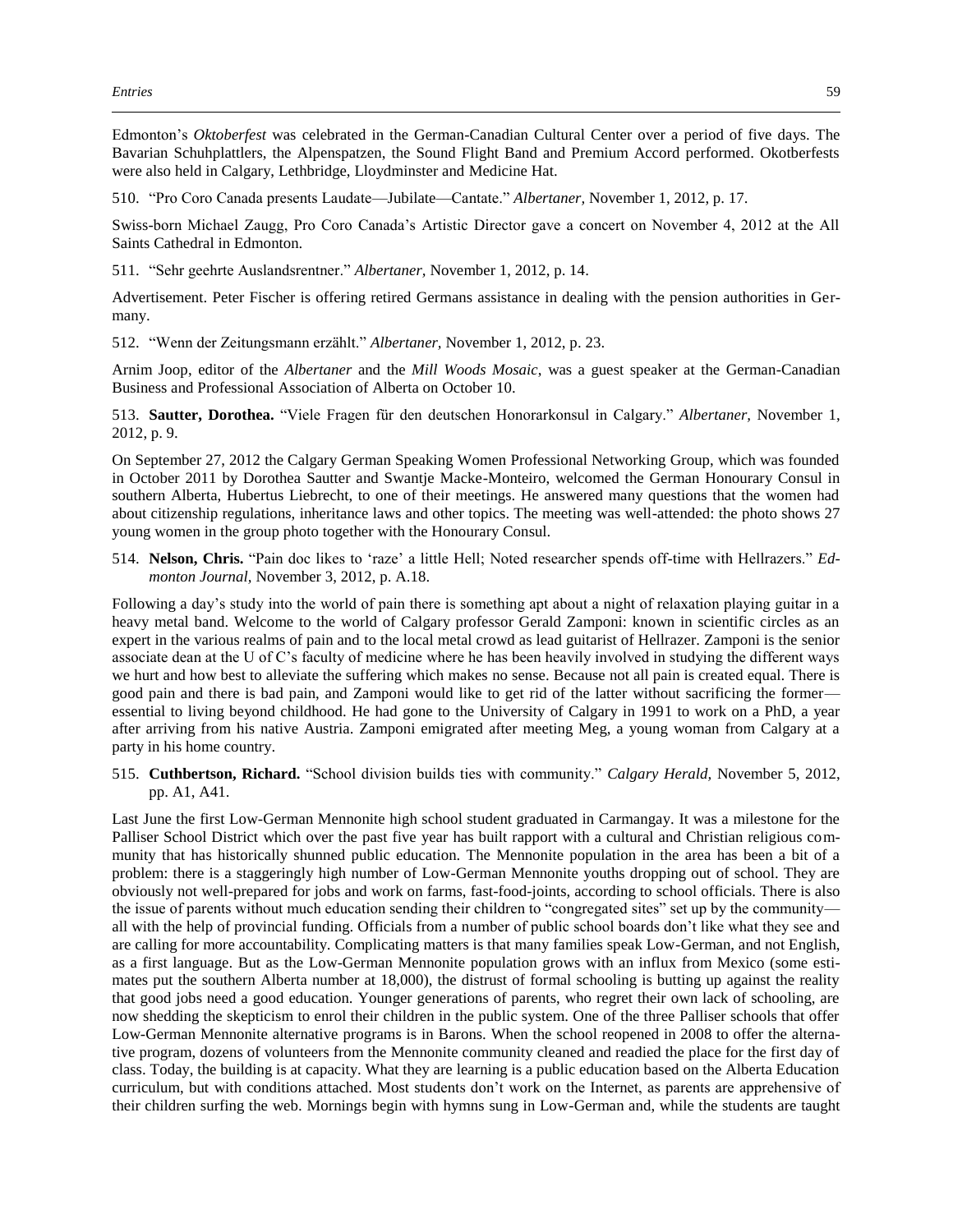Edmonton's *Oktoberfest* was celebrated in the German-Canadian Cultural Center over a period of five days. The Bavarian Schuhplattlers, the Alpenspatzen, the Sound Flight Band and Premium Accord performed. Okotberfests were also held in Calgary, Lethbridge, Lloydminster and Medicine Hat.

510. "Pro Coro Canada presents Laudate—Jubilate—Cantate." *Albertaner,* November 1, 2012, p. 17.

Swiss-born Michael Zaugg, Pro Coro Canada's Artistic Director gave a concert on November 4, 2012 at the All Saints Cathedral in Edmonton.

511. "Sehr geehrte Auslandsrentner." *Albertaner,* November 1, 2012, p. 14.

Advertisement. Peter Fischer is offering retired Germans assistance in dealing with the pension authorities in Germany.

512. "Wenn der Zeitungsmann erzählt." *Albertaner,* November 1, 2012, p. 23.

Arnim Joop, editor of the *Albertaner* and the *Mill Woods Mosaic*, was a guest speaker at the German-Canadian Business and Professional Association of Alberta on October 10.

513. **Sautter, Dorothea.** "Viele Fragen für den deutschen Honorarkonsul in Calgary." *Albertaner,* November 1, 2012, p. 9.

On September 27, 2012 the Calgary German Speaking Women Professional Networking Group, which was founded in October 2011 by Dorothea Sautter and Swantje Macke-Monteiro, welcomed the German Honourary Consul in southern Alberta, Hubertus Liebrecht, to one of their meetings. He answered many questions that the women had about citizenship regulations, inheritance laws and other topics. The meeting was well-attended: the photo shows 27 young women in the group photo together with the Honourary Consul.

514. **Nelson, Chris.** "Pain doc likes to 'raze' a little Hell; Noted researcher spends off-time with Hellrazers." *Edmonton Journal,* November 3, 2012, p. A.18.

Following a day's study into the world of pain there is something apt about a night of relaxation playing guitar in a heavy metal band. Welcome to the world of Calgary professor Gerald Zamponi: known in scientific circles as an expert in the various realms of pain and to the local metal crowd as lead guitarist of Hellrazer. Zamponi is the senior associate dean at the U of C's faculty of medicine where he has been heavily involved in studying the different ways we hurt and how best to alleviate the suffering which makes no sense. Because not all pain is created equal. There is good pain and there is bad pain, and Zamponi would like to get rid of the latter without sacrificing the former essential to living beyond childhood. He had gone to the University of Calgary in 1991 to work on a PhD, a year after arriving from his native Austria. Zamponi emigrated after meeting Meg, a young woman from Calgary at a party in his home country.

515. **Cuthbertson, Richard.** "School division builds ties with community." *Calgary Herald,* November 5, 2012, pp. A1, A41.

Last June the first Low-German Mennonite high school student graduated in Carmangay. It was a milestone for the Palliser School District which over the past five year has built rapport with a cultural and Christian religious community that has historically shunned public education. The Mennonite population in the area has been a bit of a problem: there is a staggeringly high number of Low-German Mennonite youths dropping out of school. They are obviously not well-prepared for jobs and work on farms, fast-food-joints, according to school officials. There is also the issue of parents without much education sending their children to "congregated sites" set up by the community all with the help of provincial funding. Officials from a number of public school boards don't like what they see and are calling for more accountability. Complicating matters is that many families speak Low-German, and not English, as a first language. But as the Low-German Mennonite population grows with an influx from Mexico (some estimates put the southern Alberta number at 18,000), the distrust of formal schooling is butting up against the reality that good jobs need a good education. Younger generations of parents, who regret their own lack of schooling, are now shedding the skepticism to enrol their children in the public system. One of the three Palliser schools that offer Low-German Mennonite alternative programs is in Barons. When the school reopened in 2008 to offer the alternative program, dozens of volunteers from the Mennonite community cleaned and readied the place for the first day of class. Today, the building is at capacity. What they are learning is a public education based on the Alberta Education curriculum, but with conditions attached. Most students don't work on the Internet, as parents are apprehensive of their children surfing the web. Mornings begin with hymns sung in Low-German and, while the students are taught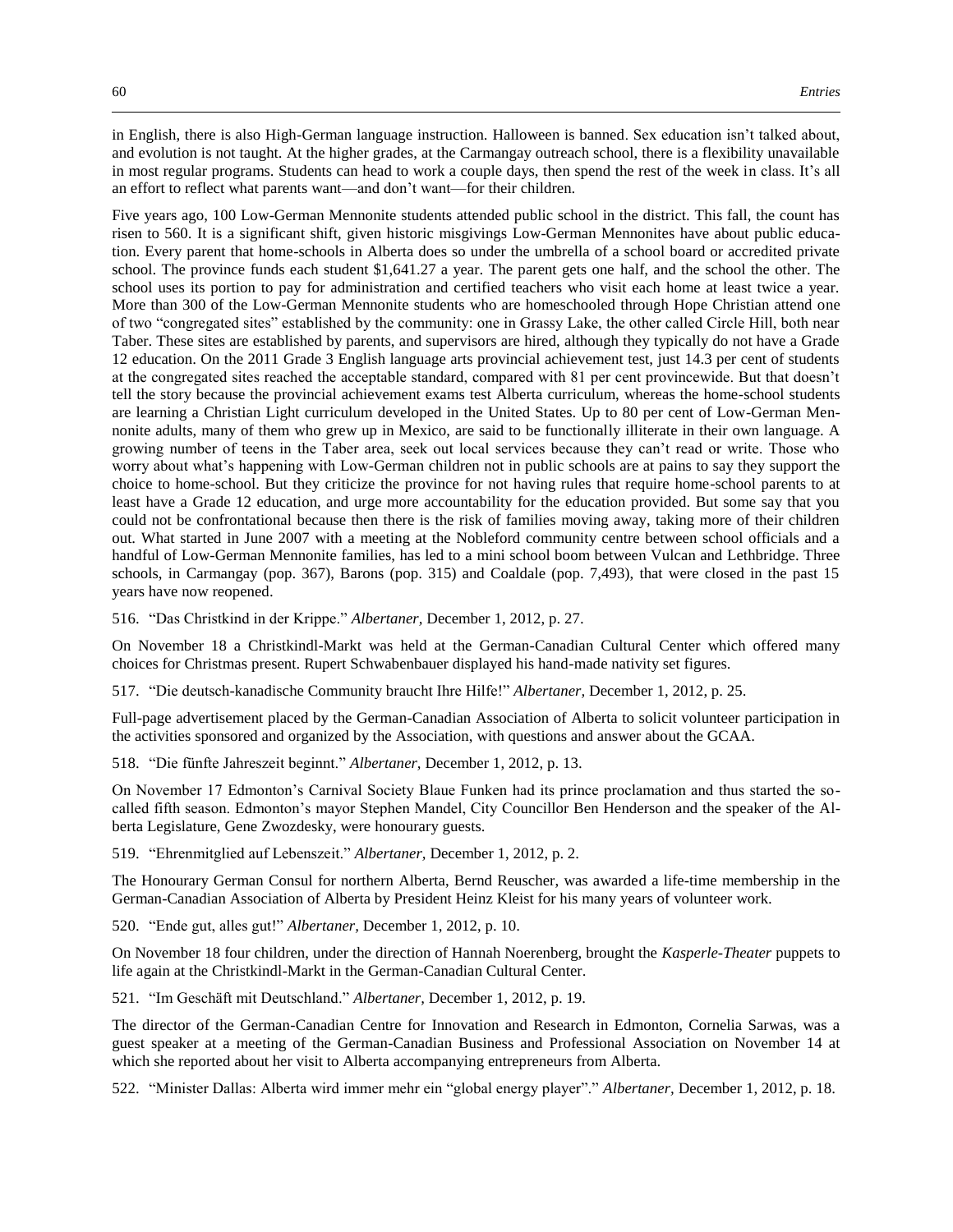in English, there is also High-German language instruction. Halloween is banned. Sex education isn't talked about, and evolution is not taught. At the higher grades, at the Carmangay outreach school, there is a flexibility unavailable in most regular programs. Students can head to work a couple days, then spend the rest of the week in class. It's all an effort to reflect what parents want—and don't want—for their children.

Five years ago, 100 Low-German Mennonite students attended public school in the district. This fall, the count has risen to 560. It is a significant shift, given historic misgivings Low-German Mennonites have about public education. Every parent that home-schools in Alberta does so under the umbrella of a school board or accredited private school. The province funds each student \$1,641.27 a year. The parent gets one half, and the school the other. The school uses its portion to pay for administration and certified teachers who visit each home at least twice a year. More than 300 of the Low-German Mennonite students who are homeschooled through Hope Christian attend one of two "congregated sites" established by the community: one in Grassy Lake, the other called Circle Hill, both near Taber. These sites are established by parents, and supervisors are hired, although they typically do not have a Grade 12 education. On the 2011 Grade 3 English language arts provincial achievement test, just 14.3 per cent of students at the congregated sites reached the acceptable standard, compared with 81 per cent provincewide. But that doesn't tell the story because the provincial achievement exams test Alberta curriculum, whereas the home-school students are learning a Christian Light curriculum developed in the United States. Up to 80 per cent of Low-German Mennonite adults, many of them who grew up in Mexico, are said to be functionally illiterate in their own language. A growing number of teens in the Taber area, seek out local services because they can't read or write. Those who worry about what's happening with Low-German children not in public schools are at pains to say they support the choice to home-school. But they criticize the province for not having rules that require home-school parents to at least have a Grade 12 education, and urge more accountability for the education provided. But some say that you could not be confrontational because then there is the risk of families moving away, taking more of their children out. What started in June 2007 with a meeting at the Nobleford community centre between school officials and a handful of Low-German Mennonite families, has led to a mini school boom between Vulcan and Lethbridge. Three schools, in Carmangay (pop. 367), Barons (pop. 315) and Coaldale (pop. 7,493), that were closed in the past 15 years have now reopened.

516. "Das Christkind in der Krippe." *Albertaner,* December 1, 2012, p. 27.

On November 18 a Christkindl-Markt was held at the German-Canadian Cultural Center which offered many choices for Christmas present. Rupert Schwabenbauer displayed his hand-made nativity set figures.

517. "Die deutsch-kanadische Community braucht Ihre Hilfe!" *Albertaner,* December 1, 2012, p. 25.

Full-page advertisement placed by the German-Canadian Association of Alberta to solicit volunteer participation in the activities sponsored and organized by the Association, with questions and answer about the GCAA.

518. "Die fünfte Jahreszeit beginnt." *Albertaner,* December 1, 2012, p. 13.

On November 17 Edmonton's Carnival Society Blaue Funken had its prince proclamation and thus started the socalled fifth season. Edmonton's mayor Stephen Mandel, City Councillor Ben Henderson and the speaker of the Alberta Legislature, Gene Zwozdesky, were honourary guests.

519. "Ehrenmitglied auf Lebenszeit." *Albertaner,* December 1, 2012, p. 2.

The Honourary German Consul for northern Alberta, Bernd Reuscher, was awarded a life-time membership in the German-Canadian Association of Alberta by President Heinz Kleist for his many years of volunteer work.

520. "Ende gut, alles gut!" *Albertaner,* December 1, 2012, p. 10.

On November 18 four children, under the direction of Hannah Noerenberg, brought the *Kasperle-Theater* puppets to life again at the Christkindl-Markt in the German-Canadian Cultural Center.

521. "Im Geschäft mit Deutschland." *Albertaner,* December 1, 2012, p. 19.

The director of the German-Canadian Centre for Innovation and Research in Edmonton, Cornelia Sarwas, was a guest speaker at a meeting of the German-Canadian Business and Professional Association on November 14 at which she reported about her visit to Alberta accompanying entrepreneurs from Alberta.

522. "Minister Dallas: Alberta wird immer mehr ein "global energy player"." *Albertaner,* December 1, 2012, p. 18.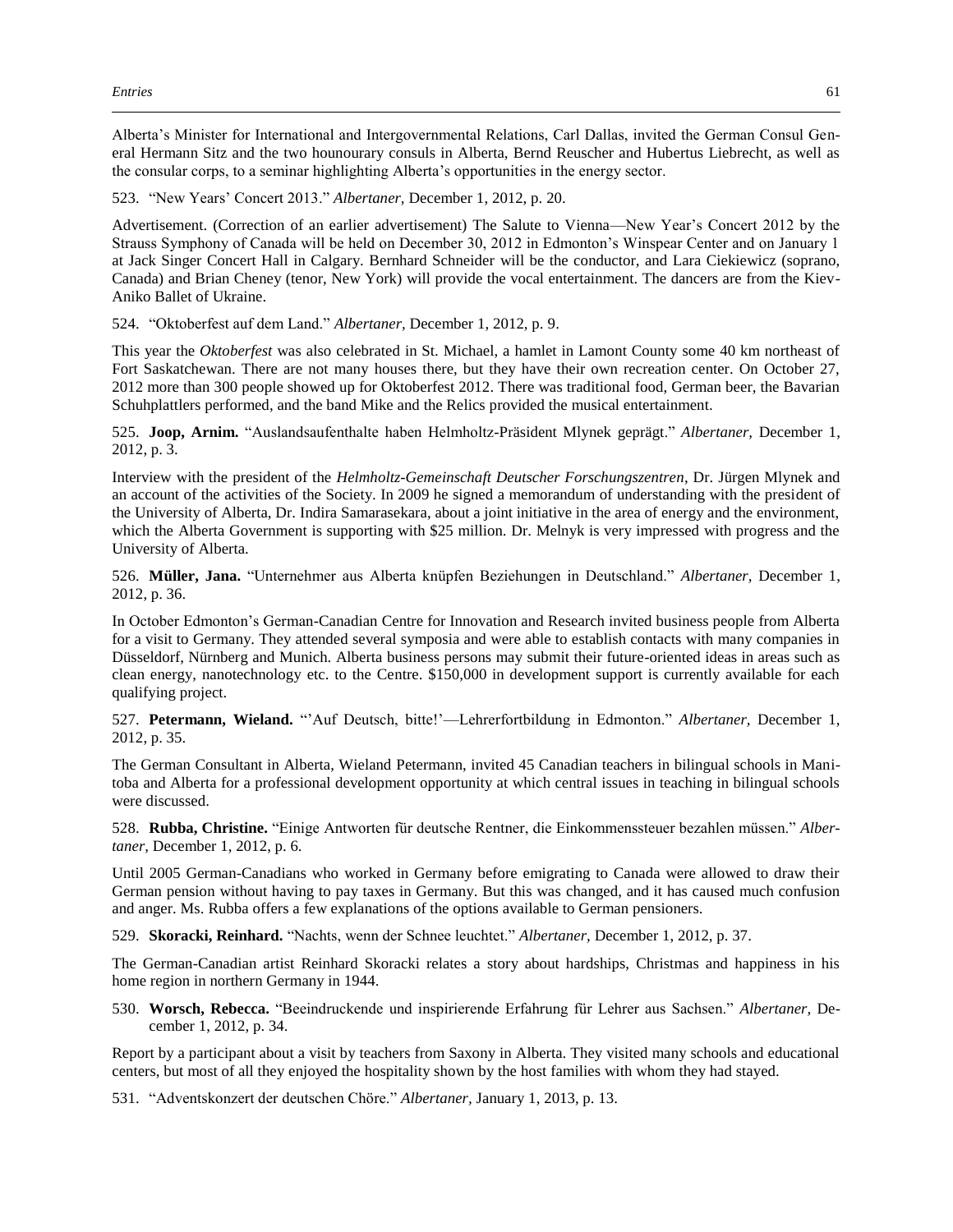Alberta's Minister for International and Intergovernmental Relations, Carl Dallas, invited the German Consul General Hermann Sitz and the two hounourary consuls in Alberta, Bernd Reuscher and Hubertus Liebrecht, as well as the consular corps, to a seminar highlighting Alberta's opportunities in the energy sector.

523. "New Years' Concert 2013." *Albertaner,* December 1, 2012, p. 20.

Advertisement. (Correction of an earlier advertisement) The Salute to Vienna—New Year's Concert 2012 by the Strauss Symphony of Canada will be held on December 30, 2012 in Edmonton's Winspear Center and on January 1 at Jack Singer Concert Hall in Calgary. Bernhard Schneider will be the conductor, and Lara Ciekiewicz (soprano, Canada) and Brian Cheney (tenor, New York) will provide the vocal entertainment. The dancers are from the Kiev-Aniko Ballet of Ukraine.

524. "Oktoberfest auf dem Land." *Albertaner,* December 1, 2012, p. 9.

This year the *Oktoberfest* was also celebrated in St. Michael, a hamlet in Lamont County some 40 km northeast of Fort Saskatchewan. There are not many houses there, but they have their own recreation center. On October 27, 2012 more than 300 people showed up for Oktoberfest 2012. There was traditional food, German beer, the Bavarian Schuhplattlers performed, and the band Mike and the Relics provided the musical entertainment.

525. **Joop, Arnim.** "Auslandsaufenthalte haben Helmholtz-Präsident Mlynek geprägt." *Albertaner,* December 1, 2012, p. 3.

Interview with the president of the *Helmholtz-Gemeinschaft Deutscher Forschungszentren*, Dr. Jürgen Mlynek and an account of the activities of the Society. In 2009 he signed a memorandum of understanding with the president of the University of Alberta, Dr. Indira Samarasekara, about a joint initiative in the area of energy and the environment, which the Alberta Government is supporting with \$25 million. Dr. Melnyk is very impressed with progress and the University of Alberta.

526. **Müller, Jana.** "Unternehmer aus Alberta knüpfen Beziehungen in Deutschland." *Albertaner,* December 1, 2012, p. 36.

In October Edmonton's German-Canadian Centre for Innovation and Research invited business people from Alberta for a visit to Germany. They attended several symposia and were able to establish contacts with many companies in Düsseldorf, Nürnberg and Munich. Alberta business persons may submit their future-oriented ideas in areas such as clean energy, nanotechnology etc. to the Centre. \$150,000 in development support is currently available for each qualifying project.

527. **Petermann, Wieland.** "'Auf Deutsch, bitte!'—Lehrerfortbildung in Edmonton." *Albertaner,* December 1, 2012, p. 35.

The German Consultant in Alberta, Wieland Petermann, invited 45 Canadian teachers in bilingual schools in Manitoba and Alberta for a professional development opportunity at which central issues in teaching in bilingual schools were discussed.

528. **Rubba, Christine.** "Einige Antworten für deutsche Rentner, die Einkommenssteuer bezahlen müssen." *Albertaner,* December 1, 2012, p. 6.

Until 2005 German-Canadians who worked in Germany before emigrating to Canada were allowed to draw their German pension without having to pay taxes in Germany. But this was changed, and it has caused much confusion and anger. Ms. Rubba offers a few explanations of the options available to German pensioners.

529. **Skoracki, Reinhard.** "Nachts, wenn der Schnee leuchtet." *Albertaner,* December 1, 2012, p. 37.

The German-Canadian artist Reinhard Skoracki relates a story about hardships, Christmas and happiness in his home region in northern Germany in 1944.

530. **Worsch, Rebecca.** "Beeindruckende und inspirierende Erfahrung für Lehrer aus Sachsen." *Albertaner,* December 1, 2012, p. 34.

Report by a participant about a visit by teachers from Saxony in Alberta. They visited many schools and educational centers, but most of all they enjoyed the hospitality shown by the host families with whom they had stayed.

531. "Adventskonzert der deutschen Chöre." *Albertaner,* January 1, 2013, p. 13.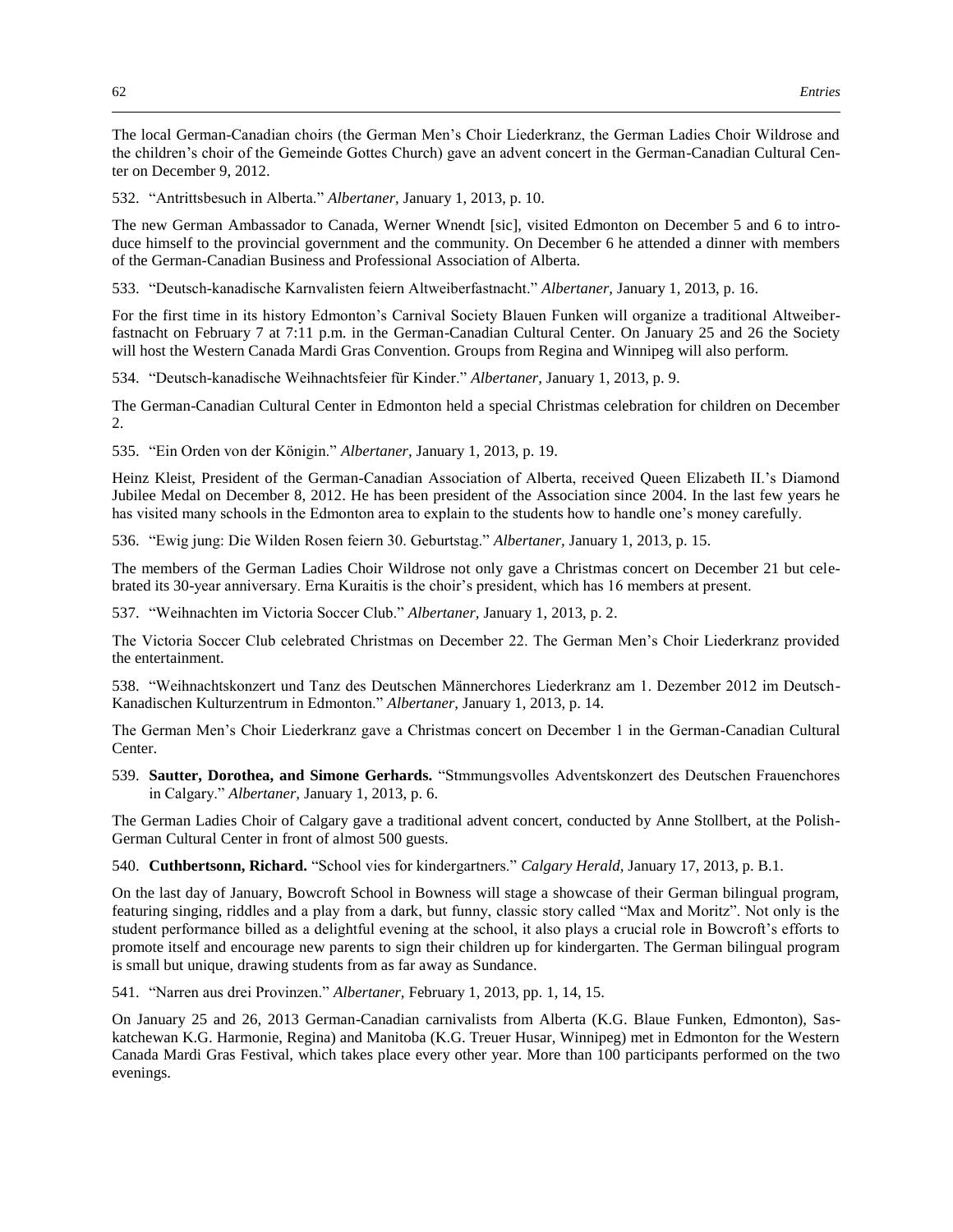The local German-Canadian choirs (the German Men's Choir Liederkranz, the German Ladies Choir Wildrose and the children's choir of the Gemeinde Gottes Church) gave an advent concert in the German-Canadian Cultural Center on December 9, 2012.

532. "Antrittsbesuch in Alberta." *Albertaner,* January 1, 2013, p. 10.

The new German Ambassador to Canada, Werner Wnendt [sic], visited Edmonton on December 5 and 6 to introduce himself to the provincial government and the community. On December 6 he attended a dinner with members of the German-Canadian Business and Professional Association of Alberta.

533. "Deutsch-kanadische Karnvalisten feiern Altweiberfastnacht." *Albertaner,* January 1, 2013, p. 16.

For the first time in its history Edmonton's Carnival Society Blauen Funken will organize a traditional Altweiberfastnacht on February 7 at 7:11 p.m. in the German-Canadian Cultural Center. On January 25 and 26 the Society will host the Western Canada Mardi Gras Convention. Groups from Regina and Winnipeg will also perform.

534. "Deutsch-kanadische Weihnachtsfeier für Kinder." *Albertaner,* January 1, 2013, p. 9.

The German-Canadian Cultural Center in Edmonton held a special Christmas celebration for children on December  $2<sub>1</sub>$ 

535. "Ein Orden von der Königin." *Albertaner,* January 1, 2013, p. 19.

Heinz Kleist, President of the German-Canadian Association of Alberta, received Queen Elizabeth II.'s Diamond Jubilee Medal on December 8, 2012. He has been president of the Association since 2004. In the last few years he has visited many schools in the Edmonton area to explain to the students how to handle one's money carefully.

536. "Ewig jung: Die Wilden Rosen feiern 30. Geburtstag." *Albertaner,* January 1, 2013, p. 15.

The members of the German Ladies Choir Wildrose not only gave a Christmas concert on December 21 but celebrated its 30-year anniversary. Erna Kuraitis is the choir's president, which has 16 members at present.

537. "Weihnachten im Victoria Soccer Club." *Albertaner,* January 1, 2013, p. 2.

The Victoria Soccer Club celebrated Christmas on December 22. The German Men's Choir Liederkranz provided the entertainment.

538. "Weihnachtskonzert und Tanz des Deutschen Männerchores Liederkranz am 1. Dezember 2012 im Deutsch-Kanadischen Kulturzentrum in Edmonton." *Albertaner,* January 1, 2013, p. 14.

The German Men's Choir Liederkranz gave a Christmas concert on December 1 in the German-Canadian Cultural Center.

539. **Sautter, Dorothea, and Simone Gerhards.** "Stmmungsvolles Adventskonzert des Deutschen Frauenchores in Calgary." *Albertaner,* January 1, 2013, p. 6.

The German Ladies Choir of Calgary gave a traditional advent concert, conducted by Anne Stollbert, at the Polish-German Cultural Center in front of almost 500 guests.

540. **Cuthbertsonn, Richard.** "School vies for kindergartners." *Calgary Herald,* January 17, 2013, p. B.1.

On the last day of January, Bowcroft School in Bowness will stage a showcase of their German bilingual program, featuring singing, riddles and a play from a dark, but funny, classic story called "Max and Moritz". Not only is the student performance billed as a delightful evening at the school, it also plays a crucial role in Bowcroft's efforts to promote itself and encourage new parents to sign their children up for kindergarten. The German bilingual program is small but unique, drawing students from as far away as Sundance.

541. "Narren aus drei Provinzen." *Albertaner,* February 1, 2013, pp. 1, 14, 15.

On January 25 and 26, 2013 German-Canadian carnivalists from Alberta (K.G. Blaue Funken, Edmonton), Saskatchewan K.G. Harmonie, Regina) and Manitoba (K.G. Treuer Husar, Winnipeg) met in Edmonton for the Western Canada Mardi Gras Festival, which takes place every other year. More than 100 participants performed on the two evenings.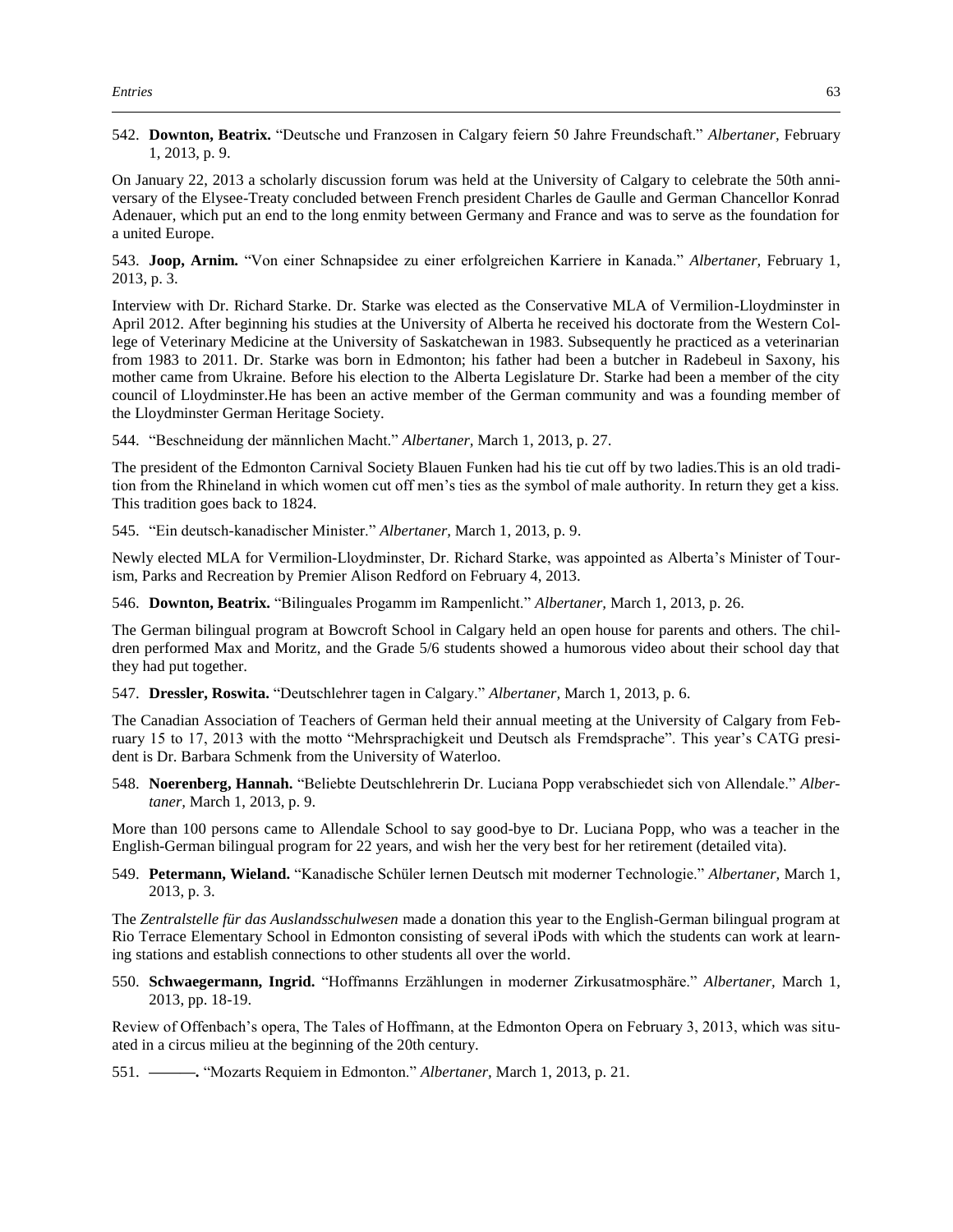542. **Downton, Beatrix.** "Deutsche und Franzosen in Calgary feiern 50 Jahre Freundschaft." *Albertaner,* February 1, 2013, p. 9.

On January 22, 2013 a scholarly discussion forum was held at the University of Calgary to celebrate the 50th anniversary of the Elysee-Treaty concluded between French president Charles de Gaulle and German Chancellor Konrad Adenauer, which put an end to the long enmity between Germany and France and was to serve as the foundation for a united Europe.

543. **Joop, Arnim.** "Von einer Schnapsidee zu einer erfolgreichen Karriere in Kanada." *Albertaner,* February 1, 2013, p. 3.

Interview with Dr. Richard Starke. Dr. Starke was elected as the Conservative MLA of Vermilion-Lloydminster in April 2012. After beginning his studies at the University of Alberta he received his doctorate from the Western College of Veterinary Medicine at the University of Saskatchewan in 1983. Subsequently he practiced as a veterinarian from 1983 to 2011. Dr. Starke was born in Edmonton; his father had been a butcher in Radebeul in Saxony, his mother came from Ukraine. Before his election to the Alberta Legislature Dr. Starke had been a member of the city council of Lloydminster.He has been an active member of the German community and was a founding member of the Lloydminster German Heritage Society.

544. "Beschneidung der männlichen Macht." *Albertaner,* March 1, 2013, p. 27.

The president of the Edmonton Carnival Society Blauen Funken had his tie cut off by two ladies.This is an old tradition from the Rhineland in which women cut off men's ties as the symbol of male authority. In return they get a kiss. This tradition goes back to 1824.

545. "Ein deutsch-kanadischer Minister." *Albertaner,* March 1, 2013, p. 9.

Newly elected MLA for Vermilion-Lloydminster, Dr. Richard Starke, was appointed as Alberta's Minister of Tourism, Parks and Recreation by Premier Alison Redford on February 4, 2013.

546. **Downton, Beatrix.** "Bilinguales Progamm im Rampenlicht." *Albertaner,* March 1, 2013, p. 26.

The German bilingual program at Bowcroft School in Calgary held an open house for parents and others. The children performed Max and Moritz, and the Grade 5/6 students showed a humorous video about their school day that they had put together.

547. **Dressler, Roswita.** "Deutschlehrer tagen in Calgary." *Albertaner,* March 1, 2013, p. 6.

The Canadian Association of Teachers of German held their annual meeting at the University of Calgary from February 15 to 17, 2013 with the motto "Mehrsprachigkeit und Deutsch als Fremdsprache". This year's CATG president is Dr. Barbara Schmenk from the University of Waterloo.

548. **Noerenberg, Hannah.** "Beliebte Deutschlehrerin Dr. Luciana Popp verabschiedet sich von Allendale." *Albertaner,* March 1, 2013, p. 9.

More than 100 persons came to Allendale School to say good-bye to Dr. Luciana Popp, who was a teacher in the English-German bilingual program for 22 years, and wish her the very best for her retirement (detailed vita).

549. **Petermann, Wieland.** "Kanadische Schüler lernen Deutsch mit moderner Technologie." *Albertaner,* March 1, 2013, p. 3.

The *Zentralstelle für das Auslandsschulwesen* made a donation this year to the English-German bilingual program at Rio Terrace Elementary School in Edmonton consisting of several iPods with which the students can work at learning stations and establish connections to other students all over the world.

550. **Schwaegermann, Ingrid.** "Hoffmanns Erzählungen in moderner Zirkusatmosphäre." *Albertaner,* March 1, 2013, pp. 18-19.

Review of Offenbach's opera, The Tales of Hoffmann, at the Edmonton Opera on February 3, 2013, which was situated in a circus milieu at the beginning of the 20th century.

551. **———.** "Mozarts Requiem in Edmonton." *Albertaner,* March 1, 2013, p. 21.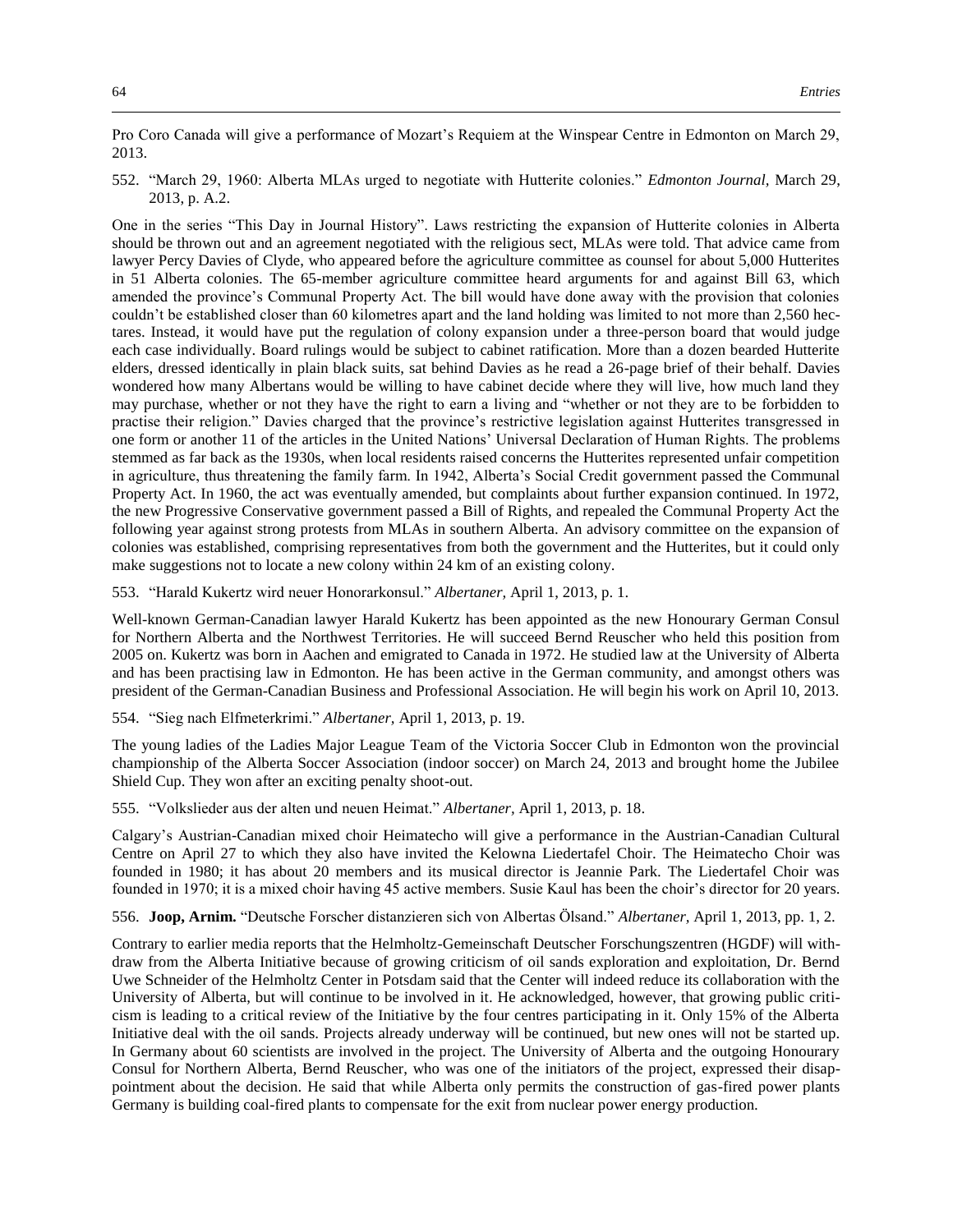Pro Coro Canada will give a performance of Mozart's Requiem at the Winspear Centre in Edmonton on March 29, 2013.

552. "March 29, 1960: Alberta MLAs urged to negotiate with Hutterite colonies." *Edmonton Journal,* March 29, 2013, p. A.2.

One in the series "This Day in Journal History". Laws restricting the expansion of Hutterite colonies in Alberta should be thrown out and an agreement negotiated with the religious sect, MLAs were told. That advice came from lawyer Percy Davies of Clyde, who appeared before the agriculture committee as counsel for about 5,000 Hutterites in 51 Alberta colonies. The 65-member agriculture committee heard arguments for and against Bill 63, which amended the province's Communal Property Act. The bill would have done away with the provision that colonies couldn't be established closer than 60 kilometres apart and the land holding was limited to not more than 2,560 hectares. Instead, it would have put the regulation of colony expansion under a three-person board that would judge each case individually. Board rulings would be subject to cabinet ratification. More than a dozen bearded Hutterite elders, dressed identically in plain black suits, sat behind Davies as he read a 26-page brief of their behalf. Davies wondered how many Albertans would be willing to have cabinet decide where they will live, how much land they may purchase, whether or not they have the right to earn a living and "whether or not they are to be forbidden to practise their religion." Davies charged that the province's restrictive legislation against Hutterites transgressed in one form or another 11 of the articles in the United Nations' Universal Declaration of Human Rights. The problems stemmed as far back as the 1930s, when local residents raised concerns the Hutterites represented unfair competition in agriculture, thus threatening the family farm. In 1942, Alberta's Social Credit government passed the Communal Property Act. In 1960, the act was eventually amended, but complaints about further expansion continued. In 1972, the new Progressive Conservative government passed a Bill of Rights, and repealed the Communal Property Act the following year against strong protests from MLAs in southern Alberta. An advisory committee on the expansion of colonies was established, comprising representatives from both the government and the Hutterites, but it could only make suggestions not to locate a new colony within 24 km of an existing colony.

553. "Harald Kukertz wird neuer Honorarkonsul." *Albertaner,* April 1, 2013, p. 1.

Well-known German-Canadian lawyer Harald Kukertz has been appointed as the new Honourary German Consul for Northern Alberta and the Northwest Territories. He will succeed Bernd Reuscher who held this position from 2005 on. Kukertz was born in Aachen and emigrated to Canada in 1972. He studied law at the University of Alberta and has been practising law in Edmonton. He has been active in the German community, and amongst others was president of the German-Canadian Business and Professional Association. He will begin his work on April 10, 2013.

554. "Sieg nach Elfmeterkrimi." *Albertaner,* April 1, 2013, p. 19.

The young ladies of the Ladies Major League Team of the Victoria Soccer Club in Edmonton won the provincial championship of the Alberta Soccer Association (indoor soccer) on March 24, 2013 and brought home the Jubilee Shield Cup. They won after an exciting penalty shoot-out.

555. "Volkslieder aus der alten und neuen Heimat." *Albertaner,* April 1, 2013, p. 18.

Calgary's Austrian-Canadian mixed choir Heimatecho will give a performance in the Austrian-Canadian Cultural Centre on April 27 to which they also have invited the Kelowna Liedertafel Choir. The Heimatecho Choir was founded in 1980; it has about 20 members and its musical director is Jeannie Park. The Liedertafel Choir was founded in 1970; it is a mixed choir having 45 active members. Susie Kaul has been the choir's director for 20 years.

556. **Joop, Arnim.** "Deutsche Forscher distanzieren sich von Albertas Ölsand." *Albertaner,* April 1, 2013, pp. 1, 2.

Contrary to earlier media reports that the Helmholtz-Gemeinschaft Deutscher Forschungszentren (HGDF) will withdraw from the Alberta Initiative because of growing criticism of oil sands exploration and exploitation, Dr. Bernd Uwe Schneider of the Helmholtz Center in Potsdam said that the Center will indeed reduce its collaboration with the University of Alberta, but will continue to be involved in it. He acknowledged, however, that growing public criticism is leading to a critical review of the Initiative by the four centres participating in it. Only 15% of the Alberta Initiative deal with the oil sands. Projects already underway will be continued, but new ones will not be started up. In Germany about 60 scientists are involved in the project. The University of Alberta and the outgoing Honourary Consul for Northern Alberta, Bernd Reuscher, who was one of the initiators of the project, expressed their disappointment about the decision. He said that while Alberta only permits the construction of gas-fired power plants Germany is building coal-fired plants to compensate for the exit from nuclear power energy production.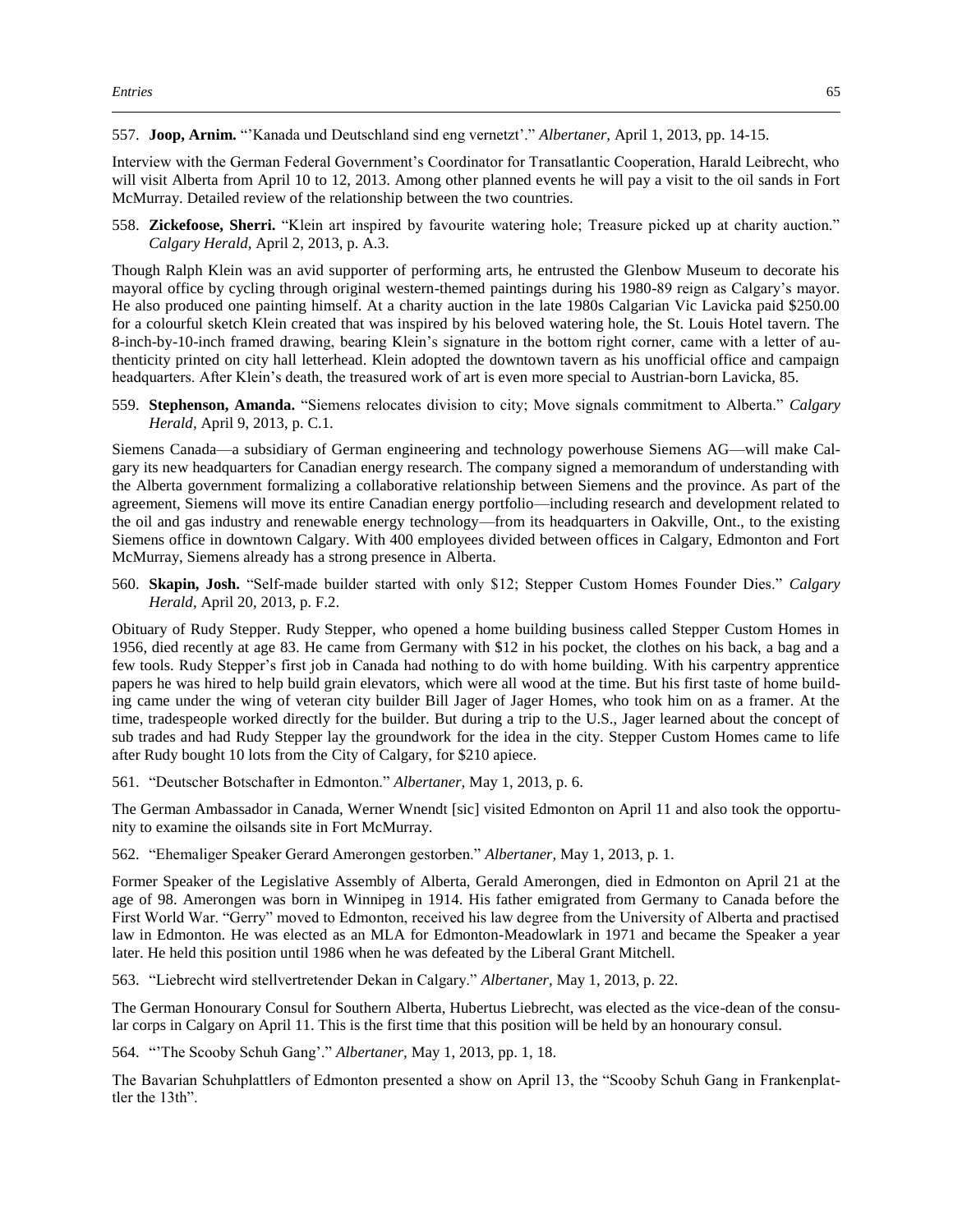557. **Joop, Arnim.** "'Kanada und Deutschland sind eng vernetzt'." *Albertaner,* April 1, 2013, pp. 14-15.

Interview with the German Federal Government's Coordinator for Transatlantic Cooperation, Harald Leibrecht, who will visit Alberta from April 10 to 12, 2013. Among other planned events he will pay a visit to the oil sands in Fort McMurray. Detailed review of the relationship between the two countries.

558. **Zickefoose, Sherri.** "Klein art inspired by favourite watering hole; Treasure picked up at charity auction." *Calgary Herald,* April 2, 2013, p. A.3.

Though Ralph Klein was an avid supporter of performing arts, he entrusted the Glenbow Museum to decorate his mayoral office by cycling through original western-themed paintings during his 1980-89 reign as Calgary's mayor. He also produced one painting himself. At a charity auction in the late 1980s Calgarian Vic Lavicka paid \$250.00 for a colourful sketch Klein created that was inspired by his beloved watering hole, the St. Louis Hotel tavern. The 8-inch-by-10-inch framed drawing, bearing Klein's signature in the bottom right corner, came with a letter of authenticity printed on city hall letterhead. Klein adopted the downtown tavern as his unofficial office and campaign headquarters. After Klein's death, the treasured work of art is even more special to Austrian-born Lavicka, 85.

559. **Stephenson, Amanda.** "Siemens relocates division to city; Move signals commitment to Alberta." *Calgary Herald,* April 9, 2013, p. C.1.

Siemens Canada—a subsidiary of German engineering and technology powerhouse Siemens AG—will make Calgary its new headquarters for Canadian energy research. The company signed a memorandum of understanding with the Alberta government formalizing a collaborative relationship between Siemens and the province. As part of the agreement, Siemens will move its entire Canadian energy portfolio—including research and development related to the oil and gas industry and renewable energy technology—from its headquarters in Oakville, Ont., to the existing Siemens office in downtown Calgary. With 400 employees divided between offices in Calgary, Edmonton and Fort McMurray, Siemens already has a strong presence in Alberta.

560. **Skapin, Josh.** "Self-made builder started with only \$12; Stepper Custom Homes Founder Dies." *Calgary Herald,* April 20, 2013, p. F.2.

Obituary of Rudy Stepper. Rudy Stepper, who opened a home building business called Stepper Custom Homes in 1956, died recently at age 83. He came from Germany with \$12 in his pocket, the clothes on his back, a bag and a few tools. Rudy Stepper's first job in Canada had nothing to do with home building. With his carpentry apprentice papers he was hired to help build grain elevators, which were all wood at the time. But his first taste of home building came under the wing of veteran city builder Bill Jager of Jager Homes, who took him on as a framer. At the time, tradespeople worked directly for the builder. But during a trip to the U.S., Jager learned about the concept of sub trades and had Rudy Stepper lay the groundwork for the idea in the city. Stepper Custom Homes came to life after Rudy bought 10 lots from the City of Calgary, for \$210 apiece.

561. "Deutscher Botschafter in Edmonton." *Albertaner,* May 1, 2013, p. 6.

The German Ambassador in Canada, Werner Wnendt [sic] visited Edmonton on April 11 and also took the opportunity to examine the oilsands site in Fort McMurray.

562. "Ehemaliger Speaker Gerard Amerongen gestorben." *Albertaner,* May 1, 2013, p. 1.

Former Speaker of the Legislative Assembly of Alberta, Gerald Amerongen, died in Edmonton on April 21 at the age of 98. Amerongen was born in Winnipeg in 1914. His father emigrated from Germany to Canada before the First World War. "Gerry" moved to Edmonton, received his law degree from the University of Alberta and practised law in Edmonton. He was elected as an MLA for Edmonton-Meadowlark in 1971 and became the Speaker a year later. He held this position until 1986 when he was defeated by the Liberal Grant Mitchell.

563. "Liebrecht wird stellvertretender Dekan in Calgary." *Albertaner,* May 1, 2013, p. 22.

The German Honourary Consul for Southern Alberta, Hubertus Liebrecht, was elected as the vice-dean of the consular corps in Calgary on April 11. This is the first time that this position will be held by an honourary consul.

564. "'The Scooby Schuh Gang'." *Albertaner,* May 1, 2013, pp. 1, 18.

The Bavarian Schuhplattlers of Edmonton presented a show on April 13, the "Scooby Schuh Gang in Frankenplattler the 13th".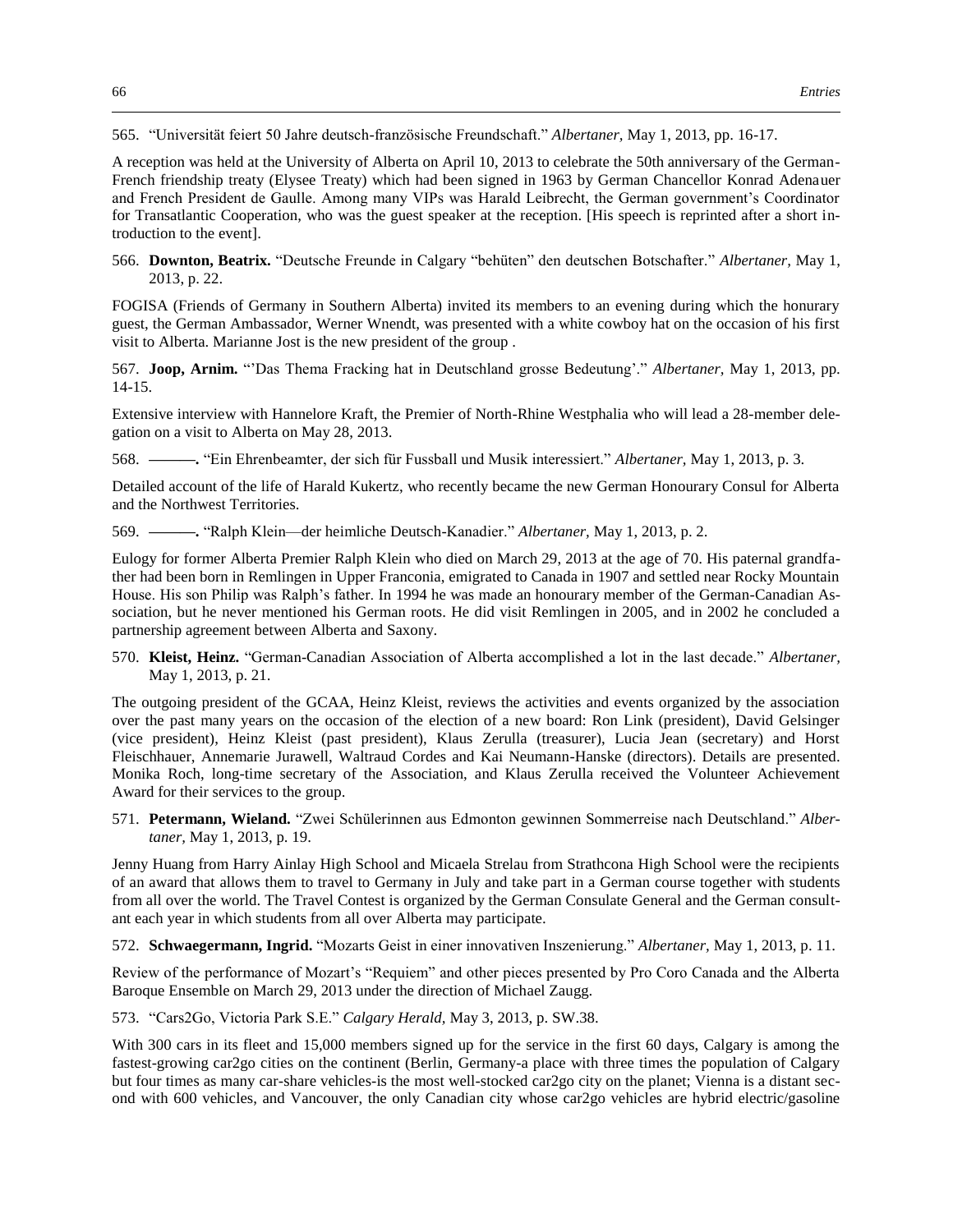565. "Universität feiert 50 Jahre deutsch-französische Freundschaft." *Albertaner,* May 1, 2013, pp. 16-17.

A reception was held at the University of Alberta on April 10, 2013 to celebrate the 50th anniversary of the German-French friendship treaty (Elysee Treaty) which had been signed in 1963 by German Chancellor Konrad Adenauer and French President de Gaulle. Among many VIPs was Harald Leibrecht, the German government's Coordinator for Transatlantic Cooperation, who was the guest speaker at the reception. [His speech is reprinted after a short introduction to the event].

566. **Downton, Beatrix.** "Deutsche Freunde in Calgary "behüten" den deutschen Botschafter." *Albertaner,* May 1, 2013, p. 22.

FOGISA (Friends of Germany in Southern Alberta) invited its members to an evening during which the honurary guest, the German Ambassador, Werner Wnendt, was presented with a white cowboy hat on the occasion of his first visit to Alberta. Marianne Jost is the new president of the group .

567. **Joop, Arnim.** "'Das Thema Fracking hat in Deutschland grosse Bedeutung'." *Albertaner,* May 1, 2013, pp. 14-15.

Extensive interview with Hannelore Kraft, the Premier of North-Rhine Westphalia who will lead a 28-member delegation on a visit to Alberta on May 28, 2013.

568. **———.** "Ein Ehrenbeamter, der sich für Fussball und Musik interessiert." *Albertaner,* May 1, 2013, p. 3.

Detailed account of the life of Harald Kukertz, who recently became the new German Honourary Consul for Alberta and the Northwest Territories.

569. **———.** "Ralph Klein—der heimliche Deutsch-Kanadier." *Albertaner,* May 1, 2013, p. 2.

Eulogy for former Alberta Premier Ralph Klein who died on March 29, 2013 at the age of 70. His paternal grandfather had been born in Remlingen in Upper Franconia, emigrated to Canada in 1907 and settled near Rocky Mountain House. His son Philip was Ralph's father. In 1994 he was made an honourary member of the German-Canadian Association, but he never mentioned his German roots. He did visit Remlingen in 2005, and in 2002 he concluded a partnership agreement between Alberta and Saxony.

570. **Kleist, Heinz.** "German-Canadian Association of Alberta accomplished a lot in the last decade." *Albertaner,*  May 1, 2013, p. 21.

The outgoing president of the GCAA, Heinz Kleist, reviews the activities and events organized by the association over the past many years on the occasion of the election of a new board: Ron Link (president), David Gelsinger (vice president), Heinz Kleist (past president), Klaus Zerulla (treasurer), Lucia Jean (secretary) and Horst Fleischhauer, Annemarie Jurawell, Waltraud Cordes and Kai Neumann-Hanske (directors). Details are presented. Monika Roch, long-time secretary of the Association, and Klaus Zerulla received the Volunteer Achievement Award for their services to the group.

571. **Petermann, Wieland.** "Zwei Schülerinnen aus Edmonton gewinnen Sommerreise nach Deutschland." *Albertaner,* May 1, 2013, p. 19.

Jenny Huang from Harry Ainlay High School and Micaela Strelau from Strathcona High School were the recipients of an award that allows them to travel to Germany in July and take part in a German course together with students from all over the world. The Travel Contest is organized by the German Consulate General and the German consultant each year in which students from all over Alberta may participate.

572. **Schwaegermann, Ingrid.** "Mozarts Geist in einer innovativen Inszenierung." *Albertaner,* May 1, 2013, p. 11.

Review of the performance of Mozart's "Requiem" and other pieces presented by Pro Coro Canada and the Alberta Baroque Ensemble on March 29, 2013 under the direction of Michael Zaugg.

573. "Cars2Go, Victoria Park S.E." *Calgary Herald,* May 3, 2013, p. SW.38.

With 300 cars in its fleet and 15,000 members signed up for the service in the first 60 days, Calgary is among the fastest-growing car2go cities on the continent (Berlin, Germany-a place with three times the population of Calgary but four times as many car-share vehicles-is the most well-stocked car2go city on the planet; Vienna is a distant second with 600 vehicles, and Vancouver, the only Canadian city whose car2go vehicles are hybrid electric/gasoline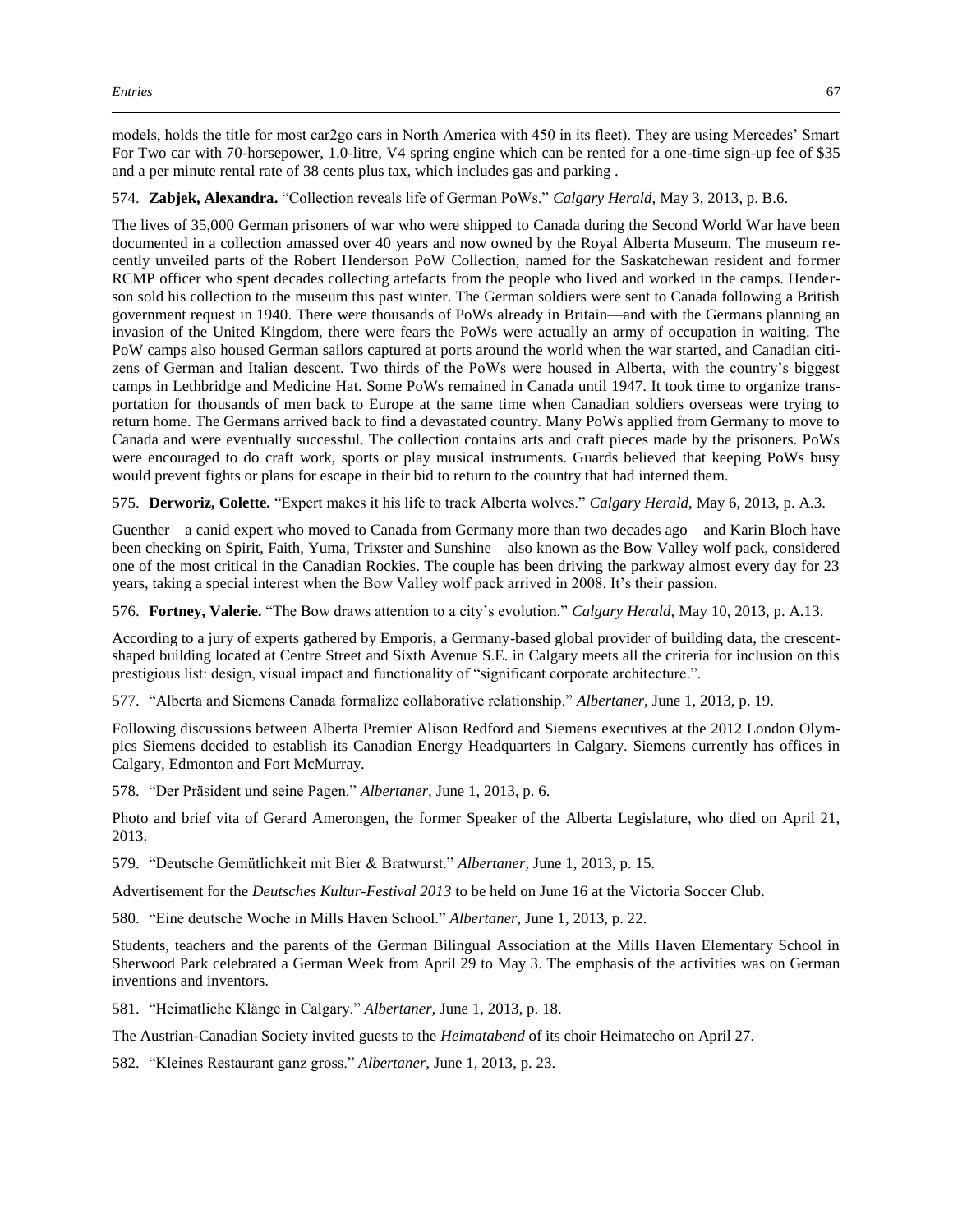models, holds the title for most car2go cars in North America with 450 in its fleet). They are using Mercedes' Smart For Two car with 70-horsepower, 1.0-litre, V4 spring engine which can be rented for a one-time sign-up fee of \$35 and a per minute rental rate of 38 cents plus tax, which includes gas and parking .

574. **Zabjek, Alexandra.** "Collection reveals life of German PoWs." *Calgary Herald,* May 3, 2013, p. B.6.

The lives of 35,000 German prisoners of war who were shipped to Canada during the Second World War have been documented in a collection amassed over 40 years and now owned by the Royal Alberta Museum. The museum recently unveiled parts of the Robert Henderson PoW Collection, named for the Saskatchewan resident and former RCMP officer who spent decades collecting artefacts from the people who lived and worked in the camps. Henderson sold his collection to the museum this past winter. The German soldiers were sent to Canada following a British government request in 1940. There were thousands of PoWs already in Britain—and with the Germans planning an invasion of the United Kingdom, there were fears the PoWs were actually an army of occupation in waiting. The PoW camps also housed German sailors captured at ports around the world when the war started, and Canadian citizens of German and Italian descent. Two thirds of the PoWs were housed in Alberta, with the country's biggest camps in Lethbridge and Medicine Hat. Some PoWs remained in Canada until 1947. It took time to organize transportation for thousands of men back to Europe at the same time when Canadian soldiers overseas were trying to return home. The Germans arrived back to find a devastated country. Many PoWs applied from Germany to move to Canada and were eventually successful. The collection contains arts and craft pieces made by the prisoners. PoWs were encouraged to do craft work, sports or play musical instruments. Guards believed that keeping PoWs busy would prevent fights or plans for escape in their bid to return to the country that had interned them.

575. **Derworiz, Colette.** "Expert makes it his life to track Alberta wolves." *Calgary Herald,* May 6, 2013, p. A.3.

Guenther—a canid expert who moved to Canada from Germany more than two decades ago—and Karin Bloch have been checking on Spirit, Faith, Yuma, Trixster and Sunshine—also known as the Bow Valley wolf pack, considered one of the most critical in the Canadian Rockies. The couple has been driving the parkway almost every day for 23 years, taking a special interest when the Bow Valley wolf pack arrived in 2008. It's their passion.

576. **Fortney, Valerie.** "The Bow draws attention to a city's evolution." *Calgary Herald,* May 10, 2013, p. A.13.

According to a jury of experts gathered by Emporis, a Germany-based global provider of building data, the crescentshaped building located at Centre Street and Sixth Avenue S.E. in Calgary meets all the criteria for inclusion on this prestigious list: design, visual impact and functionality of "significant corporate architecture.".

577. "Alberta and Siemens Canada formalize collaborative relationship." *Albertaner,* June 1, 2013, p. 19.

Following discussions between Alberta Premier Alison Redford and Siemens executives at the 2012 London Olympics Siemens decided to establish its Canadian Energy Headquarters in Calgary. Siemens currently has offices in Calgary, Edmonton and Fort McMurray.

578. "Der Präsident und seine Pagen." *Albertaner,* June 1, 2013, p. 6.

Photo and brief vita of Gerard Amerongen, the former Speaker of the Alberta Legislature, who died on April 21, 2013.

579. "Deutsche Gemütlichkeit mit Bier & Bratwurst." *Albertaner,* June 1, 2013, p. 15.

Advertisement for the *Deutsches Kultur-Festival 2013* to be held on June 16 at the Victoria Soccer Club.

580. "Eine deutsche Woche in Mills Haven School." *Albertaner,* June 1, 2013, p. 22.

Students, teachers and the parents of the German Bilingual Association at the Mills Haven Elementary School in Sherwood Park celebrated a German Week from April 29 to May 3. The emphasis of the activities was on German inventions and inventors.

581. "Heimatliche Klänge in Calgary." *Albertaner,* June 1, 2013, p. 18.

The Austrian-Canadian Society invited guests to the *Heimatabend* of its choir Heimatecho on April 27.

582. "Kleines Restaurant ganz gross." *Albertaner,* June 1, 2013, p. 23.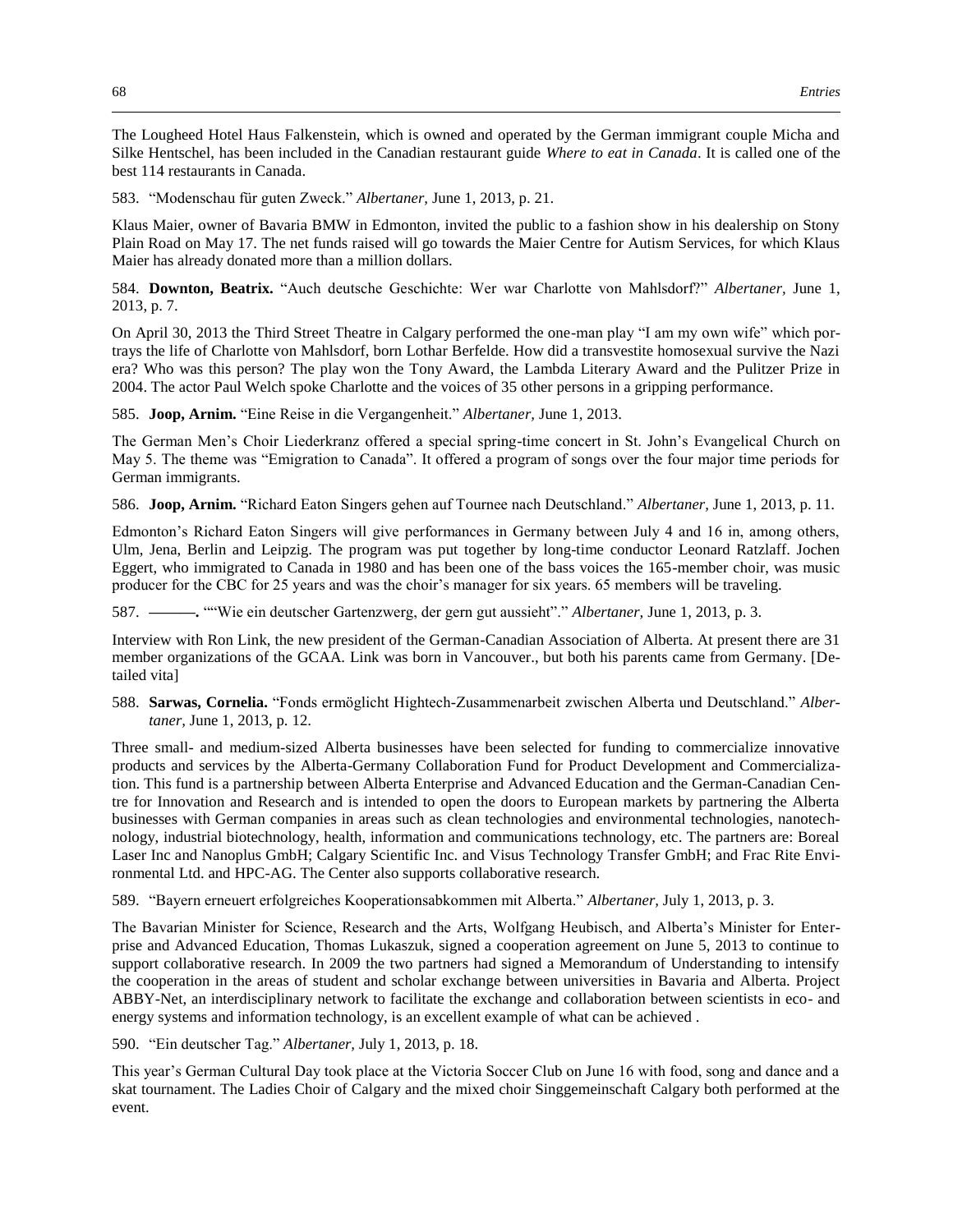The Lougheed Hotel Haus Falkenstein, which is owned and operated by the German immigrant couple Micha and Silke Hentschel, has been included in the Canadian restaurant guide *Where to eat in Canada*. It is called one of the best 114 restaurants in Canada.

583. "Modenschau für guten Zweck." *Albertaner,* June 1, 2013, p. 21.

Klaus Maier, owner of Bavaria BMW in Edmonton, invited the public to a fashion show in his dealership on Stony Plain Road on May 17. The net funds raised will go towards the Maier Centre for Autism Services, for which Klaus Maier has already donated more than a million dollars.

584. **Downton, Beatrix.** "Auch deutsche Geschichte: Wer war Charlotte von Mahlsdorf?" *Albertaner,* June 1, 2013, p. 7.

On April 30, 2013 the Third Street Theatre in Calgary performed the one-man play "I am my own wife" which portrays the life of Charlotte von Mahlsdorf, born Lothar Berfelde. How did a transvestite homosexual survive the Nazi era? Who was this person? The play won the Tony Award, the Lambda Literary Award and the Pulitzer Prize in 2004. The actor Paul Welch spoke Charlotte and the voices of 35 other persons in a gripping performance.

585. **Joop, Arnim.** "Eine Reise in die Vergangenheit." *Albertaner,* June 1, 2013.

The German Men's Choir Liederkranz offered a special spring-time concert in St. John's Evangelical Church on May 5. The theme was "Emigration to Canada". It offered a program of songs over the four major time periods for German immigrants.

586. **Joop, Arnim.** "Richard Eaton Singers gehen auf Tournee nach Deutschland." *Albertaner,* June 1, 2013, p. 11.

Edmonton's Richard Eaton Singers will give performances in Germany between July 4 and 16 in, among others, Ulm, Jena, Berlin and Leipzig. The program was put together by long-time conductor Leonard Ratzlaff. Jochen Eggert, who immigrated to Canada in 1980 and has been one of the bass voices the 165-member choir, was music producer for the CBC for 25 years and was the choir's manager for six years. 65 members will be traveling.

587. **———.** ""Wie ein deutscher Gartenzwerg, der gern gut aussieht"." *Albertaner,* June 1, 2013, p. 3.

Interview with Ron Link, the new president of the German-Canadian Association of Alberta. At present there are 31 member organizations of the GCAA. Link was born in Vancouver., but both his parents came from Germany. [Detailed vita]

588. **Sarwas, Cornelia.** "Fonds ermöglicht Hightech-Zusammenarbeit zwischen Alberta und Deutschland." *Albertaner,* June 1, 2013, p. 12.

Three small- and medium-sized Alberta businesses have been selected for funding to commercialize innovative products and services by the Alberta-Germany Collaboration Fund for Product Development and Commercialization. This fund is a partnership between Alberta Enterprise and Advanced Education and the German-Canadian Centre for Innovation and Research and is intended to open the doors to European markets by partnering the Alberta businesses with German companies in areas such as clean technologies and environmental technologies, nanotechnology, industrial biotechnology, health, information and communications technology, etc. The partners are: Boreal Laser Inc and Nanoplus GmbH; Calgary Scientific Inc. and Visus Technology Transfer GmbH; and Frac Rite Environmental Ltd. and HPC-AG. The Center also supports collaborative research.

589. "Bayern erneuert erfolgreiches Kooperationsabkommen mit Alberta." *Albertaner,* July 1, 2013, p. 3.

The Bavarian Minister for Science, Research and the Arts, Wolfgang Heubisch, and Alberta's Minister for Enterprise and Advanced Education, Thomas Lukaszuk, signed a cooperation agreement on June 5, 2013 to continue to support collaborative research. In 2009 the two partners had signed a Memorandum of Understanding to intensify the cooperation in the areas of student and scholar exchange between universities in Bavaria and Alberta. Project ABBY-Net, an interdisciplinary network to facilitate the exchange and collaboration between scientists in eco- and energy systems and information technology, is an excellent example of what can be achieved .

590. "Ein deutscher Tag." *Albertaner,* July 1, 2013, p. 18.

This year's German Cultural Day took place at the Victoria Soccer Club on June 16 with food, song and dance and a skat tournament. The Ladies Choir of Calgary and the mixed choir Singgemeinschaft Calgary both performed at the event.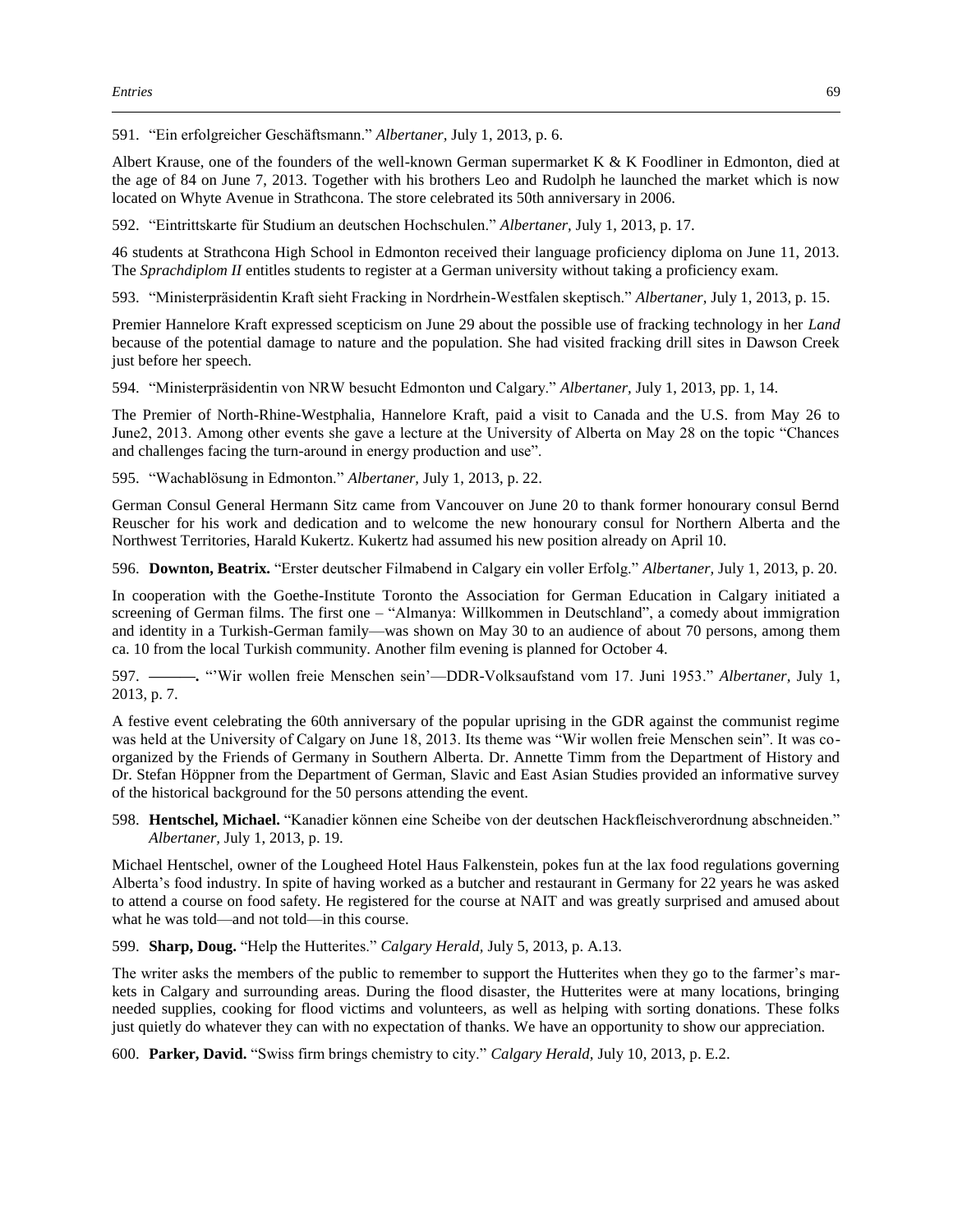591. "Ein erfolgreicher Geschäftsmann." *Albertaner,* July 1, 2013, p. 6.

Albert Krause, one of the founders of the well-known German supermarket K & K Foodliner in Edmonton, died at the age of 84 on June 7, 2013. Together with his brothers Leo and Rudolph he launched the market which is now located on Whyte Avenue in Strathcona. The store celebrated its 50th anniversary in 2006.

592. "Eintrittskarte für Studium an deutschen Hochschulen." *Albertaner,* July 1, 2013, p. 17.

46 students at Strathcona High School in Edmonton received their language proficiency diploma on June 11, 2013. The *Sprachdiplom II* entitles students to register at a German university without taking a proficiency exam.

593. "Ministerpräsidentin Kraft sieht Fracking in Nordrhein-Westfalen skeptisch." *Albertaner,* July 1, 2013, p. 15.

Premier Hannelore Kraft expressed scepticism on June 29 about the possible use of fracking technology in her *Land* because of the potential damage to nature and the population. She had visited fracking drill sites in Dawson Creek just before her speech.

594. "Ministerpräsidentin von NRW besucht Edmonton und Calgary." *Albertaner,* July 1, 2013, pp. 1, 14.

The Premier of North-Rhine-Westphalia, Hannelore Kraft, paid a visit to Canada and the U.S. from May 26 to June2, 2013. Among other events she gave a lecture at the University of Alberta on May 28 on the topic "Chances and challenges facing the turn-around in energy production and use".

595. "Wachablösung in Edmonton." *Albertaner,* July 1, 2013, p. 22.

German Consul General Hermann Sitz came from Vancouver on June 20 to thank former honourary consul Bernd Reuscher for his work and dedication and to welcome the new honourary consul for Northern Alberta and the Northwest Territories, Harald Kukertz. Kukertz had assumed his new position already on April 10.

596. **Downton, Beatrix.** "Erster deutscher Filmabend in Calgary ein voller Erfolg." *Albertaner,* July 1, 2013, p. 20.

In cooperation with the Goethe-Institute Toronto the Association for German Education in Calgary initiated a screening of German films. The first one – "Almanya: Willkommen in Deutschland", a comedy about immigration and identity in a Turkish-German family—was shown on May 30 to an audience of about 70 persons, among them ca. 10 from the local Turkish community. Another film evening is planned for October 4.

597. **———.** "'Wir wollen freie Menschen sein'—DDR-Volksaufstand vom 17. Juni 1953." *Albertaner,* July 1, 2013, p. 7.

A festive event celebrating the 60th anniversary of the popular uprising in the GDR against the communist regime was held at the University of Calgary on June 18, 2013. Its theme was "Wir wollen freie Menschen sein". It was coorganized by the Friends of Germany in Southern Alberta. Dr. Annette Timm from the Department of History and Dr. Stefan Höppner from the Department of German, Slavic and East Asian Studies provided an informative survey of the historical background for the 50 persons attending the event.

598. **Hentschel, Michael.** "Kanadier können eine Scheibe von der deutschen Hackfleischverordnung abschneiden." *Albertaner,* July 1, 2013, p. 19.

Michael Hentschel, owner of the Lougheed Hotel Haus Falkenstein, pokes fun at the lax food regulations governing Alberta's food industry. In spite of having worked as a butcher and restaurant in Germany for 22 years he was asked to attend a course on food safety. He registered for the course at NAIT and was greatly surprised and amused about what he was told—and not told—in this course.

599. **Sharp, Doug.** "Help the Hutterites." *Calgary Herald,* July 5, 2013, p. A.13.

The writer asks the members of the public to remember to support the Hutterites when they go to the farmer's markets in Calgary and surrounding areas. During the flood disaster, the Hutterites were at many locations, bringing needed supplies, cooking for flood victims and volunteers, as well as helping with sorting donations. These folks just quietly do whatever they can with no expectation of thanks. We have an opportunity to show our appreciation.

600. **Parker, David.** "Swiss firm brings chemistry to city." *Calgary Herald,* July 10, 2013, p. E.2.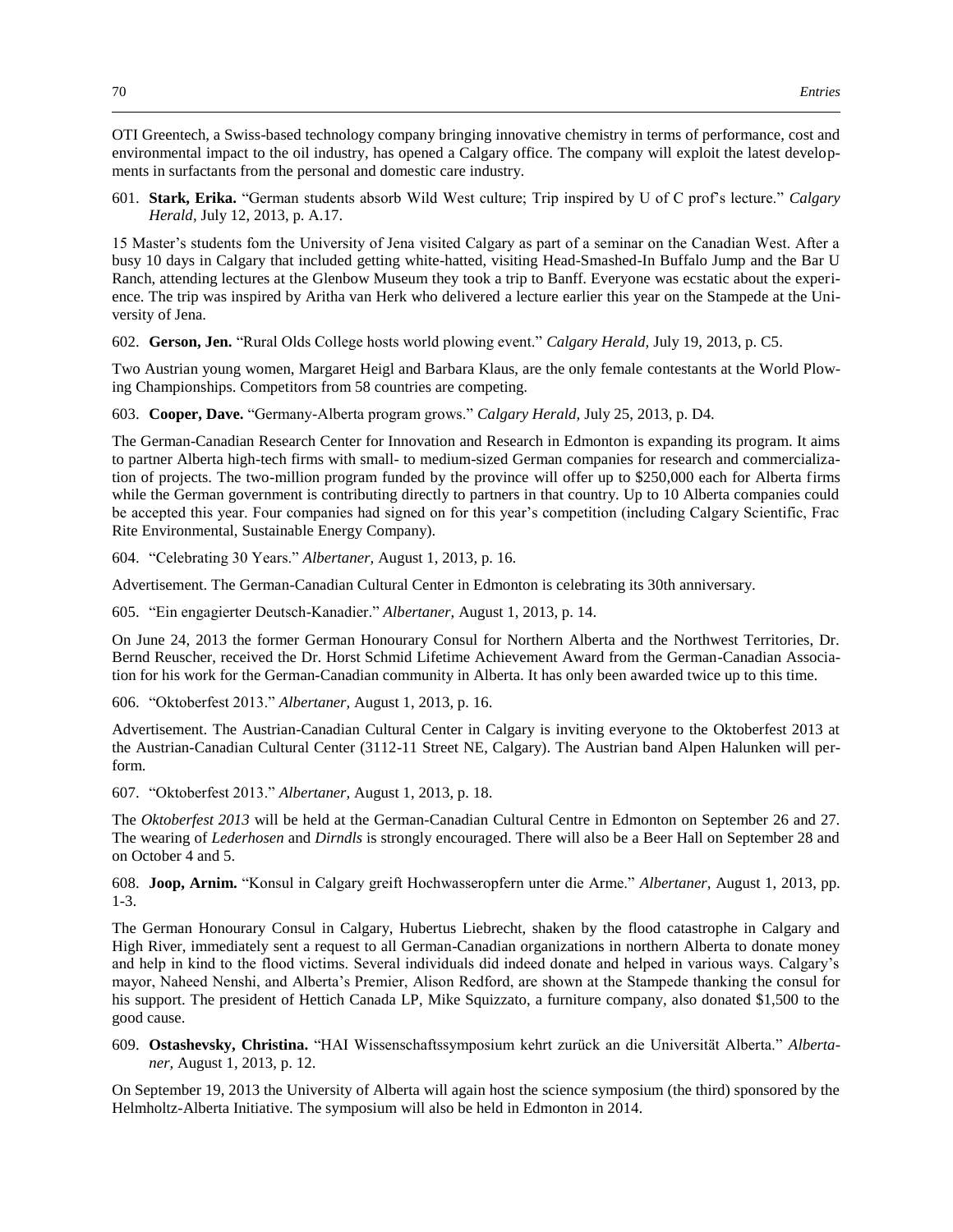OTI Greentech, a Swiss-based technology company bringing innovative chemistry in terms of performance, cost and environmental impact to the oil industry, has opened a Calgary office. The company will exploit the latest developments in surfactants from the personal and domestic care industry.

601. **Stark, Erika.** "German students absorb Wild West culture; Trip inspired by U of C prof's lecture." *Calgary Herald,* July 12, 2013, p. A.17.

15 Master's students fom the University of Jena visited Calgary as part of a seminar on the Canadian West. After a busy 10 days in Calgary that included getting white-hatted, visiting Head-Smashed-In Buffalo Jump and the Bar U Ranch, attending lectures at the Glenbow Museum they took a trip to Banff. Everyone was ecstatic about the experience. The trip was inspired by Aritha van Herk who delivered a lecture earlier this year on the Stampede at the University of Jena.

602. **Gerson, Jen.** "Rural Olds College hosts world plowing event." *Calgary Herald,* July 19, 2013, p. C5.

Two Austrian young women, Margaret Heigl and Barbara Klaus, are the only female contestants at the World Plowing Championships. Competitors from 58 countries are competing.

603. **Cooper, Dave.** "Germany-Alberta program grows." *Calgary Herald,* July 25, 2013, p. D4.

The German-Canadian Research Center for Innovation and Research in Edmonton is expanding its program. It aims to partner Alberta high-tech firms with small- to medium-sized German companies for research and commercialization of projects. The two-million program funded by the province will offer up to \$250,000 each for Alberta firms while the German government is contributing directly to partners in that country. Up to 10 Alberta companies could be accepted this year. Four companies had signed on for this year's competition (including Calgary Scientific, Frac Rite Environmental, Sustainable Energy Company).

604. "Celebrating 30 Years." *Albertaner,* August 1, 2013, p. 16.

Advertisement. The German-Canadian Cultural Center in Edmonton is celebrating its 30th anniversary.

605. "Ein engagierter Deutsch-Kanadier." *Albertaner,* August 1, 2013, p. 14.

On June 24, 2013 the former German Honourary Consul for Northern Alberta and the Northwest Territories, Dr. Bernd Reuscher, received the Dr. Horst Schmid Lifetime Achievement Award from the German-Canadian Association for his work for the German-Canadian community in Alberta. It has only been awarded twice up to this time.

606. "Oktoberfest 2013." *Albertaner,* August 1, 2013, p. 16.

Advertisement. The Austrian-Canadian Cultural Center in Calgary is inviting everyone to the Oktoberfest 2013 at the Austrian-Canadian Cultural Center (3112-11 Street NE, Calgary). The Austrian band Alpen Halunken will perform.

607. "Oktoberfest 2013." *Albertaner,* August 1, 2013, p. 18.

The *Oktoberfest 2013* will be held at the German-Canadian Cultural Centre in Edmonton on September 26 and 27. The wearing of *Lederhosen* and *Dirndls* is strongly encouraged. There will also be a Beer Hall on September 28 and on October 4 and 5.

608. **Joop, Arnim.** "Konsul in Calgary greift Hochwasseropfern unter die Arme." *Albertaner,* August 1, 2013, pp. 1-3.

The German Honourary Consul in Calgary, Hubertus Liebrecht, shaken by the flood catastrophe in Calgary and High River, immediately sent a request to all German-Canadian organizations in northern Alberta to donate money and help in kind to the flood victims. Several individuals did indeed donate and helped in various ways. Calgary's mayor, Naheed Nenshi, and Alberta's Premier, Alison Redford, are shown at the Stampede thanking the consul for his support. The president of Hettich Canada LP, Mike Squizzato, a furniture company, also donated \$1,500 to the good cause.

609. **Ostashevsky, Christina.** "HAI Wissenschaftssymposium kehrt zurück an die Universität Alberta." *Albertaner,* August 1, 2013, p. 12.

On September 19, 2013 the University of Alberta will again host the science symposium (the third) sponsored by the Helmholtz-Alberta Initiative. The symposium will also be held in Edmonton in 2014.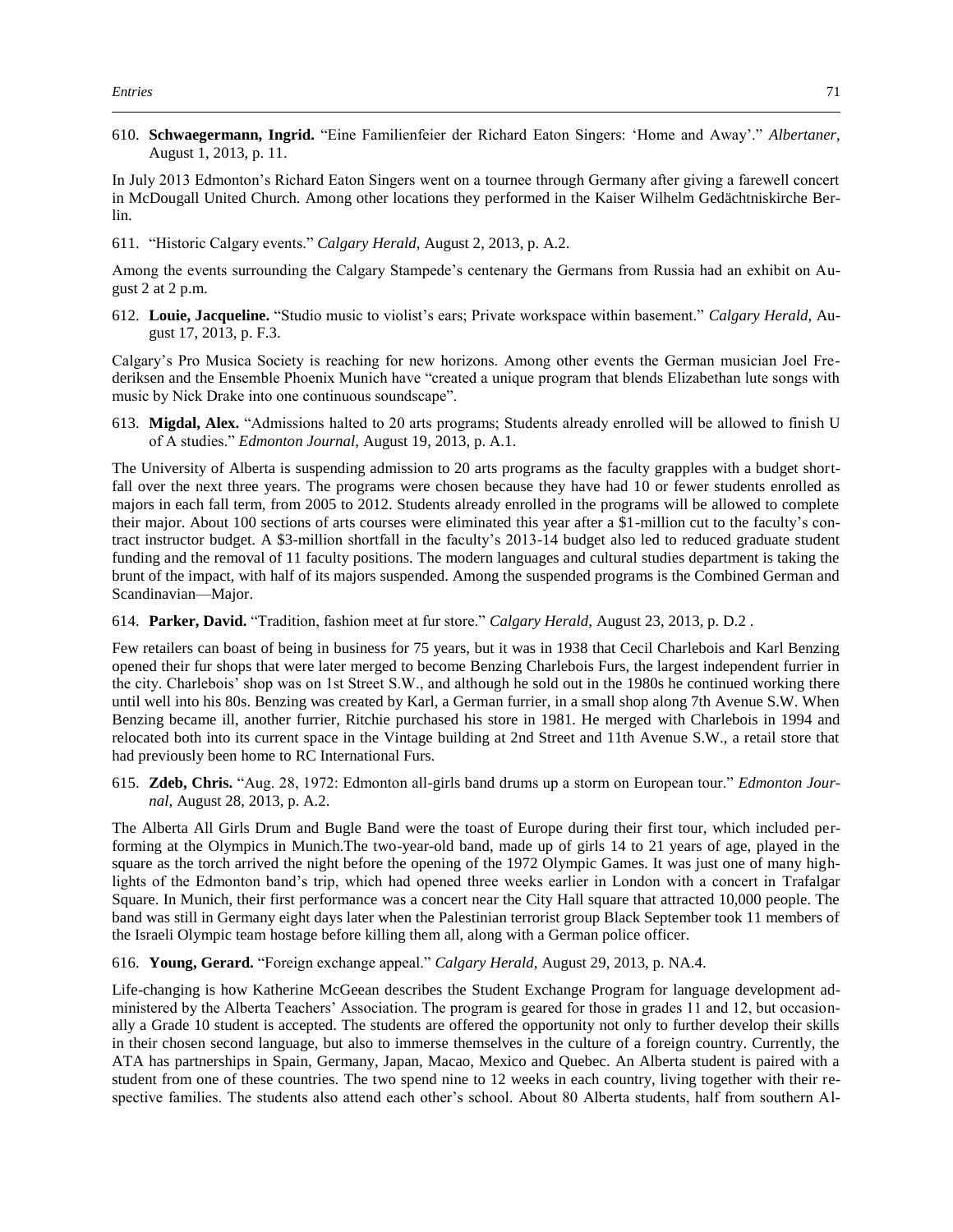610. **Schwaegermann, Ingrid.** "Eine Familienfeier der Richard Eaton Singers: 'Home and Away'." *Albertaner,*  August 1, 2013, p. 11.

In July 2013 Edmonton's Richard Eaton Singers went on a tournee through Germany after giving a farewell concert in McDougall United Church. Among other locations they performed in the Kaiser Wilhelm Gedächtniskirche Berlin.

611. "Historic Calgary events." *Calgary Herald,* August 2, 2013, p. A.2.

Among the events surrounding the Calgary Stampede's centenary the Germans from Russia had an exhibit on August 2 at 2 p.m.

612. **Louie, Jacqueline.** "Studio music to violist's ears; Private workspace within basement." *Calgary Herald,* August 17, 2013, p. F.3.

Calgary's Pro Musica Society is reaching for new horizons. Among other events the German musician Joel Frederiksen and the Ensemble Phoenix Munich have "created a unique program that blends Elizabethan lute songs with music by Nick Drake into one continuous soundscape".

613. **Migdal, Alex.** "Admissions halted to 20 arts programs; Students already enrolled will be allowed to finish U of A studies." *Edmonton Journal,* August 19, 2013, p. A.1.

The University of Alberta is suspending admission to 20 arts programs as the faculty grapples with a budget shortfall over the next three years. The programs were chosen because they have had 10 or fewer students enrolled as majors in each fall term, from 2005 to 2012. Students already enrolled in the programs will be allowed to complete their major. About 100 sections of arts courses were eliminated this year after a \$1-million cut to the faculty's contract instructor budget. A \$3-million shortfall in the faculty's 2013-14 budget also led to reduced graduate student funding and the removal of 11 faculty positions. The modern languages and cultural studies department is taking the brunt of the impact, with half of its majors suspended. Among the suspended programs is the Combined German and Scandinavian—Major.

614. **Parker, David.** "Tradition, fashion meet at fur store." *Calgary Herald,* August 23, 2013, p. D.2 .

Few retailers can boast of being in business for 75 years, but it was in 1938 that Cecil Charlebois and Karl Benzing opened their fur shops that were later merged to become Benzing Charlebois Furs, the largest independent furrier in the city. Charlebois' shop was on 1st Street S.W., and although he sold out in the 1980s he continued working there until well into his 80s. Benzing was created by Karl, a German furrier, in a small shop along 7th Avenue S.W. When Benzing became ill, another furrier, Ritchie purchased his store in 1981. He merged with Charlebois in 1994 and relocated both into its current space in the Vintage building at 2nd Street and 11th Avenue S.W., a retail store that had previously been home to RC International Furs.

615. **Zdeb, Chris.** "Aug. 28, 1972: Edmonton all-girls band drums up a storm on European tour." *Edmonton Journal,* August 28, 2013, p. A.2.

The Alberta All Girls Drum and Bugle Band were the toast of Europe during their first tour, which included performing at the Olympics in Munich.The two-year-old band, made up of girls 14 to 21 years of age, played in the square as the torch arrived the night before the opening of the 1972 Olympic Games. It was just one of many highlights of the Edmonton band's trip, which had opened three weeks earlier in London with a concert in Trafalgar Square. In Munich, their first performance was a concert near the City Hall square that attracted 10,000 people. The band was still in Germany eight days later when the Palestinian terrorist group Black September took 11 members of the Israeli Olympic team hostage before killing them all, along with a German police officer.

616. **Young, Gerard.** "Foreign exchange appeal." *Calgary Herald,* August 29, 2013, p. NA.4.

Life-changing is how Katherine McGeean describes the Student Exchange Program for language development administered by the Alberta Teachers' Association. The program is geared for those in grades 11 and 12, but occasionally a Grade 10 student is accepted. The students are offered the opportunity not only to further develop their skills in their chosen second language, but also to immerse themselves in the culture of a foreign country. Currently, the ATA has partnerships in Spain, Germany, Japan, Macao, Mexico and Quebec. An Alberta student is paired with a student from one of these countries. The two spend nine to 12 weeks in each country, living together with their respective families. The students also attend each other's school. About 80 Alberta students, half from southern Al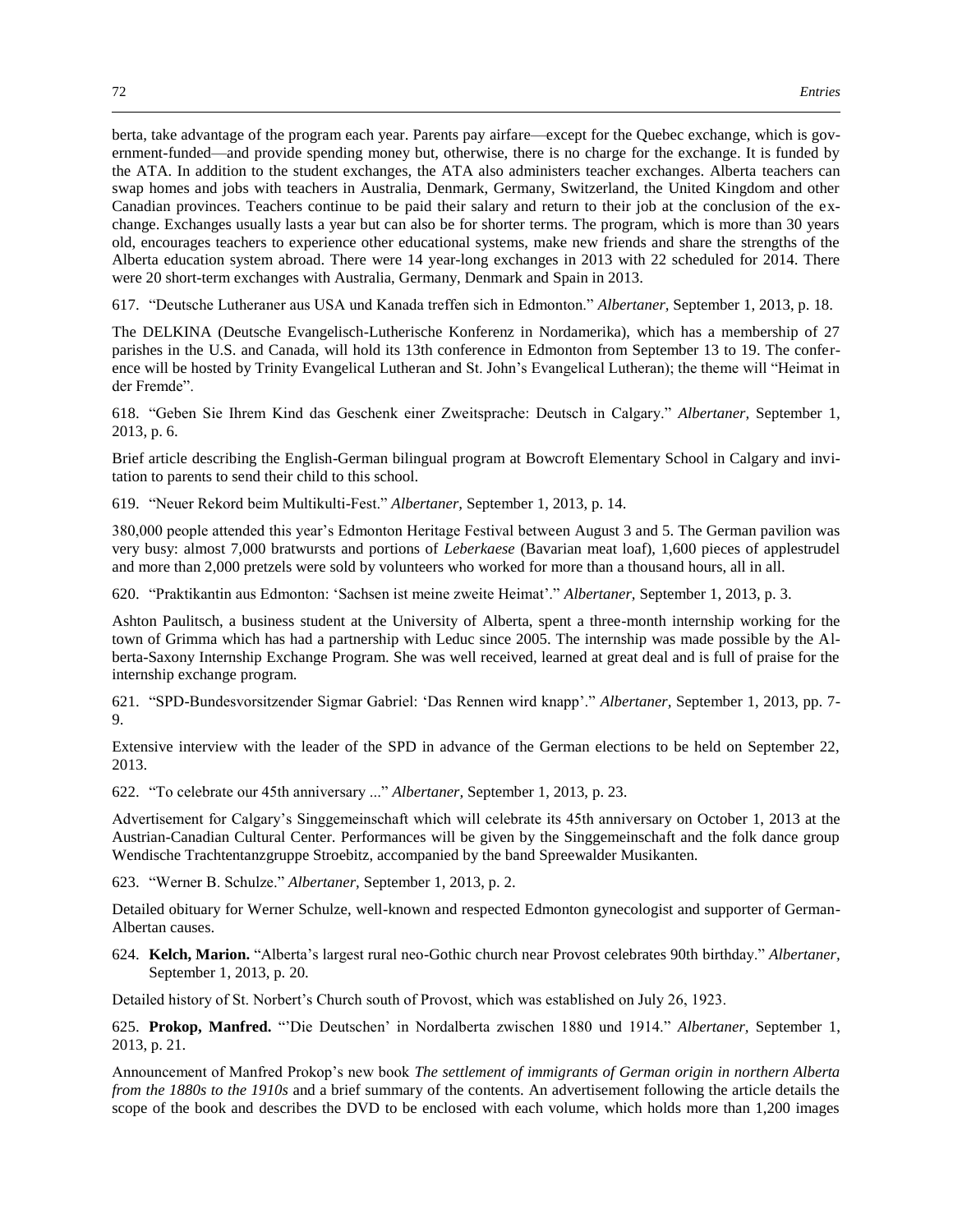berta, take advantage of the program each year. Parents pay airfare—except for the Quebec exchange, which is government-funded—and provide spending money but, otherwise, there is no charge for the exchange. It is funded by the ATA. In addition to the student exchanges, the ATA also administers teacher exchanges. Alberta teachers can swap homes and jobs with teachers in Australia, Denmark, Germany, Switzerland, the United Kingdom and other Canadian provinces. Teachers continue to be paid their salary and return to their job at the conclusion of the exchange. Exchanges usually lasts a year but can also be for shorter terms. The program, which is more than 30 years old, encourages teachers to experience other educational systems, make new friends and share the strengths of the Alberta education system abroad. There were 14 year-long exchanges in 2013 with 22 scheduled for 2014. There were 20 short-term exchanges with Australia, Germany, Denmark and Spain in 2013.

617. "Deutsche Lutheraner aus USA und Kanada treffen sich in Edmonton." *Albertaner,* September 1, 2013, p. 18.

The DELKINA (Deutsche Evangelisch-Lutherische Konferenz in Nordamerika), which has a membership of 27 parishes in the U.S. and Canada, will hold its 13th conference in Edmonton from September 13 to 19. The conference will be hosted by Trinity Evangelical Lutheran and St. John's Evangelical Lutheran); the theme will "Heimat in der Fremde".

618. "Geben Sie Ihrem Kind das Geschenk einer Zweitsprache: Deutsch in Calgary." *Albertaner,* September 1, 2013, p. 6.

Brief article describing the English-German bilingual program at Bowcroft Elementary School in Calgary and invitation to parents to send their child to this school.

619. "Neuer Rekord beim Multikulti-Fest." *Albertaner,* September 1, 2013, p. 14.

380,000 people attended this year's Edmonton Heritage Festival between August 3 and 5. The German pavilion was very busy: almost 7,000 bratwursts and portions of *Leberkaese* (Bavarian meat loaf), 1,600 pieces of applestrudel and more than 2,000 pretzels were sold by volunteers who worked for more than a thousand hours, all in all.

620. "Praktikantin aus Edmonton: 'Sachsen ist meine zweite Heimat'." *Albertaner,* September 1, 2013, p. 3.

Ashton Paulitsch, a business student at the University of Alberta, spent a three-month internship working for the town of Grimma which has had a partnership with Leduc since 2005. The internship was made possible by the Alberta-Saxony Internship Exchange Program. She was well received, learned at great deal and is full of praise for the internship exchange program.

621. "SPD-Bundesvorsitzender Sigmar Gabriel: 'Das Rennen wird knapp'." *Albertaner,* September 1, 2013, pp. 7- 9.

Extensive interview with the leader of the SPD in advance of the German elections to be held on September 22, 2013.

622. "To celebrate our 45th anniversary ..." *Albertaner,* September 1, 2013, p. 23.

Advertisement for Calgary's Singgemeinschaft which will celebrate its 45th anniversary on October 1, 2013 at the Austrian-Canadian Cultural Center. Performances will be given by the Singgemeinschaft and the folk dance group Wendische Trachtentanzgruppe Stroebitz, accompanied by the band Spreewalder Musikanten.

623. "Werner B. Schulze." *Albertaner,* September 1, 2013, p. 2.

Detailed obituary for Werner Schulze, well-known and respected Edmonton gynecologist and supporter of German-Albertan causes.

624. **Kelch, Marion.** "Alberta's largest rural neo-Gothic church near Provost celebrates 90th birthday." *Albertaner,*  September 1, 2013, p. 20.

Detailed history of St. Norbert's Church south of Provost, which was established on July 26, 1923.

625. **Prokop, Manfred.** "'Die Deutschen' in Nordalberta zwischen 1880 und 1914." *Albertaner,* September 1, 2013, p. 21.

Announcement of Manfred Prokop's new book *The settlement of immigrants of German origin in northern Alberta from the 1880s to the 1910s* and a brief summary of the contents. An advertisement following the article details the scope of the book and describes the DVD to be enclosed with each volume, which holds more than 1,200 images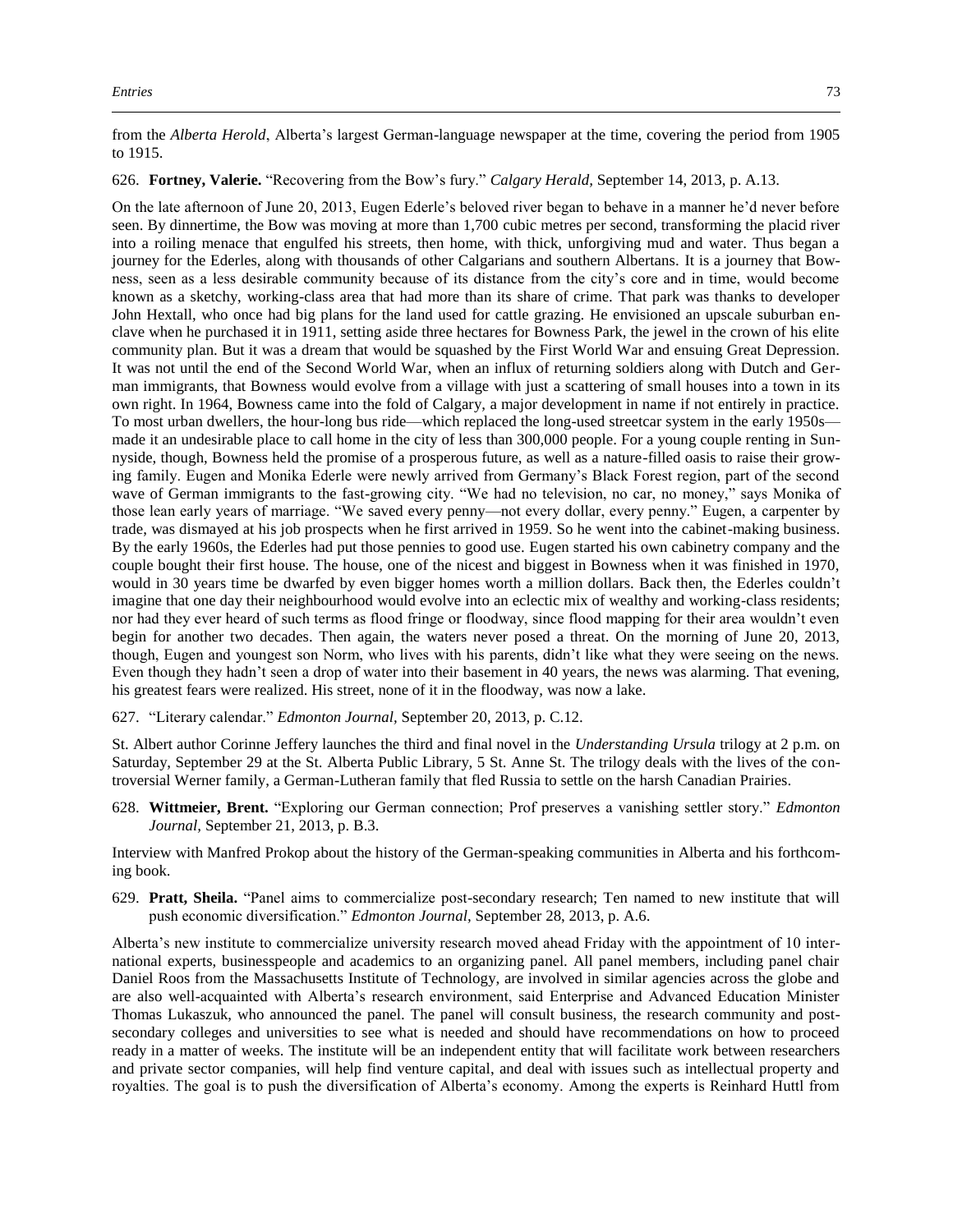from the *Alberta Herold*, Alberta's largest German-language newspaper at the time, covering the period from 1905 to 1915.

626. **Fortney, Valerie.** "Recovering from the Bow's fury." *Calgary Herald,* September 14, 2013, p. A.13.

On the late afternoon of June 20, 2013, Eugen Ederle's beloved river began to behave in a manner he'd never before seen. By dinnertime, the Bow was moving at more than 1,700 cubic metres per second, transforming the placid river into a roiling menace that engulfed his streets, then home, with thick, unforgiving mud and water. Thus began a journey for the Ederles, along with thousands of other Calgarians and southern Albertans. It is a journey that Bowness, seen as a less desirable community because of its distance from the city's core and in time, would become known as a sketchy, working-class area that had more than its share of crime. That park was thanks to developer John Hextall, who once had big plans for the land used for cattle grazing. He envisioned an upscale suburban enclave when he purchased it in 1911, setting aside three hectares for Bowness Park, the jewel in the crown of his elite community plan. But it was a dream that would be squashed by the First World War and ensuing Great Depression. It was not until the end of the Second World War, when an influx of returning soldiers along with Dutch and German immigrants, that Bowness would evolve from a village with just a scattering of small houses into a town in its own right. In 1964, Bowness came into the fold of Calgary, a major development in name if not entirely in practice. To most urban dwellers, the hour-long bus ride—which replaced the long-used streetcar system in the early 1950s made it an undesirable place to call home in the city of less than 300,000 people. For a young couple renting in Sunnyside, though, Bowness held the promise of a prosperous future, as well as a nature-filled oasis to raise their growing family. Eugen and Monika Ederle were newly arrived from Germany's Black Forest region, part of the second wave of German immigrants to the fast-growing city. "We had no television, no car, no money," says Monika of those lean early years of marriage. "We saved every penny—not every dollar, every penny." Eugen, a carpenter by trade, was dismayed at his job prospects when he first arrived in 1959. So he went into the cabinet-making business. By the early 1960s, the Ederles had put those pennies to good use. Eugen started his own cabinetry company and the couple bought their first house. The house, one of the nicest and biggest in Bowness when it was finished in 1970, would in 30 years time be dwarfed by even bigger homes worth a million dollars. Back then, the Ederles couldn't imagine that one day their neighbourhood would evolve into an eclectic mix of wealthy and working-class residents; nor had they ever heard of such terms as flood fringe or floodway, since flood mapping for their area wouldn't even begin for another two decades. Then again, the waters never posed a threat. On the morning of June 20, 2013, though, Eugen and youngest son Norm, who lives with his parents, didn't like what they were seeing on the news. Even though they hadn't seen a drop of water into their basement in 40 years, the news was alarming. That evening, his greatest fears were realized. His street, none of it in the floodway, was now a lake.

627. "Literary calendar." *Edmonton Journal,* September 20, 2013, p. C.12.

St. Albert author Corinne Jeffery launches the third and final novel in the *Understanding Ursula* trilogy at 2 p.m. on Saturday, September 29 at the St. Alberta Public Library, 5 St. Anne St. The trilogy deals with the lives of the controversial Werner family, a German-Lutheran family that fled Russia to settle on the harsh Canadian Prairies.

628. **Wittmeier, Brent.** "Exploring our German connection; Prof preserves a vanishing settler story." *Edmonton Journal,* September 21, 2013, p. B.3.

Interview with Manfred Prokop about the history of the German-speaking communities in Alberta and his forthcoming book.

629. **Pratt, Sheila.** "Panel aims to commercialize post-secondary research; Ten named to new institute that will push economic diversification." *Edmonton Journal,* September 28, 2013, p. A.6.

Alberta's new institute to commercialize university research moved ahead Friday with the appointment of 10 international experts, businesspeople and academics to an organizing panel. All panel members, including panel chair Daniel Roos from the Massachusetts Institute of Technology, are involved in similar agencies across the globe and are also well-acquainted with Alberta's research environment, said Enterprise and Advanced Education Minister Thomas Lukaszuk, who announced the panel. The panel will consult business, the research community and postsecondary colleges and universities to see what is needed and should have recommendations on how to proceed ready in a matter of weeks. The institute will be an independent entity that will facilitate work between researchers and private sector companies, will help find venture capital, and deal with issues such as intellectual property and royalties. The goal is to push the diversification of Alberta's economy. Among the experts is Reinhard Huttl from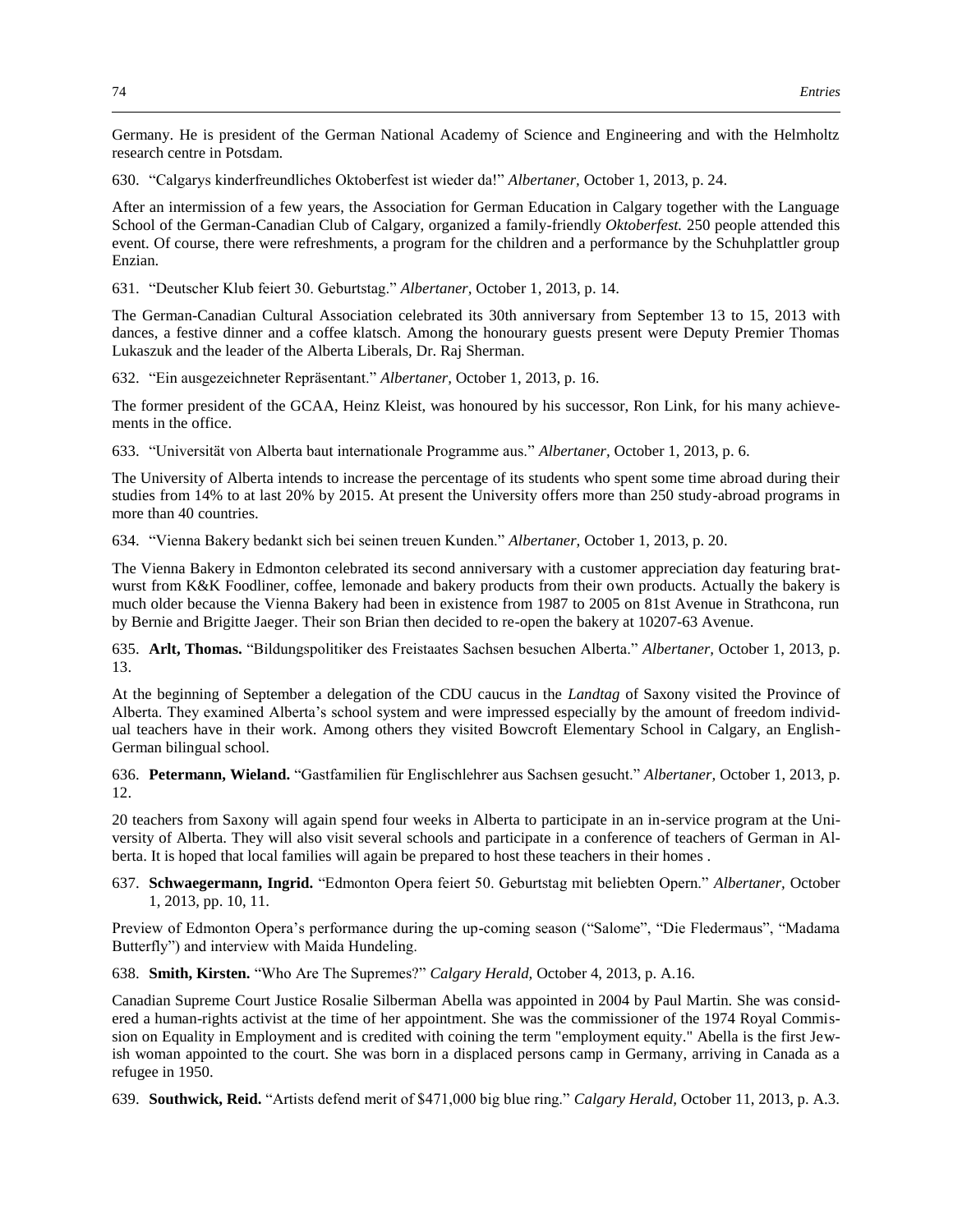Germany. He is president of the German National Academy of Science and Engineering and with the Helmholtz research centre in Potsdam.

630. "Calgarys kinderfreundliches Oktoberfest ist wieder da!" *Albertaner,* October 1, 2013, p. 24.

After an intermission of a few years, the Association for German Education in Calgary together with the Language School of the German-Canadian Club of Calgary, organized a family-friendly *Oktoberfest.* 250 people attended this event. Of course, there were refreshments, a program for the children and a performance by the Schuhplattler group Enzian.

631. "Deutscher Klub feiert 30. Geburtstag." *Albertaner,* October 1, 2013, p. 14.

The German-Canadian Cultural Association celebrated its 30th anniversary from September 13 to 15, 2013 with dances, a festive dinner and a coffee klatsch. Among the honourary guests present were Deputy Premier Thomas Lukaszuk and the leader of the Alberta Liberals, Dr. Raj Sherman.

632. "Ein ausgezeichneter Repräsentant." *Albertaner,* October 1, 2013, p. 16.

The former president of the GCAA, Heinz Kleist, was honoured by his successor, Ron Link, for his many achievements in the office.

633. "Universität von Alberta baut internationale Programme aus." *Albertaner,* October 1, 2013, p. 6.

The University of Alberta intends to increase the percentage of its students who spent some time abroad during their studies from 14% to at last 20% by 2015. At present the University offers more than 250 study-abroad programs in more than 40 countries.

634. "Vienna Bakery bedankt sich bei seinen treuen Kunden." *Albertaner,* October 1, 2013, p. 20.

The Vienna Bakery in Edmonton celebrated its second anniversary with a customer appreciation day featuring bratwurst from K&K Foodliner, coffee, lemonade and bakery products from their own products. Actually the bakery is much older because the Vienna Bakery had been in existence from 1987 to 2005 on 81st Avenue in Strathcona, run by Bernie and Brigitte Jaeger. Their son Brian then decided to re-open the bakery at 10207-63 Avenue.

635. **Arlt, Thomas.** "Bildungspolitiker des Freistaates Sachsen besuchen Alberta." *Albertaner,* October 1, 2013, p. 13.

At the beginning of September a delegation of the CDU caucus in the *Landtag* of Saxony visited the Province of Alberta. They examined Alberta's school system and were impressed especially by the amount of freedom individual teachers have in their work. Among others they visited Bowcroft Elementary School in Calgary, an English-German bilingual school.

636. **Petermann, Wieland.** "Gastfamilien für Englischlehrer aus Sachsen gesucht." *Albertaner,* October 1, 2013, p. 12.

20 teachers from Saxony will again spend four weeks in Alberta to participate in an in-service program at the University of Alberta. They will also visit several schools and participate in a conference of teachers of German in Alberta. It is hoped that local families will again be prepared to host these teachers in their homes .

637. **Schwaegermann, Ingrid.** "Edmonton Opera feiert 50. Geburtstag mit beliebten Opern." *Albertaner,* October 1, 2013, pp. 10, 11.

Preview of Edmonton Opera's performance during the up-coming season ("Salome", "Die Fledermaus", "Madama Butterfly") and interview with Maida Hundeling.

638. **Smith, Kirsten.** "Who Are The Supremes?" *Calgary Herald,* October 4, 2013, p. A.16.

Canadian Supreme Court Justice Rosalie Silberman Abella was appointed in 2004 by Paul Martin. She was considered a human-rights activist at the time of her appointment. She was the commissioner of the 1974 Royal Commission on Equality in Employment and is credited with coining the term "employment equity." Abella is the first Jewish woman appointed to the court. She was born in a displaced persons camp in Germany, arriving in Canada as a refugee in 1950.

639. **Southwick, Reid.** "Artists defend merit of \$471,000 big blue ring." *Calgary Herald,* October 11, 2013, p. A.3.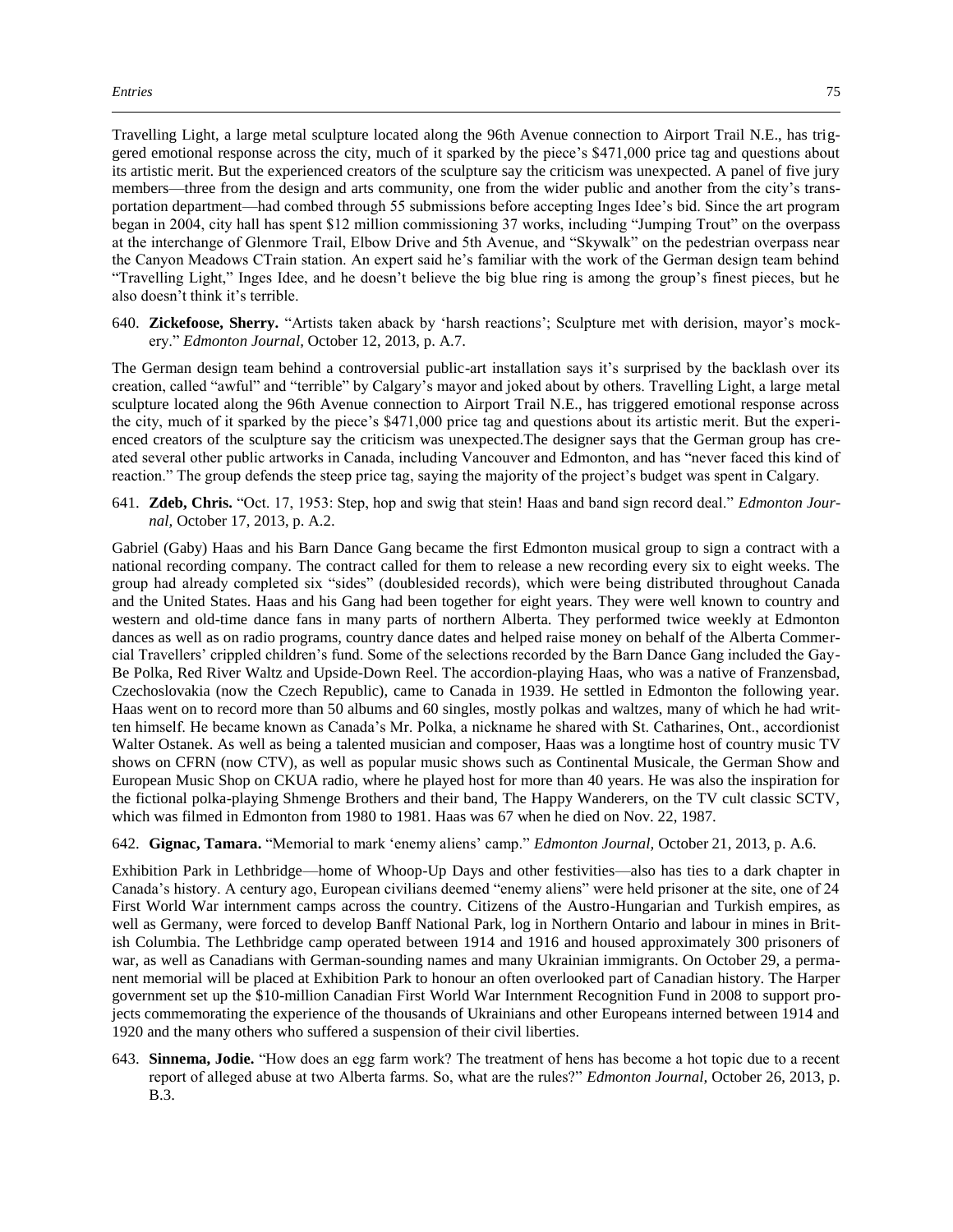Travelling Light, a large metal sculpture located along the 96th Avenue connection to Airport Trail N.E., has triggered emotional response across the city, much of it sparked by the piece's \$471,000 price tag and questions about its artistic merit. But the experienced creators of the sculpture say the criticism was unexpected. A panel of five jury members—three from the design and arts community, one from the wider public and another from the city's transportation department—had combed through 55 submissions before accepting Inges Idee's bid. Since the art program began in 2004, city hall has spent \$12 million commissioning 37 works, including "Jumping Trout" on the overpass at the interchange of Glenmore Trail, Elbow Drive and 5th Avenue, and "Skywalk" on the pedestrian overpass near the Canyon Meadows CTrain station. An expert said he's familiar with the work of the German design team behind "Travelling Light," Inges Idee, and he doesn't believe the big blue ring is among the group's finest pieces, but he also doesn't think it's terrible.

640. **Zickefoose, Sherry.** "Artists taken aback by 'harsh reactions'; Sculpture met with derision, mayor's mockery." *Edmonton Journal,* October 12, 2013, p. A.7.

The German design team behind a controversial public-art installation says it's surprised by the backlash over its creation, called "awful" and "terrible" by Calgary's mayor and joked about by others. Travelling Light, a large metal sculpture located along the 96th Avenue connection to Airport Trail N.E., has triggered emotional response across the city, much of it sparked by the piece's \$471,000 price tag and questions about its artistic merit. But the experienced creators of the sculpture say the criticism was unexpected.The designer says that the German group has created several other public artworks in Canada, including Vancouver and Edmonton, and has "never faced this kind of reaction." The group defends the steep price tag, saying the majority of the project's budget was spent in Calgary.

641. **Zdeb, Chris.** "Oct. 17, 1953: Step, hop and swig that stein! Haas and band sign record deal." *Edmonton Journal,* October 17, 2013, p. A.2.

Gabriel (Gaby) Haas and his Barn Dance Gang became the first Edmonton musical group to sign a contract with a national recording company. The contract called for them to release a new recording every six to eight weeks. The group had already completed six "sides" (doublesided records), which were being distributed throughout Canada and the United States. Haas and his Gang had been together for eight years. They were well known to country and western and old-time dance fans in many parts of northern Alberta. They performed twice weekly at Edmonton dances as well as on radio programs, country dance dates and helped raise money on behalf of the Alberta Commercial Travellers' crippled children's fund. Some of the selections recorded by the Barn Dance Gang included the Gay-Be Polka, Red River Waltz and Upside-Down Reel. The accordion-playing Haas, who was a native of Franzensbad, Czechoslovakia (now the Czech Republic), came to Canada in 1939. He settled in Edmonton the following year. Haas went on to record more than 50 albums and 60 singles, mostly polkas and waltzes, many of which he had written himself. He became known as Canada's Mr. Polka, a nickname he shared with St. Catharines, Ont., accordionist Walter Ostanek. As well as being a talented musician and composer, Haas was a longtime host of country music TV shows on CFRN (now CTV), as well as popular music shows such as Continental Musicale, the German Show and European Music Shop on CKUA radio, where he played host for more than 40 years. He was also the inspiration for the fictional polka-playing Shmenge Brothers and their band, The Happy Wanderers, on the TV cult classic SCTV, which was filmed in Edmonton from 1980 to 1981. Haas was 67 when he died on Nov. 22, 1987.

642. **Gignac, Tamara.** "Memorial to mark 'enemy aliens' camp." *Edmonton Journal,* October 21, 2013, p. A.6.

Exhibition Park in Lethbridge—home of Whoop-Up Days and other festivities—also has ties to a dark chapter in Canada's history. A century ago, European civilians deemed "enemy aliens" were held prisoner at the site, one of 24 First World War internment camps across the country. Citizens of the Austro-Hungarian and Turkish empires, as well as Germany, were forced to develop Banff National Park, log in Northern Ontario and labour in mines in British Columbia. The Lethbridge camp operated between 1914 and 1916 and housed approximately 300 prisoners of war, as well as Canadians with German-sounding names and many Ukrainian immigrants. On October 29, a permanent memorial will be placed at Exhibition Park to honour an often overlooked part of Canadian history. The Harper government set up the \$10-million Canadian First World War Internment Recognition Fund in 2008 to support projects commemorating the experience of the thousands of Ukrainians and other Europeans interned between 1914 and 1920 and the many others who suffered a suspension of their civil liberties.

643. **Sinnema, Jodie.** "How does an egg farm work? The treatment of hens has become a hot topic due to a recent report of alleged abuse at two Alberta farms. So, what are the rules?" *Edmonton Journal,* October 26, 2013, p. B.3.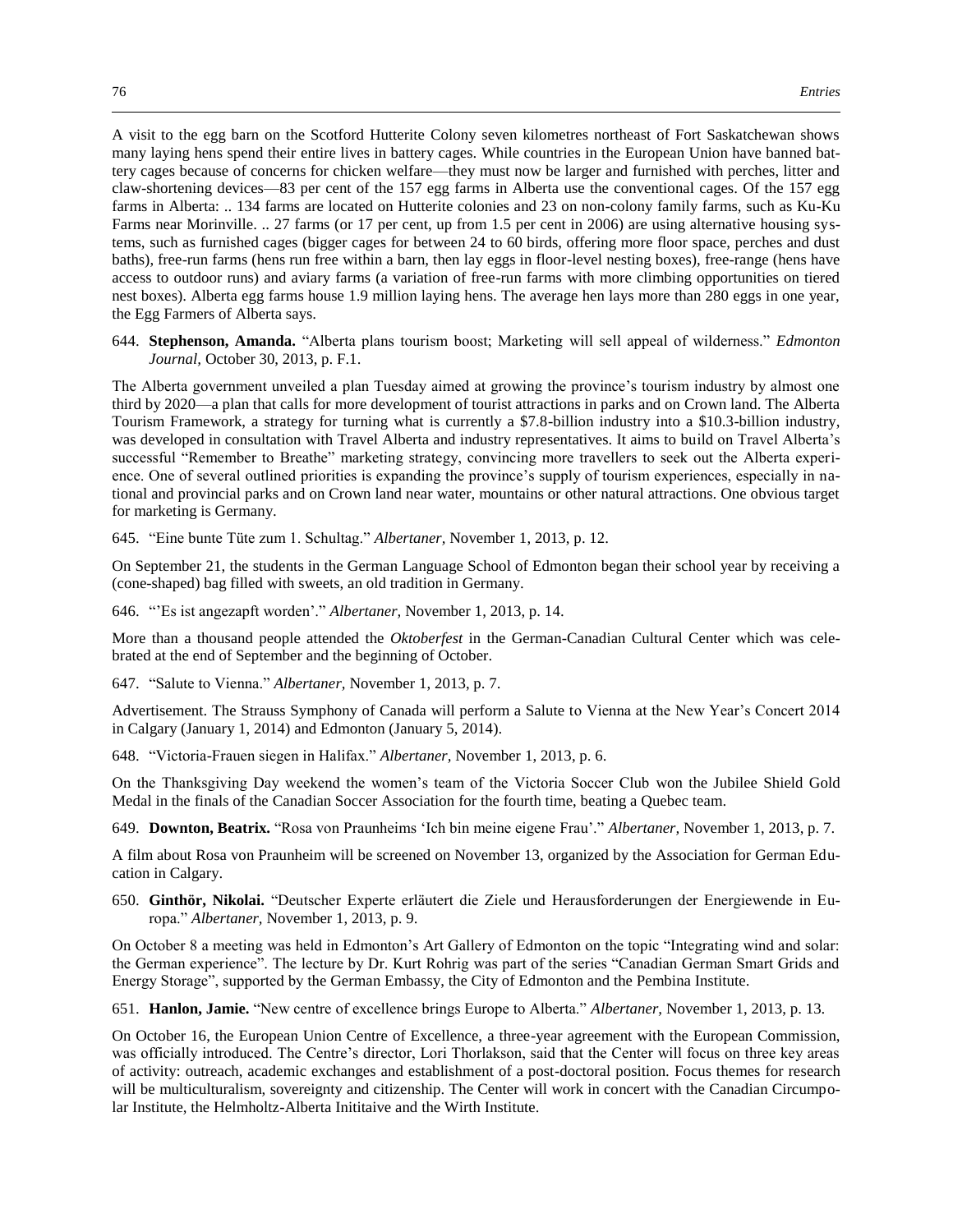A visit to the egg barn on the Scotford Hutterite Colony seven kilometres northeast of Fort Saskatchewan shows many laying hens spend their entire lives in battery cages. While countries in the European Union have banned battery cages because of concerns for chicken welfare—they must now be larger and furnished with perches, litter and claw-shortening devices—83 per cent of the 157 egg farms in Alberta use the conventional cages. Of the 157 egg farms in Alberta: .. 134 farms are located on Hutterite colonies and 23 on non-colony family farms, such as Ku-Ku Farms near Morinville. .. 27 farms (or 17 per cent, up from 1.5 per cent in 2006) are using alternative housing systems, such as furnished cages (bigger cages for between 24 to 60 birds, offering more floor space, perches and dust baths), free-run farms (hens run free within a barn, then lay eggs in floor-level nesting boxes), free-range (hens have access to outdoor runs) and aviary farms (a variation of free-run farms with more climbing opportunities on tiered nest boxes). Alberta egg farms house 1.9 million laying hens. The average hen lays more than 280 eggs in one year, the Egg Farmers of Alberta says.

644. **Stephenson, Amanda.** "Alberta plans tourism boost; Marketing will sell appeal of wilderness." *Edmonton Journal,* October 30, 2013, p. F.1.

The Alberta government unveiled a plan Tuesday aimed at growing the province's tourism industry by almost one third by 2020—a plan that calls for more development of tourist attractions in parks and on Crown land. The Alberta Tourism Framework, a strategy for turning what is currently a \$7.8-billion industry into a \$10.3-billion industry, was developed in consultation with Travel Alberta and industry representatives. It aims to build on Travel Alberta's successful "Remember to Breathe" marketing strategy, convincing more travellers to seek out the Alberta experience. One of several outlined priorities is expanding the province's supply of tourism experiences, especially in national and provincial parks and on Crown land near water, mountains or other natural attractions. One obvious target for marketing is Germany.

645. "Eine bunte Tüte zum 1. Schultag." *Albertaner,* November 1, 2013, p. 12.

On September 21, the students in the German Language School of Edmonton began their school year by receiving a (cone-shaped) bag filled with sweets, an old tradition in Germany.

646. "'Es ist angezapft worden'." *Albertaner,* November 1, 2013, p. 14.

More than a thousand people attended the *Oktoberfest* in the German-Canadian Cultural Center which was celebrated at the end of September and the beginning of October.

647. "Salute to Vienna." *Albertaner,* November 1, 2013, p. 7.

Advertisement. The Strauss Symphony of Canada will perform a Salute to Vienna at the New Year's Concert 2014 in Calgary (January 1, 2014) and Edmonton (January 5, 2014).

648. "Victoria-Frauen siegen in Halifax." *Albertaner,* November 1, 2013, p. 6.

On the Thanksgiving Day weekend the women's team of the Victoria Soccer Club won the Jubilee Shield Gold Medal in the finals of the Canadian Soccer Association for the fourth time, beating a Quebec team.

649. **Downton, Beatrix.** "Rosa von Praunheims 'Ich bin meine eigene Frau'." *Albertaner,* November 1, 2013, p. 7.

A film about Rosa von Praunheim will be screened on November 13, organized by the Association for German Education in Calgary.

650. **Ginthör, Nikolai.** "Deutscher Experte erläutert die Ziele und Herausforderungen der Energiewende in Europa." *Albertaner,* November 1, 2013, p. 9.

On October 8 a meeting was held in Edmonton's Art Gallery of Edmonton on the topic "Integrating wind and solar: the German experience". The lecture by Dr. Kurt Rohrig was part of the series "Canadian German Smart Grids and Energy Storage", supported by the German Embassy, the City of Edmonton and the Pembina Institute.

651. **Hanlon, Jamie.** "New centre of excellence brings Europe to Alberta." *Albertaner,* November 1, 2013, p. 13.

On October 16, the European Union Centre of Excellence, a three-year agreement with the European Commission, was officially introduced. The Centre's director, Lori Thorlakson, said that the Center will focus on three key areas of activity: outreach, academic exchanges and establishment of a post-doctoral position. Focus themes for research will be multiculturalism, sovereignty and citizenship. The Center will work in concert with the Canadian Circumpolar Institute, the Helmholtz-Alberta Inititaive and the Wirth Institute.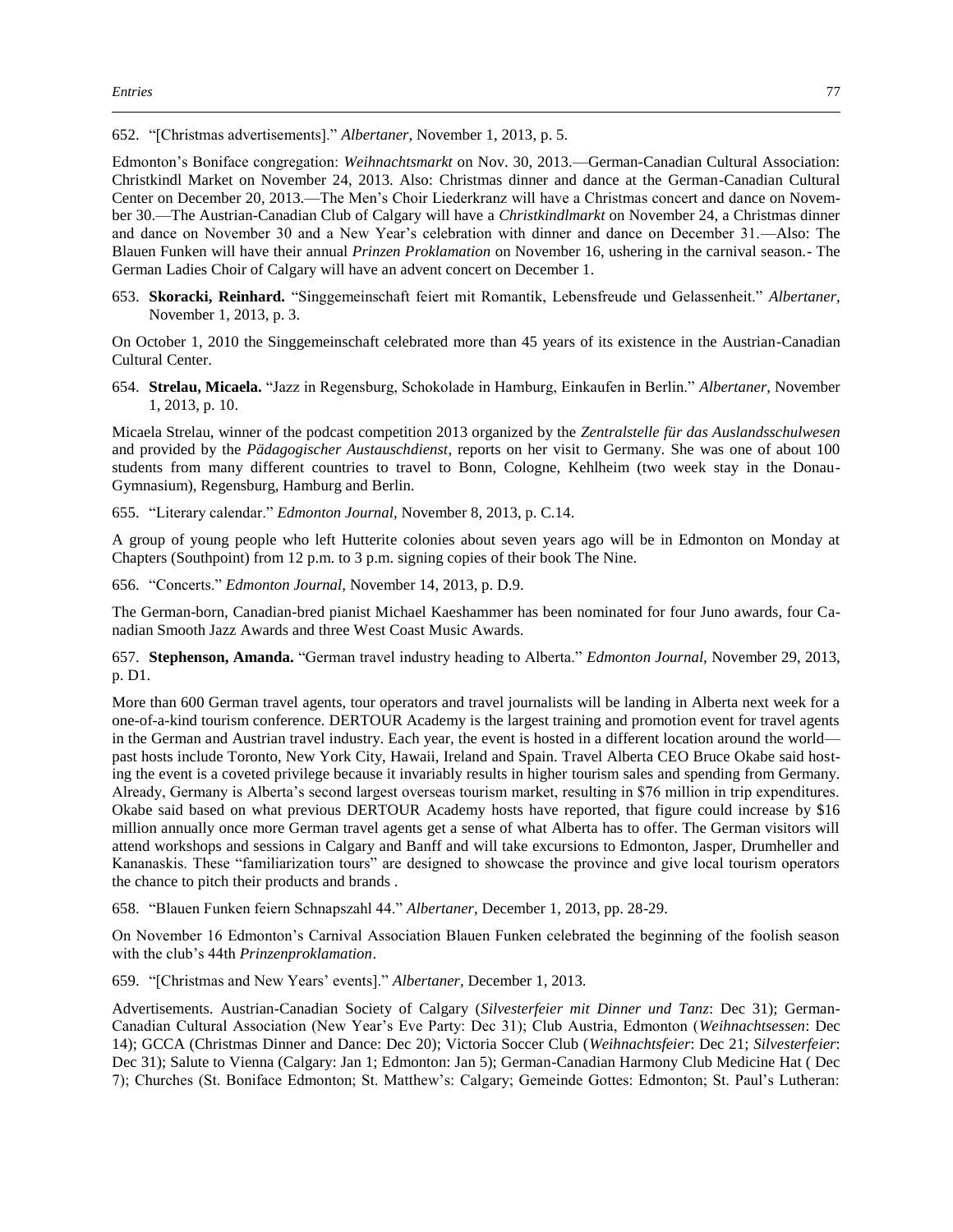652. "[Christmas advertisements]." *Albertaner,* November 1, 2013, p. 5.

Edmonton's Boniface congregation: *Weihnachtsmarkt* on Nov. 30, 2013.—German-Canadian Cultural Association: Christkindl Market on November 24, 2013. Also: Christmas dinner and dance at the German-Canadian Cultural Center on December 20, 2013.—The Men's Choir Liederkranz will have a Christmas concert and dance on November 30.—The Austrian-Canadian Club of Calgary will have a *Christkindlmarkt* on November 24, a Christmas dinner and dance on November 30 and a New Year's celebration with dinner and dance on December 31.—Also: The Blauen Funken will have their annual *Prinzen Proklamation* on November 16, ushering in the carnival season.- The German Ladies Choir of Calgary will have an advent concert on December 1.

653. **Skoracki, Reinhard.** "Singgemeinschaft feiert mit Romantik, Lebensfreude und Gelassenheit." *Albertaner,*  November 1, 2013, p. 3.

On October 1, 2010 the Singgemeinschaft celebrated more than 45 years of its existence in the Austrian-Canadian Cultural Center.

654. **Strelau, Micaela.** "Jazz in Regensburg, Schokolade in Hamburg, Einkaufen in Berlin." *Albertaner,* November 1, 2013, p. 10.

Micaela Strelau, winner of the podcast competition 2013 organized by the *Zentralstelle für das Auslandsschulwesen* and provided by the *Pädagogischer Austauschdienst*, reports on her visit to Germany. She was one of about 100 students from many different countries to travel to Bonn, Cologne, Kehlheim (two week stay in the Donau-Gymnasium), Regensburg, Hamburg and Berlin.

655. "Literary calendar." *Edmonton Journal,* November 8, 2013, p. C.14.

A group of young people who left Hutterite colonies about seven years ago will be in Edmonton on Monday at Chapters (Southpoint) from 12 p.m. to 3 p.m. signing copies of their book The Nine.

656. "Concerts." *Edmonton Journal,* November 14, 2013, p. D.9.

The German-born, Canadian-bred pianist Michael Kaeshammer has been nominated for four Juno awards, four Canadian Smooth Jazz Awards and three West Coast Music Awards.

657. **Stephenson, Amanda.** "German travel industry heading to Alberta." *Edmonton Journal,* November 29, 2013, p. D1.

More than 600 German travel agents, tour operators and travel journalists will be landing in Alberta next week for a one-of-a-kind tourism conference. DERTOUR Academy is the largest training and promotion event for travel agents in the German and Austrian travel industry. Each year, the event is hosted in a different location around the world past hosts include Toronto, New York City, Hawaii, Ireland and Spain. Travel Alberta CEO Bruce Okabe said hosting the event is a coveted privilege because it invariably results in higher tourism sales and spending from Germany. Already, Germany is Alberta's second largest overseas tourism market, resulting in \$76 million in trip expenditures. Okabe said based on what previous DERTOUR Academy hosts have reported, that figure could increase by \$16 million annually once more German travel agents get a sense of what Alberta has to offer. The German visitors will attend workshops and sessions in Calgary and Banff and will take excursions to Edmonton, Jasper, Drumheller and Kananaskis. These "familiarization tours" are designed to showcase the province and give local tourism operators the chance to pitch their products and brands .

658. "Blauen Funken feiern Schnapszahl 44." *Albertaner,* December 1, 2013, pp. 28-29.

On November 16 Edmonton's Carnival Association Blauen Funken celebrated the beginning of the foolish season with the club's 44th *Prinzenproklamation*.

659. "[Christmas and New Years' events]." *Albertaner,* December 1, 2013.

Advertisements. Austrian-Canadian Society of Calgary (*Silvesterfeier mit Dinner und Tanz*: Dec 31); German-Canadian Cultural Association (New Year's Eve Party: Dec 31); Club Austria, Edmonton (*Weihnachtsessen*: Dec 14); GCCA (Christmas Dinner and Dance: Dec 20); Victoria Soccer Club (*Weihnachtsfeier*: Dec 21; *Silvesterfeier*: Dec 31); Salute to Vienna (Calgary: Jan 1; Edmonton: Jan 5); German-Canadian Harmony Club Medicine Hat ( Dec 7); Churches (St. Boniface Edmonton; St. Matthew's: Calgary; Gemeinde Gottes: Edmonton; St. Paul's Lutheran: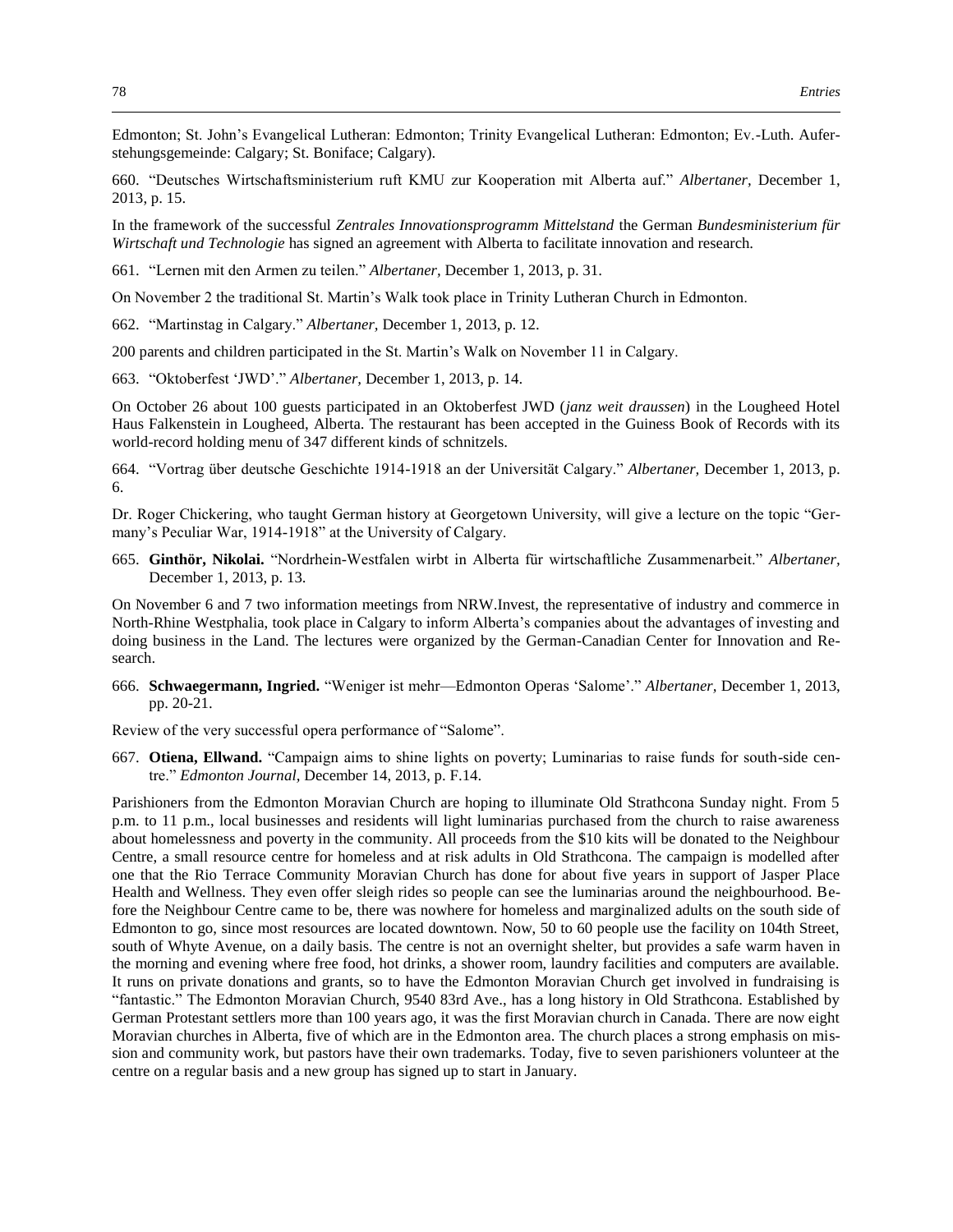Edmonton; St. John's Evangelical Lutheran: Edmonton; Trinity Evangelical Lutheran: Edmonton; Ev.-Luth. Auferstehungsgemeinde: Calgary; St. Boniface; Calgary).

660. "Deutsches Wirtschaftsministerium ruft KMU zur Kooperation mit Alberta auf." *Albertaner,* December 1, 2013, p. 15.

In the framework of the successful *Zentrales Innovationsprogramm Mittelstand* the German *Bundesministerium für Wirtschaft und Technologie* has signed an agreement with Alberta to facilitate innovation and research.

661. "Lernen mit den Armen zu teilen." *Albertaner,* December 1, 2013, p. 31.

On November 2 the traditional St. Martin's Walk took place in Trinity Lutheran Church in Edmonton.

662. "Martinstag in Calgary." *Albertaner,* December 1, 2013, p. 12.

200 parents and children participated in the St. Martin's Walk on November 11 in Calgary.

663. "Oktoberfest 'JWD'." *Albertaner,* December 1, 2013, p. 14.

On October 26 about 100 guests participated in an Oktoberfest JWD (*janz weit draussen*) in the Lougheed Hotel Haus Falkenstein in Lougheed, Alberta. The restaurant has been accepted in the Guiness Book of Records with its world-record holding menu of 347 different kinds of schnitzels.

664. "Vortrag über deutsche Geschichte 1914-1918 an der Universität Calgary." *Albertaner,* December 1, 2013, p. 6.

Dr. Roger Chickering, who taught German history at Georgetown University, will give a lecture on the topic "Germany's Peculiar War, 1914-1918" at the University of Calgary.

665. **Ginthör, Nikolai.** "Nordrhein-Westfalen wirbt in Alberta für wirtschaftliche Zusammenarbeit." *Albertaner,*  December 1, 2013, p. 13.

On November 6 and 7 two information meetings from NRW.Invest, the representative of industry and commerce in North-Rhine Westphalia, took place in Calgary to inform Alberta's companies about the advantages of investing and doing business in the Land. The lectures were organized by the German-Canadian Center for Innovation and Research.

666. **Schwaegermann, Ingried.** "Weniger ist mehr—Edmonton Operas 'Salome'." *Albertaner,* December 1, 2013, pp. 20-21.

Review of the very successful opera performance of "Salome".

667. **Otiena, Ellwand.** "Campaign aims to shine lights on poverty; Luminarias to raise funds for south-side centre." *Edmonton Journal,* December 14, 2013, p. F.14.

Parishioners from the Edmonton Moravian Church are hoping to illuminate Old Strathcona Sunday night. From 5 p.m. to 11 p.m., local businesses and residents will light luminarias purchased from the church to raise awareness about homelessness and poverty in the community. All proceeds from the \$10 kits will be donated to the Neighbour Centre, a small resource centre for homeless and at risk adults in Old Strathcona. The campaign is modelled after one that the Rio Terrace Community Moravian Church has done for about five years in support of Jasper Place Health and Wellness. They even offer sleigh rides so people can see the luminarias around the neighbourhood. Before the Neighbour Centre came to be, there was nowhere for homeless and marginalized adults on the south side of Edmonton to go, since most resources are located downtown. Now, 50 to 60 people use the facility on 104th Street, south of Whyte Avenue, on a daily basis. The centre is not an overnight shelter, but provides a safe warm haven in the morning and evening where free food, hot drinks, a shower room, laundry facilities and computers are available. It runs on private donations and grants, so to have the Edmonton Moravian Church get involved in fundraising is "fantastic." The Edmonton Moravian Church, 9540 83rd Ave., has a long history in Old Strathcona. Established by German Protestant settlers more than 100 years ago, it was the first Moravian church in Canada. There are now eight Moravian churches in Alberta, five of which are in the Edmonton area. The church places a strong emphasis on mission and community work, but pastors have their own trademarks. Today, five to seven parishioners volunteer at the centre on a regular basis and a new group has signed up to start in January.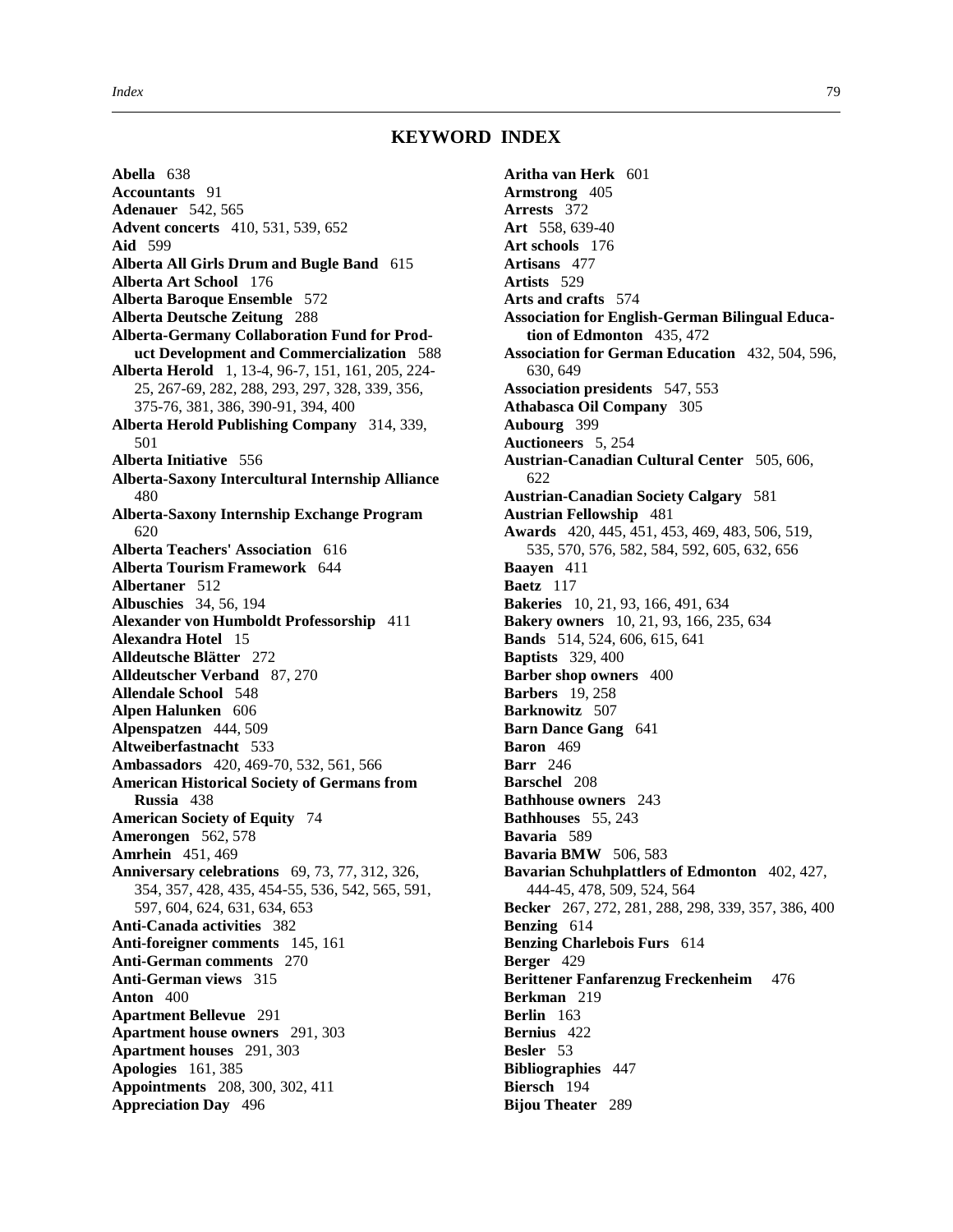## **KEYWORD INDEX**

**Abella** 638 **Accountants** 91 **Adenauer** 542, 565 **Advent concerts** 410, 531, 539, 652 **Aid** 599 **Alberta All Girls Drum and Bugle Band** 615 **Alberta Art School** 176 **Alberta Baroque Ensemble** 572 **Alberta Deutsche Zeitung** 288 **Alberta-Germany Collaboration Fund for Product Development and Commercialization** 588 **Alberta Herold** 1, 13-4, 96-7, 151, 161, 205, 224- 25, 267-69, 282, 288, 293, 297, 328, 339, 356, 375-76, 381, 386, 390-91, 394, 400 **Alberta Herold Publishing Company** 314, 339, 501 **Alberta Initiative** 556 **Alberta-Saxony Intercultural Internship Alliance** 480 **Alberta-Saxony Internship Exchange Program** 620 **Alberta Teachers' Association** 616 **Alberta Tourism Framework** 644 **Albertaner** 512 **Albuschies** 34, 56, 194 **Alexander von Humboldt Professorship** 411 **Alexandra Hotel** 15 **Alldeutsche Blätter** 272 **Alldeutscher Verband** 87, 270 **Allendale School** 548 **Alpen Halunken** 606 **Alpenspatzen** 444, 509 **Altweiberfastnacht** 533 **Ambassadors** 420, 469-70, 532, 561, 566 **American Historical Society of Germans from Russia** 438 **American Society of Equity** 74 **Amerongen** 562, 578 **Amrhein** 451, 469 **Anniversary celebrations** 69, 73, 77, 312, 326, 354, 357, 428, 435, 454-55, 536, 542, 565, 591, 597, 604, 624, 631, 634, 653 **Anti-Canada activities** 382 **Anti-foreigner comments** 145, 161 **Anti-German comments** 270 **Anti-German views** 315 **Anton** 400 **Apartment Bellevue** 291 **Apartment house owners** 291, 303 **Apartment houses** 291, 303 **Apologies** 161, 385 **Appointments** 208, 300, 302, 411 **Appreciation Day** 496

**Aritha van Herk** 601 **Armstrong** 405 **Arrests** 372 **Art** 558, 639-40 **Art schools** 176 **Artisans** 477 **Artists** 529 **Arts and crafts** 574 **Association for English-German Bilingual Education of Edmonton** 435, 472 **Association for German Education** 432, 504, 596, 630, 649 **Association presidents** 547, 553 **Athabasca Oil Company** 305 **Aubourg** 399 **Auctioneers** 5, 254 **Austrian-Canadian Cultural Center** 505, 606, 622 **Austrian-Canadian Society Calgary** 581 **Austrian Fellowship** 481 **Awards** 420, 445, 451, 453, 469, 483, 506, 519, 535, 570, 576, 582, 584, 592, 605, 632, 656 **Baayen** 411 **Baetz** 117 **Bakeries** 10, 21, 93, 166, 491, 634 **Bakery owners** 10, 21, 93, 166, 235, 634 **Bands** 514, 524, 606, 615, 641 **Baptists** 329, 400 **Barber shop owners** 400 **Barbers** 19, 258 **Barknowitz** 507 **Barn Dance Gang** 641 **Baron** 469 **Barr** 246 **Barschel** 208 **Bathhouse owners** 243 **Bathhouses** 55, 243 **Bavaria** 589 **Bavaria BMW** 506, 583 **Bavarian Schuhplattlers of Edmonton** 402, 427, 444-45, 478, 509, 524, 564 **Becker** 267, 272, 281, 288, 298, 339, 357, 386, 400 **Benzing** 614 **Benzing Charlebois Furs** 614 **Berger** 429 **Berittener Fanfarenzug Freckenheim** 476 **Berkman** 219 **Berlin** 163 **Bernius** 422 **Besler** 53 **Bibliographies** 447 **Biersch** 194 **Bijou Theater** 289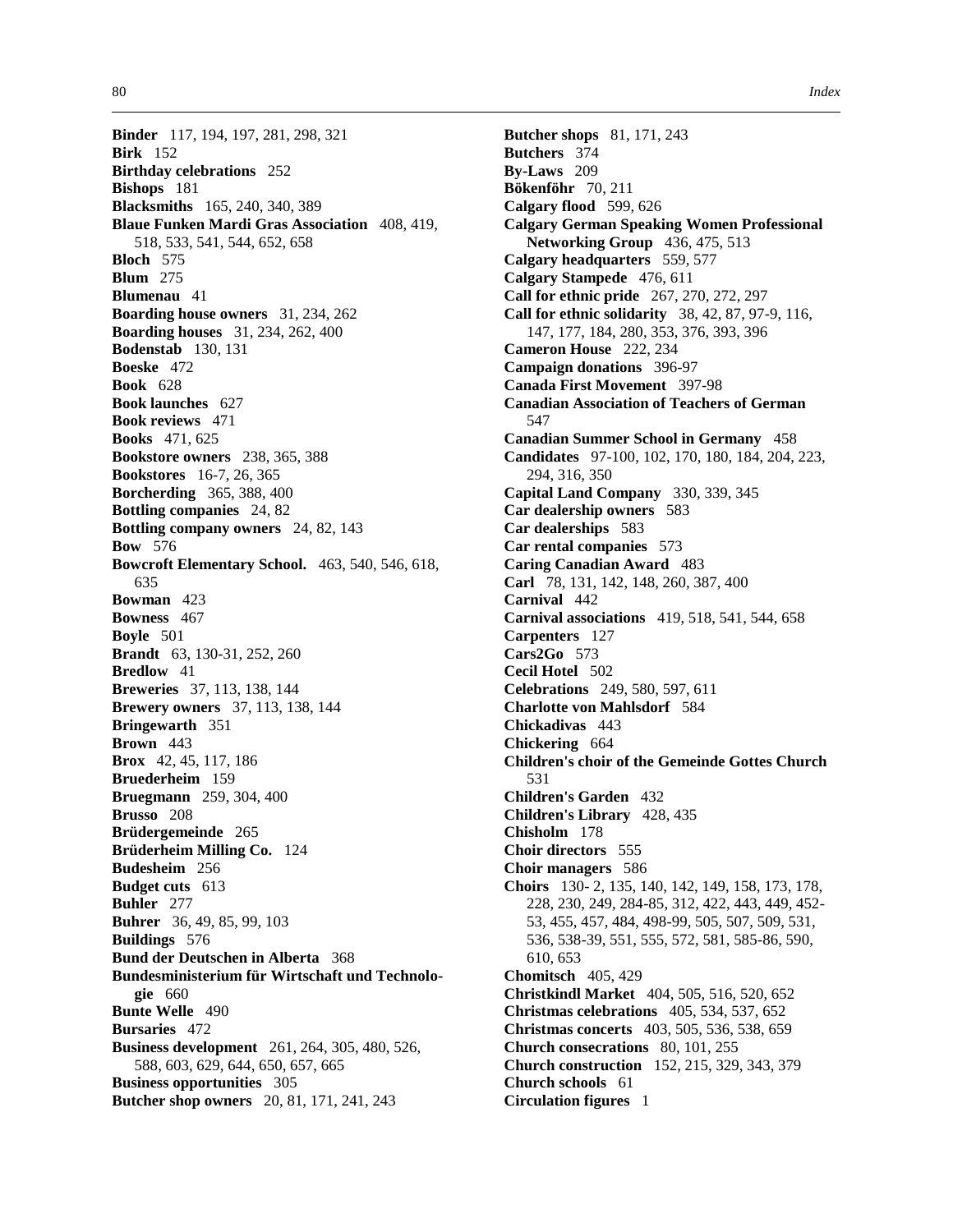**Binder** 117, 194, 197, 281, 298, 321 **Birk** 152 **Birthday celebrations** 252 **Bishops** 181 **Blacksmiths** 165, 240, 340, 389 **Blaue Funken Mardi Gras Association** 408, 419, 518, 533, 541, 544, 652, 658 **Bloch** 575 **Blum** 275 **Blumenau** 41 **Boarding house owners** 31, 234, 262 **Boarding houses** 31, 234, 262, 400 **Bodenstab** 130, 131 **Boeske** 472 **Book** 628 **Book launches** 627 **Book reviews** 471 **Books** 471, 625 **Bookstore owners** 238, 365, 388 **Bookstores** 16-7, 26, 365 **Borcherding** 365, 388, 400 **Bottling companies** 24, 82 **Bottling company owners** 24, 82, 143 **Bow** 576 **Bowcroft Elementary School.** 463, 540, 546, 618, 635 **Bowman** 423 **Bowness** 467 **Boyle** 501 **Brandt** 63, 130-31, 252, 260 **Bredlow** 41 **Breweries** 37, 113, 138, 144 **Brewery owners** 37, 113, 138, 144 **Bringewarth** 351 **Brown** 443 **Brox** 42, 45, 117, 186 **Bruederheim** 159 **Bruegmann** 259, 304, 400 **Brusso** 208 **Brüdergemeinde** 265 **Brüderheim Milling Co.** 124 **Budesheim** 256 **Budget cuts** 613 **Buhler** 277 **Buhrer** 36, 49, 85, 99, 103 **Buildings** 576 **Bund der Deutschen in Alberta** 368 **Bundesministerium für Wirtschaft und Technologie** 660 **Bunte Welle** 490 **Bursaries** 472 **Business development** 261, 264, 305, 480, 526, 588, 603, 629, 644, 650, 657, 665 **Business opportunities** 305 **Butcher shop owners** 20, 81, 171, 241, 243

**Butcher shops** 81, 171, 243 **Butchers** 374 **By-Laws** 209 **Bökenföhr** 70, 211 **Calgary flood** 599, 626 **Calgary German Speaking Women Professional Networking Group** 436, 475, 513 **Calgary headquarters** 559, 577 **Calgary Stampede** 476, 611 **Call for ethnic pride** 267, 270, 272, 297 **Call for ethnic solidarity** 38, 42, 87, 97-9, 116, 147, 177, 184, 280, 353, 376, 393, 396 **Cameron House** 222, 234 **Campaign donations** 396-97 **Canada First Movement** 397-98 **Canadian Association of Teachers of German** 547 **Canadian Summer School in Germany** 458 **Candidates** 97-100, 102, 170, 180, 184, 204, 223, 294, 316, 350 **Capital Land Company** 330, 339, 345 **Car dealership owners** 583 **Car dealerships** 583 **Car rental companies** 573 **Caring Canadian Award** 483 **Carl** 78, 131, 142, 148, 260, 387, 400 **Carnival** 442 **Carnival associations** 419, 518, 541, 544, 658 **Carpenters** 127 **Cars2Go** 573 **Cecil Hotel** 502 **Celebrations** 249, 580, 597, 611 **Charlotte von Mahlsdorf** 584 **Chickadivas** 443 **Chickering** 664 **Children's choir of the Gemeinde Gottes Church**  531 **Children's Garden** 432 **Children's Library** 428, 435 **Chisholm** 178 **Choir directors** 555 **Choir managers** 586 **Choirs** 130- 2, 135, 140, 142, 149, 158, 173, 178, 228, 230, 249, 284-85, 312, 422, 443, 449, 452- 53, 455, 457, 484, 498-99, 505, 507, 509, 531, 536, 538-39, 551, 555, 572, 581, 585-86, 590, 610, 653 **Chomitsch** 405, 429 **Christkindl Market** 404, 505, 516, 520, 652 **Christmas celebrations** 405, 534, 537, 652 **Christmas concerts** 403, 505, 536, 538, 659 **Church consecrations** 80, 101, 255 **Church construction** 152, 215, 329, 343, 379 **Church schools** 61 **Circulation figures** 1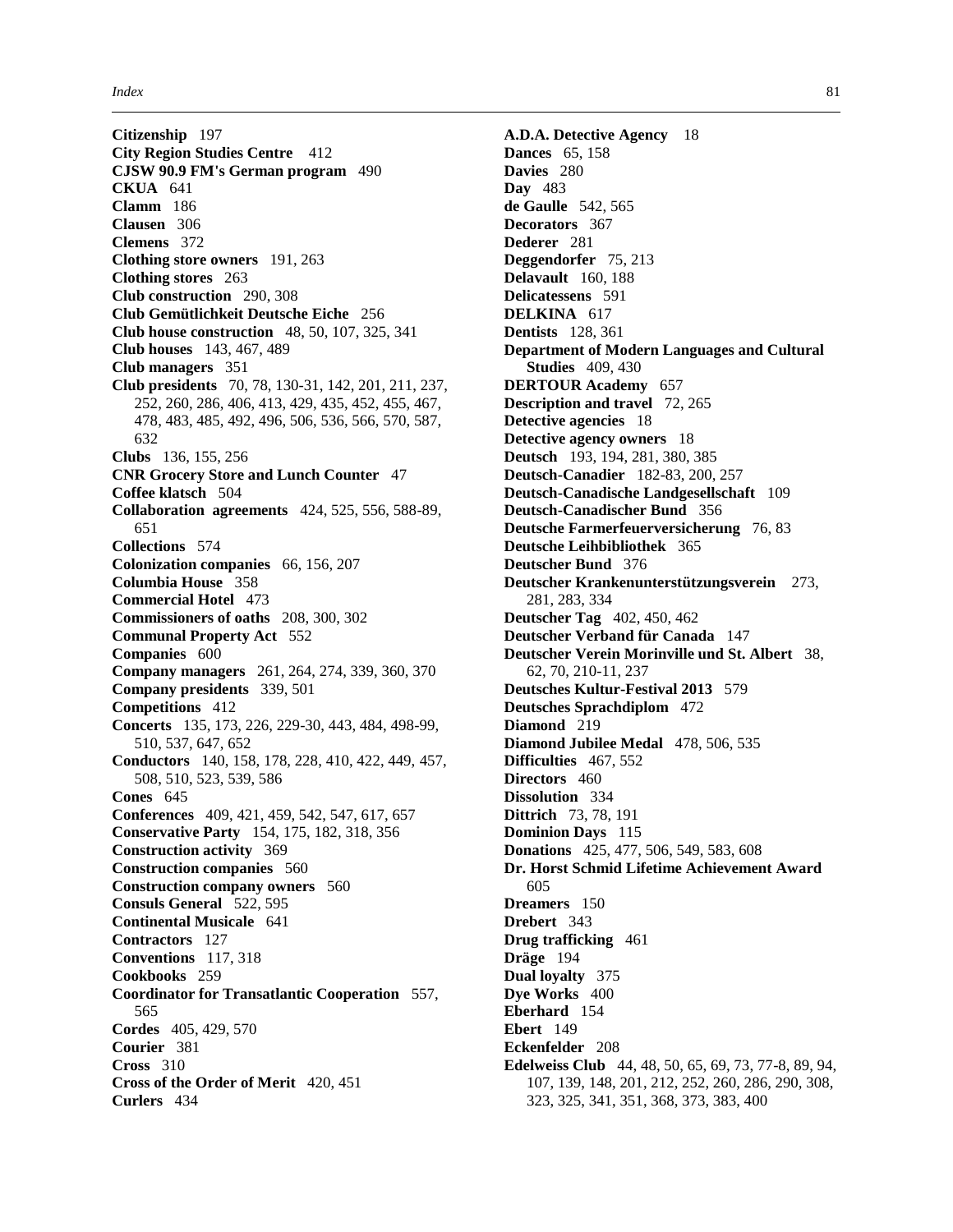**Citizenship** 197 **City Region Studies Centre** 412 **CJSW 90.9 FM's German program** 490 **CKUA** 641 **Clamm** 186 **Clausen** 306 **Clemens** 372 **Clothing store owners** 191, 263 **Clothing stores** 263 **Club construction** 290, 308 **Club Gemütlichkeit Deutsche Eiche** 256 **Club house construction** 48, 50, 107, 325, 341 **Club houses** 143, 467, 489 **Club managers** 351 **Club presidents** 70, 78, 130-31, 142, 201, 211, 237, 252, 260, 286, 406, 413, 429, 435, 452, 455, 467, 478, 483, 485, 492, 496, 506, 536, 566, 570, 587, 632 **Clubs** 136, 155, 256 **CNR Grocery Store and Lunch Counter** 47 **Coffee klatsch** 504 **Collaboration agreements** 424, 525, 556, 588-89, 651 **Collections** 574 **Colonization companies** 66, 156, 207 **Columbia House** 358 **Commercial Hotel** 473 **Commissioners of oaths** 208, 300, 302 **Communal Property Act** 552 **Companies** 600 **Company managers** 261, 264, 274, 339, 360, 370 **Company presidents** 339, 501 **Competitions** 412 **Concerts** 135, 173, 226, 229-30, 443, 484, 498-99, 510, 537, 647, 652 **Conductors** 140, 158, 178, 228, 410, 422, 449, 457, 508, 510, 523, 539, 586 **Cones** 645 **Conferences** 409, 421, 459, 542, 547, 617, 657 **Conservative Party** 154, 175, 182, 318, 356 **Construction activity** 369 **Construction companies** 560 **Construction company owners** 560 **Consuls General** 522, 595 **Continental Musicale** 641 **Contractors** 127 **Conventions** 117, 318 **Cookbooks** 259 **Coordinator for Transatlantic Cooperation** 557, 565 **Cordes** 405, 429, 570 **Courier** 381 **Cross** 310 **Cross of the Order of Merit** 420, 451 **Curlers** 434

**A.D.A. Detective Agency** 18 **Dances** 65, 158 **Davies** 280 **Day** 483 **de Gaulle** 542, 565 **Decorators** 367 **Dederer** 281 **Deggendorfer** 75, 213 **Delavault** 160, 188 **Delicatessens** 591 **DELKINA** 617 **Dentists** 128, 361 **Department of Modern Languages and Cultural Studies** 409, 430 **DERTOUR Academy** 657 **Description and travel** 72, 265 **Detective agencies** 18 **Detective agency owners** 18 **Deutsch** 193, 194, 281, 380, 385 **Deutsch-Canadier** 182-83, 200, 257 **Deutsch-Canadische Landgesellschaft** 109 **Deutsch-Canadischer Bund** 356 **Deutsche Farmerfeuerversicherung** 76, 83 **Deutsche Leihbibliothek** 365 **Deutscher Bund** 376 **Deutscher Krankenunterstützungsverein** 273, 281, 283, 334 **Deutscher Tag** 402, 450, 462 **Deutscher Verband für Canada** 147 **Deutscher Verein Morinville und St. Albert** 38, 62, 70, 210-11, 237 **Deutsches Kultur-Festival 2013** 579 **Deutsches Sprachdiplom** 472 **Diamond** 219 **Diamond Jubilee Medal** 478, 506, 535 **Difficulties** 467, 552 **Directors** 460 **Dissolution** 334 **Dittrich** 73, 78, 191 **Dominion Days** 115 **Donations** 425, 477, 506, 549, 583, 608 **Dr. Horst Schmid Lifetime Achievement Award** 605 **Dreamers** 150 **Drebert** 343 **Drug trafficking** 461 **Dräge** 194 **Dual loyalty** 375 **Dye Works** 400 **Eberhard** 154 **Ebert** 149 **Eckenfelder** 208 **Edelweiss Club** 44, 48, 50, 65, 69, 73, 77-8, 89, 94, 107, 139, 148, 201, 212, 252, 260, 286, 290, 308, 323, 325, 341, 351, 368, 373, 383, 400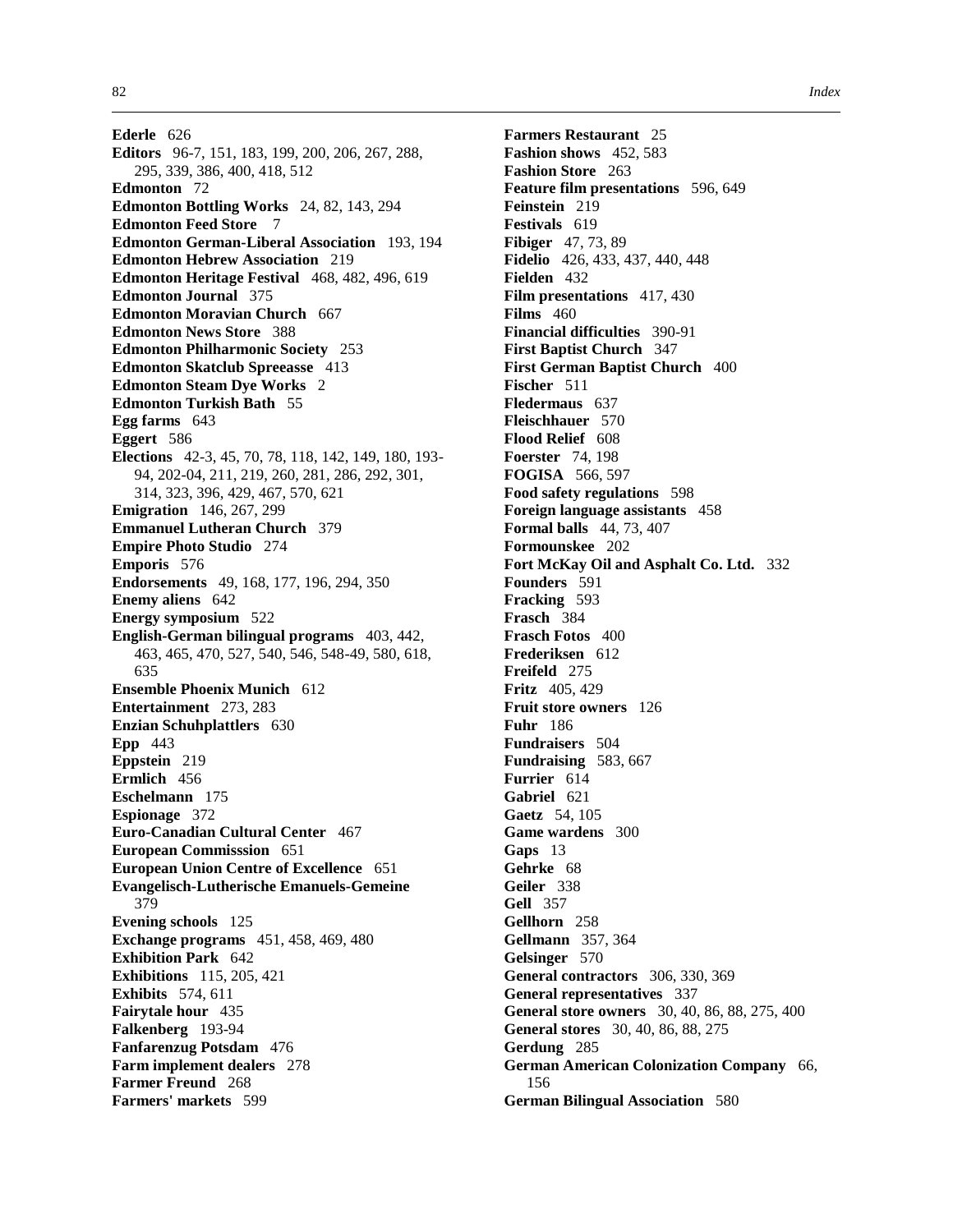**Ederle** 626 **Editors** 96-7, 151, 183, 199, 200, 206, 267, 288, 295, 339, 386, 400, 418, 512 **Edmonton** 72 **Edmonton Bottling Works** 24, 82, 143, 294 **Edmonton Feed Store** 7 **Edmonton German-Liberal Association** 193, 194 **Edmonton Hebrew Association** 219 **Edmonton Heritage Festival** 468, 482, 496, 619 **Edmonton Journal** 375 **Edmonton Moravian Church** 667 **Edmonton News Store** 388 **Edmonton Philharmonic Society** 253 **Edmonton Skatclub Spreeasse** 413 **Edmonton Steam Dye Works** 2 **Edmonton Turkish Bath** 55 **Egg farms** 643 **Eggert** 586 **Elections** 42-3, 45, 70, 78, 118, 142, 149, 180, 193- 94, 202-04, 211, 219, 260, 281, 286, 292, 301, 314, 323, 396, 429, 467, 570, 621 **Emigration** 146, 267, 299 **Emmanuel Lutheran Church** 379 **Empire Photo Studio** 274 **Emporis** 576 **Endorsements** 49, 168, 177, 196, 294, 350 **Enemy aliens** 642 **Energy symposium** 522 **English-German bilingual programs** 403, 442, 463, 465, 470, 527, 540, 546, 548-49, 580, 618, 635 **Ensemble Phoenix Munich** 612 **Entertainment** 273, 283 **Enzian Schuhplattlers** 630 **Epp** 443 **Eppstein** 219 **Ermlich** 456 **Eschelmann** 175 **Espionage** 372 **Euro-Canadian Cultural Center** 467 **European Commisssion** 651 **European Union Centre of Excellence** 651 **Evangelisch-Lutherische Emanuels-Gemeine** 379 **Evening schools** 125 **Exchange programs** 451, 458, 469, 480 **Exhibition Park** 642 **Exhibitions** 115, 205, 421 **Exhibits** 574, 611 **Fairytale hour** 435 **Falkenberg** 193-94 **Fanfarenzug Potsdam** 476 **Farm implement dealers** 278 **Farmer Freund** 268 **Farmers' markets** 599

**Farmers Restaurant** 25 **Fashion shows** 452, 583 **Fashion Store** 263 **Feature film presentations** 596, 649 **Feinstein** 219 **Festivals** 619 **Fibiger** 47, 73, 89 **Fidelio** 426, 433, 437, 440, 448 **Fielden** 432 **Film presentations** 417, 430 **Films** 460 **Financial difficulties** 390-91 **First Baptist Church** 347 **First German Baptist Church** 400 **Fischer** 511 **Fledermaus** 637 **Fleischhauer** 570 **Flood Relief** 608 **Foerster** 74, 198 **FOGISA** 566, 597 **Food safety regulations** 598 **Foreign language assistants** 458 **Formal balls** 44, 73, 407 **Formounskee** 202 **Fort McKay Oil and Asphalt Co. Ltd.** 332 **Founders** 591 **Fracking** 593 **Frasch** 384 **Frasch Fotos** 400 **Frederiksen** 612 **Freifeld** 275 **Fritz** 405, 429 **Fruit store owners** 126 **Fuhr** 186 **Fundraisers** 504 **Fundraising** 583, 667 **Furrier** 614 **Gabriel** 621 **Gaetz** 54, 105 **Game wardens** 300 **Gaps** 13 **Gehrke** 68 **Geiler** 338 **Gell** 357 **Gellhorn** 258 **Gellmann** 357, 364 **Gelsinger** 570 **General contractors** 306, 330, 369 **General representatives** 337 **General store owners** 30, 40, 86, 88, 275, 400 **General stores** 30, 40, 86, 88, 275 **Gerdung** 285 **German American Colonization Company** 66, 156 **German Bilingual Association** 580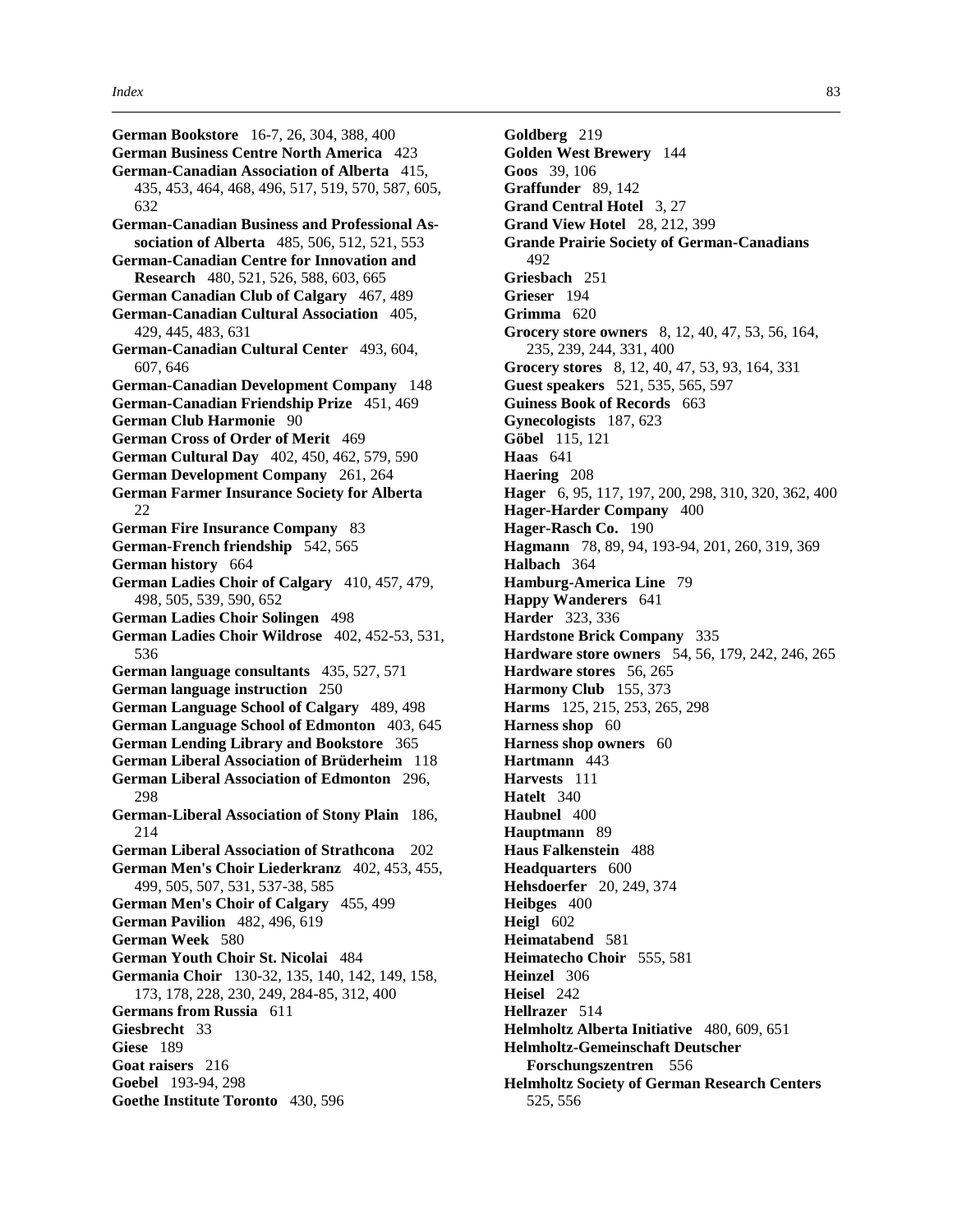**German Bookstore** 16-7, 26, 304, 388, 400 **German Business Centre North America** 423 **German-Canadian Association of Alberta** 415, 435, 453, 464, 468, 496, 517, 519, 570, 587, 605, 632 **German-Canadian Business and Professional Association of Alberta** 485, 506, 512, 521, 553 **German-Canadian Centre for Innovation and Research** 480, 521, 526, 588, 603, 665 **German Canadian Club of Calgary** 467, 489 **German-Canadian Cultural Association** 405, 429, 445, 483, 631 **German-Canadian Cultural Center** 493, 604, 607, 646 **German-Canadian Development Company** 148 **German-Canadian Friendship Prize** 451, 469 **German Club Harmonie** 90 **German Cross of Order of Merit** 469 **German Cultural Day** 402, 450, 462, 579, 590 **German Development Company** 261, 264 **German Farmer Insurance Society for Alberta**  $22$ **German Fire Insurance Company** 83 **German-French friendship** 542, 565 **German history** 664 **German Ladies Choir of Calgary** 410, 457, 479, 498, 505, 539, 590, 652 **German Ladies Choir Solingen** 498 **German Ladies Choir Wildrose** 402, 452-53, 531, 536 **German language consultants** 435, 527, 571 **German language instruction** 250 **German Language School of Calgary** 489, 498 **German Language School of Edmonton** 403, 645 **German Lending Library and Bookstore** 365 **German Liberal Association of Brüderheim** 118 **German Liberal Association of Edmonton** 296, 298 **German-Liberal Association of Stony Plain** 186, 214 **German Liberal Association of Strathcona** 202 **German Men's Choir Liederkranz** 402, 453, 455, 499, 505, 507, 531, 537-38, 585 **German Men's Choir of Calgary** 455, 499 **German Pavilion** 482, 496, 619 **German Week** 580 **German Youth Choir St. Nicolai** 484 **Germania Choir** 130-32, 135, 140, 142, 149, 158, 173, 178, 228, 230, 249, 284-85, 312, 400 **Germans from Russia** 611 **Giesbrecht** 33 **Giese** 189 **Goat raisers** 216 **Goebel** 193-94, 298

**Goethe Institute Toronto** 430, 596

**Goldberg** 219 **Golden West Brewery** 144 **Goos** 39, 106 **Graffunder** 89, 142 **Grand Central Hotel** 3, 27 **Grand View Hotel** 28, 212, 399 **Grande Prairie Society of German-Canadians** 492 **Griesbach** 251 **Grieser** 194 **Grimma** 620 **Grocery store owners** 8, 12, 40, 47, 53, 56, 164, 235, 239, 244, 331, 400 **Grocery stores** 8, 12, 40, 47, 53, 93, 164, 331 **Guest speakers** 521, 535, 565, 597 **Guiness Book of Records** 663 **Gynecologists** 187, 623 **Göbel** 115, 121 **Haas** 641 **Haering** 208 **Hager** 6, 95, 117, 197, 200, 298, 310, 320, 362, 400 **Hager-Harder Company** 400 **Hager-Rasch Co.** 190 **Hagmann** 78, 89, 94, 193-94, 201, 260, 319, 369 **Halbach** 364 **Hamburg-America Line** 79 **Happy Wanderers** 641 **Harder** 323, 336 **Hardstone Brick Company** 335 **Hardware store owners** 54, 56, 179, 242, 246, 265 **Hardware stores** 56, 265 **Harmony Club** 155, 373 **Harms** 125, 215, 253, 265, 298 Harness shop 60 **Harness shop owners** 60 **Hartmann** 443 **Harvests** 111 **Hatelt** 340 **Haubnel** 400 **Hauptmann** 89 **Haus Falkenstein** 488 **Headquarters** 600 **Hehsdoerfer** 20, 249, 374 **Heibges** 400 **Heigl** 602 **Heimatabend** 581 **Heimatecho Choir** 555, 581 **Heinzel** 306 **Heisel** 242 **Hellrazer** 514 **Helmholtz Alberta Initiative** 480, 609, 651 **Helmholtz-Gemeinschaft Deutscher Forschungszentren** 556 **Helmholtz Society of German Research Centers** 525, 556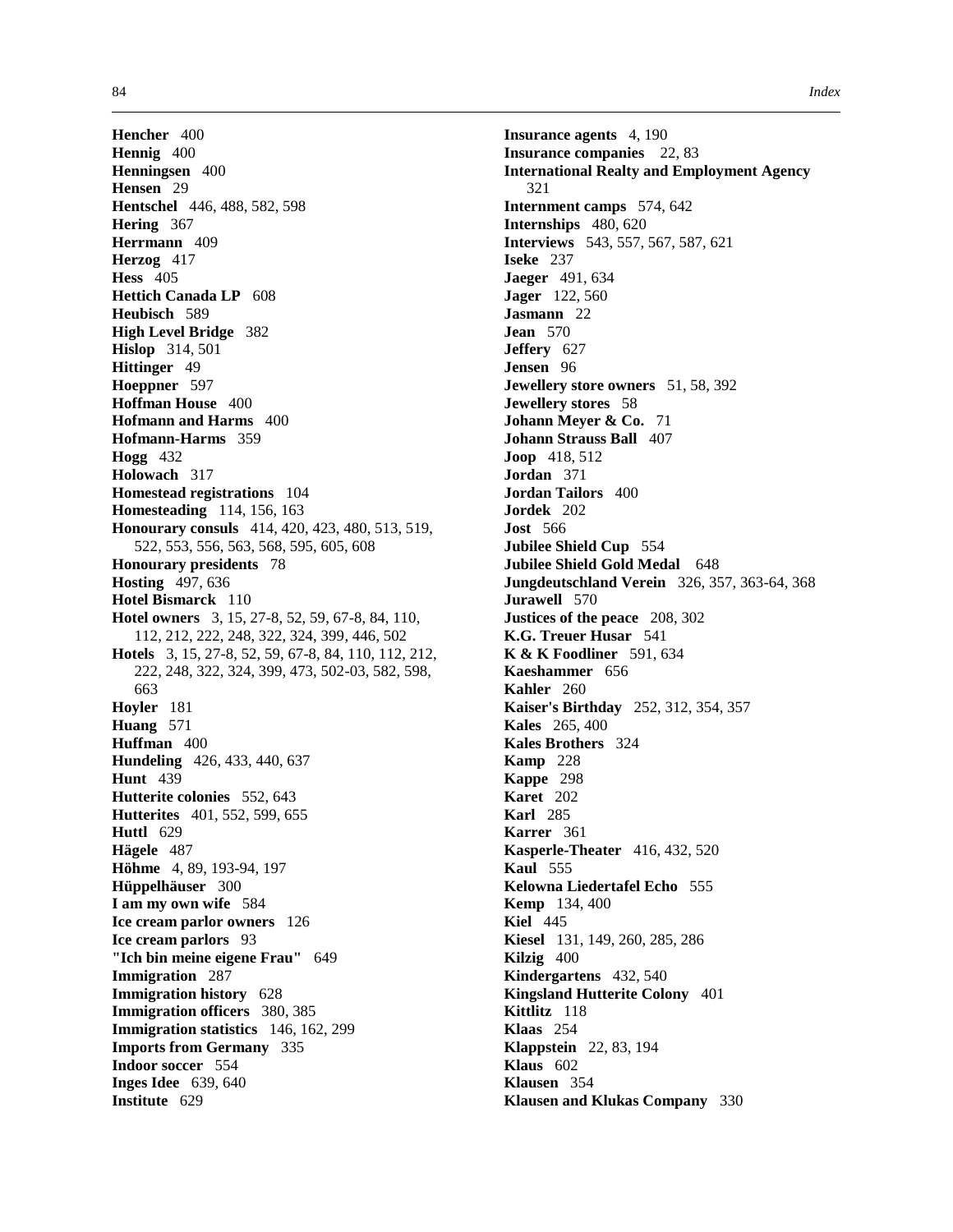**Hencher** 400 **Hennig** 400 **Henningsen** 400 **Hensen** 29 **Hentschel** 446, 488, 582, 598 **Hering** 367 **Herrmann** 409 **Herzog** 417 **Hess** 405 **Hettich Canada LP** 608 **Heubisch** 589 **High Level Bridge** 382 **Hislop** 314, 501 **Hittinger** 49 **Hoeppner** 597 **Hoffman House** 400 **Hofmann and Harms** 400 **Hofmann-Harms** 359 **Hogg** 432 **Holowach** 317 **Homestead registrations** 104 **Homesteading** 114, 156, 163 **Honourary consuls** 414, 420, 423, 480, 513, 519, 522, 553, 556, 563, 568, 595, 605, 608 **Honourary presidents** 78 **Hosting** 497, 636 **Hotel Bismarck** 110 **Hotel owners** 3, 15, 27-8, 52, 59, 67-8, 84, 110, 112, 212, 222, 248, 322, 324, 399, 446, 502 **Hotels** 3, 15, 27-8, 52, 59, 67-8, 84, 110, 112, 212, 222, 248, 322, 324, 399, 473, 502-03, 582, 598, 663 **Hoyler** 181 **Huang** 571 **Huffman** 400 **Hundeling** 426, 433, 440, 637 **Hunt** 439 **Hutterite colonies** 552, 643 **Hutterites** 401, 552, 599, 655 **Huttl** 629 **Hägele** 487 **Höhme** 4, 89, 193-94, 197 **Hüppelhäuser** 300 **I am my own wife** 584 **Ice cream parlor owners** 126 **Ice cream parlors** 93 **"Ich bin meine eigene Frau"** 649 **Immigration** 287 **Immigration history** 628 **Immigration officers** 380, 385 **Immigration statistics** 146, 162, 299 **Imports from Germany** 335 **Indoor soccer** 554 **Inges Idee** 639, 640 **Institute** 629

**Insurance agents** 4, 190 **Insurance companies** 22, 83 **International Realty and Employment Agency** 321 **Internment camps** 574, 642 **Internships** 480, 620 **Interviews** 543, 557, 567, 587, 621 **Iseke** 237 **Jaeger** 491, 634 **Jager** 122, 560 **Jasmann** 22 **Jean** 570 **Jeffery** 627 **Jensen** 96 **Jewellery store owners** 51, 58, 392 **Jewellery stores** 58 **Johann Meyer & Co.** 71 **Johann Strauss Ball** 407 **Joop** 418, 512 **Jordan** 371 **Jordan Tailors** 400 **Jordek** 202 **Jost** 566 **Jubilee Shield Cup** 554 **Jubilee Shield Gold Medal** 648 **Jungdeutschland Verein** 326, 357, 363-64, 368 **Jurawell** 570 **Justices of the peace** 208, 302 **K.G. Treuer Husar** 541 **K & K Foodliner** 591, 634 **Kaeshammer** 656 **Kahler** 260 **Kaiser's Birthday** 252, 312, 354, 357 **Kales** 265, 400 **Kales Brothers** 324 **Kamp** 228 **Kappe** 298 **Karet** 202 **Karl** 285 **Karrer** 361 **Kasperle-Theater** 416, 432, 520 **Kaul** 555 **Kelowna Liedertafel Echo** 555 **Kemp** 134, 400 **Kiel** 445 **Kiesel** 131, 149, 260, 285, 286 **Kilzig** 400 **Kindergartens** 432, 540 **Kingsland Hutterite Colony** 401 **Kittlitz** 118 **Klaas** 254 **Klappstein** 22, 83, 194 **Klaus** 602 **Klausen** 354 **Klausen and Klukas Company** 330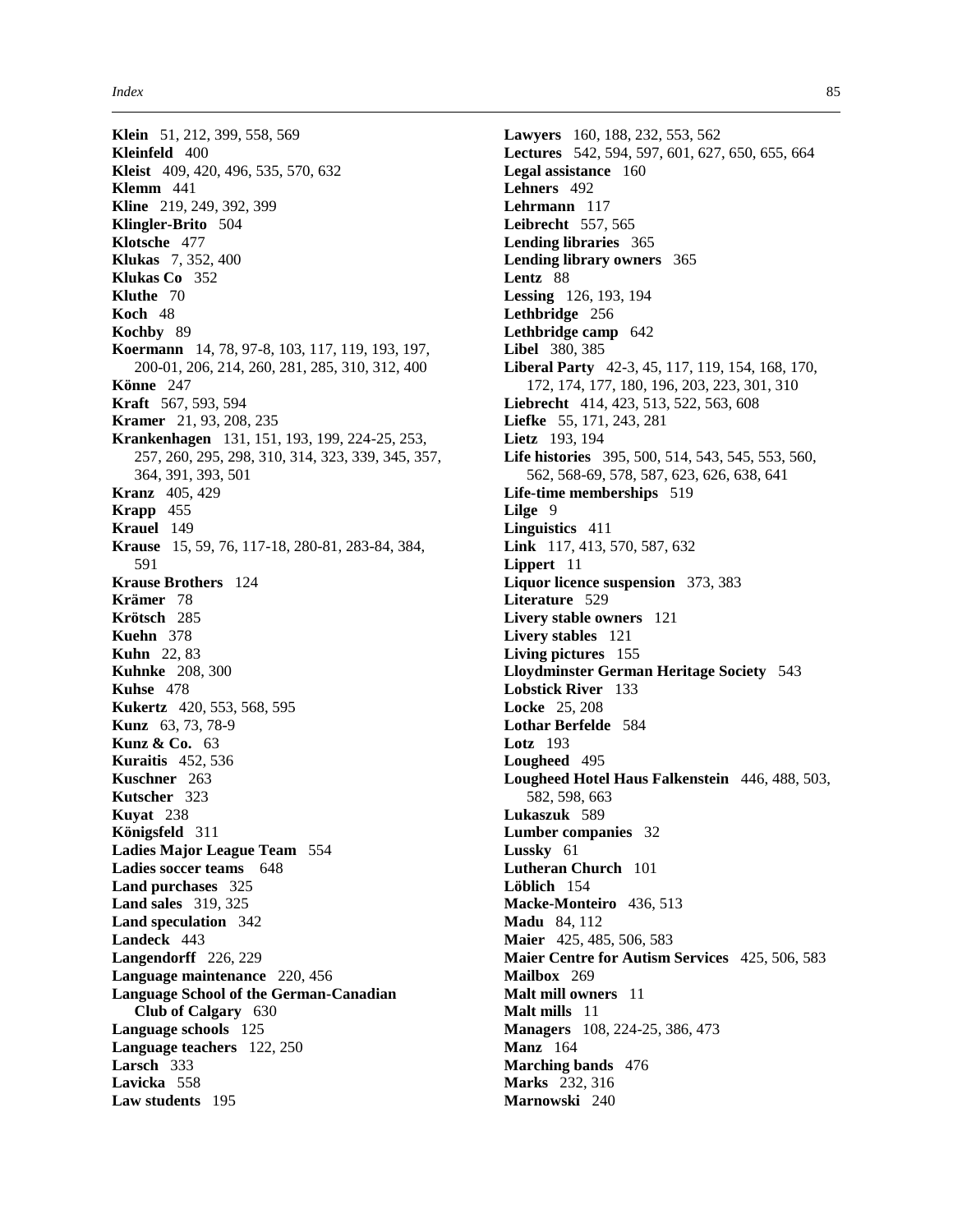**Klein** 51, 212, 399, 558, 569 **Kleinfeld** 400 **Kleist** 409, 420, 496, 535, 570, 632 **Klemm** 441 **Kline** 219, 249, 392, 399 **Klingler-Brito** 504 **Klotsche** 477 **Klukas** 7, 352, 400 **Klukas Co** 352 **Kluthe** 70 **Koch** 48 **Kochby** 89 **Koermann** 14, 78, 97-8, 103, 117, 119, 193, 197, 200-01, 206, 214, 260, 281, 285, 310, 312, 400 **Könne** 247 **Kraft** 567, 593, 594 **Kramer** 21, 93, 208, 235 **Krankenhagen** 131, 151, 193, 199, 224-25, 253, 257, 260, 295, 298, 310, 314, 323, 339, 345, 357, 364, 391, 393, 501 **Kranz** 405, 429 **Krapp** 455 **Krauel** 149 **Krause** 15, 59, 76, 117-18, 280-81, 283-84, 384, 591 **Krause Brothers** 124 **Krämer** 78 **Krötsch** 285 **Kuehn** 378 **Kuhn** 22, 83 **Kuhnke** 208, 300 **Kuhse** 478 **Kukertz** 420, 553, 568, 595 **Kunz** 63, 73, 78-9 **Kunz & Co.** 63 **Kuraitis** 452, 536 **Kuschner** 263 **Kutscher** 323 **Kuyat** 238 **Königsfeld** 311 **Ladies Major League Team** 554 **Ladies soccer teams** 648 **Land purchases** 325 **Land sales** 319, 325 **Land speculation** 342 **Landeck** 443 **Langendorff** 226, 229 **Language maintenance** 220, 456 **Language School of the German-Canadian Club of Calgary** 630 **Language schools** 125 **Language teachers** 122, 250 **Larsch** 333 **Lavicka** 558 **Law students** 195

**Lawyers** 160, 188, 232, 553, 562 **Lectures** 542, 594, 597, 601, 627, 650, 655, 664 **Legal assistance** 160 **Lehners** 492 **Lehrmann** 117 **Leibrecht** 557, 565 **Lending libraries** 365 **Lending library owners** 365 **Lentz** 88 **Lessing** 126, 193, 194 **Lethbridge** 256 **Lethbridge camp** 642 **Libel** 380, 385 **Liberal Party** 42-3, 45, 117, 119, 154, 168, 170, 172, 174, 177, 180, 196, 203, 223, 301, 310 **Liebrecht** 414, 423, 513, 522, 563, 608 **Liefke** 55, 171, 243, 281 **Lietz** 193, 194 **Life histories** 395, 500, 514, 543, 545, 553, 560, 562, 568-69, 578, 587, 623, 626, 638, 641 **Life-time memberships** 519 **Lilge** 9 **Linguistics** 411 **Link** 117, 413, 570, 587, 632 **Lippert** 11 **Liquor licence suspension** 373, 383 **Literature** 529 **Livery stable owners** 121 **Livery stables** 121 **Living pictures** 155 **Lloydminster German Heritage Society** 543 **Lobstick River** 133 **Locke** 25, 208 **Lothar Berfelde** 584 **Lotz** 193 **Lougheed** 495 **Lougheed Hotel Haus Falkenstein** 446, 488, 503, 582, 598, 663 **Lukaszuk** 589 **Lumber companies** 32 **Lussky** 61 **Lutheran Church** 101 **Löblich** 154 **Macke-Monteiro** 436, 513 **Madu** 84, 112 **Maier** 425, 485, 506, 583 **Maier Centre for Autism Services** 425, 506, 583 **Mailbox** 269 **Malt mill owners** 11 **Malt mills** 11 **Managers** 108, 224-25, 386, 473 **Manz** 164 **Marching bands** 476 **Marks** 232, 316 **Marnowski** 240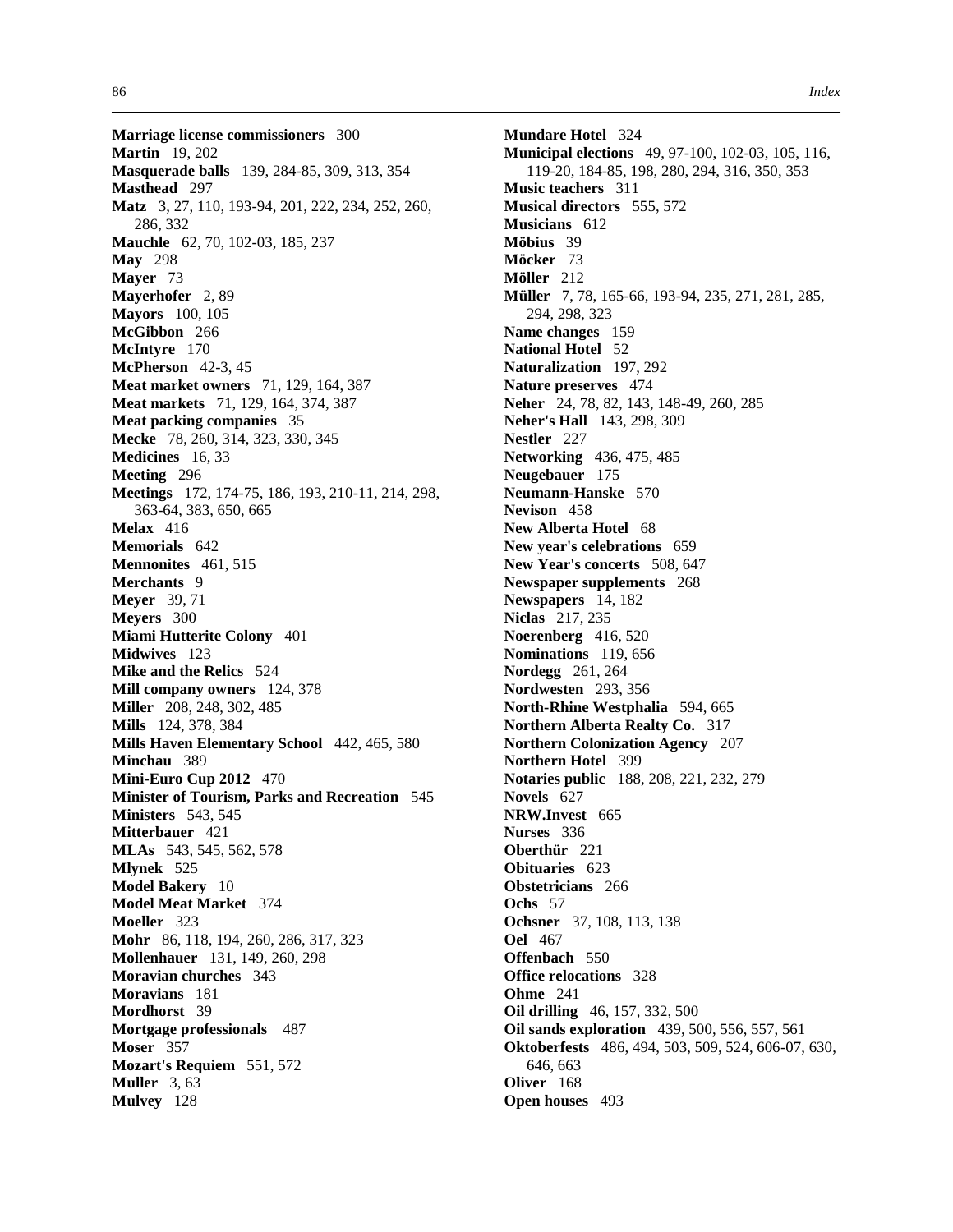**Marriage license commissioners** 300 **Martin** 19, 202 **Masquerade balls** 139, 284-85, 309, 313, 354 **Masthead** 297 **Matz** 3, 27, 110, 193-94, 201, 222, 234, 252, 260, 286, 332 **Mauchle** 62, 70, 102-03, 185, 237 **May** 298 **Mayer** 73 **Mayerhofer** 2, 89 **Mayors** 100, 105 **McGibbon** 266 **McIntyre** 170 **McPherson** 42-3, 45 **Meat market owners** 71, 129, 164, 387 **Meat markets** 71, 129, 164, 374, 387 **Meat packing companies** 35 **Mecke** 78, 260, 314, 323, 330, 345 **Medicines** 16, 33 **Meeting** 296 **Meetings** 172, 174-75, 186, 193, 210-11, 214, 298, 363-64, 383, 650, 665 **Melax** 416 **Memorials** 642 **Mennonites** 461, 515 **Merchants** 9 **Meyer** 39, 71 **Meyers** 300 **Miami Hutterite Colony** 401 **Midwives** 123 **Mike and the Relics** 524 **Mill company owners** 124, 378 **Miller** 208, 248, 302, 485 **Mills** 124, 378, 384 **Mills Haven Elementary School** 442, 465, 580 **Minchau** 389 **Mini-Euro Cup 2012** 470 **Minister of Tourism, Parks and Recreation** 545 **Ministers** 543, 545 **Mitterbauer** 421 **MLAs** 543, 545, 562, 578 **Mlynek** 525 **Model Bakery** 10 **Model Meat Market** 374 **Moeller** 323 **Mohr** 86, 118, 194, 260, 286, 317, 323 **Mollenhauer** 131, 149, 260, 298 **Moravian churches** 343 **Moravians** 181 **Mordhorst** 39 **Mortgage professionals** 487 **Moser** 357 **Mozart's Requiem** 551, 572 **Muller** 3, 63 **Mulvey** 128

**Mundare Hotel** 324 **Municipal elections** 49, 97-100, 102-03, 105, 116, 119-20, 184-85, 198, 280, 294, 316, 350, 353 **Music teachers** 311 **Musical directors** 555, 572 **Musicians** 612 **Möbius** 39 **Möcker** 73 **Möller** 212 **Müller** 7, 78, 165-66, 193-94, 235, 271, 281, 285, 294, 298, 323 **Name changes** 159 **National Hotel** 52 **Naturalization** 197, 292 **Nature preserves** 474 **Neher** 24, 78, 82, 143, 148-49, 260, 285 **Neher's Hall** 143, 298, 309 **Nestler** 227 **Networking** 436, 475, 485 **Neugebauer** 175 **Neumann-Hanske** 570 **Nevison** 458 **New Alberta Hotel** 68 **New year's celebrations** 659 **New Year's concerts** 508, 647 **Newspaper supplements** 268 **Newspapers** 14, 182 **Niclas** 217, 235 **Noerenberg** 416, 520 **Nominations** 119, 656 **Nordegg** 261, 264 **Nordwesten** 293, 356 **North-Rhine Westphalia** 594, 665 **Northern Alberta Realty Co.** 317 **Northern Colonization Agency** 207 **Northern Hotel** 399 **Notaries public** 188, 208, 221, 232, 279 **Novels** 627 **NRW.Invest** 665 **Nurses** 336 **Oberthür** 221 **Obituaries** 623 **Obstetricians** 266 **Ochs** 57 **Ochsner** 37, 108, 113, 138 **Oel** 467 **Offenbach** 550 **Office relocations** 328 **Ohme** 241 **Oil drilling** 46, 157, 332, 500 **Oil sands exploration** 439, 500, 556, 557, 561 **Oktoberfests** 486, 494, 503, 509, 524, 606-07, 630, 646, 663 **Oliver** 168 **Open houses** 493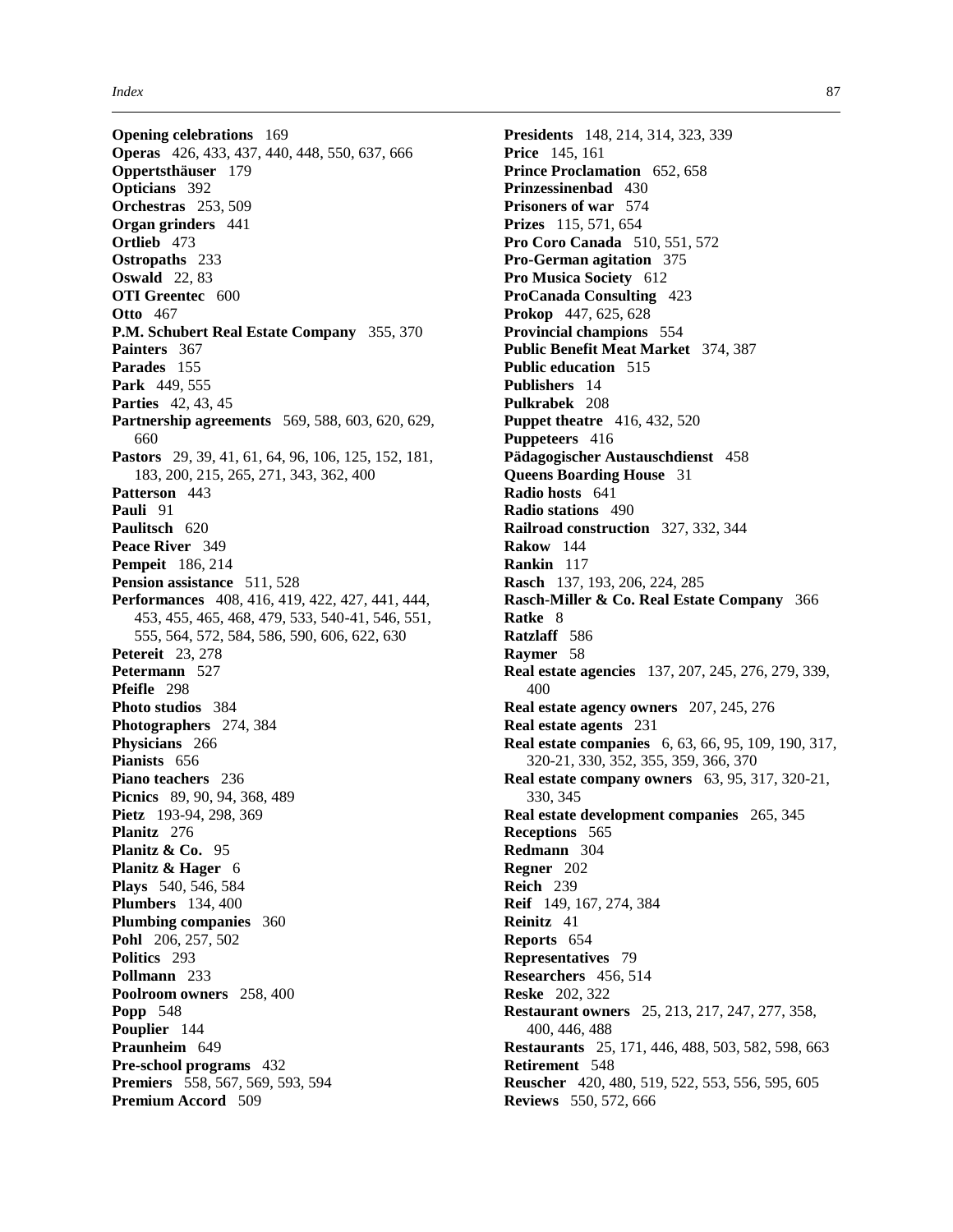**Opening celebrations** 169 **Operas** 426, 433, 437, 440, 448, 550, 637, 666 **Oppertsthäuser** 179 **Opticians** 392 **Orchestras** 253, 509 **Organ grinders** 441 **Ortlieb** 473 **Ostropaths** 233 **Oswald** 22, 83 **OTI Greentec** 600 **Otto** 467 **P.M. Schubert Real Estate Company** 355, 370 **Painters** 367 **Parades** 155 **Park** 449, 555 **Parties** 42, 43, 45 **Partnership agreements** 569, 588, 603, 620, 629, 660 **Pastors** 29, 39, 41, 61, 64, 96, 106, 125, 152, 181, 183, 200, 215, 265, 271, 343, 362, 400 **Patterson** 443 **Pauli** 91 **Paulitsch** 620 **Peace River** 349 **Pempeit** 186, 214 **Pension assistance** 511, 528 **Performances** 408, 416, 419, 422, 427, 441, 444, 453, 455, 465, 468, 479, 533, 540-41, 546, 551, 555, 564, 572, 584, 586, 590, 606, 622, 630 **Petereit** 23, 278 **Petermann** 527 **Pfeifle** 298 **Photo studios** 384 **Photographers** 274, 384 **Physicians** 266 **Pianists** 656 **Piano teachers** 236 **Picnics** 89, 90, 94, 368, 489 **Pietz** 193-94, 298, 369 **Planitz** 276 **Planitz & Co.** 95 **Planitz & Hager** 6 **Plays** 540, 546, 584 **Plumbers** 134, 400 **Plumbing companies** 360 **Pohl** 206, 257, 502 **Politics** 293 **Pollmann** 233 **Poolroom owners** 258, 400 **Popp** 548 **Pouplier** 144 **Praunheim** 649 **Pre-school programs** 432 **Premiers** 558, 567, 569, 593, 594 **Premium Accord** 509

**Presidents** 148, 214, 314, 323, 339 **Price** 145, 161 **Prince Proclamation** 652, 658 **Prinzessinenbad** 430 **Prisoners of war** 574 **Prizes** 115, 571, 654 **Pro Coro Canada** 510, 551, 572 **Pro-German agitation** 375 **Pro Musica Society** 612 **ProCanada Consulting** 423 **Prokop** 447, 625, 628 **Provincial champions** 554 **Public Benefit Meat Market** 374, 387 **Public education** 515 **Publishers** 14 **Pulkrabek** 208 **Puppet theatre** 416, 432, 520 **Puppeteers** 416 **Pädagogischer Austauschdienst** 458 **Queens Boarding House** 31 **Radio hosts** 641 **Radio stations** 490 **Railroad construction** 327, 332, 344 **Rakow** 144 **Rankin** 117 **Rasch** 137, 193, 206, 224, 285 **Rasch-Miller & Co. Real Estate Company** 366 **Ratke** 8 **Ratzlaff** 586 **Raymer** 58 **Real estate agencies** 137, 207, 245, 276, 279, 339, 400 **Real estate agency owners** 207, 245, 276 **Real estate agents** 231 **Real estate companies** 6, 63, 66, 95, 109, 190, 317, 320-21, 330, 352, 355, 359, 366, 370 **Real estate company owners** 63, 95, 317, 320-21, 330, 345 **Real estate development companies** 265, 345 **Receptions** 565 **Redmann** 304 **Regner** 202 **Reich** 239 **Reif** 149, 167, 274, 384 **Reinitz** 41 **Reports** 654 **Representatives** 79 **Researchers** 456, 514 **Reske** 202, 322 **Restaurant owners** 25, 213, 217, 247, 277, 358, 400, 446, 488 **Restaurants** 25, 171, 446, 488, 503, 582, 598, 663 **Retirement** 548 **Reuscher** 420, 480, 519, 522, 553, 556, 595, 605 **Reviews** 550, 572, 666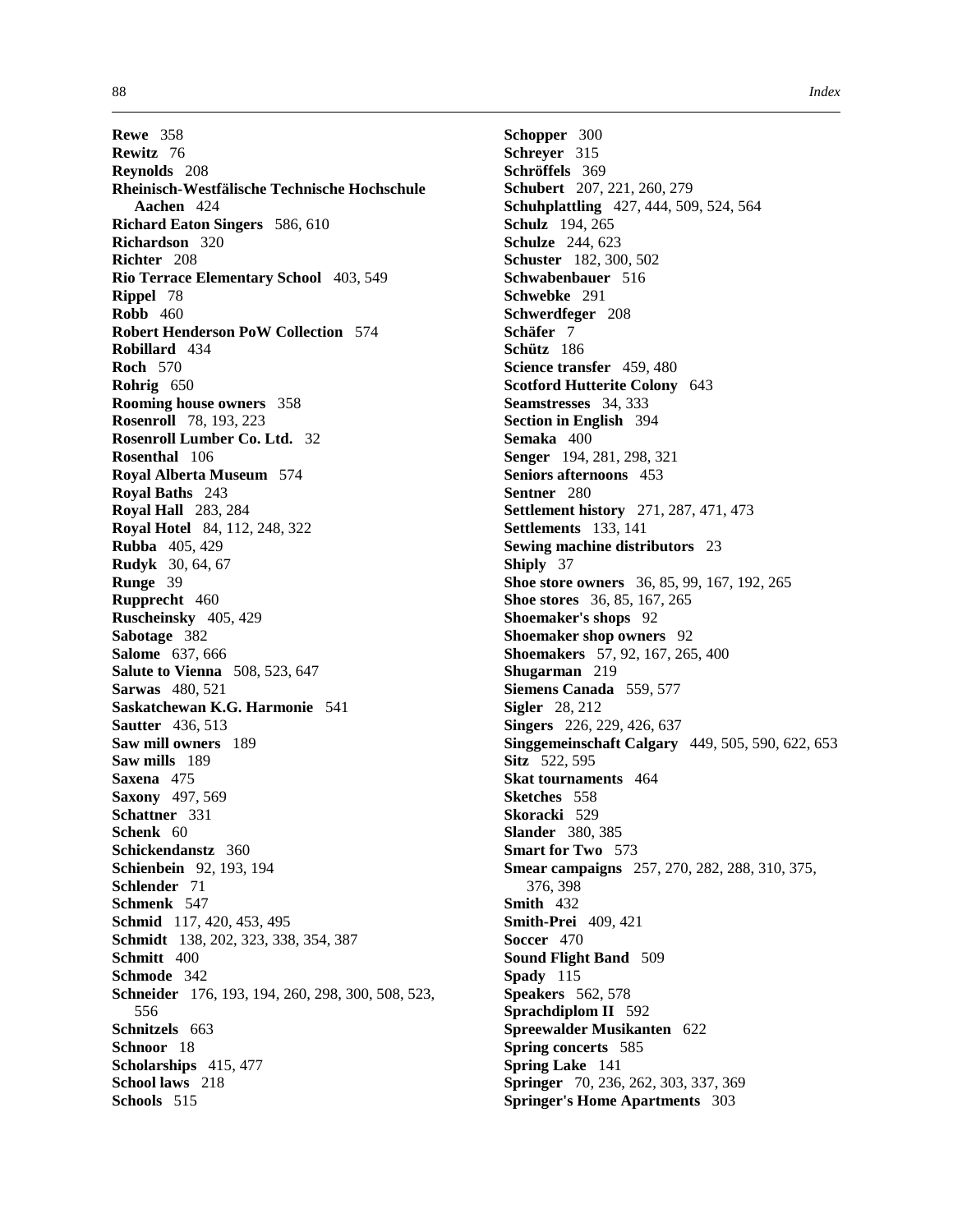**Rewe** 358 **Rewitz** 76 **Reynolds** 208 **Rheinisch-Westfälische Technische Hochschule Aachen** 424 **Richard Eaton Singers** 586, 610 **Richardson** 320 **Richter** 208 **Rio Terrace Elementary School** 403, 549 **Rippel** 78 **Robb** 460 **Robert Henderson PoW Collection** 574 **Robillard** 434 **Roch** 570 **Rohrig** 650 **Rooming house owners** 358 **Rosenroll** 78, 193, 223 **Rosenroll Lumber Co. Ltd.** 32 **Rosenthal** 106 **Royal Alberta Museum** 574 **Royal Baths** 243 **Royal Hall** 283, 284 **Royal Hotel** 84, 112, 248, 322 **Rubba** 405, 429 **Rudyk** 30, 64, 67 **Runge** 39 **Rupprecht** 460 **Ruscheinsky** 405, 429 **Sabotage** 382 **Salome** 637, 666 **Salute to Vienna** 508, 523, 647 **Sarwas** 480, 521 **Saskatchewan K.G. Harmonie** 541 **Sautter** 436, 513 **Saw mill owners** 189 **Saw mills** 189 **Saxena** 475 **Saxony** 497, 569 **Schattner** 331 **Schenk** 60 **Schickendanstz** 360 **Schienbein** 92, 193, 194 **Schlender** 71 **Schmenk** 547 **Schmid** 117, 420, 453, 495 **Schmidt** 138, 202, 323, 338, 354, 387 **Schmitt** 400 **Schmode** 342 **Schneider** 176, 193, 194, 260, 298, 300, 508, 523, 556 **Schnitzels** 663 **Schnoor** 18 **Scholarships** 415, 477 **School laws** 218 **Schools** 515

**Schopper** 300 **Schreyer** 315 **Schröffels** 369 **Schubert** 207, 221, 260, 279 **Schuhplattling** 427, 444, 509, 524, 564 **Schulz** 194, 265 **Schulze** 244, 623 **Schuster** 182, 300, 502 **Schwabenbauer** 516 **Schwebke** 291 **Schwerdfeger** 208 **Schäfer** 7 **Schütz** 186 **Science transfer** 459, 480 **Scotford Hutterite Colony** 643 **Seamstresses** 34, 333 **Section in English** 394 **Semaka** 400 **Senger** 194, 281, 298, 321 **Seniors afternoons** 453 **Sentner** 280 **Settlement history** 271, 287, 471, 473 **Settlements** 133, 141 **Sewing machine distributors** 23 **Shiply** 37 **Shoe store owners** 36, 85, 99, 167, 192, 265 **Shoe stores** 36, 85, 167, 265 **Shoemaker's shops** 92 **Shoemaker shop owners** 92 **Shoemakers** 57, 92, 167, 265, 400 **Shugarman** 219 **Siemens Canada** 559, 577 **Sigler** 28, 212 **Singers** 226, 229, 426, 637 **Singgemeinschaft Calgary** 449, 505, 590, 622, 653 **Sitz** 522, 595 **Skat tournaments** 464 **Sketches** 558 **Skoracki** 529 **Slander** 380, 385 **Smart for Two** 573 **Smear campaigns** 257, 270, 282, 288, 310, 375, 376, 398 **Smith** 432 **Smith-Prei** 409, 421 **Soccer** 470 **Sound Flight Band** 509 **Spady** 115 **Speakers** 562, 578 **Sprachdiplom II** 592 **Spreewalder Musikanten** 622 **Spring concerts** 585 **Spring Lake** 141 **Springer** 70, 236, 262, 303, 337, 369 **Springer's Home Apartments** 303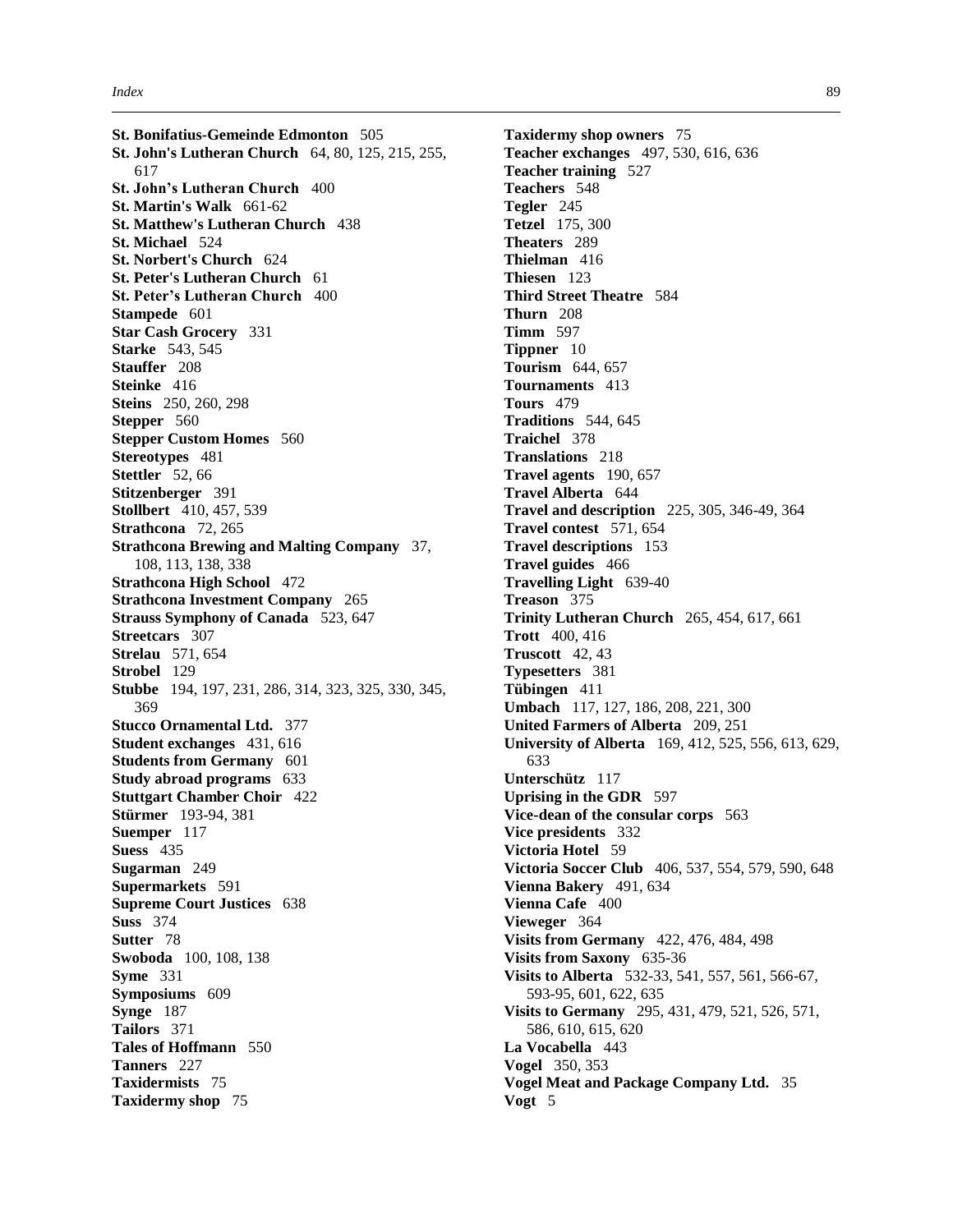**St. Bonifatius-Gemeinde Edmonton** 505 **St. John's Lutheran Church** 64, 80, 125, 215, 255, 617 **St. John's Lutheran Church** 400 **St. Martin's Walk** 661-62 **St. Matthew's Lutheran Church** 438 **St. Michael** 524 **St. Norbert's Church** 624 **St. Peter's Lutheran Church** 61 **St. Peter's Lutheran Church** 400 **Stampede** 601 **Star Cash Grocery** 331 **Starke** 543, 545 **Stauffer** 208 **Steinke** 416 **Steins** 250, 260, 298 **Stepper** 560 **Stepper Custom Homes** 560 **Stereotypes** 481 **Stettler** 52, 66 **Stitzenberger** 391 **Stollbert** 410, 457, 539 **Strathcona** 72, 265 **Strathcona Brewing and Malting Company** 37, 108, 113, 138, 338 **Strathcona High School** 472 **Strathcona Investment Company** 265 **Strauss Symphony of Canada** 523, 647 **Streetcars** 307 **Strelau** 571, 654 **Strobel** 129 **Stubbe** 194, 197, 231, 286, 314, 323, 325, 330, 345, 369 **Stucco Ornamental Ltd.** 377 **Student exchanges** 431, 616 **Students from Germany** 601 **Study abroad programs** 633 **Stuttgart Chamber Choir** 422 **Stürmer** 193-94, 381 **Suemper** 117 **Suess** 435 **Sugarman** 249 **Supermarkets** 591 **Supreme Court Justices** 638 **Suss** 374 **Sutter** 78 **Swoboda** 100, 108, 138 **Syme** 331 **Symposiums** 609 **Synge** 187 **Tailors** 371 **Tales of Hoffmann** 550 **Tanners** 227 **Taxidermists** 75 **Taxidermy shop** 75

**Taxidermy shop owners** 75 **Teacher exchanges** 497, 530, 616, 636 **Teacher training** 527 **Teachers** 548 **Tegler** 245 **Tetzel** 175, 300 **Theaters** 289 **Thielman** 416 **Thiesen** 123 **Third Street Theatre** 584 **Thurn** 208 **Timm** 597 **Tippner** 10 **Tourism** 644, 657 **Tournaments** 413 **Tours** 479 **Traditions** 544, 645 **Traichel** 378 **Translations** 218 **Travel agents** 190, 657 **Travel Alberta** 644 **Travel and description** 225, 305, 346-49, 364 **Travel contest** 571, 654 **Travel descriptions** 153 **Travel guides** 466 **Travelling Light** 639-40 **Treason** 375 **Trinity Lutheran Church** 265, 454, 617, 661 **Trott** 400, 416 **Truscott** 42, 43 **Typesetters** 381 **Tübingen** 411 **Umbach** 117, 127, 186, 208, 221, 300 **United Farmers of Alberta** 209, 251 **University of Alberta** 169, 412, 525, 556, 613, 629, 633 **Unterschütz** 117 **Uprising in the GDR** 597 **Vice-dean of the consular corps** 563 **Vice presidents** 332 **Victoria Hotel** 59 **Victoria Soccer Club** 406, 537, 554, 579, 590, 648 **Vienna Bakery** 491, 634 **Vienna Cafe** 400 **Vieweger** 364 **Visits from Germany** 422, 476, 484, 498 **Visits from Saxony** 635-36 **Visits to Alberta** 532-33, 541, 557, 561, 566-67, 593-95, 601, 622, 635 **Visits to Germany** 295, 431, 479, 521, 526, 571, 586, 610, 615, 620 **La Vocabella** 443 **Vogel** 350, 353 **Vogel Meat and Package Company Ltd.** 35 **Vogt** 5